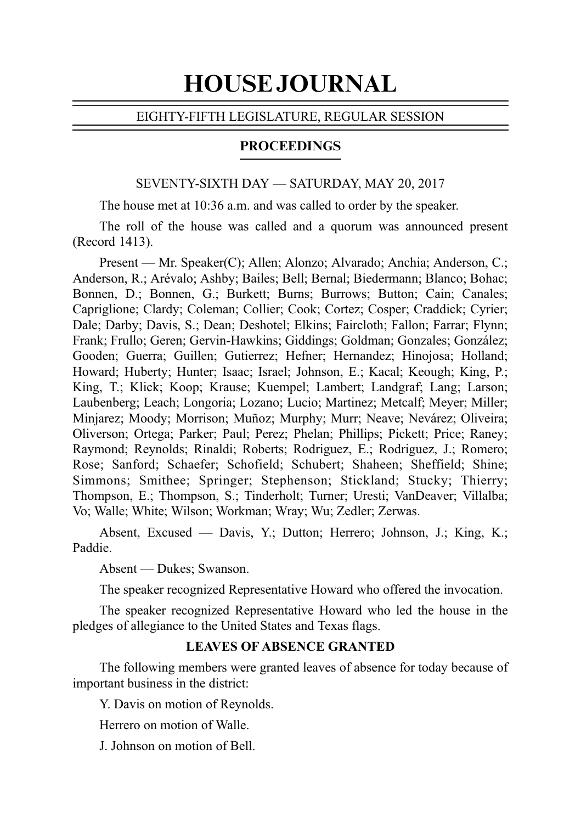# HOUSE JOURNAL

# EIGHTY-FIFTH LEGISLATURE, REGULAR SESSION

# **PROCEEDINGS**

### SEVENTY-SIXTH DAY — SATURDAY, MAY 20, 2017

The house met at 10:36 a.m. and was called to order by the speaker.

The roll of the house was called and a quorum was announced present (Record 1413).

Present — Mr. Speaker(C); Allen; Alonzo; Alvarado; Anchia; Anderson, C.; Anderson, R.; Arévalo; Ashby; Bailes; Bell; Bernal; Biedermann; Blanco; Bohac; Bonnen, D.; Bonnen, G.; Burkett; Burns; Burrows; Button; Cain; Canales; Capriglione; Clardy; Coleman; Collier; Cook; Cortez; Cosper; Craddick; Cyrier; Dale; Darby; Davis, S.; Dean; Deshotel; Elkins; Faircloth; Fallon; Farrar; Flynn; Frank; Frullo; Geren; Gervin-Hawkins; Giddings; Goldman; Gonzales; González; Gooden; Guerra; Guillen; Gutierrez; Hefner; Hernandez; Hinojosa; Holland; Howard; Huberty; Hunter; Isaac; Israel; Johnson, E.; Kacal; Keough; King, P.; King, T.; Klick; Koop; Krause; Kuempel; Lambert; Landgraf; Lang; Larson; Laubenberg; Leach; Longoria; Lozano; Lucio; Martinez; Metcalf; Meyer; Miller; Minjarez; Moody; Morrison; Muñoz; Murphy; Murr; Neave; Nevárez; Oliveira; Oliverson; Ortega; Parker; Paul; Perez; Phelan; Phillips; Pickett; Price; Raney; Raymond; Reynolds; Rinaldi; Roberts; Rodriguez, E.; Rodriguez, J.; Romero; Rose; Sanford; Schaefer; Schofield; Schubert; Shaheen; Sheffield; Shine; Simmons; Smithee; Springer; Stephenson; Stickland; Stucky; Thierry; Thompson, E.; Thompson, S.; Tinderholt; Turner; Uresti; VanDeaver; Villalba; Vo; Walle; White; Wilson; Workman; Wray; Wu; Zedler; Zerwas.

Absent, Excused — Davis, Y.; Dutton; Herrero; Johnson, J.; King, K.; Paddie.

Absent — Dukes; Swanson.

The speaker recognized Representative Howard who offered the invocation.

The speaker recognized Representative Howard who led the house in the pledges of allegiance to the United States and Texas flags.

# **LEAVES OF ABSENCE GRANTED**

The following members were granted leaves of absence for today because of important business in the district:

Y. Davis on motion of Reynolds.

Herrero on motion of Walle.

J. Johnson on motion of Bell.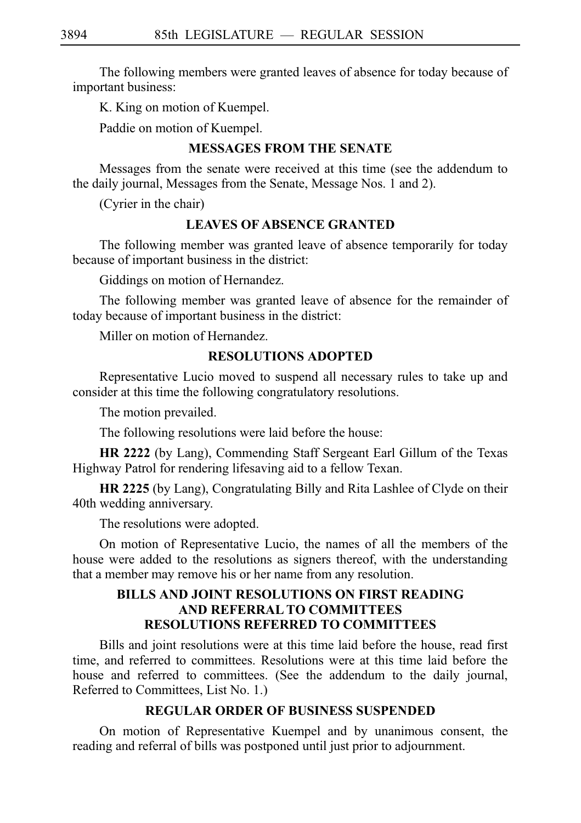The following members were granted leaves of absence for today because of important business:

K. King on motion of Kuempel.

Paddie on motion of Kuempel.

# **MESSAGES FROM THE SENATE**

Messages from the senate were received at this time (see the addendum to the daily journal, Messages from the Senate, Message Nos. 1 and 2).

(Cyrier in the chair)

# **LEAVES OF ABSENCE GRANTED**

The following member was granted leave of absence temporarily for today because of important business in the district:

Giddings on motion of Hernandez.

The following member was granted leave of absence for the remainder of today because of important business in the district:

Miller on motion of Hernandez.

# **RESOLUTIONS ADOPTED**

Representative Lucio moved to suspend all necessary rules to take up and consider at this time the following congratulatory resolutions.

The motion prevailed.

The following resolutions were laid before the house:

**HR 2222** (by Lang), Commending Staff Sergeant Earl Gillum of the Texas Highway Patrol for rendering lifesaving aid to a fellow Texan.

**HR 2225** (by Lang), Congratulating Billy and Rita Lashlee of Clyde on their 40th wedding anniversary.

The resolutions were adopted.

On motion of Representative Lucio, the names of all the members of the house were added to the resolutions as signers thereof, with the understanding that a member may remove his or her name from any resolution.

# **BILLS AND JOINT RESOLUTIONS ON FIRST READING AND REFERRAL TO COMMITTEES RESOLUTIONS REFERRED TO COMMITTEES**

Bills and joint resolutions were at this time laid before the house, read first time, and referred to committees. Resolutions were at this time laid before the house and referred to committees. (See the addendum to the daily journal, Referred to Committees, List No. 1.)

# **REGULAR ORDER OF BUSINESS SUSPENDED**

On motion of Representative Kuempel and by unanimous consent, the reading and referral of bills was postponed until just prior to adjournment.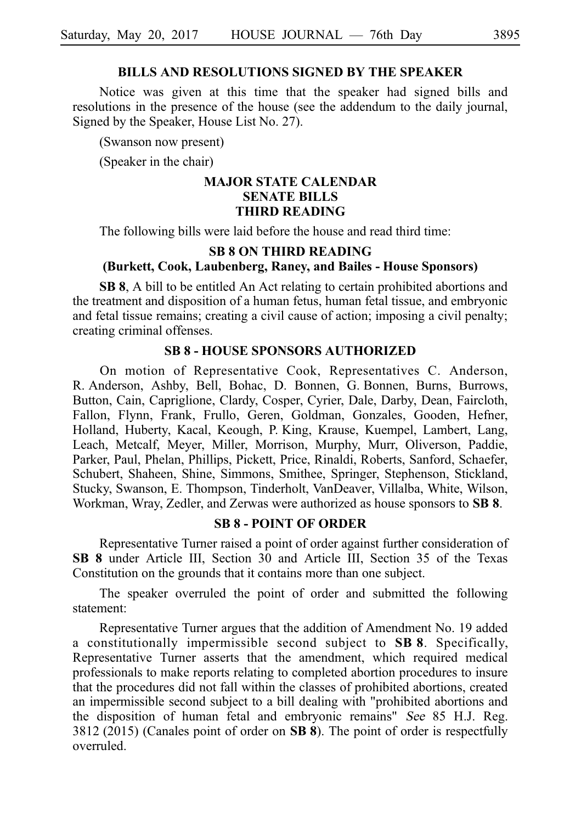## **BILLS AND RESOLUTIONS SIGNED BY THE SPEAKER**

Notice was given at this time that the speaker had signed bills and resolutions in the presence of the house (see the addendum to the daily journal, Signed by the Speaker, House List No. 27).

(Swanson now present)

(Speaker in the chair)

### **MAJOR STATE CALENDAR SENATE BILLS THIRD READING**

The following bills were laid before the house and read third time:

# **SB 8 ON THIRD READING (Burkett, Cook, Laubenberg, Raney, and Bailes - House Sponsors)**

**SB 8**, A bill to be entitled An Act relating to certain prohibited abortions and the treatment and disposition of a human fetus, human fetal tissue, and embryonic and fetal tissue remains; creating a civil cause of action; imposing a civil penalty; creating criminal offenses.

### **SB 8 - HOUSE SPONSORS AUTHORIZED**

On motion of Representative Cook, Representatives C. Anderson, R. Anderson, Ashby, Bell, Bohac, D. Bonnen, G. Bonnen, Burns, Burrows, Button, Cain, Capriglione, Clardy, Cosper, Cyrier, Dale, Darby, Dean, Faircloth, Fallon, Flynn, Frank, Frullo, Geren, Goldman, Gonzales, Gooden, Hefner, Holland, Huberty, Kacal, Keough, P. King, Krause, Kuempel, Lambert, Lang, Leach, Metcalf, Meyer, Miller, Morrison, Murphy, Murr, Oliverson, Paddie, Parker, Paul, Phelan, Phillips, Pickett, Price, Rinaldi, Roberts, Sanford, Schaefer, Schubert, Shaheen, Shine, Simmons, Smithee, Springer, Stephenson, Stickland, Stucky, Swanson, E. Thompson, Tinderholt, VanDeaver, Villalba, White, Wilson, Workman, Wray, Zedler, and Zerwas were authorized as house sponsors to **SB 8**.

### **SB 8 - POINT OF ORDER**

Representative Turner raised a point of order against further consideration of **SB 8** under Article III, Section 30 and Article III, Section 35 of the Texas Constitution on the grounds that it contains more than one subject.

The speaker overruled the point of order and submitted the following statement:

Representative Turner argues that the addition of Amendment No. 19 added a constitutionally impermissible second subject to **SB 8**. Specifically, Representative Turner asserts that the amendment, which required medical professionals to make reports relating to completed abortion procedures to insure that the procedures did not fall within the classes of prohibited abortions, created an impermissible second subject to a bill dealing with "prohibited abortions and the disposition of human fetal and embryonic remains" See 85 H.J. Reg.  $3812$  ( $2015$ ) (Canales point of order on **SB 8**). The point of order is respectfully overruled.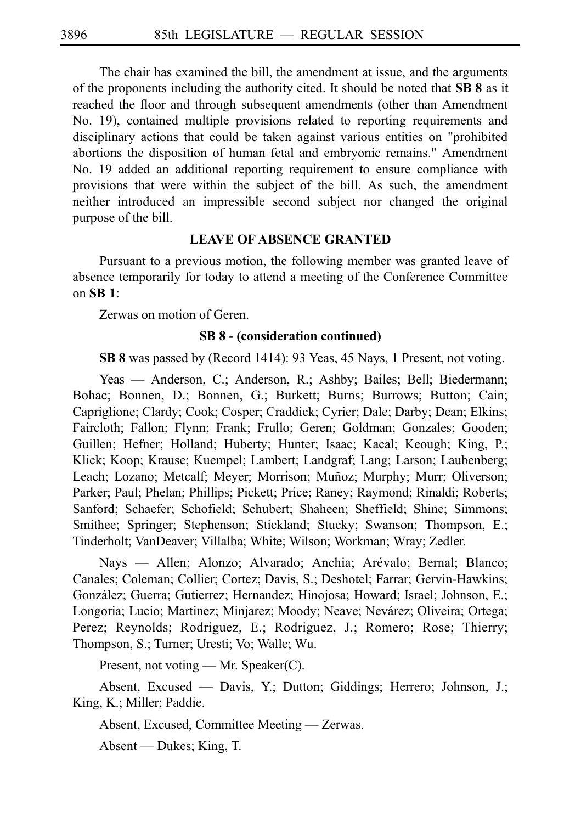The chair has examined the bill, the amendment at issue, and the arguments of the proponents including the authority cited. It should be noted that **SBi8** as it reached the floor and through subsequent amendments (other than Amendment No. 19), contained multiple provisions related to reporting requirements and disciplinary actions that could be taken against various entities on "prohibited abortions the disposition of human fetal and embryonic remains." Amendment No. 19 added an additional reporting requirement to ensure compliance with provisions that were within the subject of the bill. As such, the amendment neither introduced an impressible second subject nor changed the original purpose of the bill.

# **LEAVE OF ABSENCE GRANTED**

Pursuant to a previous motion, the following member was granted leave of absence temporarily for today to attend a meeting of the Conference Committee on **SBi1**:

Zerwas on motion of Geren.

# **SB 8 - (consideration continued)**

**SB 8** was passed by (Record 1414): 93 Yeas, 45 Nays, 1 Present, not voting.

Yeas — Anderson, C.; Anderson, R.; Ashby; Bailes; Bell; Biedermann; Bohac; Bonnen, D.; Bonnen, G.; Burkett; Burns; Burrows; Button; Cain; Capriglione; Clardy; Cook; Cosper; Craddick; Cyrier; Dale; Darby; Dean; Elkins; Faircloth; Fallon; Flynn; Frank; Frullo; Geren; Goldman; Gonzales; Gooden; Guillen; Hefner; Holland; Huberty; Hunter; Isaac; Kacal; Keough; King, P.; Klick; Koop; Krause; Kuempel; Lambert; Landgraf; Lang; Larson; Laubenberg; Leach; Lozano; Metcalf; Meyer; Morrison; Muñoz; Murphy; Murr; Oliverson; Parker; Paul; Phelan; Phillips; Pickett; Price; Raney; Raymond; Rinaldi; Roberts; Sanford; Schaefer; Schofield; Schubert; Shaheen; Sheffield; Shine; Simmons; Smithee; Springer; Stephenson; Stickland; Stucky; Swanson; Thompson, E.; Tinderholt; VanDeaver; Villalba; White; Wilson; Workman; Wray; Zedler.

Nays — Allen; Alonzo; Alvarado; Anchia; Arévalo; Bernal; Blanco; Canales; Coleman; Collier; Cortez; Davis, S.; Deshotel; Farrar; Gervin-Hawkins; González; Guerra; Gutierrez; Hernandez; Hinojosa; Howard; Israel; Johnson, E.; Longoria; Lucio; Martinez; Minjarez; Moody; Neave; Nevárez; Oliveira; Ortega; Perez; Reynolds; Rodriguez, E.; Rodriguez, J.; Romero; Rose; Thierry; Thompson, S.; Turner; Uresti; Vo; Walle; Wu.

Present, not voting — Mr. Speaker(C).

Absent, Excused — Davis, Y.; Dutton; Giddings; Herrero; Johnson, J.; King, K.; Miller; Paddie.

Absent, Excused, Committee Meeting — Zerwas.

Absent — Dukes; King, T.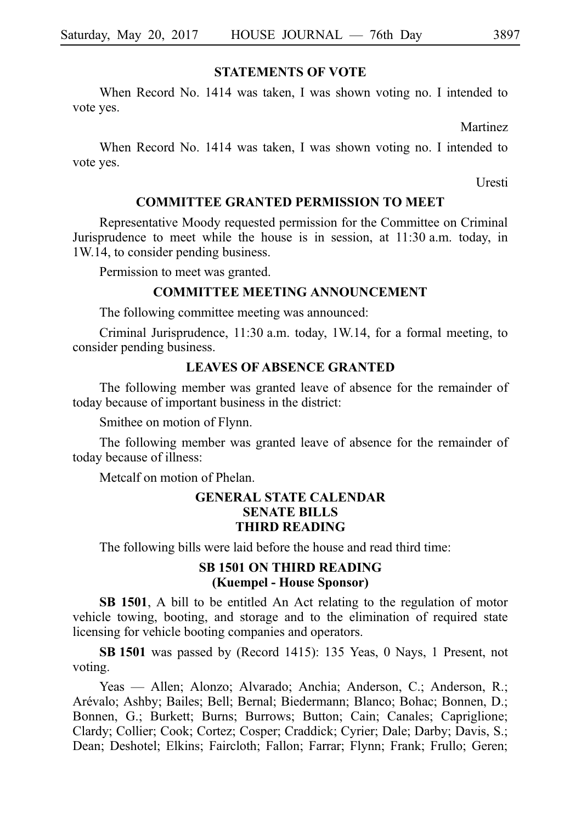# **STATEMENTS OF VOTE**

When Record No. 1414 was taken, I was shown voting no. I intended to vote yes.

Martinez

When Record No. 1414 was taken, I was shown voting no. I intended to vote yes.

**Uresti** 

### **COMMITTEE GRANTED PERMISSION TO MEET**

Representative Moody requested permission for the Committee on Criminal Jurisprudence to meet while the house is in session, at 11:30 a.m. today, in 1W.14, to consider pending business.

Permission to meet was granted.

### **COMMITTEE MEETING ANNOUNCEMENT**

The following committee meeting was announced:

Criminal Jurisprudence, 11:30 a.m. today, 1W.14, for a formal meeting, to consider pending business.

### **LEAVES OF ABSENCE GRANTED**

The following member was granted leave of absence for the remainder of today because of important business in the district:

Smithee on motion of Flynn.

The following member was granted leave of absence for the remainder of today because of illness:

Metcalf on motion of Phelan.

## **GENERAL STATE CALENDAR SENATE BILLS THIRD READING**

The following bills were laid before the house and read third time:

# **SB 1501 ON THIRD READING (Kuempel - House Sponsor)**

**SB 1501**, A bill to be entitled An Act relating to the regulation of motor vehicle towing, booting, and storage and to the elimination of required state licensing for vehicle booting companies and operators.

**SBi1501** was passed by (Record 1415): 135 Yeas, 0 Nays, 1 Present, not voting.

Yeas — Allen; Alonzo; Alvarado; Anchia; Anderson, C.; Anderson, R.; Arévalo; Ashby; Bailes; Bell; Bernal; Biedermann; Blanco; Bohac; Bonnen, D.; Bonnen, G.; Burkett; Burns; Burrows; Button; Cain; Canales; Capriglione; Clardy; Collier; Cook; Cortez; Cosper; Craddick; Cyrier; Dale; Darby; Davis, S.; Dean; Deshotel; Elkins; Faircloth; Fallon; Farrar; Flynn; Frank; Frullo; Geren;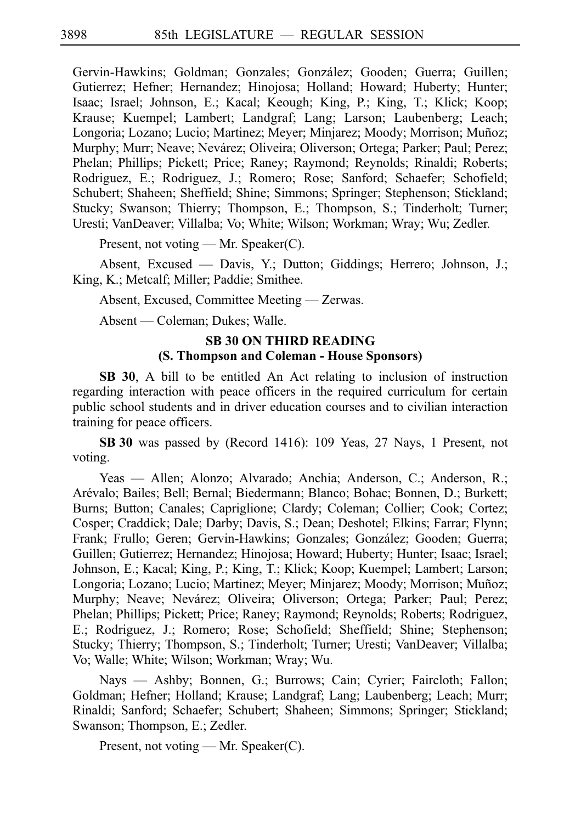Gervin-Hawkins; Goldman; Gonzales; González; Gooden; Guerra; Guillen; Gutierrez; Hefner; Hernandez; Hinojosa; Holland; Howard; Huberty; Hunter; Isaac; Israel; Johnson, E.; Kacal; Keough; King, P.; King, T.; Klick; Koop; Krause; Kuempel; Lambert; Landgraf; Lang; Larson; Laubenberg; Leach; Longoria; Lozano; Lucio; Martinez; Meyer; Minjarez; Moody; Morrison; Muñoz; Murphy; Murr; Neave; Nevárez; Oliveira; Oliverson; Ortega; Parker; Paul; Perez; Phelan; Phillips; Pickett; Price; Raney; Raymond; Reynolds; Rinaldi; Roberts; Rodriguez, E.; Rodriguez, J.; Romero; Rose; Sanford; Schaefer; Schofield; Schubert; Shaheen; Sheffield; Shine; Simmons; Springer; Stephenson; Stickland; Stucky; Swanson; Thierry; Thompson, E.; Thompson, S.; Tinderholt; Turner; Uresti; VanDeaver; Villalba; Vo; White; Wilson; Workman; Wray; Wu; Zedler.

Present, not voting — Mr. Speaker(C).

Absent, Excused — Davis, Y.; Dutton; Giddings; Herrero; Johnson, J.; King, K.; Metcalf; Miller; Paddie; Smithee.

Absent, Excused, Committee Meeting — Zerwas.

Absent — Coleman; Dukes; Walle.

# **SB 30 ON THIRD READING (S. Thompson and Coleman - House Sponsors)**

**SB 30**, A bill to be entitled An Act relating to inclusion of instruction regarding interaction with peace officers in the required curriculum for certain public school students and in driver education courses and to civilian interaction training for peace officers.

**SBi30** was passed by (Record 1416): 109 Yeas, 27 Nays, 1 Present, not voting.

Yeas — Allen; Alonzo; Alvarado; Anchia; Anderson, C.; Anderson, R.; Arévalo; Bailes; Bell; Bernal; Biedermann; Blanco; Bohac; Bonnen, D.; Burkett; Burns; Button; Canales; Capriglione; Clardy; Coleman; Collier; Cook; Cortez; Cosper; Craddick; Dale; Darby; Davis, S.; Dean; Deshotel; Elkins; Farrar; Flynn; Frank; Frullo; Geren; Gervin-Hawkins; Gonzales; González; Gooden; Guerra; Guillen; Gutierrez; Hernandez; Hinojosa; Howard; Huberty; Hunter; Isaac; Israel; Johnson, E.; Kacal; King, P.; King, T.; Klick; Koop; Kuempel; Lambert; Larson; Longoria; Lozano; Lucio; Martinez; Meyer; Minjarez; Moody; Morrison; Muñoz; Murphy; Neave; Nevárez; Oliveira; Oliverson; Ortega; Parker; Paul; Perez; Phelan; Phillips; Pickett; Price; Raney; Raymond; Reynolds; Roberts; Rodriguez, E.; Rodriguez, J.; Romero; Rose; Schofield; Sheffield; Shine; Stephenson; Stucky; Thierry; Thompson, S.; Tinderholt; Turner; Uresti; VanDeaver; Villalba; Vo; Walle; White; Wilson; Workman; Wray; Wu.

Nays — Ashby; Bonnen, G.; Burrows; Cain; Cyrier; Faircloth; Fallon; Goldman; Hefner; Holland; Krause; Landgraf; Lang; Laubenberg; Leach; Murr; Rinaldi; Sanford; Schaefer; Schubert; Shaheen; Simmons; Springer; Stickland; Swanson; Thompson, E.; Zedler.

Present, not voting — Mr. Speaker(C).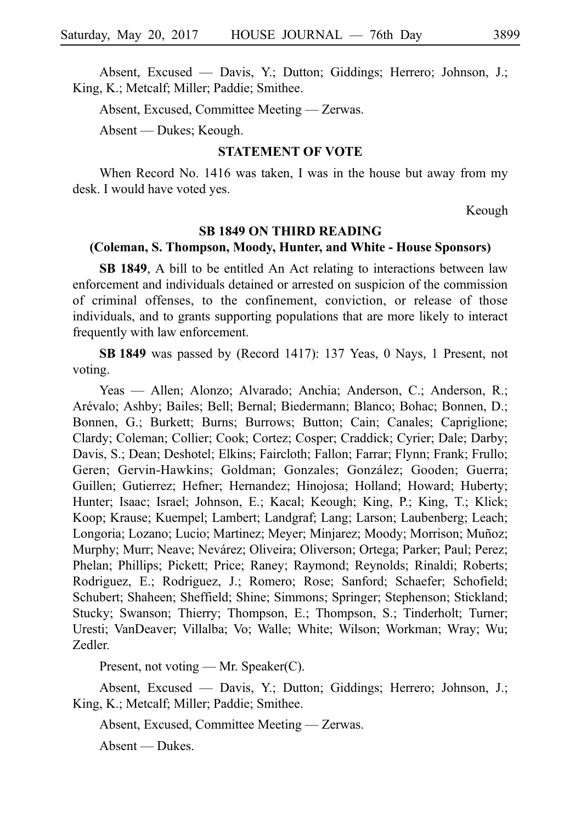Absent, Excused — Davis, Y.; Dutton; Giddings; Herrero; Johnson, J.; King, K.; Metcalf; Miller; Paddie; Smithee.

Absent, Excused, Committee Meeting — Zerwas.

Absent — Dukes; Keough.

# **STATEMENT OF VOTE**

When Record No. 1416 was taken, I was in the house but away from my desk. I would have voted yes.

Keough

#### **SB 1849 ON THIRD READING**

#### **(Coleman, S. Thompson, Moody, Hunter, and White - House Sponsors)**

**SB 1849**, A bill to be entitled An Act relating to interactions between law enforcement and individuals detained or arrested on suspicion of the commission of criminal offenses, to the confinement, conviction, or release of those individuals, and to grants supporting populations that are more likely to interact frequently with law enforcement.

**SBi1849** was passed by (Record 1417): 137 Yeas, 0 Nays, 1 Present, not voting.

Yeas — Allen; Alonzo; Alvarado; Anchia; Anderson, C.; Anderson, R.; Are´valo; Ashby; Bailes; Bell; Bernal; Biedermann; Blanco; Bohac; Bonnen, D.; Bonnen, G.; Burkett; Burns; Burrows; Button; Cain; Canales; Capriglione; Clardy; Coleman; Collier; Cook; Cortez; Cosper; Craddick; Cyrier; Dale; Darby; Davis, S.; Dean; Deshotel; Elkins; Faircloth; Fallon; Farrar; Flynn; Frank; Frullo; Geren; Gervin-Hawkins; Goldman; Gonzales; González; Gooden; Guerra; Guillen; Gutierrez; Hefner; Hernandez; Hinojosa; Holland; Howard; Huberty; Hunter; Isaac; Israel; Johnson, E.; Kacal; Keough; King, P.; King, T.; Klick; Koop; Krause; Kuempel; Lambert; Landgraf; Lang; Larson; Laubenberg; Leach; Longoria; Lozano; Lucio; Martinez; Meyer; Minjarez; Moody; Morrison; Muñoz; Murphy; Murr; Neave; Nevárez; Oliveira; Oliverson; Ortega; Parker; Paul; Perez; Phelan; Phillips; Pickett; Price; Raney; Raymond; Reynolds; Rinaldi; Roberts; Rodriguez, E.; Rodriguez, J.; Romero; Rose; Sanford; Schaefer; Schofield; Schubert; Shaheen; Sheffield; Shine; Simmons; Springer; Stephenson; Stickland; Stucky; Swanson; Thierry; Thompson, E.; Thompson, S.; Tinderholt; Turner; Uresti; VanDeaver; Villalba; Vo; Walle; White; Wilson; Workman; Wray; Wu; Zedler.

Present, not voting — Mr. Speaker(C).

Absent, Excused — Davis, Y.; Dutton; Giddings; Herrero; Johnson, J.; King, K.; Metcalf; Miller; Paddie; Smithee.

Absent, Excused, Committee Meeting — Zerwas.

Absent — Dukes.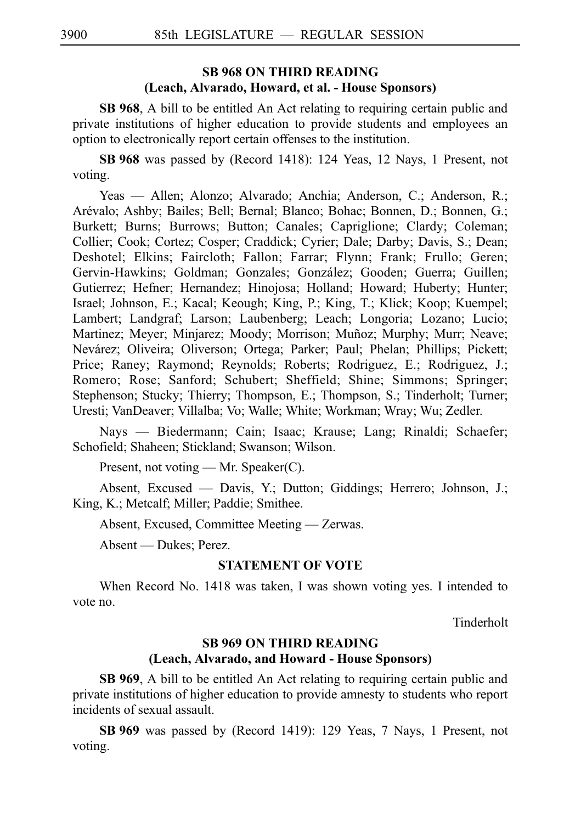# **SB 968 ON THIRD READING (Leach, Alvarado, Howard, et al. - House Sponsors)**

**SB 968**, A bill to be entitled An Act relating to requiring certain public and private institutions of higher education to provide students and employees an option to electronically report certain offenses to the institution.

**SBi968** was passed by (Record 1418): 124 Yeas, 12 Nays, 1 Present, not voting.

Yeas — Allen; Alonzo; Alvarado; Anchia; Anderson, C.; Anderson, R.; Are´valo; Ashby; Bailes; Bell; Bernal; Blanco; Bohac; Bonnen, D.; Bonnen, G.; Burkett; Burns; Burrows; Button; Canales; Capriglione; Clardy; Coleman; Collier; Cook; Cortez; Cosper; Craddick; Cyrier; Dale; Darby; Davis, S.; Dean; Deshotel; Elkins; Faircloth; Fallon; Farrar; Flynn; Frank; Frullo; Geren; Gervin-Hawkins; Goldman; Gonzales; González; Gooden; Guerra; Guillen; Gutierrez; Hefner; Hernandez; Hinojosa; Holland; Howard; Huberty; Hunter; Israel; Johnson, E.; Kacal; Keough; King, P.; King, T.; Klick; Koop; Kuempel; Lambert; Landgraf; Larson; Laubenberg; Leach; Longoria; Lozano; Lucio; Martinez; Meyer; Minjarez; Moody; Morrison; Muñoz; Murphy; Murr; Neave; Nevárez; Oliveira; Oliverson; Ortega; Parker; Paul; Phelan; Phillips; Pickett; Price; Raney; Raymond; Reynolds; Roberts; Rodriguez, E.; Rodriguez, J.; Romero; Rose; Sanford; Schubert; Sheffield; Shine; Simmons; Springer; Stephenson; Stucky; Thierry; Thompson, E.; Thompson, S.; Tinderholt; Turner; Uresti; VanDeaver; Villalba; Vo; Walle; White; Workman; Wray; Wu; Zedler.

Nays — Biedermann; Cain; Isaac; Krause; Lang; Rinaldi; Schaefer; Schofield; Shaheen; Stickland; Swanson; Wilson.

Present, not voting — Mr. Speaker(C).

Absent, Excused — Davis, Y.; Dutton; Giddings; Herrero; Johnson, J.; King, K.; Metcalf; Miller; Paddie; Smithee.

Absent, Excused, Committee Meeting — Zerwas.

Absent — Dukes; Perez.

# **STATEMENT OF VOTE**

When Record No. 1418 was taken, I was shown voting yes. I intended to vote no.

Tinderholt

# **SB 969 ON THIRD READING (Leach, Alvarado, and Howard - House Sponsors)**

**SB 969**, A bill to be entitled An Act relating to requiring certain public and private institutions of higher education to provide amnesty to students who report incidents of sexual assault.

**SBi969** was passed by (Record 1419): 129 Yeas, 7 Nays, 1 Present, not voting.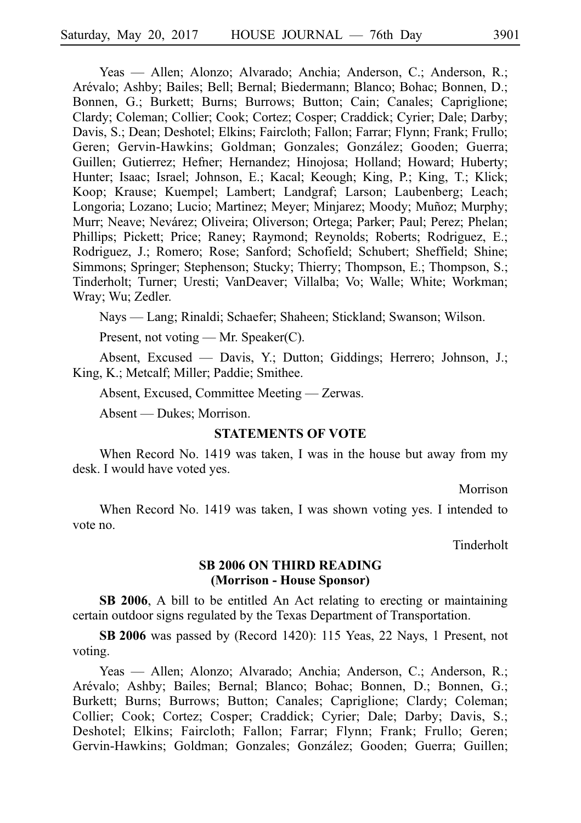Yeas — Allen; Alonzo; Alvarado; Anchia; Anderson, C.; Anderson, R.; Are´valo; Ashby; Bailes; Bell; Bernal; Biedermann; Blanco; Bohac; Bonnen, D.; Bonnen, G.; Burkett; Burns; Burrows; Button; Cain; Canales; Capriglione; Clardy; Coleman; Collier; Cook; Cortez; Cosper; Craddick; Cyrier; Dale; Darby; Davis, S.; Dean; Deshotel; Elkins; Faircloth; Fallon; Farrar; Flynn; Frank; Frullo; Geren; Gervin-Hawkins; Goldman; Gonzales; González; Gooden; Guerra; Guillen; Gutierrez; Hefner; Hernandez; Hinojosa; Holland; Howard; Huberty; Hunter; Isaac; Israel; Johnson, E.; Kacal; Keough; King, P.; King, T.; Klick; Koop; Krause; Kuempel; Lambert; Landgraf; Larson; Laubenberg; Leach; Longoria; Lozano; Lucio; Martinez; Meyer; Minjarez; Moody; Muñoz; Murphy; Murr; Neave; Nevárez; Oliveira; Oliverson; Ortega; Parker; Paul; Perez; Phelan; Phillips; Pickett; Price; Raney; Raymond; Reynolds; Roberts; Rodriguez, E.; Rodriguez, J.; Romero; Rose; Sanford; Schofield; Schubert; Sheffield; Shine; Simmons; Springer; Stephenson; Stucky; Thierry; Thompson, E.; Thompson, S.; Tinderholt; Turner; Uresti; VanDeaver; Villalba; Vo; Walle; White; Workman; Wray; Wu; Zedler.

Nays — Lang; Rinaldi; Schaefer; Shaheen; Stickland; Swanson; Wilson.

Present, not voting — Mr. Speaker(C).

Absent, Excused — Davis, Y.; Dutton; Giddings; Herrero; Johnson, J.; King, K.; Metcalf; Miller; Paddie; Smithee.

Absent, Excused, Committee Meeting — Zerwas.

Absent — Dukes; Morrison.

### **STATEMENTS OF VOTE**

When Record No. 1419 was taken, I was in the house but away from my desk. I would have voted yes.

**Morrison** 

When Record No. 1419 was taken, I was shown voting yes. I intended to vote no.

Tinderholt

# **SB 2006 ON THIRD READING (Morrison - House Sponsor)**

**SB 2006**, A bill to be entitled An Act relating to erecting or maintaining certain outdoor signs regulated by the Texas Department of Transportation.

**SBi2006** was passed by (Record 1420): 115 Yeas, 22 Nays, 1 Present, not voting.

Yeas — Allen; Alonzo; Alvarado; Anchia; Anderson, C.; Anderson, R.; Arévalo; Ashby; Bailes; Bernal; Blanco; Bohac; Bonnen, D.; Bonnen, G.; Burkett; Burns; Burrows; Button; Canales; Capriglione; Clardy; Coleman; Collier; Cook; Cortez; Cosper; Craddick; Cyrier; Dale; Darby; Davis, S.; Deshotel; Elkins; Faircloth; Fallon; Farrar; Flynn; Frank; Frullo; Geren; Gervin-Hawkins; Goldman; Gonzales; González; Gooden; Guerra; Guillen;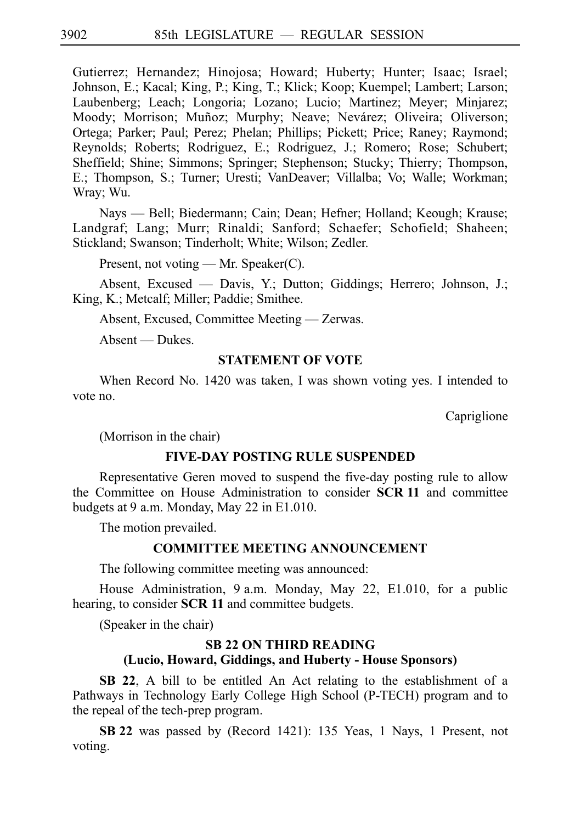Gutierrez; Hernandez; Hinojosa; Howard; Huberty; Hunter; Isaac; Israel; Johnson, E.; Kacal; King, P.; King, T.; Klick; Koop; Kuempel; Lambert; Larson; Laubenberg; Leach; Longoria; Lozano; Lucio; Martinez; Meyer; Minjarez; Moody; Morrison; Muñoz; Murphy; Neave; Nevárez; Oliveira; Oliverson; Ortega; Parker; Paul; Perez; Phelan; Phillips; Pickett; Price; Raney; Raymond; Reynolds; Roberts; Rodriguez, E.; Rodriguez, J.; Romero; Rose; Schubert; Sheffield; Shine; Simmons; Springer; Stephenson; Stucky; Thierry; Thompson, E.; Thompson, S.; Turner; Uresti; VanDeaver; Villalba; Vo; Walle; Workman; Wray; Wu.

Nays — Bell; Biedermann; Cain; Dean; Hefner; Holland; Keough; Krause; Landgraf; Lang; Murr; Rinaldi; Sanford; Schaefer; Schofield; Shaheen; Stickland; Swanson; Tinderholt; White; Wilson; Zedler.

Present, not voting — Mr. Speaker(C).

Absent, Excused — Davis, Y.; Dutton; Giddings; Herrero; Johnson, J.; King, K.; Metcalf; Miller; Paddie; Smithee.

Absent, Excused, Committee Meeting — Zerwas.

Absent — Dukes.

# **STATEMENT OF VOTE**

When Record No. 1420 was taken, I was shown voting yes. I intended to vote no.

Capriglione

(Morrison in the chair)

### **FIVE-DAY POSTING RULE SUSPENDED**

Representative Geren moved to suspend the five-day posting rule to allow the Committee on House Administration to consider **SCRi11** and committee budgets at 9 a.m. Monday, May  $22$  in E1.010.

The motion prevailed.

# **COMMITTEE MEETING ANNOUNCEMENT**

The following committee meeting was announced:

House Administration, 9 a.m. Monday, May 22, E1.010, for a public hearing, to consider **SCR 11** and committee budgets.

(Speaker in the chair)

# **SB 22 ON THIRD READING**

# **(Lucio, Howard, Giddings, and Huberty - House Sponsors)**

**SB 22**, A bill to be entitled An Act relating to the establishment of a Pathways in Technology Early College High School (P-TECH) program and to the repeal of the tech-prep program.

**SBi22** was passed by (Record 1421): 135 Yeas, 1 Nays, 1 Present, not voting.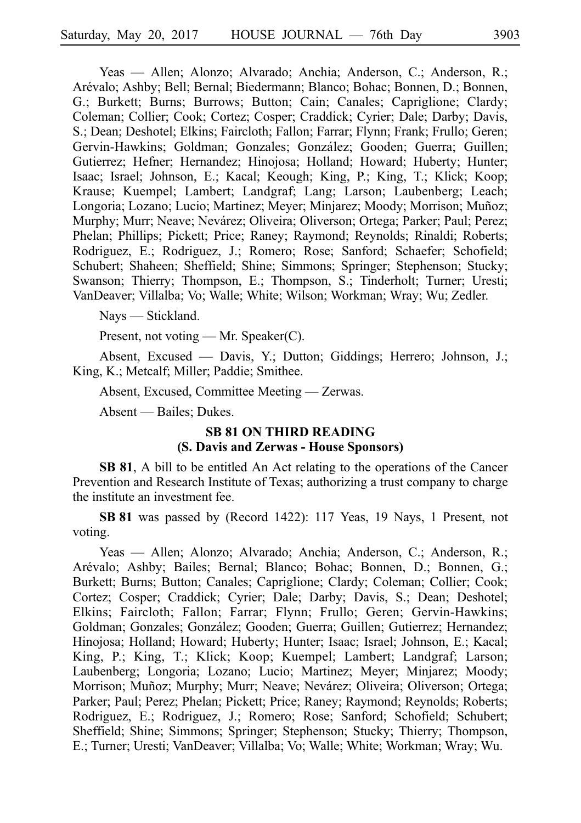Yeas — Allen; Alonzo; Alvarado; Anchia; Anderson, C.; Anderson, R.; Are´valo; Ashby; Bell; Bernal; Biedermann; Blanco; Bohac; Bonnen, D.; Bonnen, G.; Burkett; Burns; Burrows; Button; Cain; Canales; Capriglione; Clardy; Coleman; Collier; Cook; Cortez; Cosper; Craddick; Cyrier; Dale; Darby; Davis, S.; Dean; Deshotel; Elkins; Faircloth; Fallon; Farrar; Flynn; Frank; Frullo; Geren; Gervin-Hawkins; Goldman; Gonzales; González; Gooden; Guerra; Guillen; Gutierrez; Hefner; Hernandez; Hinojosa; Holland; Howard; Huberty; Hunter; Isaac; Israel; Johnson, E.; Kacal; Keough; King, P.; King, T.; Klick; Koop; Krause; Kuempel; Lambert; Landgraf; Lang; Larson; Laubenberg; Leach; Longoria; Lozano; Lucio; Martinez; Meyer; Minjarez; Moody; Morrison; Muñoz; Murphy; Murr; Neave; Nevárez; Oliveira; Oliverson; Ortega; Parker; Paul; Perez; Phelan; Phillips; Pickett; Price; Raney; Raymond; Reynolds; Rinaldi; Roberts; Rodriguez, E.; Rodriguez, J.; Romero; Rose; Sanford; Schaefer; Schofield; Schubert; Shaheen; Sheffield; Shine; Simmons; Springer; Stephenson; Stucky; Swanson; Thierry; Thompson, E.; Thompson, S.; Tinderholt; Turner; Uresti; VanDeaver; Villalba; Vo; Walle; White; Wilson; Workman; Wray; Wu; Zedler.

Nays — Stickland.

Present, not voting — Mr. Speaker(C).

Absent, Excused — Davis, Y.; Dutton; Giddings; Herrero; Johnson, J.; King, K.; Metcalf; Miller; Paddie; Smithee.

Absent, Excused, Committee Meeting — Zerwas.

Absent — Bailes; Dukes.

### **SB 81 ON THIRD READING (S. Davis and Zerwas - House Sponsors)**

**SB 81**, A bill to be entitled An Act relating to the operations of the Cancer Prevention and Research Institute of Texas; authorizing a trust company to charge the institute an investment fee.

SB 81 was passed by (Record 1422): 117 Yeas, 19 Nays, 1 Present, not voting.

Yeas — Allen; Alonzo; Alvarado; Anchia; Anderson, C.; Anderson, R.; Are´valo; Ashby; Bailes; Bernal; Blanco; Bohac; Bonnen, D.; Bonnen, G.; Burkett; Burns; Button; Canales; Capriglione; Clardy; Coleman; Collier; Cook; Cortez; Cosper; Craddick; Cyrier; Dale; Darby; Davis, S.; Dean; Deshotel; Elkins; Faircloth; Fallon; Farrar; Flynn; Frullo; Geren; Gervin-Hawkins; Goldman; Gonzales; González; Gooden; Guerra; Guillen; Gutierrez; Hernandez; Hinojosa; Holland; Howard; Huberty; Hunter; Isaac; Israel; Johnson, E.; Kacal; King, P.; King, T.; Klick; Koop; Kuempel; Lambert; Landgraf; Larson; Laubenberg; Longoria; Lozano; Lucio; Martinez; Meyer; Minjarez; Moody; Morrison; Muñoz; Murphy; Murr; Neave; Nevárez; Oliveira; Oliverson; Ortega; Parker; Paul; Perez; Phelan; Pickett; Price; Raney; Raymond; Reynolds; Roberts; Rodriguez, E.; Rodriguez, J.; Romero; Rose; Sanford; Schofield; Schubert; Sheffield; Shine; Simmons; Springer; Stephenson; Stucky; Thierry; Thompson, E.; Turner; Uresti; VanDeaver; Villalba; Vo; Walle; White; Workman; Wray; Wu.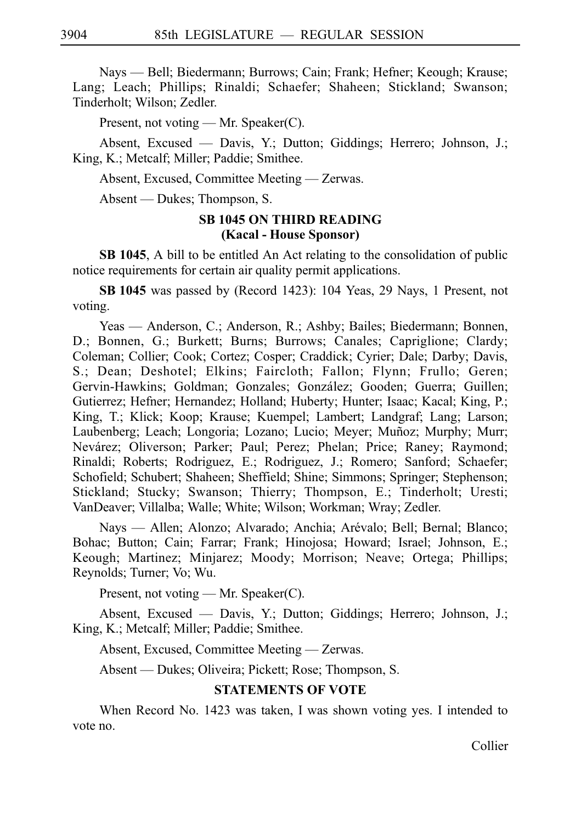Nays — Bell; Biedermann; Burrows; Cain; Frank; Hefner; Keough; Krause; Lang; Leach; Phillips; Rinaldi; Schaefer; Shaheen; Stickland; Swanson; Tinderholt; Wilson; Zedler.

Present, not voting — Mr. Speaker(C).

Absent, Excused — Davis, Y.; Dutton; Giddings; Herrero; Johnson, J.; King, K.; Metcalf; Miller; Paddie; Smithee.

Absent, Excused, Committee Meeting — Zerwas.

Absent — Dukes; Thompson, S.

# **SB 1045 ON THIRD READING (Kacal - House Sponsor)**

**SB 1045**, A bill to be entitled An Act relating to the consolidation of public notice requirements for certain air quality permit applications.

**SBi1045** was passed by (Record 1423): 104 Yeas, 29 Nays, 1 Present, not voting.

Yeas — Anderson, C.; Anderson, R.; Ashby; Bailes; Biedermann; Bonnen, D.; Bonnen, G.; Burkett; Burns; Burrows; Canales; Capriglione; Clardy; Coleman; Collier; Cook; Cortez; Cosper; Craddick; Cyrier; Dale; Darby; Davis, S.; Dean; Deshotel; Elkins; Faircloth; Fallon; Flynn; Frullo; Geren; Gervin-Hawkins; Goldman; Gonzales; González; Gooden; Guerra; Guillen; Gutierrez; Hefner; Hernandez; Holland; Huberty; Hunter; Isaac; Kacal; King, P.; King, T.; Klick; Koop; Krause; Kuempel; Lambert; Landgraf; Lang; Larson; Laubenberg; Leach; Longoria; Lozano; Lucio; Meyer; Muñoz; Murphy; Murr; Nevárez; Oliverson; Parker; Paul; Perez; Phelan; Price; Raney; Raymond; Rinaldi; Roberts; Rodriguez, E.; Rodriguez, J.; Romero; Sanford; Schaefer; Schofield; Schubert; Shaheen; Sheffield; Shine; Simmons; Springer; Stephenson; Stickland; Stucky; Swanson; Thierry; Thompson, E.; Tinderholt; Uresti; VanDeaver; Villalba; Walle; White; Wilson; Workman; Wray; Zedler.

Nays — Allen; Alonzo; Alvarado; Anchia; Arévalo; Bell; Bernal; Blanco; Bohac; Button; Cain; Farrar; Frank; Hinojosa; Howard; Israel; Johnson, E.; Keough; Martinez; Minjarez; Moody; Morrison; Neave; Ortega; Phillips; Reynolds; Turner; Vo; Wu.

Present, not voting — Mr. Speaker(C).

Absent, Excused — Davis, Y.; Dutton; Giddings; Herrero; Johnson, J.; King, K.; Metcalf; Miller; Paddie; Smithee.

Absent, Excused, Committee Meeting — Zerwas.

Absent — Dukes; Oliveira; Pickett; Rose; Thompson, S.

# **STATEMENTS OF VOTE**

When Record No. 1423 was taken, I was shown voting yes. I intended to vote no.

Collier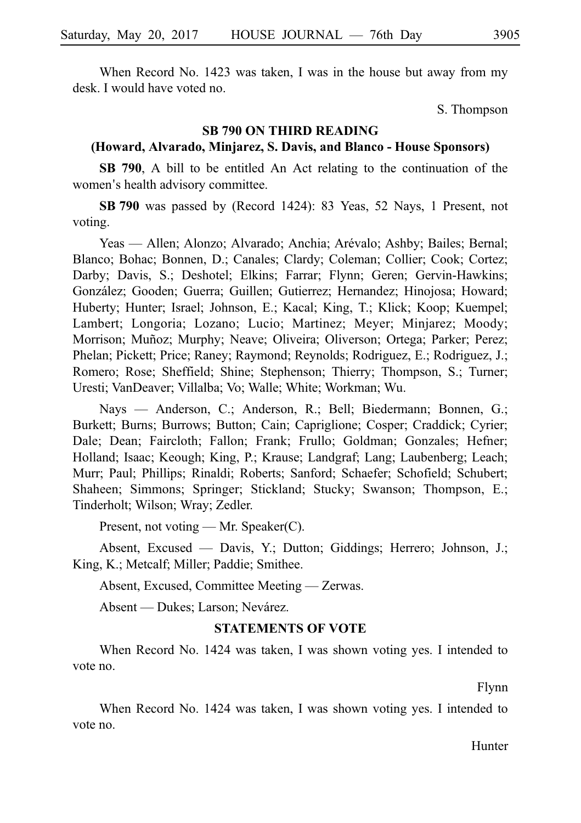When Record No. 1423 was taken, I was in the house but away from my desk. I would have voted no.

S. Thompson

# **SB 790 ON THIRD READING**

# **(Howard, Alvarado, Minjarez, S. Davis, and Blanco - House Sponsors)**

**SB 790**, A bill to be entitled An Act relating to the continuation of the women's health advisory committee.

**SBi790** was passed by (Record 1424): 83 Yeas, 52 Nays, 1 Present, not voting.

Yeas — Allen; Alonzo; Alvarado; Anchia; Arévalo; Ashby; Bailes; Bernal; Blanco; Bohac; Bonnen, D.; Canales; Clardy; Coleman; Collier; Cook; Cortez; Darby; Davis, S.; Deshotel; Elkins; Farrar; Flynn; Geren; Gervin-Hawkins; Gonza´lez; Gooden; Guerra; Guillen; Gutierrez; Hernandez; Hinojosa; Howard; Huberty; Hunter; Israel; Johnson, E.; Kacal; King, T.; Klick; Koop; Kuempel; Lambert; Longoria; Lozano; Lucio; Martinez; Meyer; Minjarez; Moody; Morrison; Muñoz; Murphy; Neave; Oliveira; Oliverson; Ortega; Parker; Perez; Phelan; Pickett; Price; Raney; Raymond; Reynolds; Rodriguez, E.; Rodriguez, J.; Romero; Rose; Sheffield; Shine; Stephenson; Thierry; Thompson, S.; Turner; Uresti; VanDeaver; Villalba; Vo; Walle; White; Workman; Wu.

Nays — Anderson, C.; Anderson, R.; Bell; Biedermann; Bonnen, G.; Burkett; Burns; Burrows; Button; Cain; Capriglione; Cosper; Craddick; Cyrier; Dale; Dean; Faircloth; Fallon; Frank; Frullo; Goldman; Gonzales; Hefner; Holland; Isaac; Keough; King, P.; Krause; Landgraf; Lang; Laubenberg; Leach; Murr; Paul; Phillips; Rinaldi; Roberts; Sanford; Schaefer; Schofield; Schubert; Shaheen; Simmons; Springer; Stickland; Stucky; Swanson; Thompson, E.; Tinderholt; Wilson; Wray; Zedler.

Present, not voting — Mr. Speaker(C).

Absent, Excused — Davis, Y.; Dutton; Giddings; Herrero; Johnson, J.; King, K.; Metcalf; Miller; Paddie; Smithee.

Absent, Excused, Committee Meeting — Zerwas.

Absent — Dukes; Larson; Nevárez.

#### **STATEMENTS OF VOTE**

When Record No. 1424 was taken, I was shown voting yes. I intended to vote no.

Flynn

When Record No. 1424 was taken, I was shown voting yes. I intended to vote no.

Hunter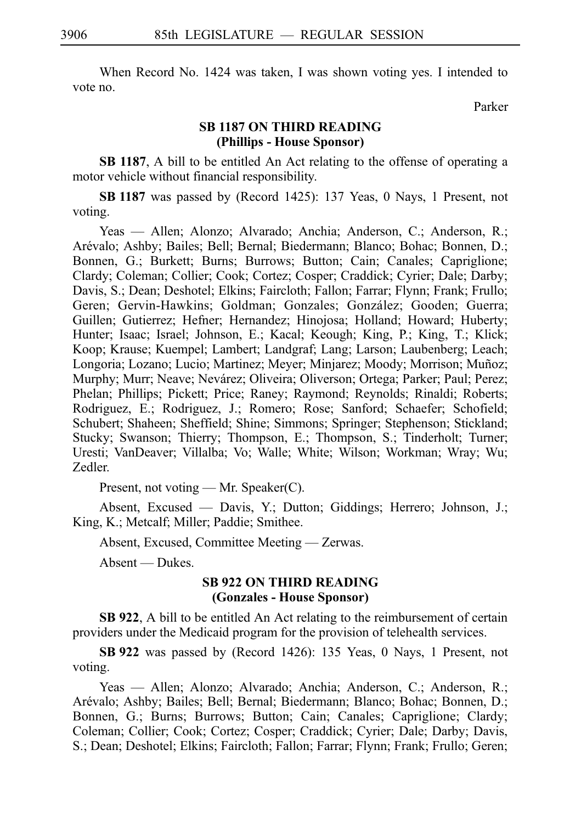When Record No. 1424 was taken, I was shown voting yes. I intended to vote no.

Parker

# **SB 1187 ON THIRD READING (Phillips - House Sponsor)**

**SB 1187**, A bill to be entitled An Act relating to the offense of operating a motor vehicle without financial responsibility.

**SBi1187** was passed by (Record 1425): 137 Yeas, 0 Nays, 1 Present, not voting.

Yeas — Allen; Alonzo; Alvarado; Anchia; Anderson, C.; Anderson, R.; Arévalo; Ashby; Bailes; Bell; Bernal; Biedermann; Blanco; Bohac; Bonnen, D.; Bonnen, G.; Burkett; Burns; Burrows; Button; Cain; Canales; Capriglione; Clardy; Coleman; Collier; Cook; Cortez; Cosper; Craddick; Cyrier; Dale; Darby; Davis, S.; Dean; Deshotel; Elkins; Faircloth; Fallon; Farrar; Flynn; Frank; Frullo; Geren; Gervin-Hawkins; Goldman; Gonzales; González; Gooden; Guerra; Guillen; Gutierrez; Hefner; Hernandez; Hinojosa; Holland; Howard; Huberty; Hunter; Isaac; Israel; Johnson, E.; Kacal; Keough; King, P.; King, T.; Klick; Koop; Krause; Kuempel; Lambert; Landgraf; Lang; Larson; Laubenberg; Leach; Longoria; Lozano; Lucio; Martinez; Meyer; Minjarez; Moody; Morrison; Muñoz; Murphy; Murr; Neave; Nevárez; Oliveira; Oliverson; Ortega; Parker; Paul; Perez; Phelan; Phillips; Pickett; Price; Raney; Raymond; Reynolds; Rinaldi; Roberts; Rodriguez, E.; Rodriguez, J.; Romero; Rose; Sanford; Schaefer; Schofield; Schubert; Shaheen; Sheffield; Shine; Simmons; Springer; Stephenson; Stickland; Stucky; Swanson; Thierry; Thompson, E.; Thompson, S.; Tinderholt; Turner; Uresti; VanDeaver; Villalba; Vo; Walle; White; Wilson; Workman; Wray; Wu; Zedler.

Present, not voting — Mr. Speaker(C).

Absent, Excused — Davis, Y.; Dutton; Giddings; Herrero; Johnson, J.; King, K.; Metcalf; Miller; Paddie; Smithee.

Absent, Excused, Committee Meeting — Zerwas.

Absent — Dukes.

# **SB 922 ON THIRD READING (Gonzales - House Sponsor)**

**SB 922**, A bill to be entitled An Act relating to the reimbursement of certain providers under the Medicaid program for the provision of telehealth services.

**SBi922** was passed by (Record 1426): 135 Yeas, 0 Nays, 1 Present, not voting.

Yeas — Allen; Alonzo; Alvarado; Anchia; Anderson, C.; Anderson, R.; Are´valo; Ashby; Bailes; Bell; Bernal; Biedermann; Blanco; Bohac; Bonnen, D.; Bonnen, G.; Burns; Burrows; Button; Cain; Canales; Capriglione; Clardy; Coleman; Collier; Cook; Cortez; Cosper; Craddick; Cyrier; Dale; Darby; Davis, S.; Dean; Deshotel; Elkins; Faircloth; Fallon; Farrar; Flynn; Frank; Frullo; Geren;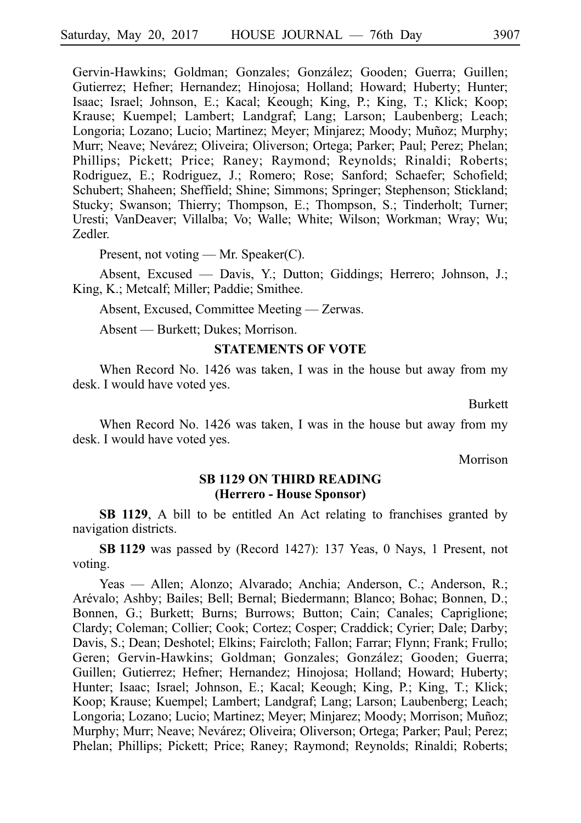Gervin-Hawkins; Goldman; Gonzales; González; Gooden; Guerra; Guillen; Gutierrez; Hefner; Hernandez; Hinojosa; Holland; Howard; Huberty; Hunter; Isaac; Israel; Johnson, E.; Kacal; Keough; King, P.; King, T.; Klick; Koop; Krause; Kuempel; Lambert; Landgraf; Lang; Larson; Laubenberg; Leach; Longoria; Lozano; Lucio; Martinez; Meyer; Minjarez; Moody; Muñoz; Murphy; Murr; Neave; Nevárez; Oliveira; Oliverson; Ortega; Parker; Paul; Perez; Phelan; Phillips; Pickett; Price; Raney; Raymond; Reynolds; Rinaldi; Roberts; Rodriguez, E.; Rodriguez, J.; Romero; Rose; Sanford; Schaefer; Schofield; Schubert; Shaheen; Sheffield; Shine; Simmons; Springer; Stephenson; Stickland; Stucky; Swanson; Thierry; Thompson, E.; Thompson, S.; Tinderholt; Turner; Uresti; VanDeaver; Villalba; Vo; Walle; White; Wilson; Workman; Wray; Wu; Zedler.

Present, not voting — Mr. Speaker(C).

Absent, Excused — Davis, Y.; Dutton; Giddings; Herrero; Johnson, J.; King, K.; Metcalf; Miller; Paddie; Smithee.

Absent, Excused, Committee Meeting — Zerwas.

Absent — Burkett; Dukes; Morrison.

#### **STATEMENTS OF VOTE**

When Record No. 1426 was taken, I was in the house but away from my desk. I would have voted yes.

Burkett

When Record No. 1426 was taken, I was in the house but away from my desk. I would have voted yes.

Morrison

### **SB 1129 ON THIRD READING (Herrero - House Sponsor)**

**SB 1129**, A bill to be entitled An Act relating to franchises granted by navigation districts.

**SBi1129** was passed by (Record 1427): 137 Yeas, 0 Nays, 1 Present, not voting.

Yeas — Allen; Alonzo; Alvarado; Anchia; Anderson, C.; Anderson, R.; Are´valo; Ashby; Bailes; Bell; Bernal; Biedermann; Blanco; Bohac; Bonnen, D.; Bonnen, G.; Burkett; Burns; Burrows; Button; Cain; Canales; Capriglione; Clardy; Coleman; Collier; Cook; Cortez; Cosper; Craddick; Cyrier; Dale; Darby; Davis, S.; Dean; Deshotel; Elkins; Faircloth; Fallon; Farrar; Flynn; Frank; Frullo; Geren; Gervin-Hawkins; Goldman; Gonzales; González; Gooden; Guerra; Guillen; Gutierrez; Hefner; Hernandez; Hinojosa; Holland; Howard; Huberty; Hunter; Isaac; Israel; Johnson, E.; Kacal; Keough; King, P.; King, T.; Klick; Koop; Krause; Kuempel; Lambert; Landgraf; Lang; Larson; Laubenberg; Leach; Longoria; Lozano; Lucio; Martinez; Meyer; Minjarez; Moody; Morrison; Muñoz; Murphy; Murr; Neave; Nevárez; Oliveira; Oliverson; Ortega; Parker; Paul; Perez; Phelan; Phillips; Pickett; Price; Raney; Raymond; Reynolds; Rinaldi; Roberts;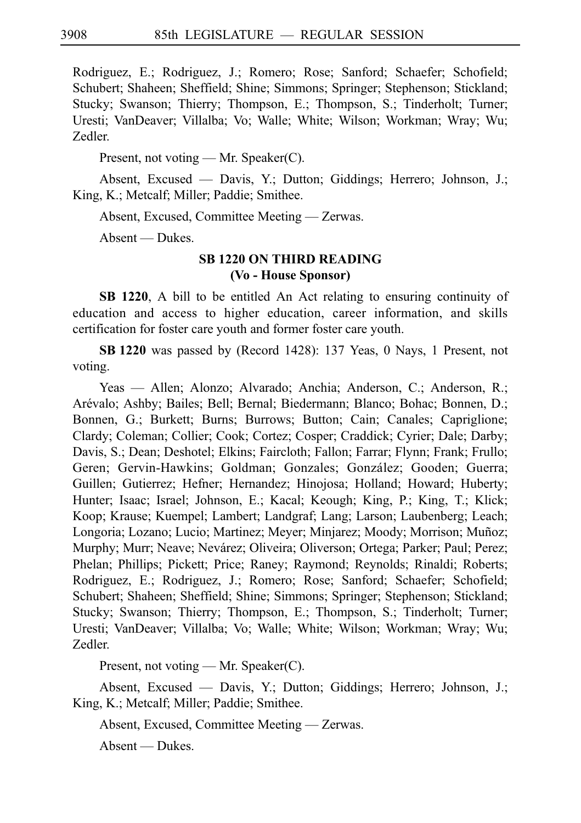Rodriguez, E.; Rodriguez, J.; Romero; Rose; Sanford; Schaefer; Schofield; Schubert; Shaheen; Sheffield; Shine; Simmons; Springer; Stephenson; Stickland; Stucky; Swanson; Thierry; Thompson, E.; Thompson, S.; Tinderholt; Turner; Uresti; VanDeaver; Villalba; Vo; Walle; White; Wilson; Workman; Wray; Wu; Zedler.

Present, not voting — Mr. Speaker(C).

Absent, Excused — Davis, Y.; Dutton; Giddings; Herrero; Johnson, J.; King, K.; Metcalf; Miller; Paddie; Smithee.

Absent, Excused, Committee Meeting — Zerwas.

Absent — Dukes.

# **SB 1220 ON THIRD READING (Vo - House Sponsor)**

**SB 1220**, A bill to be entitled An Act relating to ensuring continuity of education and access to higher education, career information, and skills certification for foster care youth and former foster care youth.

**SBi1220** was passed by (Record 1428): 137 Yeas, 0 Nays, 1 Present, not voting.

Yeas — Allen; Alonzo; Alvarado; Anchia; Anderson, C.; Anderson, R.; Are´valo; Ashby; Bailes; Bell; Bernal; Biedermann; Blanco; Bohac; Bonnen, D.; Bonnen, G.; Burkett; Burns; Burrows; Button; Cain; Canales; Capriglione; Clardy; Coleman; Collier; Cook; Cortez; Cosper; Craddick; Cyrier; Dale; Darby; Davis, S.; Dean; Deshotel; Elkins; Faircloth; Fallon; Farrar; Flynn; Frank; Frullo; Geren; Gervin-Hawkins; Goldman; Gonzales; González; Gooden; Guerra; Guillen; Gutierrez; Hefner; Hernandez; Hinojosa; Holland; Howard; Huberty; Hunter; Isaac; Israel; Johnson, E.; Kacal; Keough; King, P.; King, T.; Klick; Koop; Krause; Kuempel; Lambert; Landgraf; Lang; Larson; Laubenberg; Leach; Longoria; Lozano; Lucio; Martinez; Meyer; Minjarez; Moody; Morrison; Muñoz; Murphy; Murr; Neave; Nevárez; Oliveira; Oliverson; Ortega; Parker; Paul; Perez; Phelan; Phillips; Pickett; Price; Raney; Raymond; Reynolds; Rinaldi; Roberts; Rodriguez, E.; Rodriguez, J.; Romero; Rose; Sanford; Schaefer; Schofield; Schubert; Shaheen; Sheffield; Shine; Simmons; Springer; Stephenson; Stickland; Stucky; Swanson; Thierry; Thompson, E.; Thompson, S.; Tinderholt; Turner; Uresti; VanDeaver; Villalba; Vo; Walle; White; Wilson; Workman; Wray; Wu; Zedler.

Present, not voting — Mr. Speaker(C).

Absent, Excused — Davis, Y.; Dutton; Giddings; Herrero; Johnson, J.; King, K.; Metcalf; Miller; Paddie; Smithee.

Absent, Excused, Committee Meeting — Zerwas.

Absent — Dukes.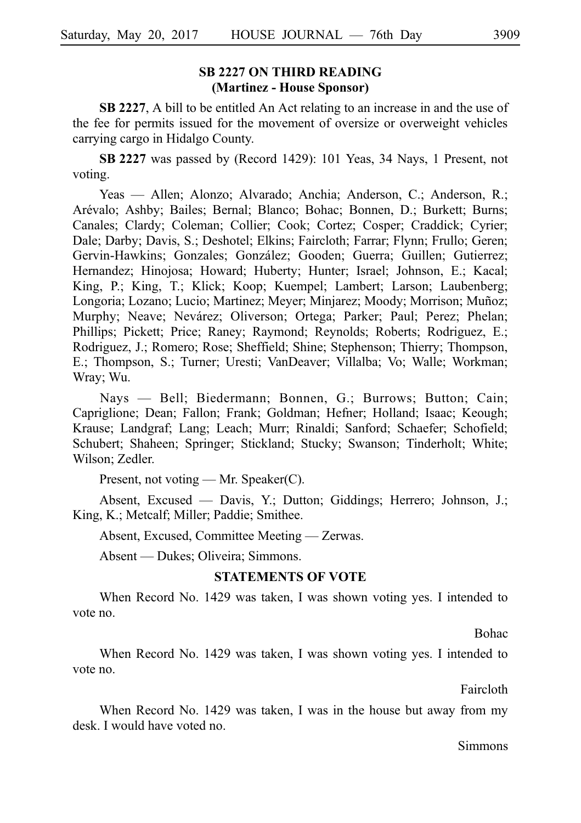# **SB 2227 ON THIRD READING (Martinez - House Sponsor)**

**SB 2227**, A bill to be entitled An Act relating to an increase in and the use of the fee for permits issued for the movement of oversize or overweight vehicles carrying cargo in Hidalgo County.

**SBi2227** was passed by (Record 1429): 101 Yeas, 34 Nays, 1 Present, not voting.

Yeas — Allen; Alonzo; Alvarado; Anchia; Anderson, C.; Anderson, R.; Are´valo; Ashby; Bailes; Bernal; Blanco; Bohac; Bonnen, D.; Burkett; Burns; Canales; Clardy; Coleman; Collier; Cook; Cortez; Cosper; Craddick; Cyrier; Dale; Darby; Davis, S.; Deshotel; Elkins; Faircloth; Farrar; Flynn; Frullo; Geren; Gervin-Hawkins; Gonzales; González; Gooden; Guerra; Guillen; Gutierrez; Hernandez; Hinojosa; Howard; Huberty; Hunter; Israel; Johnson, E.; Kacal; King, P.; King, T.; Klick; Koop; Kuempel; Lambert; Larson; Laubenberg; Longoria; Lozano; Lucio; Martinez; Meyer; Minjarez; Moody; Morrison; Muñoz; Murphy; Neave; Nevárez; Oliverson; Ortega; Parker; Paul; Perez; Phelan; Phillips; Pickett; Price; Raney; Raymond; Reynolds; Roberts; Rodriguez, E.; Rodriguez, J.; Romero; Rose; Sheffield; Shine; Stephenson; Thierry; Thompson, E.; Thompson, S.; Turner; Uresti; VanDeaver; Villalba; Vo; Walle; Workman; Wray; Wu.

Nays — Bell; Biedermann; Bonnen, G.; Burrows; Button; Cain; Capriglione; Dean; Fallon; Frank; Goldman; Hefner; Holland; Isaac; Keough; Krause; Landgraf; Lang; Leach; Murr; Rinaldi; Sanford; Schaefer; Schofield; Schubert; Shaheen; Springer; Stickland; Stucky; Swanson; Tinderholt; White; Wilson; Zedler.

Present, not voting — Mr. Speaker(C).

Absent, Excused — Davis, Y.; Dutton; Giddings; Herrero; Johnson, J.; King, K.; Metcalf; Miller; Paddie; Smithee.

Absent, Excused, Committee Meeting — Zerwas.

Absent — Dukes; Oliveira; Simmons.

#### **STATEMENTS OF VOTE**

When Record No. 1429 was taken, I was shown voting yes. I intended to vote no.

Bohac

When Record No. 1429 was taken, I was shown voting yes. I intended to vote no.

Faircloth

When Record No. 1429 was taken, I was in the house but away from my desk. I would have voted no.

Simmons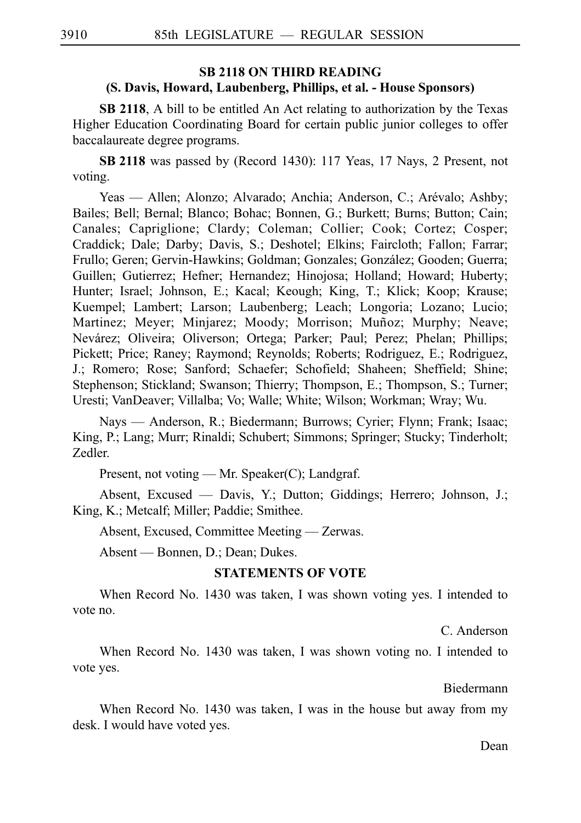# **SB 2118 ON THIRD READING (S. Davis, Howard, Laubenberg, Phillips, et al. - House Sponsors)**

**SB 2118**, A bill to be entitled An Act relating to authorization by the Texas Higher Education Coordinating Board for certain public junior colleges to offer baccalaureate degree programs.

**SB 2118** was passed by (Record 1430): 117 Yeas, 17 Nays, 2 Present, not voting.

Yeas — Allen; Alonzo; Alvarado; Anchia; Anderson, C.; Arévalo; Ashby; Bailes; Bell; Bernal; Blanco; Bohac; Bonnen, G.; Burkett; Burns; Button; Cain; Canales; Capriglione; Clardy; Coleman; Collier; Cook; Cortez; Cosper; Craddick; Dale; Darby; Davis, S.; Deshotel; Elkins; Faircloth; Fallon; Farrar; Frullo; Geren; Gervin-Hawkins; Goldman; Gonzales; González; Gooden; Guerra; Guillen; Gutierrez; Hefner; Hernandez; Hinojosa; Holland; Howard; Huberty; Hunter; Israel; Johnson, E.; Kacal; Keough; King, T.; Klick; Koop; Krause; Kuempel; Lambert; Larson; Laubenberg; Leach; Longoria; Lozano; Lucio; Martinez; Meyer; Minjarez; Moody; Morrison; Muñoz; Murphy; Neave; Nevárez; Oliveira; Oliverson; Ortega; Parker; Paul; Perez; Phelan; Phillips; Pickett; Price; Raney; Raymond; Reynolds; Roberts; Rodriguez, E.; Rodriguez, J.; Romero; Rose; Sanford; Schaefer; Schofield; Shaheen; Sheffield; Shine; Stephenson; Stickland; Swanson; Thierry; Thompson, E.; Thompson, S.; Turner; Uresti; VanDeaver; Villalba; Vo; Walle; White; Wilson; Workman; Wray; Wu.

Nays — Anderson, R.; Biedermann; Burrows; Cyrier; Flynn; Frank; Isaac; King, P.; Lang; Murr; Rinaldi; Schubert; Simmons; Springer; Stucky; Tinderholt; Zedler.

Present, not voting — Mr. Speaker(C); Landgraf.

Absent, Excused — Davis, Y.; Dutton; Giddings; Herrero; Johnson, J.; King, K.; Metcalf; Miller; Paddie; Smithee.

Absent, Excused, Committee Meeting — Zerwas.

Absent — Bonnen, D.; Dean; Dukes.

#### **STATEMENTS OF VOTE**

When Record No. 1430 was taken, I was shown voting yes. I intended to vote no.

C. Anderson

When Record No. 1430 was taken, I was shown voting no. I intended to vote yes.

Biedermann

When Record No. 1430 was taken, I was in the house but away from my desk. I would have voted yes.

Dean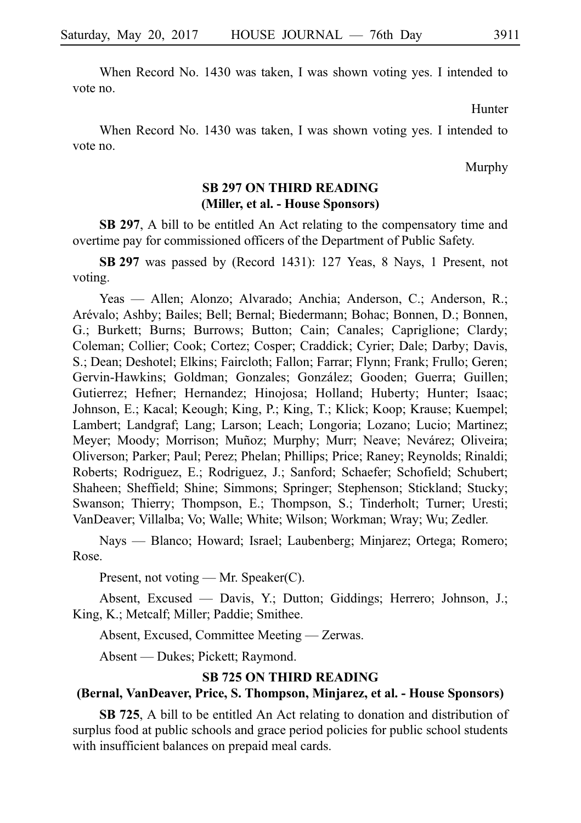When Record No. 1430 was taken, I was shown voting yes. I intended to vote no.

Hunter

When Record No. 1430 was taken, I was shown voting yes. I intended to vote no.

Murphy

# **SB 297 ON THIRD READING (Miller, et al. - House Sponsors)**

**SB 297**, A bill to be entitled An Act relating to the compensatory time and overtime pay for commissioned officers of the Department of Public Safety.

**SBi297** was passed by (Record 1431): 127 Yeas, 8 Nays, 1 Present, not voting.

Yeas — Allen; Alonzo; Alvarado; Anchia; Anderson, C.; Anderson, R.; Are´valo; Ashby; Bailes; Bell; Bernal; Biedermann; Bohac; Bonnen, D.; Bonnen, G.; Burkett; Burns; Burrows; Button; Cain; Canales; Capriglione; Clardy; Coleman; Collier; Cook; Cortez; Cosper; Craddick; Cyrier; Dale; Darby; Davis, S.; Dean; Deshotel; Elkins; Faircloth; Fallon; Farrar; Flynn; Frank; Frullo; Geren; Gervin-Hawkins; Goldman; Gonzales; González; Gooden; Guerra; Guillen; Gutierrez; Hefner; Hernandez; Hinojosa; Holland; Huberty; Hunter; Isaac; Johnson, E.; Kacal; Keough; King, P.; King, T.; Klick; Koop; Krause; Kuempel; Lambert; Landgraf; Lang; Larson; Leach; Longoria; Lozano; Lucio; Martinez; Meyer; Moody; Morrison; Muñoz; Murphy; Murr; Neave; Nevárez; Oliveira; Oliverson; Parker; Paul; Perez; Phelan; Phillips; Price; Raney; Reynolds; Rinaldi; Roberts; Rodriguez, E.; Rodriguez, J.; Sanford; Schaefer; Schofield; Schubert; Shaheen; Sheffield; Shine; Simmons; Springer; Stephenson; Stickland; Stucky; Swanson; Thierry; Thompson, E.; Thompson, S.; Tinderholt; Turner; Uresti; VanDeaver; Villalba; Vo; Walle; White; Wilson; Workman; Wray; Wu; Zedler.

Nays — Blanco; Howard; Israel; Laubenberg; Minjarez; Ortega; Romero; Rose.

Present, not voting — Mr. Speaker(C).

Absent, Excused — Davis, Y.; Dutton; Giddings; Herrero; Johnson, J.; King, K.; Metcalf; Miller; Paddie; Smithee.

Absent, Excused, Committee Meeting — Zerwas.

Absent — Dukes; Pickett; Raymond.

### **SB 725 ON THIRD READING**

# **(Bernal, VanDeaver, Price, S. Thompson, Minjarez, et al. - House Sponsors)**

**SB 725**, A bill to be entitled An Act relating to donation and distribution of surplus food at public schools and grace period policies for public school students with insufficient balances on prepaid meal cards.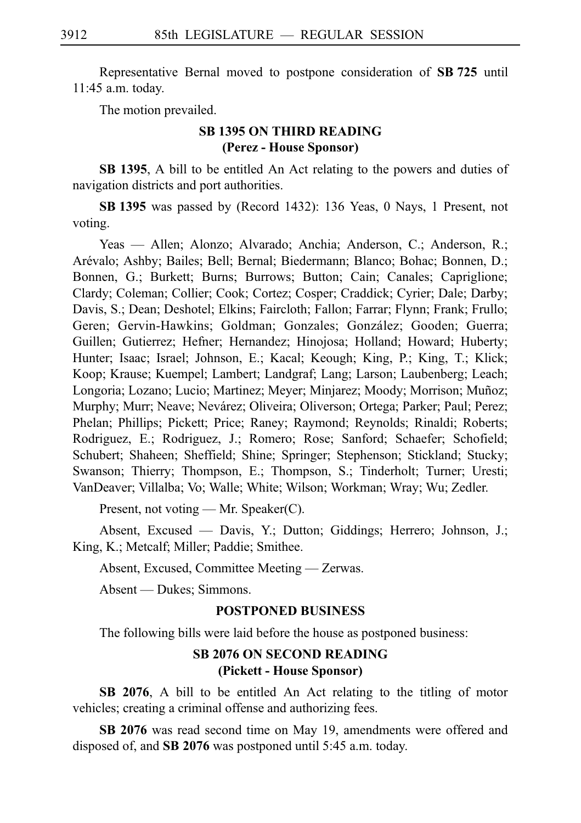Representative Bernal moved to postpone consideration of SB 725 until 11:45 a.m. today.

The motion prevailed.

# **SB 1395 ON THIRD READING (Perez - House Sponsor)**

**SB 1395**, A bill to be entitled An Act relating to the powers and duties of navigation districts and port authorities.

**SBi1395** was passed by (Record 1432): 136 Yeas, 0 Nays, 1 Present, not voting.

Yeas — Allen; Alonzo; Alvarado; Anchia; Anderson, C.; Anderson, R.; Arévalo; Ashby; Bailes; Bell; Bernal; Biedermann; Blanco; Bohac; Bonnen, D.; Bonnen, G.; Burkett; Burns; Burrows; Button; Cain; Canales; Capriglione; Clardy; Coleman; Collier; Cook; Cortez; Cosper; Craddick; Cyrier; Dale; Darby; Davis, S.; Dean; Deshotel; Elkins; Faircloth; Fallon; Farrar; Flynn; Frank; Frullo; Geren; Gervin-Hawkins; Goldman; Gonzales; González; Gooden; Guerra; Guillen; Gutierrez; Hefner; Hernandez; Hinojosa; Holland; Howard; Huberty; Hunter; Isaac; Israel; Johnson, E.; Kacal; Keough; King, P.; King, T.; Klick; Koop; Krause; Kuempel; Lambert; Landgraf; Lang; Larson; Laubenberg; Leach; Longoria; Lozano; Lucio; Martinez; Meyer; Minjarez; Moody; Morrison; Muñoz; Murphy; Murr; Neave; Nevárez; Oliveira; Oliverson; Ortega; Parker; Paul; Perez; Phelan; Phillips; Pickett; Price; Raney; Raymond; Reynolds; Rinaldi; Roberts; Rodriguez, E.; Rodriguez, J.; Romero; Rose; Sanford; Schaefer; Schofield; Schubert; Shaheen; Sheffield; Shine; Springer; Stephenson; Stickland; Stucky; Swanson; Thierry; Thompson, E.; Thompson, S.; Tinderholt; Turner; Uresti; VanDeaver; Villalba; Vo; Walle; White; Wilson; Workman; Wray; Wu; Zedler.

Present, not voting — Mr. Speaker(C).

Absent, Excused — Davis, Y.; Dutton; Giddings; Herrero; Johnson, J.; King, K.; Metcalf; Miller; Paddie; Smithee.

Absent, Excused, Committee Meeting — Zerwas.

Absent — Dukes; Simmons.

### **POSTPONED BUSINESS**

The following bills were laid before the house as postponed business:

# **SB 2076 ON SECOND READING (Pickett - House Sponsor)**

**SB 2076**, A bill to be entitled An Act relating to the titling of motor vehicles; creating a criminal offense and authorizing fees.

**SB 2076** was read second time on May 19, amendments were offered and disposed of, and **SB 2076** was postponed until 5:45 a.m. today.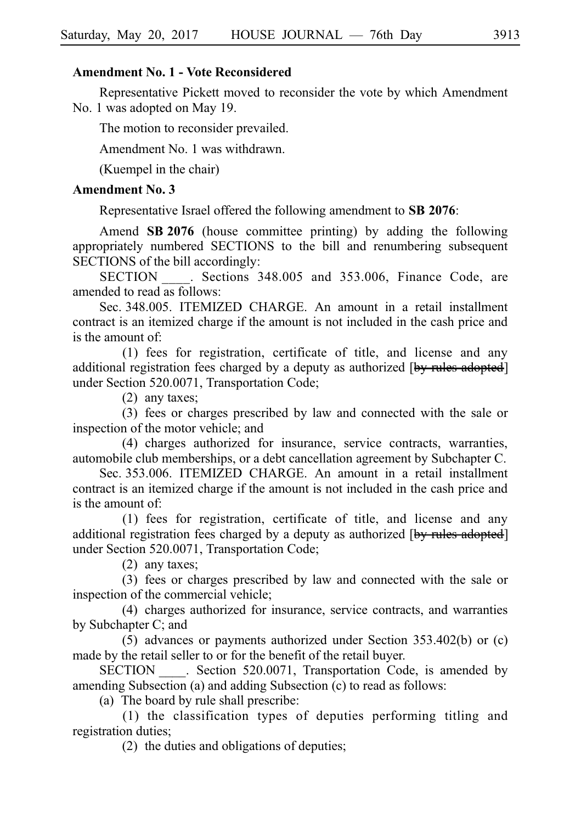# **Amendment No. 1 - Vote Reconsidered**

Representative Pickett moved to reconsider the vote by which Amendment No. 1 was adopted on May 19.

The motion to reconsider prevailed.

Amendment No. 1 was withdrawn.

(Kuempel in the chair)

# **Amendment No. 3**

Representative Israel offered the following amendment to **SB 2076**:

Amend **SB 2076** (house committee printing) by adding the following appropriately numbered SECTIONS to the bill and renumbering subsequent SECTIONS of the bill accordingly:

SECTION Sections 348.005 and 353.006, Finance Code, are amended to read as follows:

Sec. 348.005. ITEMIZED CHARGE. An amount in a retail installment contract is an itemized charge if the amount is not included in the cash price and is the amount of:

 $(1)$  fees for registration, certificate of title, and license and any additional registration fees charged by a deputy as authorized [by rules adopted] under Section 520.0071, Transportation Code;

 $(2)$  any taxes;

(3) fees or charges prescribed by law and connected with the sale or inspection of the motor vehicle; and

(4) charges authorized for insurance, service contracts, warranties, automobile club memberships, or a debt cancellation agreement by Subchapter C.

Sec. 353.006. ITEMIZED CHARGE. An amount in a retail installment contract is an itemized charge if the amount is not included in the cash price and is the amount of:

 $(1)$  fees for registration, certificate of title, and license and any additional registration fees charged by a deputy as authorized [by rules adopted] under Section 520.0071, Transportation Code;

 $(2)$  any taxes;

(3) fees or charges prescribed by law and connected with the sale or inspection of the commercial vehicle;

(4) charges authorized for insurance, service contracts, and warranties by Subchapter C; and

(5) advances or payments authorized under Section  $353.402(b)$  or (c) made by the retail seller to or for the benefit of the retail buyer.

SECTION Section 520.0071, Transportation Code, is amended by amending Subsection (a) and adding Subsection (c) to read as follows:

(a) The board by rule shall prescribe:

 $(1)$  the classification types of deputies performing titling and registration duties;

(2) the duties and obligations of deputies;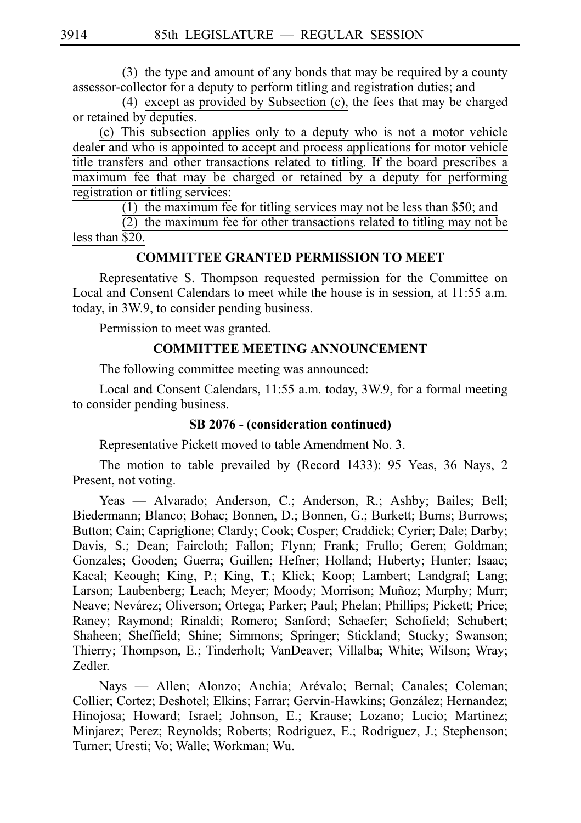$(3)$  the type and amount of any bonds that may be required by a county assessor-collector for a deputy to perform titling and registration duties; and

(4) except as provided by Subsection (c), the fees that may be charged or retained by deputies.

(c) This subsection applies only to a deputy who is not a motor vehicle dealer and who is appointed to accept and process applications for motor vehicle title transfers and other transactions related to titling. If the board prescribes a maximum fee that may be charged or retained by a deputy for performing registration or titling services:

(1) the maximum fee for titling services may not be less than \$50; and

 $(2)$  the maximum fee for other transactions related to titling may not be less than  $\overline{$20}$ .

### **COMMITTEE GRANTED PERMISSION TO MEET**

Representative S. Thompson requested permission for the Committee on Local and Consent Calendars to meet while the house is in session, at 11:55 a.m. today, in 3W.9, to consider pending business.

Permission to meet was granted.

## **COMMITTEE MEETING ANNOUNCEMENT**

The following committee meeting was announced:

Local and Consent Calendars, 11:55 a.m. today, 3W.9, for a formal meeting to consider pending business.

#### **SB 2076 - (consideration continued)**

Representative Pickett moved to table Amendment No. 3.

The motion to table prevailed by (Record 1433): 95 Yeas, 36 Nays, 2 Present, not voting.

Yeas — Alvarado; Anderson, C.; Anderson, R.; Ashby; Bailes; Bell; Biedermann; Blanco; Bohac; Bonnen, D.; Bonnen, G.; Burkett; Burns; Burrows; Button; Cain; Capriglione; Clardy; Cook; Cosper; Craddick; Cyrier; Dale; Darby; Davis, S.; Dean; Faircloth; Fallon; Flynn; Frank; Frullo; Geren; Goldman; Gonzales; Gooden; Guerra; Guillen; Hefner; Holland; Huberty; Hunter; Isaac; Kacal; Keough; King, P.; King, T.; Klick; Koop; Lambert; Landgraf; Lang; Larson; Laubenberg; Leach; Meyer; Moody; Morrison; Muñoz; Murphy; Murr; Neave; Nevárez; Oliverson; Ortega; Parker; Paul; Phelan; Phillips; Pickett; Price; Raney; Raymond; Rinaldi; Romero; Sanford; Schaefer; Schofield; Schubert; Shaheen; Sheffield; Shine; Simmons; Springer; Stickland; Stucky; Swanson; Thierry; Thompson, E.; Tinderholt; VanDeaver; Villalba; White; Wilson; Wray; Zedler.

Nays — Allen; Alonzo; Anchia; Arévalo; Bernal; Canales; Coleman; Collier; Cortez; Deshotel; Elkins; Farrar; Gervin-Hawkins; González; Hernandez; Hinojosa; Howard; Israel; Johnson, E.; Krause; Lozano; Lucio; Martinez; Minjarez; Perez; Reynolds; Roberts; Rodriguez, E.; Rodriguez, J.; Stephenson; Turner; Uresti; Vo; Walle; Workman; Wu.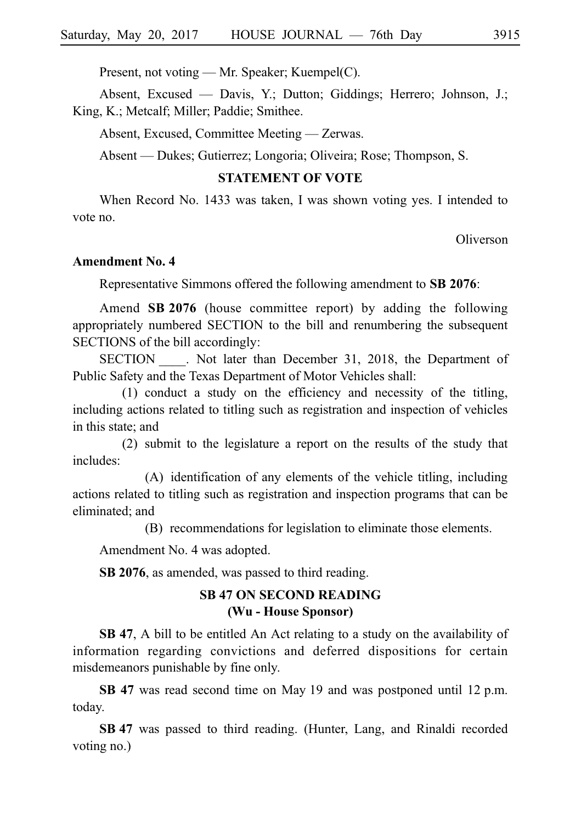Present, not voting — Mr. Speaker; Kuempel(C).

Absent, Excused — Davis, Y.; Dutton; Giddings; Herrero; Johnson, J.; King, K.; Metcalf; Miller; Paddie; Smithee.

Absent, Excused, Committee Meeting — Zerwas.

Absent — Dukes; Gutierrez; Longoria; Oliveira; Rose; Thompson, S.

# **STATEMENT OF VOTE**

When Record No. 1433 was taken, I was shown voting yes. I intended to vote no.

Oliverson

#### **Amendment No. 4**

Representative Simmons offered the following amendment to **SB 2076**:

Amend **SB 2076** (house committee report) by adding the following appropriately numbered SECTION to the bill and renumbering the subsequent SECTIONS of the bill accordingly:

SECTION . Not later than December 31, 2018, the Department of Public Safety and the Texas Department of Motor Vehicles shall:

 $(1)$  conduct a study on the efficiency and necessity of the titling, including actions related to titling such as registration and inspection of vehicles in this state; and

 $(2)$  submit to the legislature a report on the results of the study that includes:

(A) identification of any elements of the vehicle titling, including actions related to titling such as registration and inspection programs that can be eliminated; and

(B) recommendations for legislation to eliminate those elements.

Amendment No. 4 was adopted.

**SB 2076**, as amended, was passed to third reading.

# **SB 47 ON SECOND READING (Wu - House Sponsor)**

**SB 47**, A bill to be entitled An Act relating to a study on the availability of information regarding convictions and deferred dispositions for certain misdemeanors punishable by fine only.

SB 47 was read second time on May 19 and was postponed until 12 p.m. today.

**SB 47** was passed to third reading. (Hunter, Lang, and Rinaldi recorded voting no.)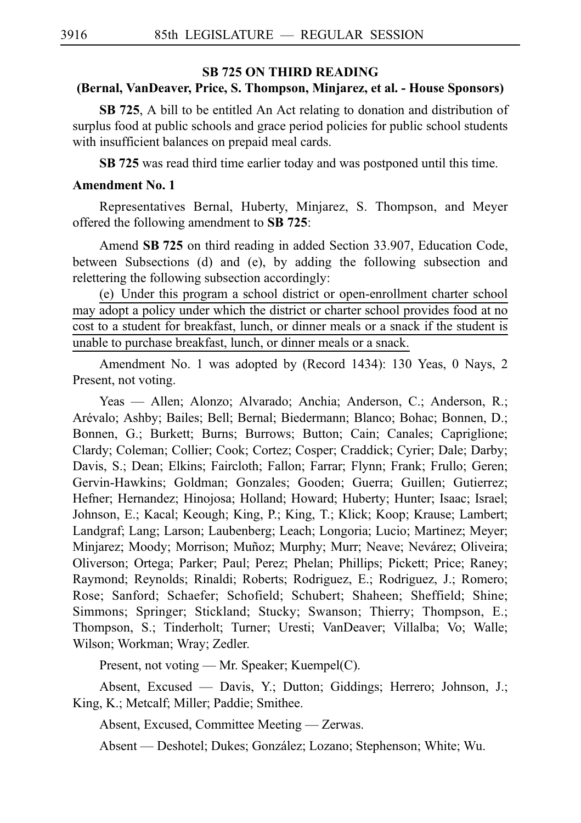### **SB 725 ON THIRD READING**

# **(Bernal, VanDeaver, Price, S. Thompson, Minjarez, et al. - House Sponsors)**

**SB 725**, A bill to be entitled An Act relating to donation and distribution of surplus food at public schools and grace period policies for public school students with insufficient balances on prepaid meal cards.

**SB 725** was read third time earlier today and was postponed until this time.

# **Amendment No. 1**

Representatives Bernal, Huberty, Minjarez, S. Thompson, and Meyer offered the following amendment to SB 725:

Amend **SB 725** on third reading in added Section 33.907, Education Code, between Subsections (d) and (e), by adding the following subsection and relettering the following subsection accordingly:

(e) Under this program a school district or open-enrollment charter school may adopt a policy under which the district or charter school provides food at no cost to a student for breakfast, lunch, or dinner meals or a snack if the student is unable to purchase breakfast, lunch, or dinner meals or a snack.

Amendment No. 1 was adopted by (Record 1434): 130 Yeas, 0 Nays, 2 Present, not voting.

Yeas — Allen; Alonzo; Alvarado; Anchia; Anderson, C.; Anderson, R.; Are´valo; Ashby; Bailes; Bell; Bernal; Biedermann; Blanco; Bohac; Bonnen, D.; Bonnen, G.; Burkett; Burns; Burrows; Button; Cain; Canales; Capriglione; Clardy; Coleman; Collier; Cook; Cortez; Cosper; Craddick; Cyrier; Dale; Darby; Davis, S.; Dean; Elkins; Faircloth; Fallon; Farrar; Flynn; Frank; Frullo; Geren; Gervin-Hawkins; Goldman; Gonzales; Gooden; Guerra; Guillen; Gutierrez; Hefner; Hernandez; Hinojosa; Holland; Howard; Huberty; Hunter; Isaac; Israel; Johnson, E.; Kacal; Keough; King, P.; King, T.; Klick; Koop; Krause; Lambert; Landgraf; Lang; Larson; Laubenberg; Leach; Longoria; Lucio; Martinez; Meyer; Minjarez; Moody; Morrison; Muñoz; Murphy; Murr; Neave; Nevárez; Oliveira; Oliverson; Ortega; Parker; Paul; Perez; Phelan; Phillips; Pickett; Price; Raney; Raymond; Reynolds; Rinaldi; Roberts; Rodriguez, E.; Rodriguez, J.; Romero; Rose; Sanford; Schaefer; Schofield; Schubert; Shaheen; Sheffield; Shine; Simmons; Springer; Stickland; Stucky; Swanson; Thierry; Thompson, E.; Thompson, S.; Tinderholt; Turner; Uresti; VanDeaver; Villalba; Vo; Walle; Wilson; Workman; Wray; Zedler.

Present, not voting — Mr. Speaker; Kuempel(C).

Absent, Excused — Davis, Y.; Dutton; Giddings; Herrero; Johnson, J.; King, K.; Metcalf; Miller; Paddie; Smithee.

Absent, Excused, Committee Meeting — Zerwas.

Absent — Deshotel; Dukes; González; Lozano; Stephenson; White; Wu.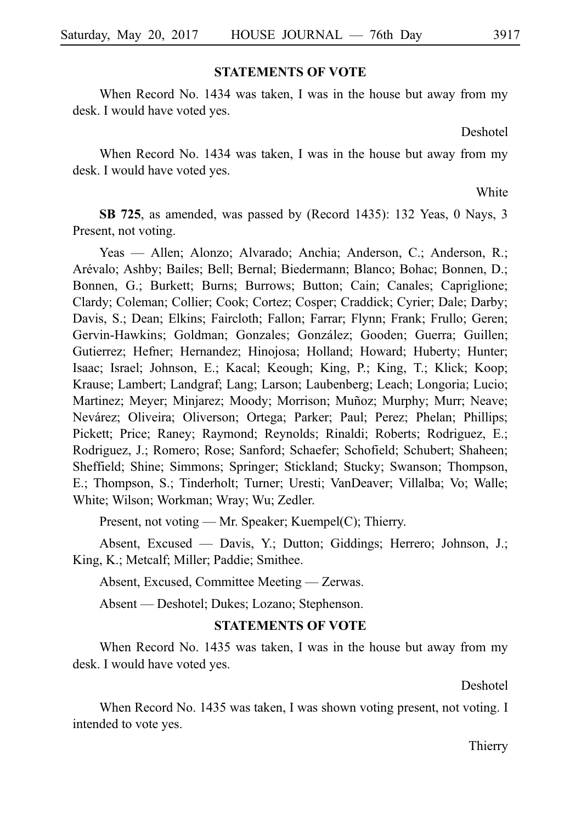#### **STATEMENTS OF VOTE**

When Record No. 1434 was taken, I was in the house but away from my desk. I would have voted yes.

Deshotel

When Record No. 1434 was taken, I was in the house but away from my desk. I would have voted yes.

White

**SB 725**, as amended, was passed by (Record 1435): 132 Yeas, 0 Nays, 3 Present, not voting.

Yeas — Allen; Alonzo; Alvarado; Anchia; Anderson, C.; Anderson, R.; Are´valo; Ashby; Bailes; Bell; Bernal; Biedermann; Blanco; Bohac; Bonnen, D.; Bonnen, G.; Burkett; Burns; Burrows; Button; Cain; Canales; Capriglione; Clardy; Coleman; Collier; Cook; Cortez; Cosper; Craddick; Cyrier; Dale; Darby; Davis, S.; Dean; Elkins; Faircloth; Fallon; Farrar; Flynn; Frank; Frullo; Geren; Gervin-Hawkins; Goldman; Gonzales; González; Gooden; Guerra; Guillen; Gutierrez; Hefner; Hernandez; Hinojosa; Holland; Howard; Huberty; Hunter; Isaac; Israel; Johnson, E.; Kacal; Keough; King, P.; King, T.; Klick; Koop; Krause; Lambert; Landgraf; Lang; Larson; Laubenberg; Leach; Longoria; Lucio; Martinez; Meyer; Minjarez; Moody; Morrison; Muñoz; Murphy; Murr; Neave; Nevárez; Oliveira; Oliverson; Ortega; Parker; Paul; Perez; Phelan; Phillips; Pickett; Price; Raney; Raymond; Reynolds; Rinaldi; Roberts; Rodriguez, E.; Rodriguez, J.; Romero; Rose; Sanford; Schaefer; Schofield; Schubert; Shaheen; Sheffield; Shine; Simmons; Springer; Stickland; Stucky; Swanson; Thompson, E.; Thompson, S.; Tinderholt; Turner; Uresti; VanDeaver; Villalba; Vo; Walle; White; Wilson; Workman; Wray; Wu; Zedler.

Present, not voting — Mr. Speaker; Kuempel(C); Thierry.

Absent, Excused — Davis, Y.; Dutton; Giddings; Herrero; Johnson, J.; King, K.; Metcalf; Miller; Paddie; Smithee.

Absent, Excused, Committee Meeting — Zerwas.

Absent — Deshotel; Dukes; Lozano; Stephenson.

#### **STATEMENTS OF VOTE**

When Record No. 1435 was taken, I was in the house but away from my desk. I would have voted yes.

Deshotel

When Record No. 1435 was taken, I was shown voting present, not voting. I intended to vote yes.

Thierry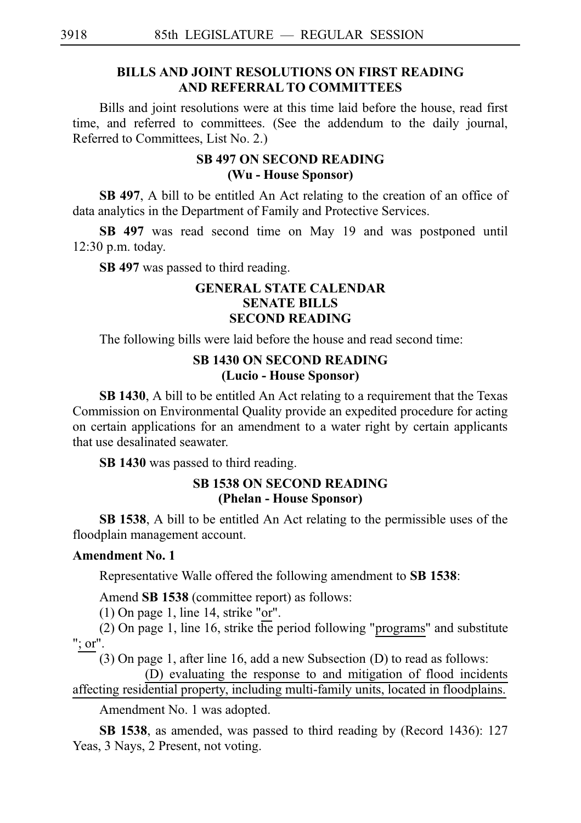# **BILLS AND JOINT RESOLUTIONS ON FIRST READING AND REFERRAL TO COMMITTEES**

Bills and joint resolutions were at this time laid before the house, read first time, and referred to committees. (See the addendum to the daily journal, Referred to Committees, List No. 2.)

# **SB 497 ON SECOND READING (Wu - House Sponsor)**

**SB 497**, A bill to be entitled An Act relating to the creation of an office of data analytics in the Department of Family and Protective Services.

**SB 497** was read second time on May 19 and was postponed until  $12:30$  p.m. today.

**SB 497** was passed to third reading.

# **GENERAL STATE CALENDAR SENATE BILLS SECOND READING**

The following bills were laid before the house and read second time:

# **SB 1430 ON SECOND READING (Lucio - House Sponsor)**

**SB 1430**, A bill to be entitled An Act relating to a requirement that the Texas Commission on Environmental Quality provide an expedited procedure for acting on certain applications for an amendment to a water right by certain applicants that use desalinated seawater.

**SBi1430** was passed to third reading.

# **SB 1538 ON SECOND READING (Phelan - House Sponsor)**

**SB 1538**, A bill to be entitled An Act relating to the permissible uses of the floodplain management account.

# **Amendment No. 1**

Representative Walle offered the following amendment to **SB 1538**:

Amend **SB 1538** (committee report) as follows:

 $(1)$  On page 1, line 14, strike "or".

(2) On page 1, line 16, strike the period following "programs" and substitute "; or".

 $(3)$  On page 1, after line 16, add a new Subsection (D) to read as follows:

(D) evaluating the response to and mitigation of flood incidents affecting residential property, including multi-family units, located in floodplains.

Amendment No. 1 was adopted.

**SB 1538**, as amended, was passed to third reading by (Record 1436): 127 Yeas, 3 Nays, 2 Present, not voting.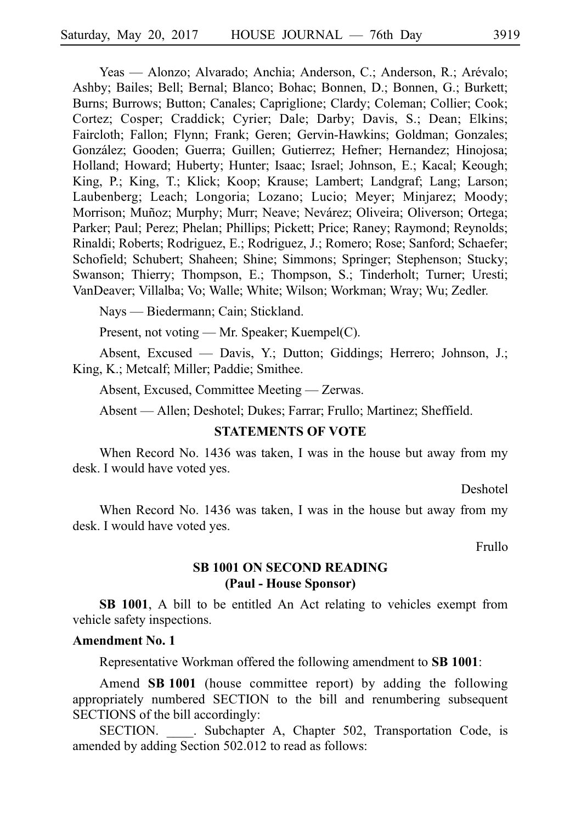Yeas — Alonzo; Alvarado; Anchia; Anderson, C.; Anderson, R.; Arévalo; Ashby; Bailes; Bell; Bernal; Blanco; Bohac; Bonnen, D.; Bonnen, G.; Burkett; Burns; Burrows; Button; Canales; Capriglione; Clardy; Coleman; Collier; Cook; Cortez; Cosper; Craddick; Cyrier; Dale; Darby; Davis, S.; Dean; Elkins; Faircloth; Fallon; Flynn; Frank; Geren; Gervin-Hawkins; Goldman; Gonzales; González; Gooden; Guerra; Guillen; Gutierrez; Hefner; Hernandez; Hinojosa; Holland; Howard; Huberty; Hunter; Isaac; Israel; Johnson, E.; Kacal; Keough; King, P.; King, T.; Klick; Koop; Krause; Lambert; Landgraf; Lang; Larson; Laubenberg; Leach; Longoria; Lozano; Lucio; Meyer; Minjarez; Moody; Morrison; Muñoz; Murphy; Murr; Neave; Nevárez; Oliveira; Oliverson; Ortega; Parker; Paul; Perez; Phelan; Phillips; Pickett; Price; Raney; Raymond; Reynolds; Rinaldi; Roberts; Rodriguez, E.; Rodriguez, J.; Romero; Rose; Sanford; Schaefer; Schofield; Schubert; Shaheen; Shine; Simmons; Springer; Stephenson; Stucky; Swanson; Thierry; Thompson, E.; Thompson, S.; Tinderholt; Turner; Uresti; VanDeaver; Villalba; Vo; Walle; White; Wilson; Workman; Wray; Wu; Zedler.

Nays — Biedermann; Cain; Stickland.

Present, not voting — Mr. Speaker; Kuempel(C).

Absent, Excused — Davis, Y.; Dutton; Giddings; Herrero; Johnson, J.; King, K.; Metcalf; Miller; Paddie; Smithee.

Absent, Excused, Committee Meeting — Zerwas.

Absent — Allen; Deshotel; Dukes; Farrar; Frullo; Martinez; Sheffield.

# **STATEMENTS OF VOTE**

When Record No. 1436 was taken, I was in the house but away from my desk. I would have voted yes.

Deshotel

When Record No. 1436 was taken, I was in the house but away from my desk. I would have voted yes.

Frullo

# **SB 1001 ON SECOND READING (Paul - House Sponsor)**

**SB 1001**, A bill to be entitled An Act relating to vehicles exempt from vehicle safety inspections.

#### **Amendment No. 1**

Representative Workman offered the following amendment to **SB 1001**:

Amend **SB 1001** (house committee report) by adding the following appropriately numbered SECTION to the bill and renumbering subsequent SECTIONS of the bill accordingly:

SECTION. Subchapter A, Chapter 502, Transportation Code, is amended by adding Section 502.012 to read as follows: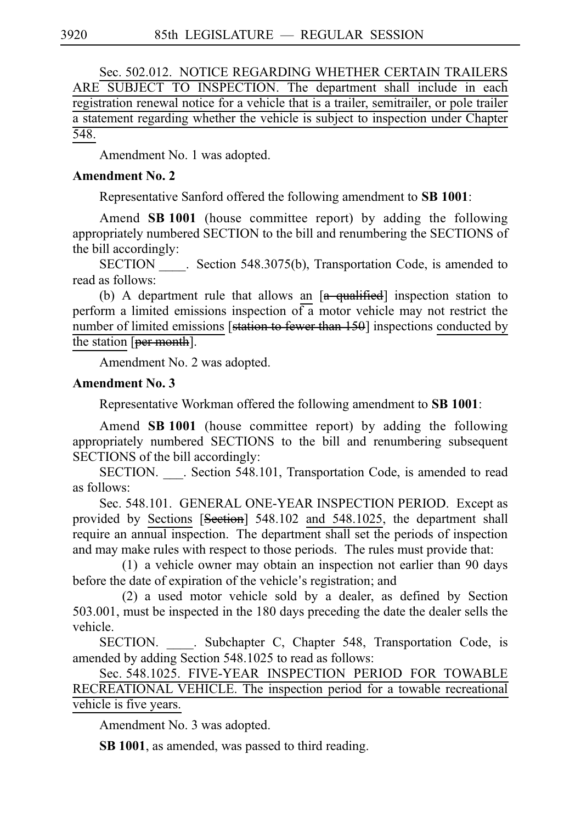Sec. 502.012. NOTICE REGARDING WHETHER CERTAIN TRAILERS ARE SUBJECT TO INSPECTION. The department shall include in each registration renewal notice for a vehicle that is a trailer, semitrailer, or pole trailer a statement regarding whether the vehicle is subject to inspection under Chapter 548.

Amendment No. 1 was adopted.

# **Amendment No. 2**

Representative Sanford offered the following amendment to **SB 1001**:

Amend **SB 1001** (house committee report) by adding the following appropriately numbered SECTION to the bill and renumbering the SECTIONS of the bill accordingly:

SECTION Section 548.3075(b), Transportation Code, is amended to read as follows:

(b) A department rule that allows an  $[a - \frac{q}{q} + \frac{q}{r} + \frac{q}{r}]$  inspection station to perform a limited emissions inspection of  $\overline{a}$  motor vehicle may not restrict the number of limited emissions [station to fewer than 150] inspections conducted by the station [per month].

Amendment No. 2 was adopted.

# **Amendment No. 3**

Representative Workman offered the following amendment to **SB 1001**:

Amend **SBi1001** (house committee report) by adding the following appropriately numbered SECTIONS to the bill and renumbering subsequent SECTIONS of the bill accordingly:

SECTION. \_\_\_. Section 548.101, Transportation Code, is amended to read as follows:

Sec. 548.101. GENERAL ONE-YEAR INSPECTION PERIOD. Except as provided by Sections [Section] 548.102 and 548.1025, the department shall require an annual inspection. The department shall set the periods of inspection and may make rules with respect to those periods. The rules must provide that:

 $(1)$  a vehicle owner may obtain an inspection not earlier than 90 days before the date of expiration of the vehicle's registration; and

 $(2)$  a used motor vehicle sold by a dealer, as defined by Section 503.001, must be inspected in the 180 days preceding the date the dealer sells the vehicle.

SECTION. Subchapter C, Chapter 548, Transportation Code, is amended by adding Section 548.1025 to read as follows:

Sec. 548.1025. FIVE-YEAR INSPECTION PERIOD FOR TOWABLE RECREATIONAL VEHICLE. The inspection period for a towable recreational vehicle is five years.

Amendment No. 3 was adopted.

**SB 1001**, as amended, was passed to third reading.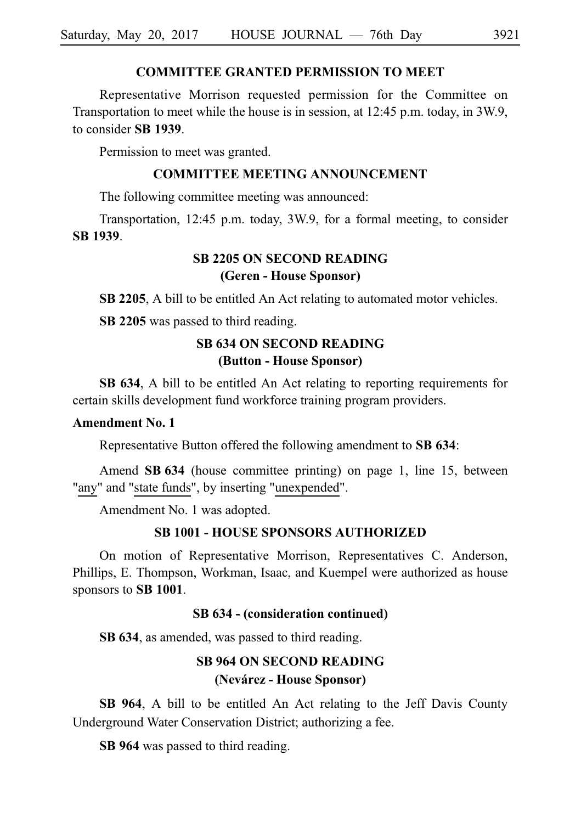# **COMMITTEE GRANTED PERMISSION TO MEET**

Representative Morrison requested permission for the Committee on Transportation to meet while the house is in session, at 12:45 p.m. today, in 3W.9, to consider **SBi1939**.

Permission to meet was granted.

### **COMMITTEE MEETING ANNOUNCEMENT**

The following committee meeting was announced:

Transportation, 12:45 p.m. today, 3W.9, for a formal meeting, to consider **SBi1939**.

# **SB 2205 ON SECOND READING (Geren - House Sponsor)**

**SB 2205**, A bill to be entitled An Act relating to automated motor vehicles.

**SB 2205** was passed to third reading.

# **SB 634 ON SECOND READING (Button - House Sponsor)**

**SB 634**, A bill to be entitled An Act relating to reporting requirements for certain skills development fund workforce training program providers.

# **Amendment No. 1**

Representative Button offered the following amendment to **SB 634**:

Amend **SB 634** (house committee printing) on page 1, line 15, between "any" and "state funds", by inserting "unexpended".

Amendment No. 1 was adopted.

### **SB 1001 - HOUSE SPONSORS AUTHORIZED**

On motion of Representative Morrison, Representatives C. Anderson, Phillips, E. Thompson, Workman, Isaac, and Kuempel were authorized as house sponsors to **SBi1001**.

### **SB 634 - (consideration continued)**

**SB 634**, as amended, was passed to third reading.

# **SB 964 ON SECOND READING (Neva´rez - House Sponsor)**

**SB 964**, A bill to be entitled An Act relating to the Jeff Davis County Underground Water Conservation District; authorizing a fee.

**SB 964** was passed to third reading.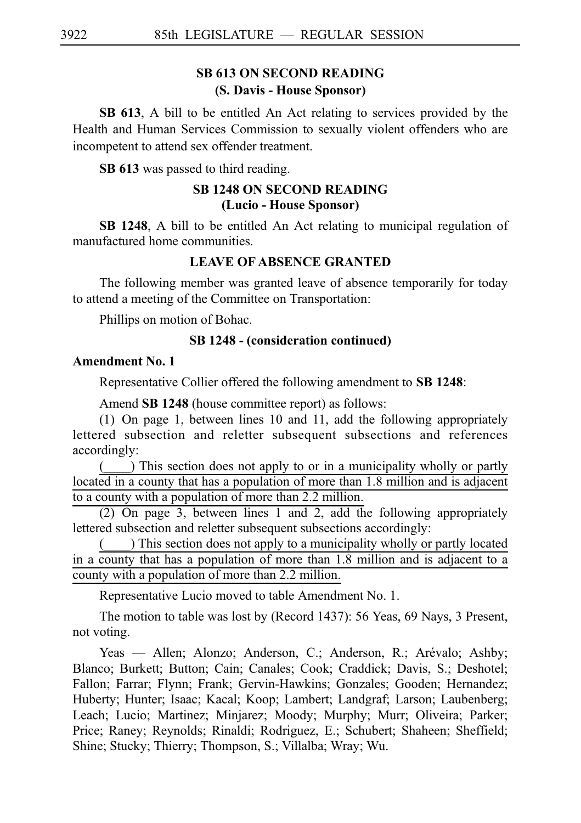# **SB 613 ON SECOND READING (S. Davis - House Sponsor)**

**SB 613**, A bill to be entitled An Act relating to services provided by the Health and Human Services Commission to sexually violent offenders who are incompetent to attend sex offender treatment.

**SB 613** was passed to third reading.

# **SB 1248 ON SECOND READING (Lucio - House Sponsor)**

**SB 1248**, A bill to be entitled An Act relating to municipal regulation of manufactured home communities.

# **LEAVE OF ABSENCE GRANTED**

The following member was granted leave of absence temporarily for today to attend a meeting of the Committee on Transportation:

Phillips on motion of Bohac.

### **SB 1248 - (consideration continued)**

#### **Amendment No. 1**

Representative Collier offered the following amendment to **SBi1248**:

Amend **SB 1248** (house committee report) as follows:

(1) On page 1, between lines 10 and 11, add the following appropriately lettered subsection and reletter subsequent subsections and references accordingly:

(\_\_\_\_) This section does not apply to or in a municipality wholly or partly located in a county that has a population of more than 1.8 million and is adjacent to a county with a population of more than 2.2 million.

(2) On page 3, between lines 1 and 2, add the following appropriately lettered subsection and reletter subsequent subsections accordingly:

 $($ ) This section does not apply to a municipality wholly or partly located in a county that has a population of more than 1.8 million and is adjacent to a county with a population of more than 2.2 million.

Representative Lucio moved to table Amendment No. 1.

The motion to table was lost by (Record 1437): 56 Yeas, 69 Nays, 3 Present, not voting.

Yeas — Allen; Alonzo; Anderson, C.; Anderson, R.; Arévalo; Ashby; Blanco; Burkett; Button; Cain; Canales; Cook; Craddick; Davis, S.; Deshotel; Fallon; Farrar; Flynn; Frank; Gervin-Hawkins; Gonzales; Gooden; Hernandez; Huberty; Hunter; Isaac; Kacal; Koop; Lambert; Landgraf; Larson; Laubenberg; Leach; Lucio; Martinez; Minjarez; Moody; Murphy; Murr; Oliveira; Parker; Price; Raney; Reynolds; Rinaldi; Rodriguez, E.; Schubert; Shaheen; Sheffield; Shine; Stucky; Thierry; Thompson, S.; Villalba; Wray; Wu.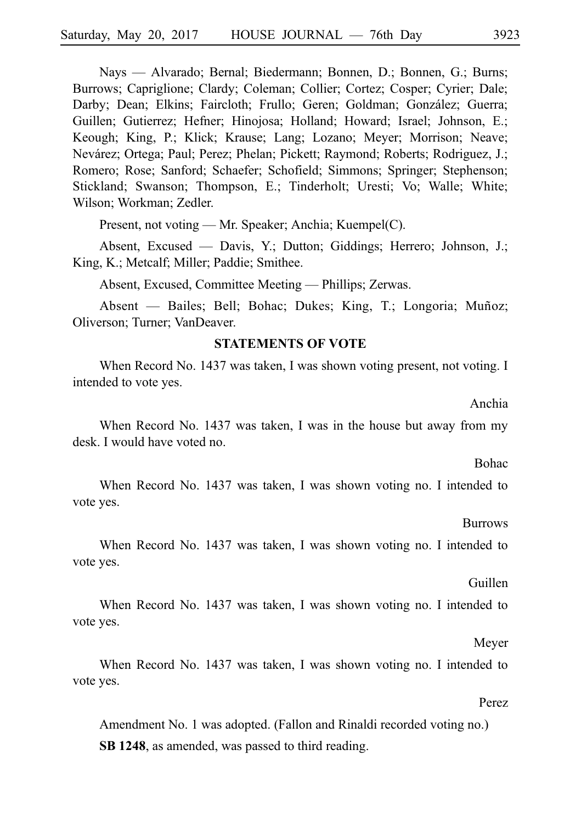Nays — Alvarado; Bernal; Biedermann; Bonnen, D.; Bonnen, G.; Burns; Burrows; Capriglione; Clardy; Coleman; Collier; Cortez; Cosper; Cyrier; Dale; Darby; Dean; Elkins; Faircloth; Frullo; Geren; Goldman; González; Guerra; Guillen; Gutierrez; Hefner; Hinojosa; Holland; Howard; Israel; Johnson, E.; Keough; King, P.; Klick; Krause; Lang; Lozano; Meyer; Morrison; Neave; Nevárez; Ortega; Paul; Perez; Phelan; Pickett; Raymond; Roberts; Rodriguez, J.; Romero; Rose; Sanford; Schaefer; Schofield; Simmons; Springer; Stephenson; Stickland; Swanson; Thompson, E.; Tinderholt; Uresti; Vo; Walle; White; Wilson; Workman; Zedler.

Present, not voting — Mr. Speaker; Anchia; Kuempel(C).

Absent, Excused — Davis, Y.; Dutton; Giddings; Herrero; Johnson, J.; King, K.; Metcalf; Miller; Paddie; Smithee.

Absent, Excused, Committee Meeting — Phillips; Zerwas.

Absent — Bailes; Bell; Bohac; Dukes; King, T.; Longoria; Muñoz; Oliverson; Turner; VanDeaver.

### **STATEMENTS OF VOTE**

When Record No. 1437 was taken, I was shown voting present, not voting. I intended to vote yes.

Anchia

When Record No. 1437 was taken, I was in the house but away from my desk. I would have voted no.

Bohac

When Record No. 1437 was taken, I was shown voting no. I intended to vote yes.

Burrows

When Record No. 1437 was taken, I was shown voting no. I intended to vote yes.

Guillen

When Record No. 1437 was taken, I was shown voting no. I intended to vote yes.

Meyer

When Record No. 1437 was taken, I was shown voting no. I intended to vote yes.

Perez

Amendment No. 1 was adopted. (Fallon and Rinaldi recorded voting no.) **SB 1248**, as amended, was passed to third reading.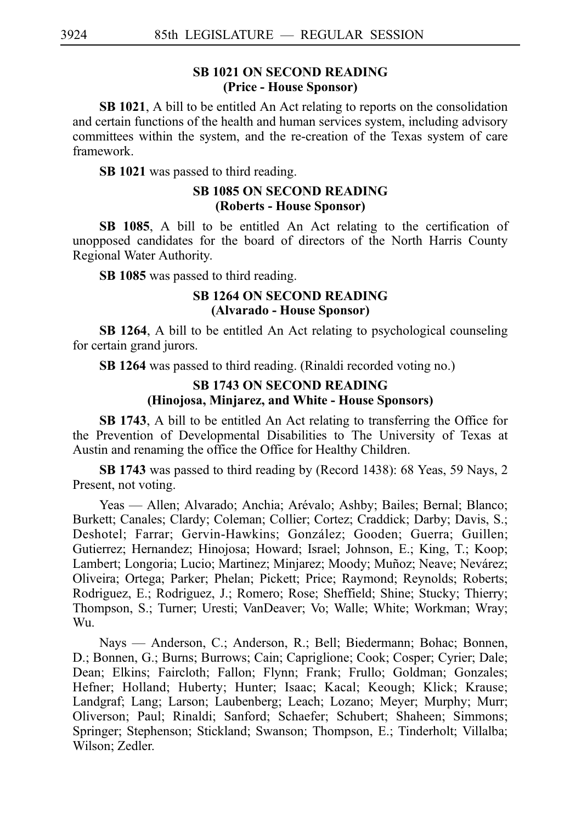# **SB 1021 ON SECOND READING (Price - House Sponsor)**

**SB 1021**, A bill to be entitled An Act relating to reports on the consolidation and certain functions of the health and human services system, including advisory committees within the system, and the re-creation of the Texas system of care framework.

**SB 1021** was passed to third reading.

# **SB 1085 ON SECOND READING (Roberts - House Sponsor)**

**SB 1085**, A bill to be entitled An Act relating to the certification of unopposed candidates for the board of directors of the North Harris County Regional Water Authority.

**SB 1085** was passed to third reading.

### **SB 1264 ON SECOND READING (Alvarado - House Sponsor)**

**SB 1264**, A bill to be entitled An Act relating to psychological counseling for certain grand jurors.

**SB 1264** was passed to third reading. (Rinaldi recorded voting no.)

# **SB 1743 ON SECOND READING (Hinojosa, Minjarez, and White - House Sponsors)**

**SB 1743**, A bill to be entitled An Act relating to transferring the Office for the Prevention of Developmental Disabilities to The University of Texas at Austin and renaming the office the Office for Healthy Children.

**SBi1743** was passed to third reading by (Record 1438): 68 Yeas, 59 Nays, 2 Present, not voting.

Yeas — Allen; Alvarado; Anchia; Arévalo; Ashby; Bailes; Bernal; Blanco; Burkett; Canales; Clardy; Coleman; Collier; Cortez; Craddick; Darby; Davis, S.; Deshotel; Farrar; Gervin-Hawkins; González; Gooden; Guerra; Guillen; Gutierrez; Hernandez; Hinojosa; Howard; Israel; Johnson, E.; King, T.; Koop; Lambert; Longoria; Lucio; Martinez; Minjarez; Moody; Muñoz; Neave; Nevárez; Oliveira; Ortega; Parker; Phelan; Pickett; Price; Raymond; Reynolds; Roberts; Rodriguez, E.; Rodriguez, J.; Romero; Rose; Sheffield; Shine; Stucky; Thierry; Thompson, S.; Turner; Uresti; VanDeaver; Vo; Walle; White; Workman; Wray; Wu.

Nays — Anderson, C.; Anderson, R.; Bell; Biedermann; Bohac; Bonnen, D.; Bonnen, G.; Burns; Burrows; Cain; Capriglione; Cook; Cosper; Cyrier; Dale; Dean; Elkins; Faircloth; Fallon; Flynn; Frank; Frullo; Goldman; Gonzales; Hefner; Holland; Huberty; Hunter; Isaac; Kacal; Keough; Klick; Krause; Landgraf; Lang; Larson; Laubenberg; Leach; Lozano; Meyer; Murphy; Murr; Oliverson; Paul; Rinaldi; Sanford; Schaefer; Schubert; Shaheen; Simmons; Springer; Stephenson; Stickland; Swanson; Thompson, E.; Tinderholt; Villalba; Wilson; Zedler.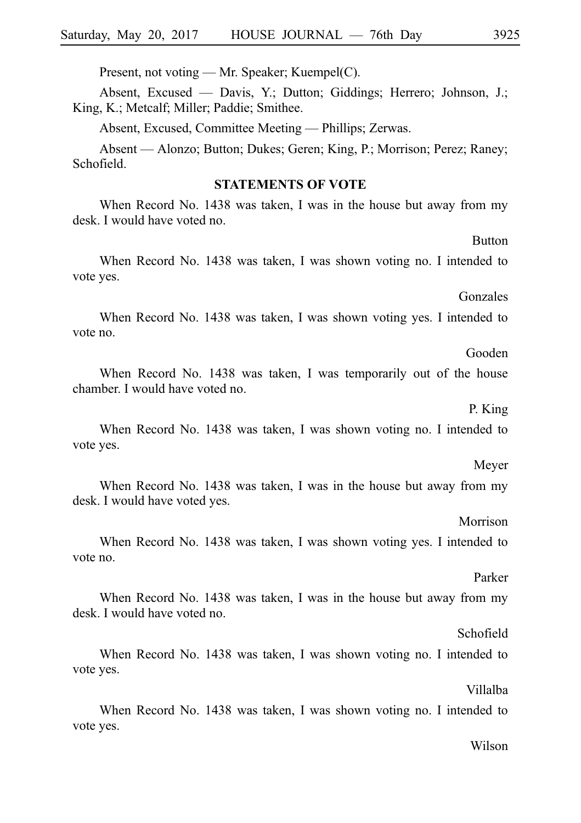Present, not voting — Mr. Speaker; Kuempel(C).

Absent, Excused — Davis, Y.; Dutton; Giddings; Herrero; Johnson, J.; King, K.; Metcalf; Miller; Paddie; Smithee.

Absent, Excused, Committee Meeting — Phillips; Zerwas.

Absent — Alonzo; Button; Dukes; Geren; King, P.; Morrison; Perez; Raney; Schofield.

#### **STATEMENTS OF VOTE**

When Record No. 1438 was taken, I was in the house but away from my desk. I would have voted no.

When Record No. 1438 was taken, I was shown voting no. I intended to vote yes.

Gonzales

**Button** 

When Record No. 1438 was taken, I was shown voting yes. I intended to vote no.

Gooden

When Record No. 1438 was taken, I was temporarily out of the house chamber. I would have voted no.

P. King

When Record No. 1438 was taken, I was shown voting no. I intended to vote yes.

### Meyer

When Record No. 1438 was taken, I was in the house but away from my desk. I would have voted yes.

#### Morrison

When Record No. 1438 was taken, I was shown voting yes. I intended to vote no.

#### Parker

When Record No. 1438 was taken, I was in the house but away from my desk. I would have voted no.

#### Schofield

When Record No. 1438 was taken, I was shown voting no. I intended to vote yes.

#### Villalba

When Record No. 1438 was taken, I was shown voting no. I intended to vote yes.

#### Wilson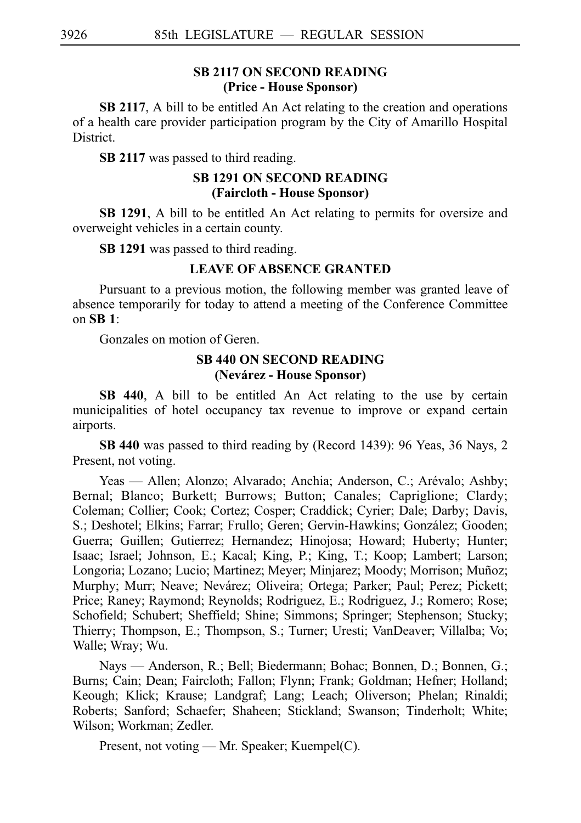# **SB 2117 ON SECOND READING (Price - House Sponsor)**

**SB 2117,** A bill to be entitled An Act relating to the creation and operations of a health care provider participation program by the City of Amarillo Hospital District.

**SB 2117** was passed to third reading.

# **SB 1291 ON SECOND READING (Faircloth - House Sponsor)**

**SB 1291**, A bill to be entitled An Act relating to permits for oversize and overweight vehicles in a certain county.

**SBi1291** was passed to third reading.

# **LEAVE OF ABSENCE GRANTED**

Pursuant to a previous motion, the following member was granted leave of absence temporarily for today to attend a meeting of the Conference Committee on **SBi1**:

Gonzales on motion of Geren.

# **SB 440 ON SECOND READING (Neva´rez - House Sponsor)**

**SB 440**, A bill to be entitled An Act relating to the use by certain municipalities of hotel occupancy tax revenue to improve or expand certain airports.

SB 440 was passed to third reading by (Record 1439): 96 Yeas, 36 Nays, 2 Present, not voting.

Yeas — Allen; Alonzo; Alvarado; Anchia; Anderson, C.; Arévalo; Ashby; Bernal; Blanco; Burkett; Burrows; Button; Canales; Capriglione; Clardy; Coleman; Collier; Cook; Cortez; Cosper; Craddick; Cyrier; Dale; Darby; Davis, S.; Deshotel; Elkins; Farrar; Frullo; Geren; Gervin-Hawkins; González; Gooden; Guerra; Guillen; Gutierrez; Hernandez; Hinojosa; Howard; Huberty; Hunter; Isaac; Israel; Johnson, E.; Kacal; King, P.; King, T.; Koop; Lambert; Larson; Longoria; Lozano; Lucio; Martinez; Meyer; Minjarez; Moody; Morrison; Muñoz; Murphy; Murr; Neave; Nevárez; Oliveira; Ortega; Parker; Paul; Perez; Pickett; Price; Raney; Raymond; Reynolds; Rodriguez, E.; Rodriguez, J.; Romero; Rose; Schofield; Schubert; Sheffield; Shine; Simmons; Springer; Stephenson; Stucky; Thierry; Thompson, E.; Thompson, S.; Turner; Uresti; VanDeaver; Villalba; Vo; Walle; Wray; Wu.

Nays — Anderson, R.; Bell; Biedermann; Bohac; Bonnen, D.; Bonnen, G.; Burns; Cain; Dean; Faircloth; Fallon; Flynn; Frank; Goldman; Hefner; Holland; Keough; Klick; Krause; Landgraf; Lang; Leach; Oliverson; Phelan; Rinaldi; Roberts; Sanford; Schaefer; Shaheen; Stickland; Swanson; Tinderholt; White; Wilson; Workman; Zedler.

Present, not voting — Mr. Speaker; Kuempel(C).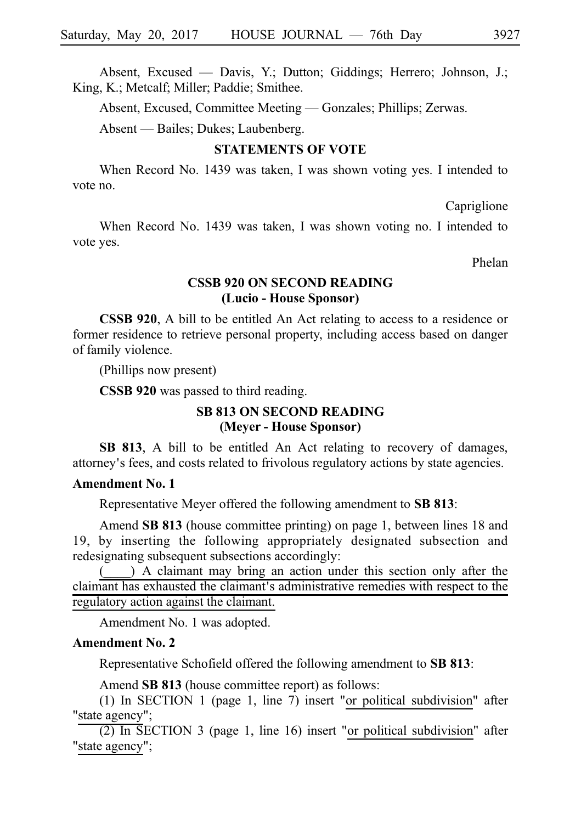Absent, Excused — Davis, Y.; Dutton; Giddings; Herrero; Johnson, J.; King, K.; Metcalf; Miller; Paddie; Smithee.

Absent, Excused, Committee Meeting — Gonzales; Phillips; Zerwas.

Absent — Bailes; Dukes; Laubenberg.

# **STATEMENTS OF VOTE**

When Record No. 1439 was taken, I was shown voting yes. I intended to vote no.

Capriglione

When Record No. 1439 was taken, I was shown voting no. I intended to vote yes.

Phelan

### **CSSB 920 ON SECOND READING (Lucio - House Sponsor)**

**CSSB 920**, A bill to be entitled An Act relating to access to a residence or former residence to retrieve personal property, including access based on danger of family violence.

(Phillips now present)

**CSSB 920** was passed to third reading.

# **SB 813 ON SECOND READING (Meyer - House Sponsor)**

**SB 813**, A bill to be entitled An Act relating to recovery of damages, attorney's fees, and costs related to frivolous regulatory actions by state agencies.

# **Amendment No. 1**

Representative Meyer offered the following amendment to **SB 813**:

Amend SB 813 (house committee printing) on page 1, between lines 18 and 19, by inserting the following appropriately designated subsection and redesignating subsequent subsections accordingly:

) A claimant may bring an action under this section only after the claimant has exhausted the claimant's administrative remedies with respect to the regulatory action against the claimant.

Amendment No. 1 was adopted.

### **Amendment No. 2**

Representative Schofield offered the following amendment to SB 813:

Amend **SB 813** (house committee report) as follows:

(1) In SECTION 1 (page 1, line 7) insert "or political subdivision" after "state agency";

(2) In SECTION 3 (page 1, line 16) insert "or political subdivision" after "state agency";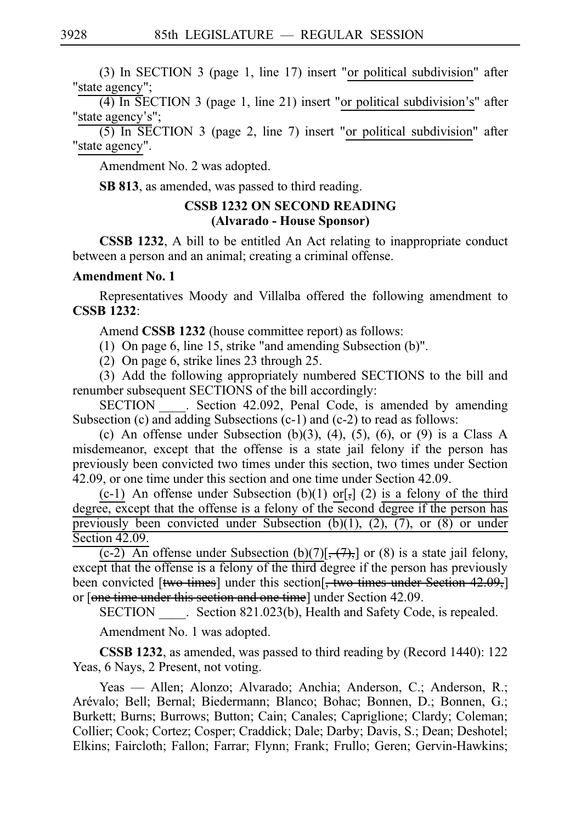(3) In SECTION 3 (page 1, line 17) insert "or political subdivision" after "state agency";

 $(4)$  In SECTION 3 (page 1, line 21) insert "or political subdivision's" after "state agency's";

(5) In SECTION 3 (page 2, line 7) insert "or political subdivision" after "state agency".

Amendment No. 2 was adopted.

**SB 813**, as amended, was passed to third reading.

# **CSSB 1232 ON SECOND READING (Alvarado - House Sponsor)**

**CSSB 1232**, A bill to be entitled An Act relating to inappropriate conduct between a person and an animal; creating a criminal offense.

# **Amendment No. 1**

Representatives Moody and Villalba offered the following amendment to **CSSBi1232**:

Amend **CSSB 1232** (house committee report) as follows:

(1) On page 6, line 15, strike "and amending Subsection  $(b)$ ".

(2) On page 6, strike lines 23 through 25.

 $(3)$  Add the following appropriately numbered SECTIONS to the bill and renumber subsequent SECTIONS of the bill accordingly:

SECTION Section 42.092, Penal Code, is amended by amending Subsection (c) and adding Subsections (c-1) and (c-2) to read as follows:

(c) An offense under Subsection (b)(3), (4), (5), (6), or (9) is a Class A misdemeanor, except that the offense is a state jail felony if the person has previously been convicted two times under this section, two times under Section 42.09, or one time under this section and one time under Section 42.09.

(c-1) An offense under Subsection (b)(1) or[ $,$ ] (2) is a felony of the third degree, except that the offense is a felony of the second degree if the person has previously been convicted under Subsection  $(b)(1)$ ,  $(2)$ ,  $(7)$ , or  $(8)$  or under Section 42.09.

 $(c-2)$  An offense under Subsection (b)(7)[, (7),] or (8) is a state jail felony, except that the offense is a felony of the third degree if the person has previously been convicted [two times] under this section<sup>[</sup>, two times under Section 42.09,] or [one time under this section and one time] under Section 42.09.

SECTION Section 821.023(b), Health and Safety Code, is repealed.

Amendment No. 1 was adopted.

**CSSB 1232**, as amended, was passed to third reading by (Record 1440): 122 Yeas, 6 Nays, 2 Present, not voting.

Yeas — Allen; Alonzo; Alvarado; Anchia; Anderson, C.; Anderson, R.; Arévalo; Bell; Bernal; Biedermann; Blanco; Bohac; Bonnen, D.; Bonnen, G.; Burkett; Burns; Burrows; Button; Cain; Canales; Capriglione; Clardy; Coleman; Collier; Cook; Cortez; Cosper; Craddick; Dale; Darby; Davis, S.; Dean; Deshotel; Elkins; Faircloth; Fallon; Farrar; Flynn; Frank; Frullo; Geren; Gervin-Hawkins;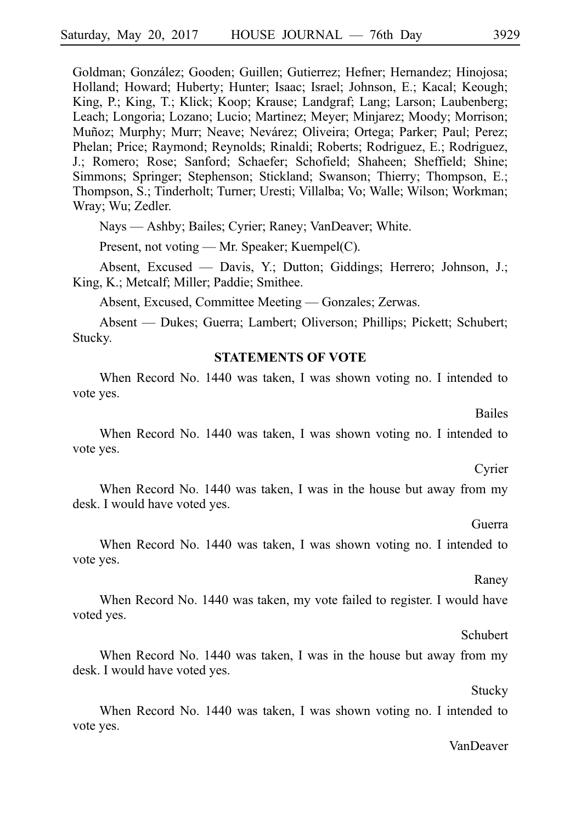Goldman; González; Gooden; Guillen; Gutierrez; Hefner; Hernandez; Hinojosa; Holland; Howard; Huberty; Hunter; Isaac; Israel; Johnson, E.; Kacal; Keough; King, P.; King, T.; Klick; Koop; Krause; Landgraf; Lang; Larson; Laubenberg; Leach; Longoria; Lozano; Lucio; Martinez; Meyer; Minjarez; Moody; Morrison; Muñoz; Murphy; Murr; Neave; Nevárez; Oliveira; Ortega; Parker; Paul; Perez; Phelan; Price; Raymond; Reynolds; Rinaldi; Roberts; Rodriguez, E.; Rodriguez, J.; Romero; Rose; Sanford; Schaefer; Schofield; Shaheen; Sheffield; Shine; Simmons; Springer; Stephenson; Stickland; Swanson; Thierry; Thompson, E.; Thompson, S.; Tinderholt; Turner; Uresti; Villalba; Vo; Walle; Wilson; Workman; Wray; Wu; Zedler.

Nays — Ashby; Bailes; Cyrier; Raney; VanDeaver; White.

Present, not voting — Mr. Speaker; Kuempel(C).

Absent, Excused — Davis, Y.; Dutton; Giddings; Herrero; Johnson, J.; King, K.; Metcalf; Miller; Paddie; Smithee.

Absent, Excused, Committee Meeting — Gonzales; Zerwas.

Absent — Dukes; Guerra; Lambert; Oliverson; Phillips; Pickett; Schubert; Stucky.

#### **STATEMENTS OF VOTE**

When Record No. 1440 was taken, I was shown voting no. I intended to vote yes.

When Record No. 1440 was taken, I was shown voting no. I intended to vote yes.

When Record No. 1440 was taken, I was in the house but away from my desk. I would have voted yes.

When Record No. 1440 was taken, I was shown voting no. I intended to vote yes.

When Record No. 1440 was taken, my vote failed to register. I would have voted yes.

When Record No. 1440 was taken, I was in the house but away from my desk. I would have voted yes.

When Record No. 1440 was taken, I was shown voting no. I intended to vote yes.

# VanDeaver

# Guerra

#### Raney

# Cyrier

Bailes

# Schubert

Stucky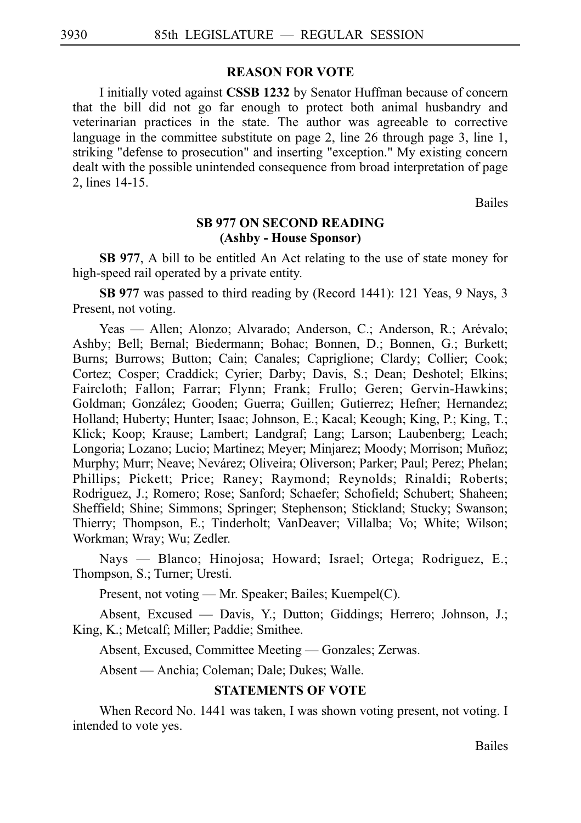#### **REASON FOR VOTE**

I initially voted against **CSSBi1232** by Senator Huffman because of concern that the bill did not go far enough to protect both animal husbandry and veterinarian practices in the state. The author was agreeable to corrective language in the committee substitute on page 2, line 26 through page 3, line 1, striking "defense to prosecution" and inserting "exception." My existing concern dealt with the possible unintended consequence from broad interpretation of page 2, lines 14-15.

Bailes

#### **SB 977 ON SECOND READING (Ashby - House Sponsor)**

**SB 977**, A bill to be entitled An Act relating to the use of state money for high-speed rail operated by a private entity.

**SB 977** was passed to third reading by (Record 1441): 121 Yeas, 9 Nays, 3 Present, not voting.

Yeas — Allen; Alonzo; Alvarado; Anderson, C.; Anderson, R.; Arévalo; Ashby; Bell; Bernal; Biedermann; Bohac; Bonnen, D.; Bonnen, G.; Burkett; Burns; Burrows; Button; Cain; Canales; Capriglione; Clardy; Collier; Cook; Cortez; Cosper; Craddick; Cyrier; Darby; Davis, S.; Dean; Deshotel; Elkins; Faircloth; Fallon; Farrar; Flynn; Frank; Frullo; Geren; Gervin-Hawkins; Goldman; González; Gooden; Guerra; Guillen; Gutierrez; Hefner; Hernandez; Holland; Huberty; Hunter; Isaac; Johnson, E.; Kacal; Keough; King, P.; King, T.; Klick; Koop; Krause; Lambert; Landgraf; Lang; Larson; Laubenberg; Leach; Longoria; Lozano; Lucio; Martinez; Meyer; Minjarez; Moody; Morrison; Muñoz; Murphy; Murr; Neave; Nevárez; Oliveira; Oliverson; Parker; Paul; Perez; Phelan; Phillips; Pickett; Price; Raney; Raymond; Reynolds; Rinaldi; Roberts; Rodriguez, J.; Romero; Rose; Sanford; Schaefer; Schofield; Schubert; Shaheen; Sheffield; Shine; Simmons; Springer; Stephenson; Stickland; Stucky; Swanson; Thierry; Thompson, E.; Tinderholt; VanDeaver; Villalba; Vo; White; Wilson; Workman; Wray; Wu; Zedler.

Nays — Blanco; Hinojosa; Howard; Israel; Ortega; Rodriguez, E.; Thompson, S.; Turner; Uresti.

Present, not voting — Mr. Speaker; Bailes; Kuempel(C).

Absent, Excused — Davis, Y.; Dutton; Giddings; Herrero; Johnson, J.; King, K.; Metcalf; Miller; Paddie; Smithee.

Absent, Excused, Committee Meeting — Gonzales; Zerwas.

Absent — Anchia; Coleman; Dale; Dukes; Walle.

#### **STATEMENTS OF VOTE**

When Record No. 1441 was taken, I was shown voting present, not voting. I intended to vote yes.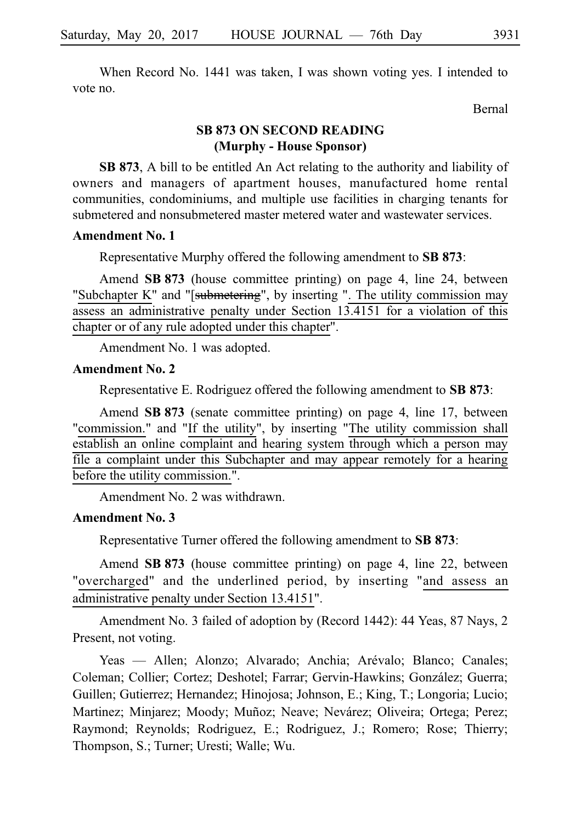When Record No. 1441 was taken, I was shown voting yes. I intended to vote no.

Bernal

# **SB 873 ON SECOND READING (Murphy - House Sponsor)**

**SB 873**, A bill to be entitled An Act relating to the authority and liability of owners and managers of apartment houses, manufactured home rental communities, condominiums, and multiple use facilities in charging tenants for submetered and nonsubmetered master metered water and wastewater services.

#### **Amendment No. 1**

Representative Murphy offered the following amendment to **SB 873**:

Amend **SB 873** (house committee printing) on page 4, line 24, between "Subchapter K" and "[submetering", by inserting ". The utility commission may assess an administrative penalty under Section 13.4151 for a violation of this chapter or of any rule adopted under this chapter".

Amendment No. 1 was adopted.

#### **Amendment No. 2**

Representative E. Rodriguez offered the following amendment to **SB 873**:

Amend **SB 873** (senate committee printing) on page 4, line 17, between "commission." and "If the utility", by inserting "The utility commission shall establish an online complaint and hearing system through which a person may file a complaint under this Subchapter and may appear remotely for a hearing before the utility commission.".

Amendment No. 2 was withdrawn.

#### **Amendment No. 3**

Representative Turner offered the following amendment to **SB 873**:

Amend **SB 873** (house committee printing) on page 4, line 22, between "overcharged" and the underlined period, by inserting "and assess an administrative penalty under Section 13.4151".

Amendment No. 3 failed of adoption by (Record 1442): 44 Yeas, 87 Nays, 2 Present, not voting.

Yeas — Allen; Alonzo; Alvarado; Anchia; Arévalo; Blanco; Canales; Coleman; Collier; Cortez; Deshotel; Farrar; Gervin-Hawkins; Gonza´lez; Guerra; Guillen; Gutierrez; Hernandez; Hinojosa; Johnson, E.; King, T.; Longoria; Lucio; Martinez; Minjarez; Moody; Muñoz; Neave; Nevárez; Oliveira; Ortega; Perez; Raymond; Reynolds; Rodriguez, E.; Rodriguez, J.; Romero; Rose; Thierry; Thompson, S.; Turner; Uresti; Walle; Wu.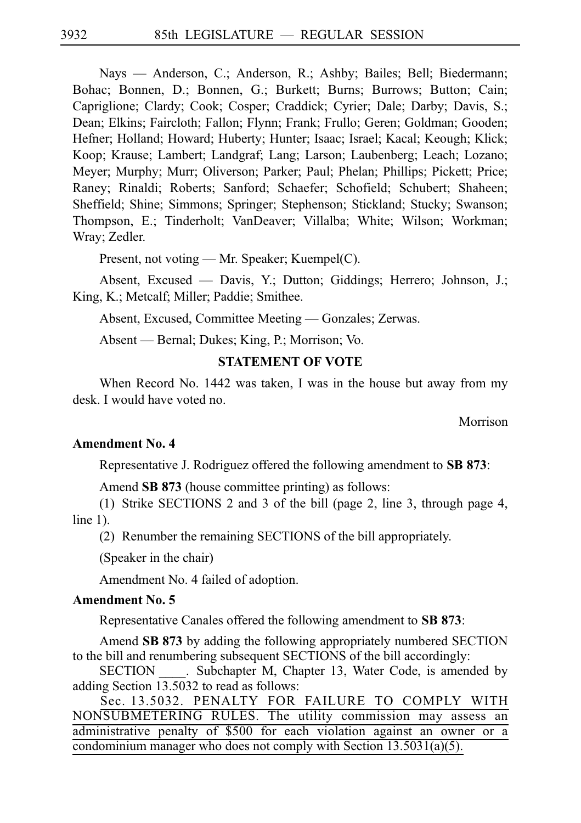Nays — Anderson, C.; Anderson, R.; Ashby; Bailes; Bell; Biedermann; Bohac; Bonnen, D.; Bonnen, G.; Burkett; Burns; Burrows; Button; Cain; Capriglione; Clardy; Cook; Cosper; Craddick; Cyrier; Dale; Darby; Davis, S.; Dean; Elkins; Faircloth; Fallon; Flynn; Frank; Frullo; Geren; Goldman; Gooden; Hefner; Holland; Howard; Huberty; Hunter; Isaac; Israel; Kacal; Keough; Klick; Koop; Krause; Lambert; Landgraf; Lang; Larson; Laubenberg; Leach; Lozano; Meyer; Murphy; Murr; Oliverson; Parker; Paul; Phelan; Phillips; Pickett; Price; Raney; Rinaldi; Roberts; Sanford; Schaefer; Schofield; Schubert; Shaheen; Sheffield; Shine; Simmons; Springer; Stephenson; Stickland; Stucky; Swanson; Thompson, E.; Tinderholt; VanDeaver; Villalba; White; Wilson; Workman; Wray; Zedler.

Present, not voting — Mr. Speaker; Kuempel(C).

Absent, Excused — Davis, Y.; Dutton; Giddings; Herrero; Johnson, J.; King, K.; Metcalf; Miller; Paddie; Smithee.

Absent, Excused, Committee Meeting — Gonzales; Zerwas.

Absent — Bernal; Dukes; King, P.; Morrison; Vo.

#### **STATEMENT OF VOTE**

When Record No. 1442 was taken, I was in the house but away from my desk. I would have voted no.

Morrison

#### **Amendment No. 4**

Representative J. Rodriguez offered the following amendment to **SB 873**:

Amend **SB 873** (house committee printing) as follows:

(1) Strike SECTIONS 2 and 3 of the bill (page 2, line 3, through page 4, line 1).

(2) Renumber the remaining SECTIONS of the bill appropriately.

(Speaker in the chair)

Amendment No. 4 failed of adoption.

#### **Amendment No. 5**

Representative Canales offered the following amendment to **SB 873**:

Amend **SBi873** by adding the following appropriately numbered SECTION to the bill and renumbering subsequent SECTIONS of the bill accordingly:

SECTION Subchapter M, Chapter 13, Water Code, is amended by adding Section  $13.5032$  to read as follows:

Sec. 13.5032. PENALTY FOR FAILURE TO COMPLY WITH NONSUBMETERING RULES. The utility commission may assess an administrative penalty of \$500 for each violation against an owner or a condominium manager who does not comply with Section 13.5031(a)(5).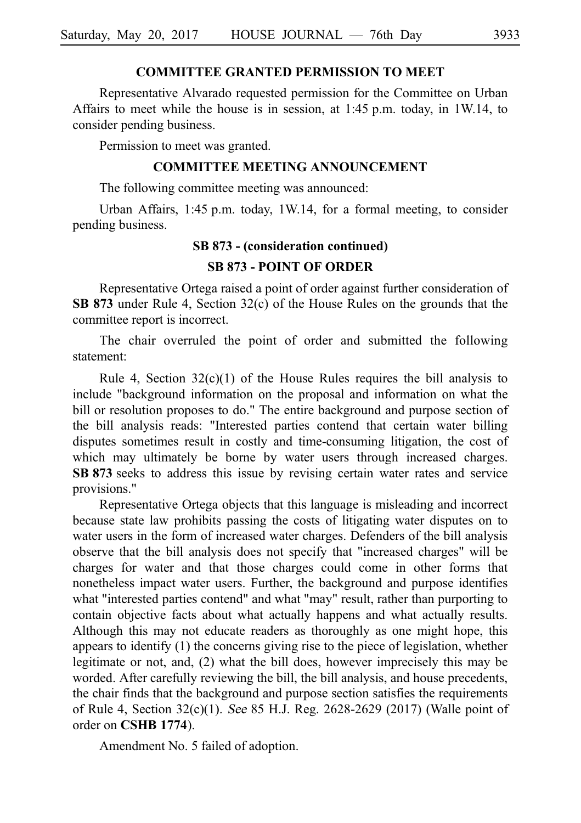## **COMMITTEE GRANTED PERMISSION TO MEET**

Representative Alvarado requested permission for the Committee on Urban Affairs to meet while the house is in session, at  $1:45$  p.m. today, in 1W.14, to consider pending business.

Permission to meet was granted.

#### **COMMITTEE MEETING ANNOUNCEMENT**

The following committee meeting was announced:

Urban Affairs, 1:45 p.m. today, 1W.14, for a formal meeting, to consider pending business.

#### **SB 873 - (consideration continued)**

#### **SB 873 - POINT OF ORDER**

Representative Ortega raised a point of order against further consideration of **SB 873** under Rule 4, Section 32(c) of the House Rules on the grounds that the committee report is incorrect.

The chair overruled the point of order and submitted the following statement:

Rule 4, Section  $32(c)(1)$  of the House Rules requires the bill analysis to include "background information on the proposal and information on what the bill or resolution proposes to do." The entire background and purpose section of the bill analysis reads: "Interested parties contend that certain water billing disputes sometimes result in costly and time-consuming litigation, the cost of which may ultimately be borne by water users through increased charges. **SB 873** seeks to address this issue by revising certain water rates and service provisions."

Representative Ortega objects that this language is misleading and incorrect because state law prohibits passing the costs of litigating water disputes on to water users in the form of increased water charges. Defenders of the bill analysis observe that the bill analysis does not specify that "increased charges" will be charges for water and that those charges could come in other forms that nonetheless impact water users. Further, the background and purpose identifies what "interested parties contend" and what "may" result, rather than purporting to contain objective facts about what actually happens and what actually results. Although this may not educate readers as thoroughly as one might hope, this appears to identify (1) the concerns giving rise to the piece of legislation, whether legitimate or not, and, (2) what the bill does, however imprecisely this may be worded. After carefully reviewing the bill, the bill analysis, and house precedents, the chair finds that the background and purpose section satisfies the requirements of Rule 4, Section 32(c)(1). See 85 H.J. Reg. 2628-2629 (2017) (Walle point of order on **CSHB** 1774).

Amendment No. 5 failed of adoption.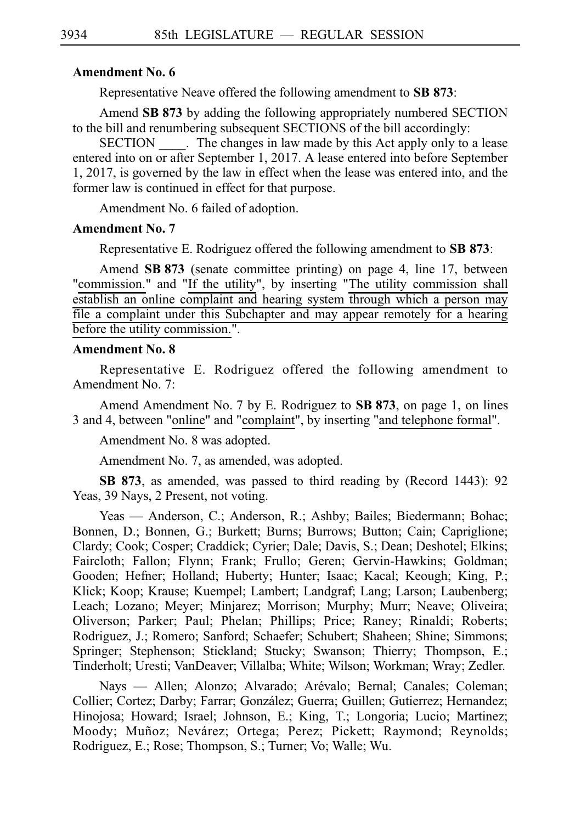#### **Amendment No. 6**

Representative Neave offered the following amendment to **SB 873**:

Amend SB 873 by adding the following appropriately numbered SECTION to the bill and renumbering subsequent SECTIONS of the bill accordingly:

SECTION . The changes in law made by this Act apply only to a lease entered into on or after September 1, 2017. A lease entered into before September 1, 2017, is governed by the law in effect when the lease was entered into, and the former law is continued in effect for that purpose.

Amendment No. 6 failed of adoption.

#### **Amendment No. 7**

Representative E. Rodriguez offered the following amendment to **SB 873**:

Amend SB 873 (senate committee printing) on page 4, line 17, between "commission." and "If the utility", by inserting "The utility commission shall establish an online complaint and hearing system through which a person may file a complaint under this Subchapter and may appear remotely for a hearing before the utility commission.".

#### **Amendment No. 8**

Representative E. Rodriguez offered the following amendment to Amendment No. 7:

Amend Amendment No. 7 by E. Rodriguez to SB 873, on page 1, on lines 3iand 4, between "online" and "complaint", by inserting "and telephone formal".

Amendment No. 8 was adopted.

Amendment No. 7, as amended, was adopted.

**SB 873**, as amended, was passed to third reading by (Record 1443): 92 Yeas, 39 Nays, 2 Present, not voting.

Yeas — Anderson, C.; Anderson, R.; Ashby; Bailes; Biedermann; Bohac; Bonnen, D.; Bonnen, G.; Burkett; Burns; Burrows; Button; Cain; Capriglione; Clardy; Cook; Cosper; Craddick; Cyrier; Dale; Davis, S.; Dean; Deshotel; Elkins; Faircloth; Fallon; Flynn; Frank; Frullo; Geren; Gervin-Hawkins; Goldman; Gooden; Hefner; Holland; Huberty; Hunter; Isaac; Kacal; Keough; King, P.; Klick; Koop; Krause; Kuempel; Lambert; Landgraf; Lang; Larson; Laubenberg; Leach; Lozano; Meyer; Minjarez; Morrison; Murphy; Murr; Neave; Oliveira; Oliverson; Parker; Paul; Phelan; Phillips; Price; Raney; Rinaldi; Roberts; Rodriguez, J.; Romero; Sanford; Schaefer; Schubert; Shaheen; Shine; Simmons; Springer; Stephenson; Stickland; Stucky; Swanson; Thierry; Thompson, E.; Tinderholt; Uresti; VanDeaver; Villalba; White; Wilson; Workman; Wray; Zedler.

Nays — Allen; Alonzo; Alvarado; Arévalo; Bernal; Canales; Coleman; Collier; Cortez; Darby; Farrar; González; Guerra; Guillen; Gutierrez; Hernandez; Hinojosa; Howard; Israel; Johnson, E.; King, T.; Longoria; Lucio; Martinez; Moody; Muñoz; Nevárez; Ortega; Perez; Pickett; Raymond; Reynolds; Rodriguez, E.; Rose; Thompson, S.; Turner; Vo; Walle; Wu.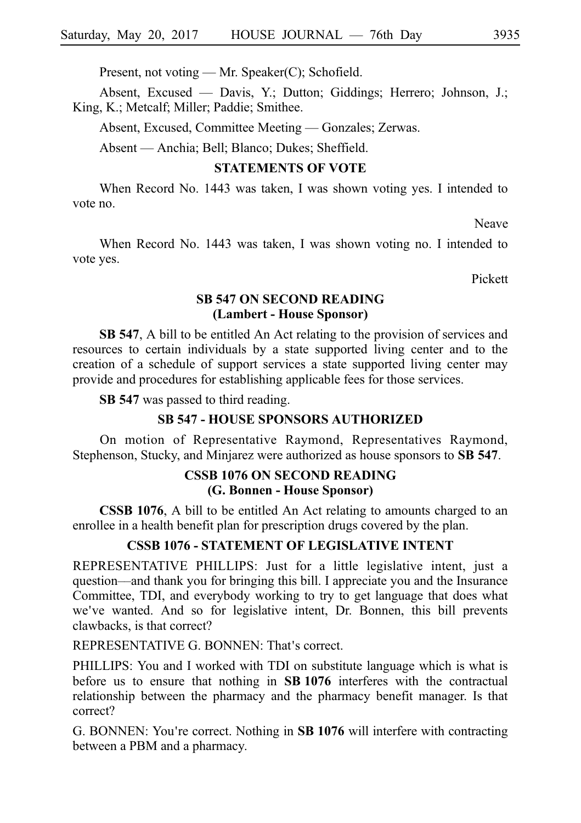Present, not voting — Mr. Speaker(C); Schofield.

Absent, Excused — Davis, Y.; Dutton; Giddings; Herrero; Johnson, J.; King, K.; Metcalf; Miller; Paddie; Smithee.

Absent, Excused, Committee Meeting — Gonzales; Zerwas.

Absent — Anchia; Bell; Blanco; Dukes; Sheffield.

#### **STATEMENTS OF VOTE**

When Record No. 1443 was taken, I was shown voting yes. I intended to vote no.

Neave

When Record No. 1443 was taken, I was shown voting no. I intended to vote yes.

Pickett

### **SB 547 ON SECOND READING (Lambert - House Sponsor)**

**SB 547**, A bill to be entitled An Act relating to the provision of services and resources to certain individuals by a state supported living center and to the creation of a schedule of support services a state supported living center may provide and procedures for establishing applicable fees for those services.

**SB 547** was passed to third reading.

#### **SB 547 - HOUSE SPONSORS AUTHORIZED**

On motion of Representative Raymond, Representatives Raymond, Stephenson, Stucky, and Minjarez were authorized as house sponsors to **SB 547**.

### **CSSB 1076 ON SECOND READING (G. Bonnen - House Sponsor)**

**CSSB 1076**, A bill to be entitled An Act relating to amounts charged to an enrollee in a health benefit plan for prescription drugs covered by the plan.

#### **CSSB 1076 - STATEMENT OF LEGISLATIVE INTENT**

REPRESENTATIVE PHILLIPS: Just for a little legislative intent, just a question––and thank you for bringing this bill. I appreciate you and the Insurance Committee, TDI, and everybody working to try to get language that does what we've wanted. And so for legislative intent, Dr. Bonnen, this bill prevents clawbacks, is that correct?

REPRESENTATIVE G. BONNEN: That's correct.

PHILLIPS: You and I worked with TDI on substitute language which is what is before us to ensure that nothing in SB 1076 interferes with the contractual relationship between the pharmacy and the pharmacy benefit manager. Is that correct?

G. BONNEN: You're correct. Nothing in **SB 1076** will interfere with contracting between a PBM and a pharmacy.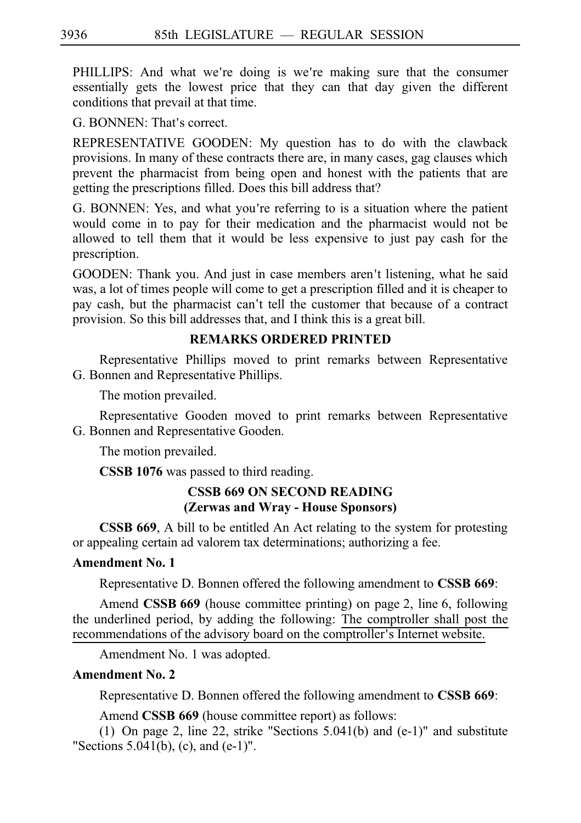PHILLIPS: And what we're doing is we're making sure that the consumer essentially gets the lowest price that they can that day given the different conditions that prevail at that time.

G. BONNEN: That's correct.

REPRESENTATIVE GOODEN: My question has to do with the clawback provisions. In many of these contracts there are, in many cases, gag clauses which prevent the pharmacist from being open and honest with the patients that are getting the prescriptions filled. Does this bill address that?

G. BONNEN: Yes, and what you're referring to is a situation where the patient would come in to pay for their medication and the pharmacist would not be allowed to tell them that it would be less expensive to just pay cash for the prescription.

GOODEN: Thank you. And just in case members aren't listening, what he said was, a lot of times people will come to get a prescription filled and it is cheaper to pay cash, but the pharmacist can't tell the customer that because of a contract provision. So this bill addresses that, and I think this is a great bill.

## **REMARKS ORDERED PRINTED**

Representative Phillips moved to print remarks between Representative G. Bonnen and Representative Phillips.

The motion prevailed.

Representative Gooden moved to print remarks between Representative G. Bonnen and Representative Gooden.

The motion prevailed.

**CSSB 1076** was passed to third reading.

# **CSSB 669 ON SECOND READING (Zerwas and Wray - House Sponsors)**

**CSSB 669**, A bill to be entitled An Act relating to the system for protesting or appealing certain ad valorem tax determinations; authorizing a fee.

# **Amendment No. 1**

Representative D. Bonnen offered the following amendment to **CSSB 669**:

Amend **CSSB 669** (house committee printing) on page 2, line 6, following the underlined period, by adding the following: The comptroller shall post the recommendations of the advisory board on the comptroller's Internet website.

Amendment No. 1 was adopted.

# **Amendment No. 2**

Representative D. Bonnen offered the following amendment to **CSSB 669**:

Amend **CSSB 669** (house committee report) as follows:

(1) On page 2, line 22, strike "Sections  $5.041(b)$  and (e-1)" and substitute "Sections 5.041(b), (c), and (e-1)".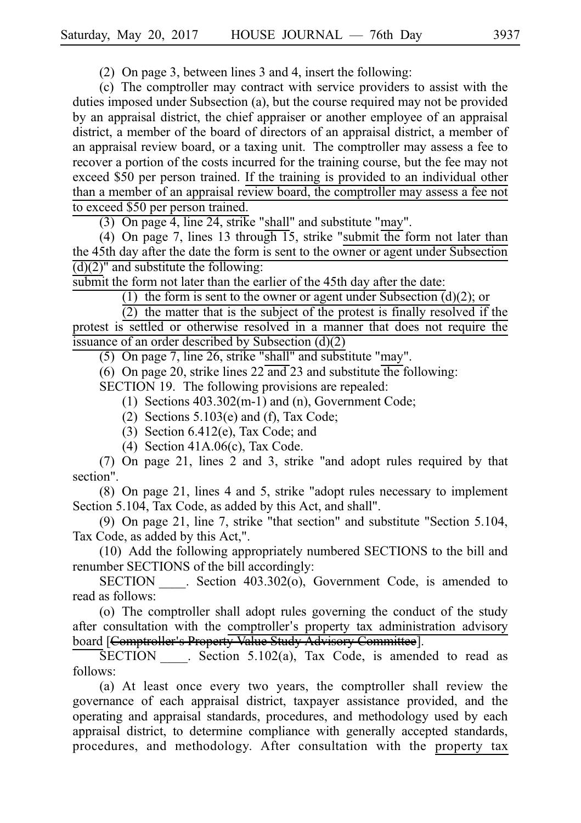(2) On page 3, between lines 3 and 4, insert the following:

(c) The comptroller may contract with service providers to assist with the duties imposed under Subsection (a), but the course required may not be provided by an appraisal district, the chief appraiser or another employee of an appraisal district, a member of the board of directors of an appraisal district, a member of an appraisal review board, or a taxing unit. The comptroller may assess a fee to recover a portion of the costs incurred for the training course, but the fee may not exceed \$50 per person trained. If the training is provided to an individual other than a member of an appraisal review board, the comptroller may assess a fee not to exceed \$50 per person trained.

 $(3)$  On page 4, line 24, strike "shall" and substitute "may".

(4) On page 7, lines 13 through 15, strike "submit the form not later than the 45th day after the date the form is sent to the owner or agent under Subsection  $\overline{d}(d)(2)$ " and substitute the following:

submit the form not later than the earlier of the 45th day after the date:

(1) the form is sent to the owner or agent under Subsection  $(d)(2)$ ; or

(2) the matter that is the subject of the protest is finally resolved if the protest is settled or otherwise resolved in a manner that does not require the issuance of an order described by Subsection (d)(2)

(5) On page 7, line 26, strike "shall" and substitute "may".

(6) On page 20, strike lines  $22 \overline{\text{ and }} 23$  and substitute the following:

SECTION 19. The following provisions are repealed:

- (1) Sections  $403.302(m-1)$  and (n), Government Code;
- (2) Sections  $5.103(e)$  and (f), Tax Code;
- (3) Section  $6.412(e)$ , Tax Code; and
- (4) Section  $41A.06(c)$ , Tax Code.

 $(7)$  On page 21, lines 2 and 3, strike "and adopt rules required by that section".

 $(8)$  On page 21, lines 4 and 5, strike "adopt rules necessary to implement Section 5.104, Tax Code, as added by this Act, and shall".

(9) On page 21, line 7, strike "that section" and substitute "Section 5.104, Tax Code, as added by this Act,".

(10) Add the following appropriately numbered SECTIONS to the bill and renumber SECTIONS of the bill accordingly:

SECTION Section 403.302(o), Government Code, is amended to read as follows:

(o) The comptroller shall adopt rules governing the conduct of the study after consultation with the comptroller's property tax administration advisory board [Comptroller's Property Value Study Advisory Committee].

 $\overline{\text{SECTION}}$  . Section 5.102(a), Tax Code, is amended to read as follows:

(a) At least once every two years, the comptroller shall review the governance of each appraisal district, taxpayer assistance provided, and the operating and appraisal standards, procedures, and methodology used by each appraisal district, to determine compliance with generally accepted standards, procedures, and methodology. After consultation with the property tax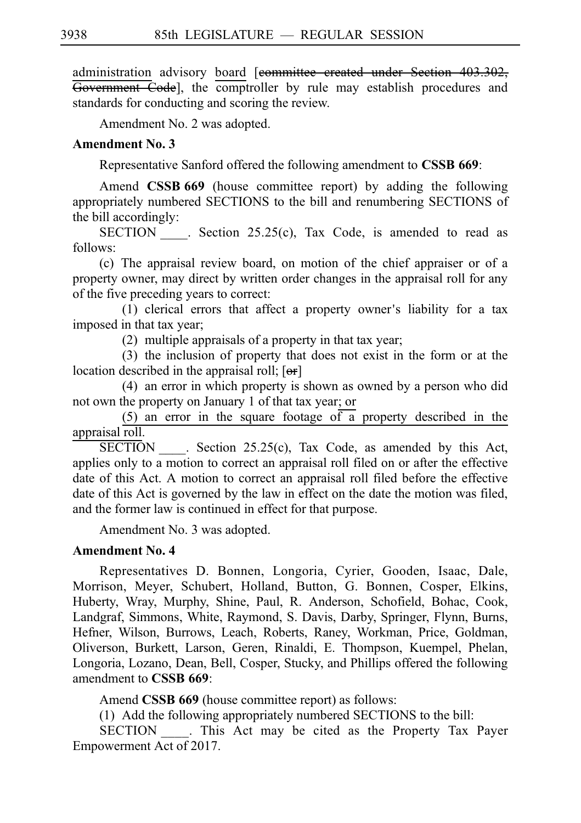administration advisory board [committee created under Section 403.302, Government Code], the comptroller by rule may establish procedures and standards for conducting and scoring the review.

Amendment No. 2 was adopted.

### **Amendment No. 3**

Representative Sanford offered the following amendment to **CSSB 669**:

Amend **CSSB 669** (house committee report) by adding the following appropriately numbered SECTIONS to the bill and renumbering SECTIONS of the bill accordingly:

SECTION . Section 25.25(c), Tax Code, is amended to read as follows:

(c) The appraisal review board, on motion of the chief appraiser or of a property owner, may direct by written order changes in the appraisal roll for any of the five preceding years to correct:

 $(1)$  clerical errors that affect a property owner's liability for a tax imposed in that tax year;

 $(2)$  multiple appraisals of a property in that tax year;

(3) the inclusion of property that does not exist in the form or at the location described in the appraisal roll;  $[**or**]$ 

 $(4)$  an error in which property is shown as owned by a person who did not own the property on January 1 of that tax year; or

 $(5)$  an error in the square footage of a property described in the appraisal roll.

SECTION Section  $25.25(c)$ , Tax Code, as amended by this Act, applies only to a motion to correct an appraisal roll filed on or after the effective date of this Act. A motion to correct an appraisal roll filed before the effective date of this Act is governed by the law in effect on the date the motion was filed, and the former law is continued in effect for that purpose.

Amendment No. 3 was adopted.

#### **Amendment No. 4**

Representatives D. Bonnen, Longoria, Cyrier, Gooden, Isaac, Dale, Morrison, Meyer, Schubert, Holland, Button, G. Bonnen, Cosper, Elkins, Huberty, Wray, Murphy, Shine, Paul, R. Anderson, Schofield, Bohac, Cook, Landgraf, Simmons, White, Raymond, S. Davis, Darby, Springer, Flynn, Burns, Hefner, Wilson, Burrows, Leach, Roberts, Raney, Workman, Price, Goldman, Oliverson, Burkett, Larson, Geren, Rinaldi, E. Thompson, Kuempel, Phelan, Longoria, Lozano, Dean, Bell, Cosper, Stucky, and Phillips offered the following amendment to **CSSB 669**:

Amend **CSSB 669** (house committee report) as follows:

 $(1)$  Add the following appropriately numbered SECTIONS to the bill:

SECTION . This Act may be cited as the Property Tax Payer Empowerment Act of 2017.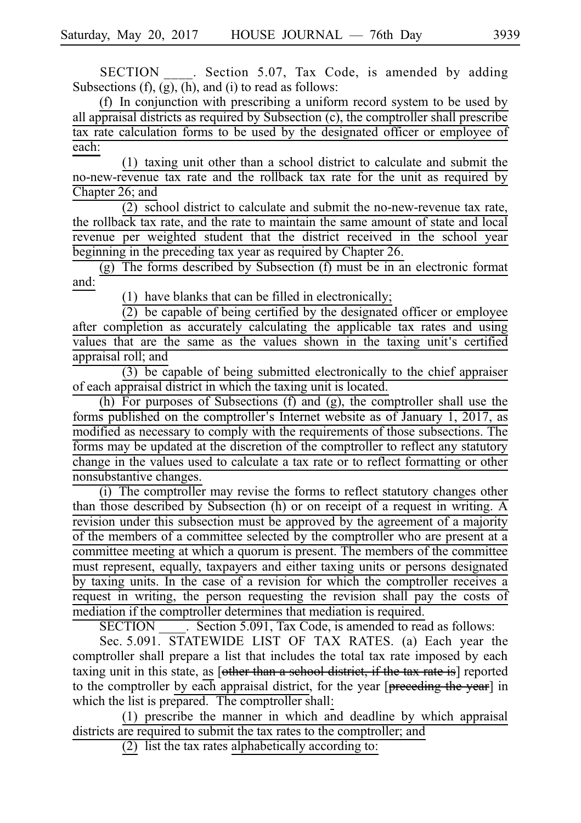SECTION . Section 5.07, Tax Code, is amended by adding Subsections (f), (g), (h), and (i) to read as follows:

(f) In conjunction with prescribing a uniform record system to be used by all appraisal districts as required by Subsection (c), the comptroller shall prescribe tax rate calculation forms to be used by the designated officer or employee of each:

 $(1)$  taxing unit other than a school district to calculate and submit the no-new-revenue tax rate and the rollback tax rate for the unit as required by Chapter 26; and

 $(2)$  school district to calculate and submit the no-new-revenue tax rate, the rollback tax rate, and the rate to maintain the same amount of state and local revenue per weighted student that the district received in the school year beginning in the preceding tax year as required by Chapter 26.

 $(g)$  The forms described by Subsection (f) must be in an electronic format and:

(1) have blanks that can be filled in electronically;

 $(2)$  be capable of being certified by the designated officer or employee after completion as accurately calculating the applicable tax rates and using values that are the same as the values shown in the taxing unit's certified appraisal roll; and

 $(3)$  be capable of being submitted electronically to the chief appraiser of each appraisal district in which the taxing unit is located.

(h) For purposes of Subsections (f) and (g), the comptroller shall use the forms published on the comptroller's Internet website as of January 1, 2017, as modified as necessary to comply with the requirements of those subsections. The forms may be updated at the discretion of the comptroller to reflect any statutory change in the values used to calculate a tax rate or to reflect formatting or other nonsubstantive changes.

(i) The comptroller may revise the forms to reflect statutory changes other than those described by Subsection (h) or on receipt of a request in writing. A revision under this subsection must be approved by the agreement of a majority of the members of a committee selected by the comptroller who are present at a committee meeting at which a quorum is present. The members of the committee must represent, equally, taxpayers and either taxing units or persons designated by taxing units. In the case of a revision for which the comptroller receives a request in writing, the person requesting the revision shall pay the costs of mediation if the comptroller determines that mediation is required.

SECTION Section 5.091, Tax Code, is amended to read as follows:

Sec. 5.091. STATEWIDE LIST OF TAX RATES. (a) Each year the comptroller shall prepare a list that includes the total tax rate imposed by each taxing unit in this state, as [other than a school district, if the tax rate is] reported to the comptroller by each appraisal district, for the year [preceding the year] in which the list is prepared. The comptroller shall:

 $(1)$  prescribe the manner in which and deadline by which appraisal districts are required to submit the tax rates to the comptroller; and

(2) list the tax rates alphabetically according to: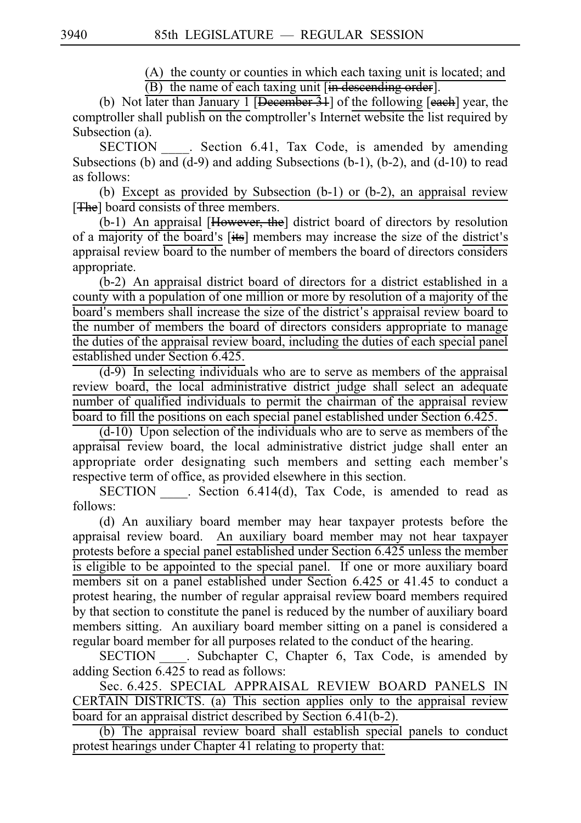$(A)$  the county or counties in which each taxing unit is located; and  $(B)$  the name of each taxing unit [in descending order].

(b) Not later than January 1 [December  $\frac{31}{3}$ ] of the following [each] year, the comptroller shall publish on the comptroller's Internet website the list required by Subsection (a).

SECTION \_\_\_\_. Section 6.41, Tax Code, is amended by amending Subsections (b) and  $(d-9)$  and adding Subsections (b-1), (b-2), and  $(d-10)$  to read as follows:

(b) Except as provided by Subsection (b-1) or (b-2), an appraisal review [The] board consists of three members.

 $(b-1)$  An appraisal [However, the] district board of directors by resolution of a majority of the board's [its] members may increase the size of the district's appraisal review board to the number of members the board of directors considers appropriate.

 $(b-2)$  An appraisal district board of directors for a district established in a county with a population of one million or more by resolution of a majority of the board's members shall increase the size of the district's appraisal review board to the number of members the board of directors considers appropriate to manage the duties of the appraisal review board, including the duties of each special panel established under Section 6.425.

 $(d-9)$  In selecting individuals who are to serve as members of the appraisal review board, the local administrative district judge shall select an adequate number of qualified individuals to permit the chairman of the appraisal review board to fill the positions on each special panel established under Section 6.425.

 $(d-10)$  Upon selection of the individuals who are to serve as members of the appraisal review board, the local administrative district judge shall enter an appropriate order designating such members and setting each member ' s respective term of office, as provided elsewhere in this section.

SECTION Section 6.414(d), Tax Code, is amended to read as follows:

(d) An auxiliary board member may hear taxpayer protests before the appraisal review board. An auxiliary board member may not hear taxpayer protests before a special panel established under Section 6.425 unless the member is eligible to be appointed to the special panel. If one or more auxiliary board members sit on a panel established under Section 6.425 or 41.45 to conduct a protest hearing, the number of regular appraisal review board members required by that section to constitute the panel is reduced by the number of auxiliary board members sitting. An auxiliary board member sitting on a panel is considered a regular board member for all purposes related to the conduct of the hearing.

SECTION . Subchapter C, Chapter 6, Tax Code, is amended by adding Section 6.425 to read as follows:

Sec. 6.425. SPECIAL APPRAISAL REVIEW BOARD PANELS IN  $CERTAIN DISTRICTS.$  (a) This section applies only to the appraisal review board for an appraisal district described by Section 6.41(b-2).

(b) The appraisal review board shall establish special panels to conduct protest hearings under Chapter 41 relating to property that: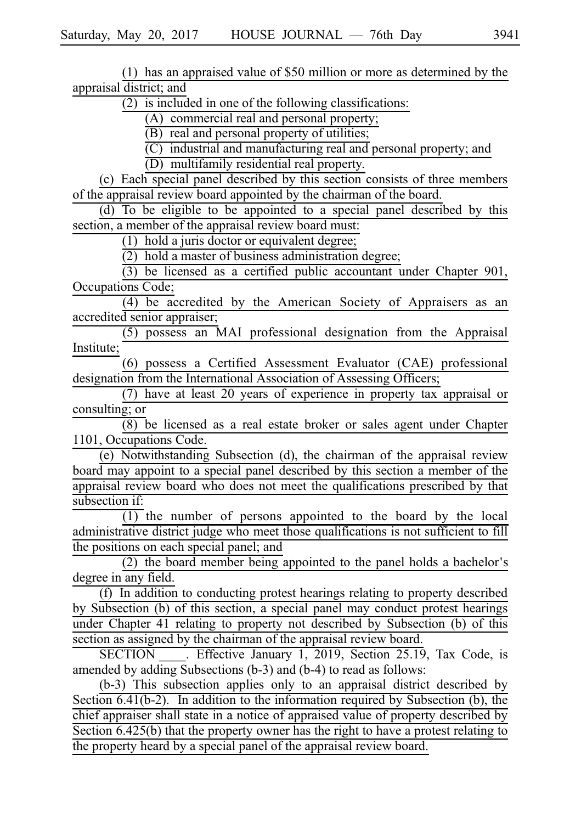(1) has an appraised value of  $$50$  million or more as determined by the appraisal district; and

 $(2)$  is included in one of the following classifications:

(A) commercial real and personal property;

 $(B)$  real and personal property of utilities;

 $\overline{C}$  industrial and manufacturing real and personal property; and

 $(D)$  multifamily residential real property.

 $(c)$  Each special panel described by this section consists of three members of the appraisal review board appointed by the chairman of the board.

 $\overline{d}$  (d) To be eligible to be appointed to a special panel described by this section, a member of the appraisal review board must:

 $(1)$  hold a juris doctor or equivalent degree;

 $(2)$  hold a master of business administration degree;

 $\overline{(3)}$  be licensed as a certified public accountant under Chapter 901, Occupations Code;

 $\overline{(4)}$  be accredited by the American Society of Appraisers as an accredited senior appraiser;

 $(5)$  possess an MAI professional designation from the Appraisal Institute;

(6) possess a Certified Assessment Evaluator (CAE) professional designation from the International Association of Assessing Officers;

(7) have at least 20 years of experience in property tax appraisal or consulting; or

 $\overline{(8)}$  be licensed as a real estate broker or sales agent under Chapter 1101, Occupations Code.

 $(e)$  Notwithstanding Subsection (d), the chairman of the appraisal review board may appoint to a special panel described by this section a member of the appraisal review board who does not meet the qualifications prescribed by that subsection if:

 $\overline{(1)}$  the number of persons appointed to the board by the local administrative district judge who meet those qualifications is not sufficient to fill the positions on each special panel; and

 $(2)$  the board member being appointed to the panel holds a bachelor's degree in any field.

(f) In addition to conducting protest hearings relating to property described by Subsection (b) of this section, a special panel may conduct protest hearings under Chapter 41 relating to property not described by Subsection (b) of this section as assigned by the chairman of the appraisal review board.

SECTION<sub>I</sub>. Effective January 1, 2019, Section 25.19, Tax Code, is amended by adding Subsections (b-3) and (b-4) to read as follows:

(b-3) This subsection applies only to an appraisal district described by Section 6.41(b-2). In addition to the information required by Subsection (b), the chief appraiser shall state in a notice of appraised value of property described by Section 6.425(b) that the property owner has the right to have a protest relating to the property heard by a special panel of the appraisal review board.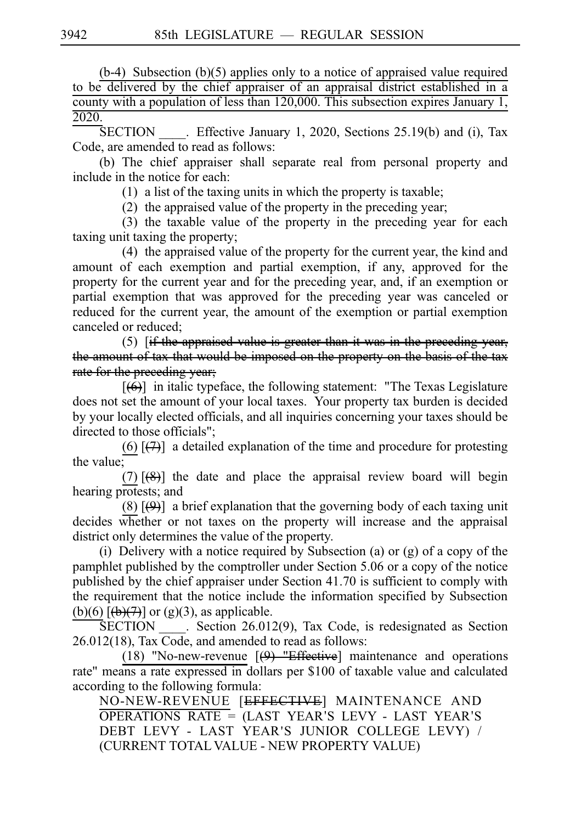(b-4) Subsection (b)(5) applies only to a notice of appraised value required to be delivered by the chief appraiser of an appraisal district established in a county with a population of less than 120,000. This subsection expires January 1, 2020.

 $SECTION$  . Effective January 1, 2020, Sections 25.19(b) and (i), Tax Code, are amended to read as follows:

(b) The chief appraiser shall separate real from personal property and include in the notice for each:

 $(1)$  a list of the taxing units in which the property is taxable;

 $(2)$  the appraised value of the property in the preceding year;

 $(3)$  the taxable value of the property in the preceding year for each taxing unit taxing the property;

(4) the appraised value of the property for the current year, the kind and amount of each exemption and partial exemption, if any, approved for the property for the current year and for the preceding year, and, if an exemption or partial exemption that was approved for the preceding year was canceled or reduced for the current year, the amount of the exemption or partial exemption canceled or reduced;

(5)  $\left| \right|$  if the appraised value is greater than it was in the preceding year, the amount of tax that would be imposed on the property on the basis of the tax rate for the preceding year;

 $[(6)]$  in italic typeface, the following statement: "The Texas Legislature does not set the amount of your local taxes. Your property tax burden is decided by your locally elected officials, and all inquiries concerning your taxes should be directed to those officials";

(6)  $\left[\frac{1}{2}\right]$  a detailed explanation of the time and procedure for protesting the value;

(7)  $[$ (8)] the date and place the appraisal review board will begin hearing protests; and

(8)  $\left[\frac{(\theta)}{(\theta)}\right]$  a brief explanation that the governing body of each taxing unit decides whether or not taxes on the property will increase and the appraisal district only determines the value of the property.

(i) Delivery with a notice required by Subsection (a) or (g) of a copy of the pamphlet published by the comptroller under Section 5.06 or a copy of the notice published by the chief appraiser under Section 41.70 is sufficient to comply with the requirement that the notice include the information specified by Subsection (b)(6)  $\overline{(\theta)(7)}$  or (g)(3), as applicable.

 $SECTION . Section 26.012(9), Tax Code, is redesignated as Section$ 26.012(18), Tax Code, and amended to read as follows:

(18) "No-new-revenue  $[$ (9) "Effective] maintenance and operations rate" means a rate expressed in dollars per \$100 of taxable value and calculated according to the following formula:

NO-NEW-REVENUE [EFFECTIVE] MAINTENANCE AND  $\overline{\text{OPERATIONS RATE}} = \overline{\text{ (LAST YEAR'S LEVY - LAST YEAR'S)}}$ DEBT LEVY - LAST YEAR ' S JUNIOR COLLEGE LEVY) / (CURRENT TOTAL VALUE - NEW PROPERTY VALUE)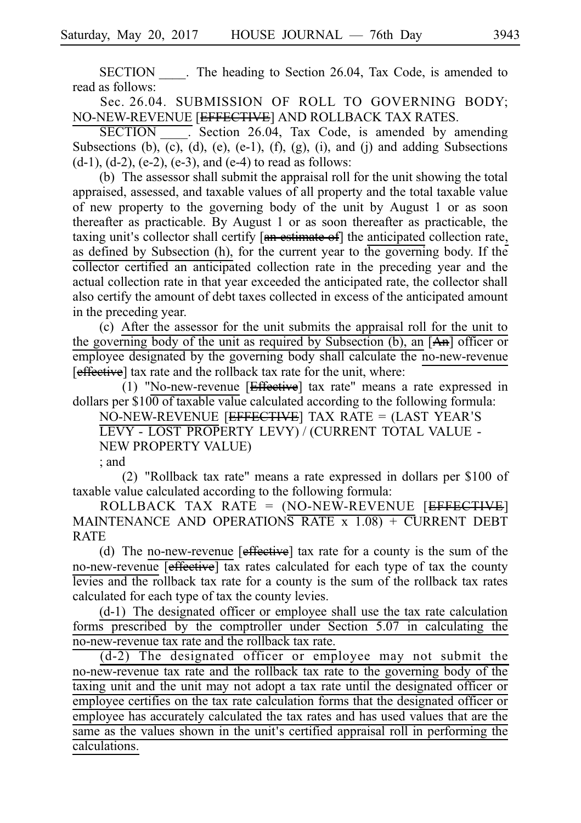SECTION The heading to Section 26.04, Tax Code, is amended to read as follows:

Sec. 26.04. SUBMISSION OF ROLL TO GOVERNING BODY; NO-NEW-REVENUE [EFFECTIVE] AND ROLLBACK TAX RATES.

SECTION : Section 26.04, Tax Code, is amended by amending Subsections (b), (c), (d), (e), (e-1), (f), (g), (i), and (j) and adding Subsections  $(d-1)$ ,  $(d-2)$ ,  $(e-2)$ ,  $(e-3)$ , and  $(e-4)$  to read as follows:

(b) The assessor shall submit the appraisal roll for the unit showing the total appraised, assessed, and taxable values of all property and the total taxable value of new property to the governing body of the unit by August 1 or as soon thereafter as practicable. By August 1 or as soon thereafter as practicable, the taxing unit's collector shall certify [an estimate of] the anticipated collection rate, as defined by Subsection (h), for the current year to the governing body. If the collector certified an anticipated collection rate in the preceding year and the actual collection rate in that year exceeded the anticipated rate, the collector shall also certify the amount of debt taxes collected in excess of the anticipated amount in the preceding year.

(c)iiAfter the assessor for the unit submits the appraisal roll for the unit to the governing body of the unit as required by Subsection (b), an [An] officer or employee designated by the governing body shall calculate the no-new-revenue [effective] tax rate and the rollback tax rate for the unit, where:

(1) "No-new-revenue  $[Effective]$  tax rate" means a rate expressed in dollars per  $$100$  of taxable value calculated according to the following formula:

NO-NEW-REVENUE [EFFECTIVE] TAX RATE = (LAST YEAR S' LEVY - LOST PROPERTY LEVY) / (CURRENT TOTAL VALUE -

NEW PROPERTY VALUE)

; and

(2) "Rollback tax rate" means a rate expressed in dollars per  $$100$  of taxable value calculated according to the following formula:

ROLLBACK TAX RATE = (NO-NEW-REVENUE [EFFECTIVE] MAINTENANCE AND OPERATIONS RATE  $x$  1.08) + CURRENT DEBT RATE

(d) The no-new-revenue  $[effective]$  tax rate for a county is the sum of the no-new-revenue [effective] tax rates calculated for each type of tax the county levies and the rollback tax rate for a county is the sum of the rollback tax rates calculated for each type of tax the county levies.

 $(d-1)$  The designated officer or employee shall use the tax rate calculation forms prescribed by the comptroller under Section 5.07 in calculating the no-new-revenue tax rate and the rollback tax rate.

 $(d-2)$  The designated officer or employee may not submit the no-new-revenue tax rate and the rollback tax rate to the governing body of the taxing unit and the unit may not adopt a tax rate until the designated officer or employee certifies on the tax rate calculation forms that the designated officer or employee has accurately calculated the tax rates and has used values that are the same as the values shown in the unit's certified appraisal roll in performing the calculations.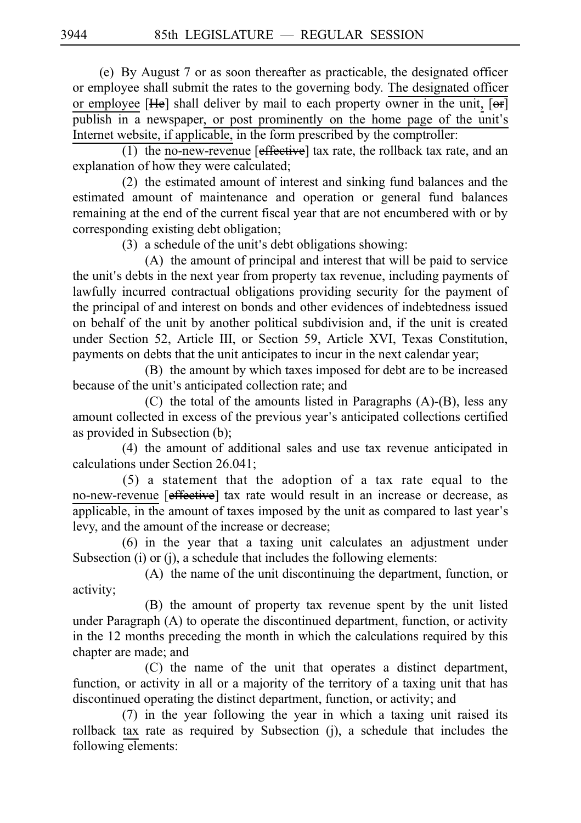(e) By August 7 or as soon thereafter as practicable, the designated officer or employee shall submit the rates to the governing body. The designated officer or employee  $[He]$  shall deliver by mail to each property owner in the unit,  $[**or**]$ publish in a newspaper, or post prominently on the home page of the unit's Internet website, if applicable, in the form prescribed by the comptroller:

(1) the no-new-revenue  $[effective]$  tax rate, the rollback tax rate, and an explanation of how they were calculated;

(2) the estimated amount of interest and sinking fund balances and the estimated amount of maintenance and operation or general fund balances remaining at the end of the current fiscal year that are not encumbered with or by corresponding existing debt obligation;

 $(3)$  a schedule of the unit's debt obligations showing:

 $(A)$  the amount of principal and interest that will be paid to service the unit's debts in the next year from property tax revenue, including payments of lawfully incurred contractual obligations providing security for the payment of the principal of and interest on bonds and other evidences of indebtedness issued on behalf of the unit by another political subdivision and, if the unit is created under Section 52, Article III, or Section 59, Article XVI, Texas Constitution, payments on debts that the unit anticipates to incur in the next calendar year;

(B) the amount by which taxes imposed for debt are to be increased because of the unit's anticipated collection rate; and

(C) the total of the amounts listed in Paragraphs  $(A)$ - $(B)$ , less any amount collected in excess of the previous year's anticipated collections certified as provided in Subsection (b);

(4) the amount of additional sales and use tax revenue anticipated in calculations under Section 26.041;

 $(5)$  a statement that the adoption of a tax rate equal to the no-new-revenue [effective] tax rate would result in an increase or decrease, as applicable, in the amount of taxes imposed by the unit as compared to last year's levy, and the amount of the increase or decrease;

(6) in the year that a taxing unit calculates an adjustment under Subsection (i) or (j), a schedule that includes the following elements:

(A) the name of the unit discontinuing the department, function, or activity;

(B) the amount of property tax revenue spent by the unit listed under Paragraph (A) to operate the discontinued department, function, or activity in the 12 months preceding the month in which the calculations required by this chapter are made; and

(C) the name of the unit that operates a distinct department, function, or activity in all or a majority of the territory of a taxing unit that has discontinued operating the distinct department, function, or activity; and

 $(7)$  in the year following the year in which a taxing unit raised its rollback tax rate as required by Subsection (j), a schedule that includes the following elements: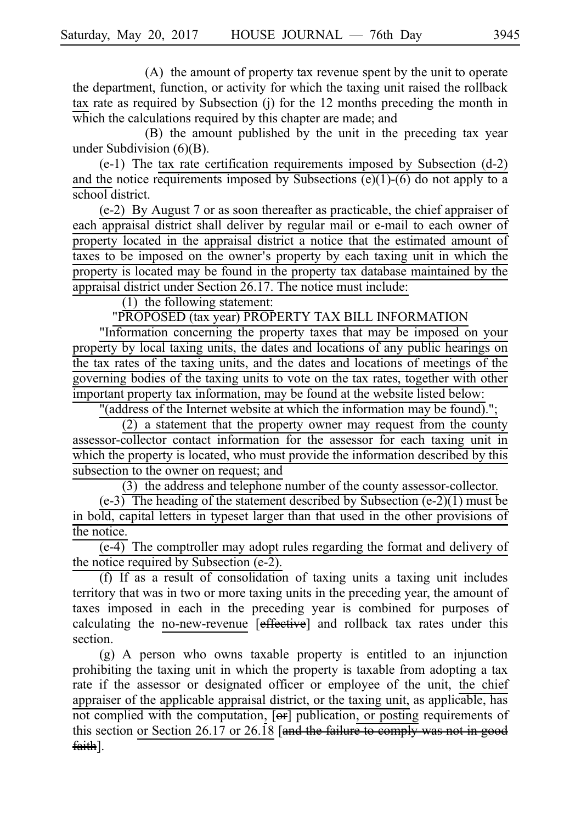(A) the amount of property tax revenue spent by the unit to operate the department, function, or activity for which the taxing unit raised the rollback tax rate as required by Subsection (j) for the 12 months preceding the month in which the calculations required by this chapter are made; and

(B) the amount published by the unit in the preceding tax year under Subdivision (6)(B).

(e-1) The tax rate certification requirements imposed by Subsection  $(d-2)$ and the notice requirements imposed by Subsections  $(e)(1)-(6)$  do not apply to a school district.

 $(e-2)$  By August 7 or as soon thereafter as practicable, the chief appraiser of each appraisal district shall deliver by regular mail or e-mail to each owner of property located in the appraisal district a notice that the estimated amount of taxes to be imposed on the owner's property by each taxing unit in which the property is located may be found in the property tax database maintained by the appraisal district under Section 26.17. The notice must include:

 $(1)$  the following statement:

"PROPOSED (tax year) PROPERTY TAX BILL INFORMATION

"Information concerning the property taxes that may be imposed on your property by local taxing units, the dates and locations of any public hearings on the tax rates of the taxing units, and the dates and locations of meetings of the governing bodies of the taxing units to vote on the tax rates, together with other important property tax information, may be found at the website listed below:

"(address of the Internet website at which the information may be found).";

 $(2)$  a statement that the property owner may request from the county assessor-collector contact information for the assessor for each taxing unit in which the property is located, who must provide the information described by this subsection to the owner on request; and

 $(3)$  the address and telephone number of the county assessor-collector.

 $(e-3)$  The heading of the statement described by Subsection  $(e-2)(1)$  must be in bold, capital letters in typeset larger than that used in the other provisions of the notice.

 $\overline{(e-4)}$  The comptroller may adopt rules regarding the format and delivery of the notice required by Subsection (e-2).

 $(f)$  If as a result of consolidation of taxing units a taxing unit includes territory that was in two or more taxing units in the preceding year, the amount of taxes imposed in each in the preceding year is combined for purposes of calculating the no-new-revenue [effective] and rollback tax rates under this section.

 $(g)$  A person who owns taxable property is entitled to an injunction prohibiting the taxing unit in which the property is taxable from adopting a tax rate if the assessor or designated officer or employee of the unit, the chief appraiser of the applicable appraisal district, or the taxing unit, as applicable, has not complied with the computation, [or] publication, or posting requirements of this section or Section 26.17 or 26.18 [and the failure to comply was not in good faith].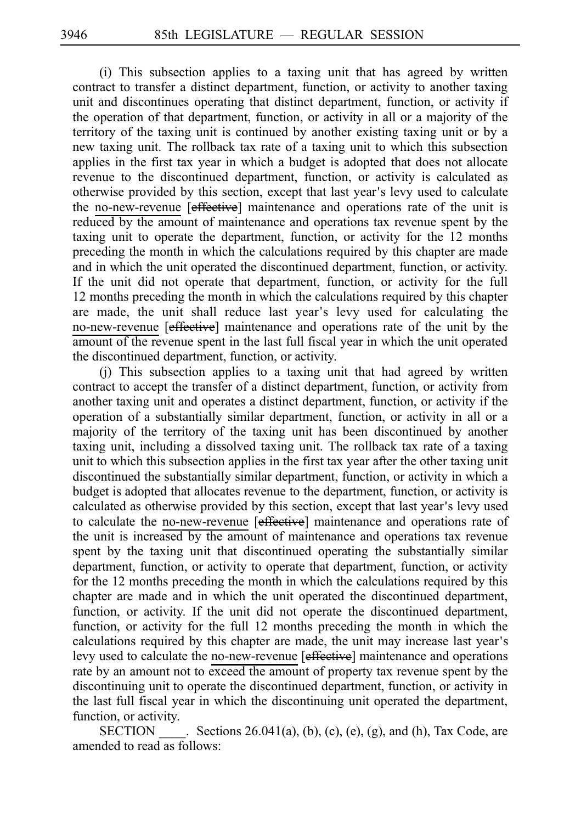$(i)$  This subsection applies to a taxing unit that has agreed by written contract to transfer a distinct department, function, or activity to another taxing unit and discontinues operating that distinct department, function, or activity if the operation of that department, function, or activity in all or a majority of the territory of the taxing unit is continued by another existing taxing unit or by a new taxing unit. The rollback tax rate of a taxing unit to which this subsection applies in the first tax year in which a budget is adopted that does not allocate revenue to the discontinued department, function, or activity is calculated as otherwise provided by this section, except that last year's levy used to calculate the no-new-revenue [effective] maintenance and operations rate of the unit is reduced by the amount of maintenance and operations tax revenue spent by the taxing unit to operate the department, function, or activity for the 12 months preceding the month in which the calculations required by this chapter are made and in which the unit operated the discontinued department, function, or activity. If the unit did not operate that department, function, or activity for the full 12 months preceding the month in which the calculations required by this chapter are made, the unit shall reduce last year's levy used for calculating the no-new-revenue [effective] maintenance and operations rate of the unit by the amount of the revenue spent in the last full fiscal year in which the unit operated the discontinued department, function, or activity.

 $(i)$  This subsection applies to a taxing unit that had agreed by written contract to accept the transfer of a distinct department, function, or activity from another taxing unit and operates a distinct department, function, or activity if the operation of a substantially similar department, function, or activity in all or a majority of the territory of the taxing unit has been discontinued by another taxing unit, including a dissolved taxing unit. The rollback tax rate of a taxing unit to which this subsection applies in the first tax year after the other taxing unit discontinued the substantially similar department, function, or activity in which a budget is adopted that allocates revenue to the department, function, or activity is calculated as otherwise provided by this section, except that last year's levy used to calculate the no-new-revenue [effective] maintenance and operations rate of the unit is increased by the amount of maintenance and operations tax revenue spent by the taxing unit that discontinued operating the substantially similar department, function, or activity to operate that department, function, or activity for the 12 months preceding the month in which the calculations required by this chapter are made and in which the unit operated the discontinued department, function, or activity. If the unit did not operate the discontinued department, function, or activity for the full 12 months preceding the month in which the calculations required by this chapter are made, the unit may increase last year s' levy used to calculate the no-new-revenue [effective] maintenance and operations rate by an amount not to exceed the amount of property tax revenue spent by the discontinuing unit to operate the discontinued department, function, or activity in the last full fiscal year in which the discontinuing unit operated the department, function, or activity.

SECTION Sections  $26.041(a)$ , (b), (c), (e), (g), and (h), Tax Code, are amended to read as follows: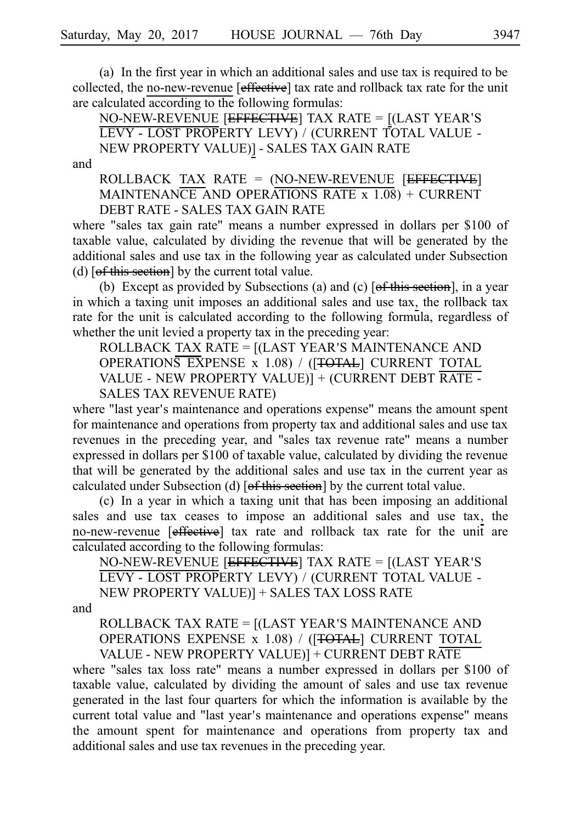(a) In the first year in which an additional sales and use tax is required to be collected, the no-new-revenue [effective] tax rate and rollback tax rate for the unit are calculated according to the following formulas:

NO-NEW-REVENUE [EFFECTIVE] TAX RATE = [(LAST YEAR S' LEVY - LOST PROPERTY LEVY) / (CURRENT TOTAL VALUE - NEW PROPERTY VALUE)] - SALES TAX GAIN RATE

and

ROLLBACK TAX RATE =  $(NO-NEW-REVENUE$  [EFFECTIVE] MAINTENANCE AND OPERATIONS RATE x 1.08) + CURRENT DEBT RATE - SALES TAX GAIN RATE

where "sales tax gain rate" means a number expressed in dollars per \$100 of taxable value, calculated by dividing the revenue that will be generated by the additional sales and use tax in the following year as calculated under Subsection (d)  $[off this section]$  by the current total value.

(b) Except as provided by Subsections (a) and (c)  $[of this section]$ , in a year in which a taxing unit imposes an additional sales and use tax, the rollback tax rate for the unit is calculated according to the following formula, regardless of whether the unit levied a property tax in the preceding year:

ROLLBACK TAX RATE  $=$   $[($ LAST YEAR'S MAINTENANCE AND OPERATIONS EXPENSE x 1.08) / ([TOTAL] CURRENT TOTAL VALUE - NEW PROPERTY VALUE)] + (CURRENT DEBT RATE - SALES TAX REVENUE RATE)

where "last year's maintenance and operations expense" means the amount spent for maintenance and operations from property tax and additional sales and use tax revenues in the preceding year, and "sales tax revenue rate" means a number expressed in dollars per \$100 of taxable value, calculated by dividing the revenue that will be generated by the additional sales and use tax in the current year as calculated under Subsection (d) [of this section] by the current total value.

 $(c)$  In a year in which a taxing unit that has been imposing an additional sales and use tax ceases to impose an additional sales and use tax, the no-new-revenue [effective] tax rate and rollback tax rate for the unit are calculated according to the following formulas:

NO-NEW-REVENUE [EFFECTIVE] TAX RATE = [(LAST YEAR S' LEVY - LOST PROPERTY LEVY) / (CURRENT TOTAL VALUE - NEW PROPERTY VALUE)] + SALES TAX LOSS RATE

and

ROLLBACK TAX RATE = [(LAST YEAR'S MAINTENANCE AND OPERATIONS EXPENSE x 1.08) / ([TOTAL] CURRENT TOTAL VALUE - NEW PROPERTY VALUE)] + CURRENT DEBT RATE

where "sales tax loss rate" means a number expressed in dollars per \$100 of taxable value, calculated by dividing the amount of sales and use tax revenue generated in the last four quarters for which the information is available by the current total value and "last year's maintenance and operations expense" means the amount spent for maintenance and operations from property tax and additional sales and use tax revenues in the preceding year.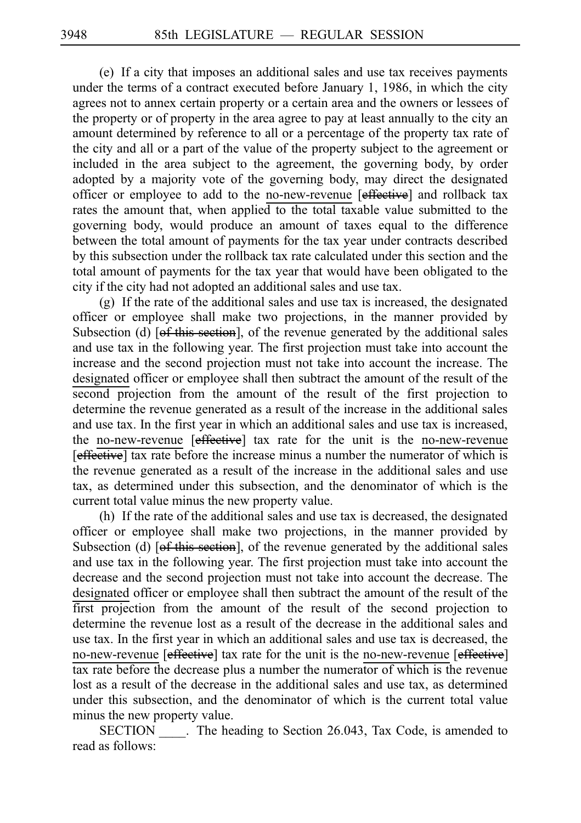(e) If a city that imposes an additional sales and use tax receives payments under the terms of a contract executed before January 1, 1986, in which the city agrees not to annex certain property or a certain area and the owners or lessees of the property or of property in the area agree to pay at least annually to the city an amount determined by reference to all or a percentage of the property tax rate of the city and all or a part of the value of the property subject to the agreement or included in the area subject to the agreement, the governing body, by order adopted by a majority vote of the governing body, may direct the designated officer or employee to add to the no-new-revenue [effective] and rollback tax rates the amount that, when applied to the total taxable value submitted to the governing body, would produce an amount of taxes equal to the difference between the total amount of payments for the tax year under contracts described by this subsection under the rollback tax rate calculated under this section and the total amount of payments for the tax year that would have been obligated to the city if the city had not adopted an additional sales and use tax.

 $(g)$  If the rate of the additional sales and use tax is increased, the designated officer or employee shall make two projections, in the manner provided by Subsection (d)  $[of this section]$ , of the revenue generated by the additional sales and use tax in the following year. The first projection must take into account the increase and the second projection must not take into account the increase. The designated officer or employee shall then subtract the amount of the result of the second projection from the amount of the result of the first projection to determine the revenue generated as a result of the increase in the additional sales and use tax. In the first year in which an additional sales and use tax is increased, the no-new-revenue [effective] tax rate for the unit is the no-new-revenue [effective] tax rate before the increase minus a number the numerator of which is the revenue generated as a result of the increase in the additional sales and use tax, as determined under this subsection, and the denominator of which is the current total value minus the new property value.

(h) If the rate of the additional sales and use tax is decreased, the designated officer or employee shall make two projections, in the manner provided by Subsection (d)  $[of this section]$ , of the revenue generated by the additional sales and use tax in the following year. The first projection must take into account the decrease and the second projection must not take into account the decrease. The designated officer or employee shall then subtract the amount of the result of the first projection from the amount of the result of the second projection to determine the revenue lost as a result of the decrease in the additional sales and use tax. In the first year in which an additional sales and use tax is decreased, the no-new-revenue [effective] tax rate for the unit is the no-new-revenue [effective] tax rate before the decrease plus a number the numerator of which is the revenue lost as a result of the decrease in the additional sales and use tax, as determined under this subsection, and the denominator of which is the current total value minus the new property value.

SECTION . The heading to Section 26.043, Tax Code, is amended to read as follows: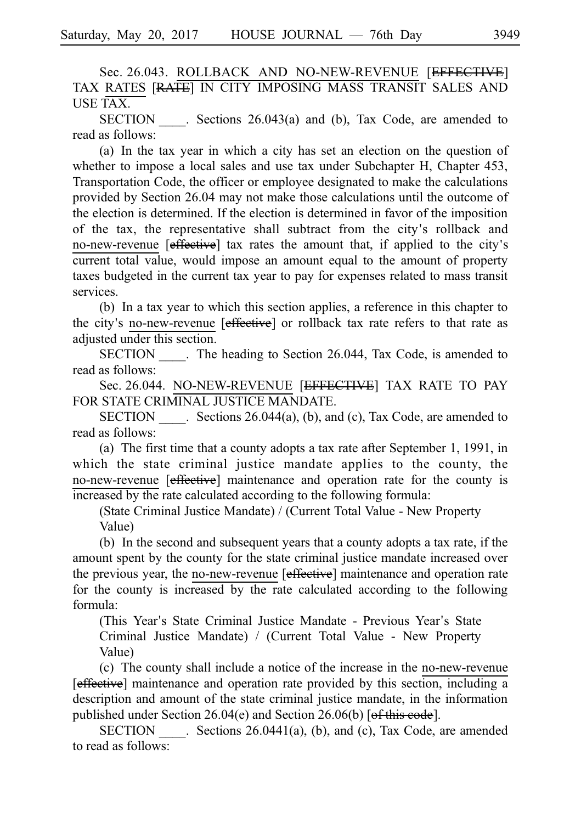Sec. 26.043. ROLLBACK AND NO-NEW-REVENUE [EFFECTIVE] TAX RATES [RATE] IN CITY IMPOSING MASS TRANSIT SALES AND USE TAX.

 $SECTION . Sections 26.043(a) and (b)$ , Tax Code, are amended to read as follows:

(a) In the tax year in which a city has set an election on the question of whether to impose a local sales and use tax under Subchapter H, Chapter 453, Transportation Code, the officer or employee designated to make the calculations provided by Section 26.04 may not make those calculations until the outcome of the election is determined. If the election is determined in favor of the imposition of the tax, the representative shall subtract from the city's rollback and no-new-revenue [effective] tax rates the amount that, if applied to the city's current total value, would impose an amount equal to the amount of property taxes budgeted in the current tax year to pay for expenses related to mass transit services.

(b) In a tax year to which this section applies, a reference in this chapter to the city's no-new-revenue [effective] or rollback tax rate refers to that rate as adjusted under this section.

SECTION \_\_\_\_\_. The heading to Section 26.044, Tax Code, is amended to read as follows:

Sec. 26.044. NO-NEW-REVENUE [EFFECTIVE] TAX RATE TO PAY FOR STATE CRIMINAL JUSTICE MANDATE.

SECTION Sections  $26.044(a)$ , (b), and (c), Tax Code, are amended to read as follows:

(a) The first time that a county adopts a tax rate after September 1, 1991, in which the state criminal justice mandate applies to the county, the no-new-revenue [effective] maintenance and operation rate for the county is increased by the rate calculated according to the following formula:

(State Criminal Justice Mandate) / (Current Total Value - New Property Value)

(b) In the second and subsequent years that a county adopts a tax rate, if the amount spent by the county for the state criminal justice mandate increased over the previous year, the no-new-revenue [effective] maintenance and operation rate for the county is increased by the rate calculated according to the following formula:

(This Year's State Criminal Justice Mandate - Previous Year's State Criminal Justice Mandate) / (Current Total Value - New Property Value)

(c) The county shall include a notice of the increase in the no-new-revenue [effective] maintenance and operation rate provided by this section, including a description and amount of the state criminal justice mandate, in the information published under Section  $26.04(e)$  and Section  $26.06(b)$  [of this code].

SECTION Sections 26.0441(a), (b), and (c), Tax Code, are amended to read as follows: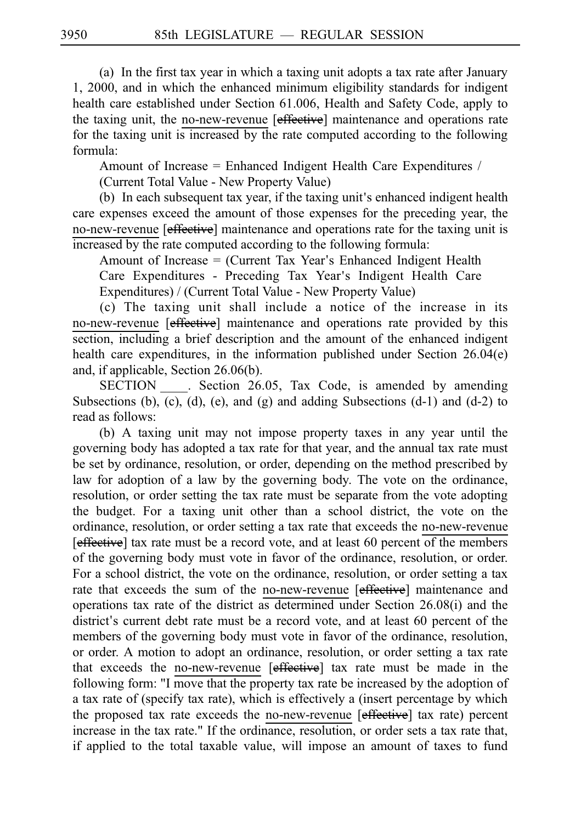(a) In the first tax year in which a taxing unit adopts a tax rate after January 1, 2000, and in which the enhanced minimum eligibility standards for indigent health care established under Section 61.006, Health and Safety Code, apply to the taxing unit, the no-new-revenue [effective] maintenance and operations rate for the taxing unit is increased by the rate computed according to the following formula:

Amount of Increase = Enhanced Indigent Health Care Expenditures /

(Current Total Value - New Property Value)

 $(b)$  In each subsequent tax year, if the taxing unit's enhanced indigent health care expenses exceed the amount of those expenses for the preceding year, the no-new-revenue [effective] maintenance and operations rate for the taxing unit is increased by the rate computed according to the following formula:

Amount of Increase  $=$  (Current Tax Year's Enhanced Indigent Health

Care Expenditures - Preceding Tax Year ' s Indigent Health Care Expenditures) / (Current Total Value - New Property Value)

 $(c)$  The taxing unit shall include a notice of the increase in its no-new-revenue [effective] maintenance and operations rate provided by this section, including a brief description and the amount of the enhanced indigent health care expenditures, in the information published under Section 26.04(e) and, if applicable, Section 26.06(b).

SECTION . Section 26.05, Tax Code, is amended by amending Subsections (b), (c), (d), (e), and (g) and adding Subsections  $(d-1)$  and  $(d-2)$  to read as follows:

(b) A taxing unit may not impose property taxes in any year until the governing body has adopted a tax rate for that year, and the annual tax rate must be set by ordinance, resolution, or order, depending on the method prescribed by law for adoption of a law by the governing body. The vote on the ordinance, resolution, or order setting the tax rate must be separate from the vote adopting the budget. For a taxing unit other than a school district, the vote on the ordinance, resolution, or order setting a tax rate that exceeds the no-new-revenue [effective] tax rate must be a record vote, and at least 60 percent of the members of the governing body must vote in favor of the ordinance, resolution, or order. For a school district, the vote on the ordinance, resolution, or order setting a tax rate that exceeds the sum of the no-new-revenue [effective] maintenance and operations tax rate of the district as determined under Section 26.08(i) and the district's current debt rate must be a record vote, and at least 60 percent of the members of the governing body must vote in favor of the ordinance, resolution, or order. A motion to adopt an ordinance, resolution, or order setting a tax rate that exceeds the no-new-revenue [effective] tax rate must be made in the following form: "I move that the property tax rate be increased by the adoption of a tax rate of (specify tax rate), which is effectively a (insert percentage by which the proposed tax rate exceeds the no-new-revenue [effective] tax rate) percent increase in the tax rate." If the ordinance, resolution, or order sets a tax rate that, if applied to the total taxable value, will impose an amount of taxes to fund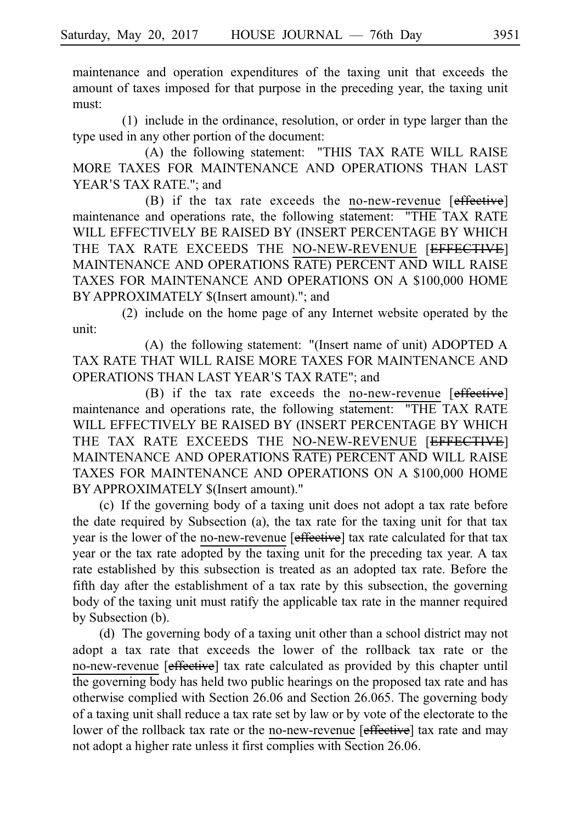maintenance and operation expenditures of the taxing unit that exceeds the amount of taxes imposed for that purpose in the preceding year, the taxing unit must:

 $(1)$  include in the ordinance, resolution, or order in type larger than the type used in any other portion of the document:

(A) the following statement: "THIS TAX RATE WILL RAISE MORE TAXES FOR MAINTENANCE AND OPERATIONS THAN LAST YEAR'S TAX RATE.": and

(B) if the tax rate exceeds the no-new-revenue [effective] maintenance and operations rate, the following statement: "THE TAX RATE WILL EFFECTIVELY BE RAISED BY (INSERT PERCENTAGE BY WHICH THE TAX RATE EXCEEDS THE NO-NEW-REVENUE [EFFECTIVE] MAINTENANCE AND OPERATIONS RATE) PERCENT AND WILL RAISE TAXES FOR MAINTENANCE AND OPERATIONS ON A \$100,000 HOME BY APPROXIMATELY \$(Insert amount)."; and

(2) include on the home page of any Internet website operated by the unit:

(A) the following statement: "(Insert name of unit) ADOPTED A TAX RATE THAT WILL RAISE MORE TAXES FOR MAINTENANCE AND OPERATIONS THAN LAST YEAR'S TAX RATE"; and

(B) if the tax rate exceeds the no-new-revenue [effective] maintenance and operations rate, the following statement: "THE TAX RATE WILL EFFECTIVELY BE RAISED BY (INSERT PERCENTAGE BY WHICH THE TAX RATE EXCEEDS THE NO-NEW-REVENUE [EFFECTIVE] MAINTENANCE AND OPERATIONS RATE) PERCENT AND WILL RAISE TAXES FOR MAINTENANCE AND OPERATIONS ON A \$100,000 HOME BY APPROXIMATELY \$(Insert amount)."

(c) If the governing body of a taxing unit does not adopt a tax rate before the date required by Subsection (a), the tax rate for the taxing unit for that tax year is the lower of the no-new-revenue [effective] tax rate calculated for that tax year or the tax rate adopted by the taxing unit for the preceding tax year. A tax rate established by this subsection is treated as an adopted tax rate. Before the fifth day after the establishment of a tax rate by this subsection, the governing body of the taxing unit must ratify the applicable tax rate in the manner required by Subsection (b).

(d) The governing body of a taxing unit other than a school district may not adopt a tax rate that exceeds the lower of the rollback tax rate or the no-new-revenue [effective] tax rate calculated as provided by this chapter until the governing body has held two public hearings on the proposed tax rate and has otherwise complied with Section 26.06 and Section 26.065. The governing body of a taxing unit shall reduce a tax rate set by law or by vote of the electorate to the lower of the rollback tax rate or the no-new-revenue [effective] tax rate and may not adopt a higher rate unless it first complies with Section 26.06.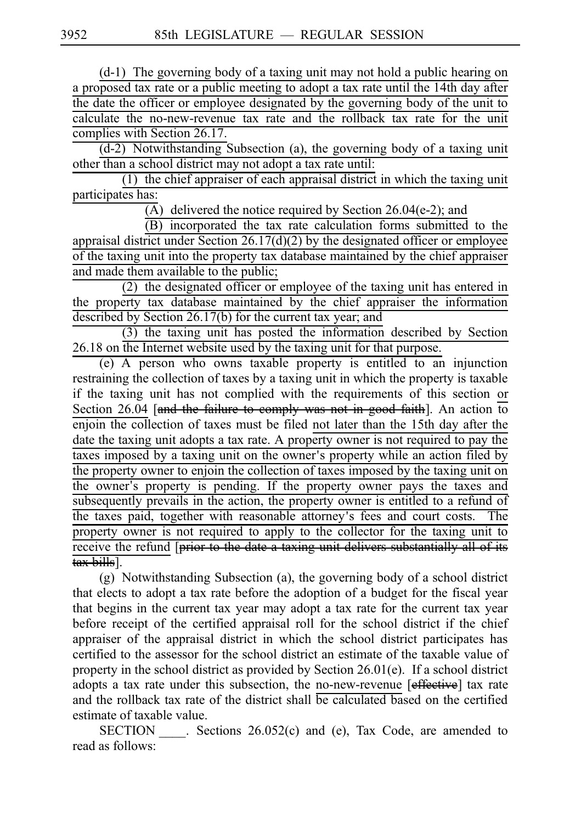$(d-1)$  The governing body of a taxing unit may not hold a public hearing on a proposed tax rate or a public meeting to adopt a tax rate until the 14th day after the date the officer or employee designated by the governing body of the unit to calculate the no-new-revenue tax rate and the rollback tax rate for the unit complies with Section 26.17.

 $(d-2)$  Notwithstanding Subsection (a), the governing body of a taxing unit other than a school district may not adopt a tax rate until:

 $(1)$  the chief appraiser of each appraisal district in which the taxing unit participates has:

(A) delivered the notice required by Section 26.04(e-2); and

(B) incorporated the tax rate calculation forms submitted to the appraisal district under Section 26.17(d)(2) by the designated officer or employee of the taxing unit into the property tax database maintained by the chief appraiser and made them available to the public;

 $(2)$  the designated officer or employee of the taxing unit has entered in the property tax database maintained by the chief appraiser the information described by Section 26.17(b) for the current tax year; and

 $(3)$  the taxing unit has posted the information described by Section 26.18 on the Internet website used by the taxing unit for that purpose.

 $(e)$  A person who owns taxable property is entitled to an injunction restraining the collection of taxes by a taxing unit in which the property is taxable if the taxing unit has not complied with the requirements of this section or Section 26.04 [and the failure to comply was not in good faith]. An action to enjoin the collection of taxes must be filed not later than the 15th day after the date the taxing unit adopts a tax rate. A property owner is not required to pay the taxes imposed by a taxing unit on the owner's property while an action filed by the property owner to enjoin the collection of taxes imposed by the taxing unit on the owner's property is pending. If the property owner pays the taxes and subsequently prevails in the action, the property owner is entitled to a refund of the taxes paid, together with reasonable attorney's fees and court costs. The property owner is not required to apply to the collector for the taxing unit to receive the refund [prior to the date a taxing unit delivers substantially all of its tax bills].

(g) Notwithstanding Subsection (a), the governing body of a school district that elects to adopt a tax rate before the adoption of a budget for the fiscal year that begins in the current tax year may adopt a tax rate for the current tax year before receipt of the certified appraisal roll for the school district if the chief appraiser of the appraisal district in which the school district participates has certified to the assessor for the school district an estimate of the taxable value of property in the school district as provided by Section 26.01(e). If a school district adopts a tax rate under this subsection, the no-new-revenue [effective] tax rate and the rollback tax rate of the district shall be calculated based on the certified estimate of taxable value.

 $SECTION .$  Sections  $26.052(c)$  and (e), Tax Code, are amended to read as follows: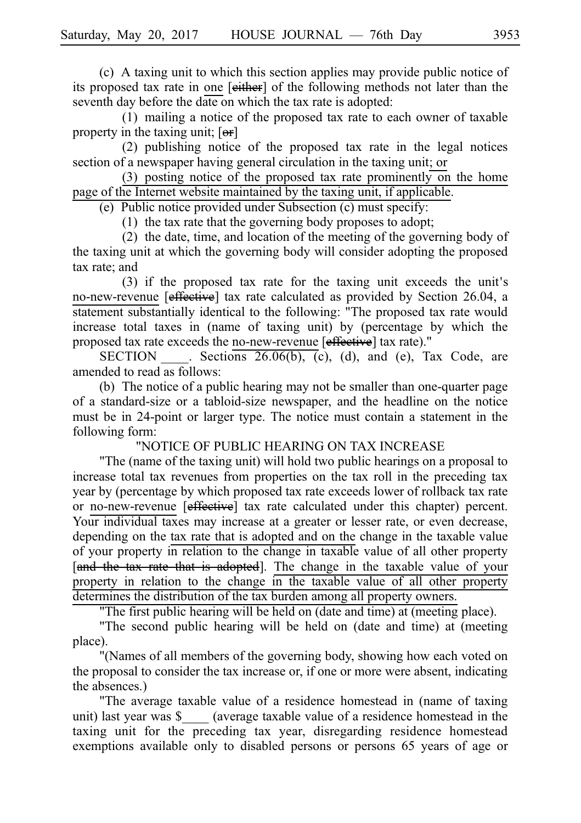(c) A taxing unit to which this section applies may provide public notice of its proposed tax rate in one [either] of the following methods not later than the seventh day before the date on which the tax rate is adopted:

 $(1)$  mailing a notice of the proposed tax rate to each owner of taxable property in the taxing unit;  $[**or**]$ 

 $(2)$  publishing notice of the proposed tax rate in the legal notices section of a newspaper having general circulation in the taxing unit; or

(3) posting notice of the proposed tax rate prominently on the home page of the Internet website maintained by the taxing unit, if applicable.

(e) Public notice provided under Subsection  $(c)$  must specify:

(1) the tax rate that the governing body proposes to adopt;

 $(2)$  the date, time, and location of the meeting of the governing body of the taxing unit at which the governing body will consider adopting the proposed tax rate; and

 $(3)$  if the proposed tax rate for the taxing unit exceeds the unit's no-new-revenue [effective] tax rate calculated as provided by Section 26.04, a statement substantially identical to the following: "The proposed tax rate would increase total taxes in (name of taxing unit) by (percentage by which the proposed tax rate exceeds the no-new-revenue [effective] tax rate)."

SECTION Sections  $26.06(b)$ , (c), (d), and (e), Tax Code, are amended to read as follows:

(b) The notice of a public hearing may not be smaller than one-quarter page of a standard-size or a tabloid-size newspaper, and the headline on the notice must be in 24-point or larger type. The notice must contain a statement in the following form:

"NOTICE OF PUBLIC HEARING ON TAX INCREASE

"The (name of the taxing unit) will hold two public hearings on a proposal to increase total tax revenues from properties on the tax roll in the preceding tax year by (percentage by which proposed tax rate exceeds lower of rollback tax rate or no-new-revenue [effective] tax rate calculated under this chapter) percent. Your individual taxes may increase at a greater or lesser rate, or even decrease, depending on the tax rate that is adopted and on the change in the taxable value of your property in relation to the change in taxable value of all other property [and the tax rate that is adopted]. The change in the taxable value of your property in relation to the change in the taxable value of all other property determines the distribution of the tax burden among all property owners.

"The first public hearing will be held on (date and time) at (meeting place).

"The second public hearing will be held on (date and time) at (meeting place).

"(Names of all members of the governing body, showing how each voted on the proposal to consider the tax increase or, if one or more were absent, indicating the absences.)

"The average taxable value of a residence homestead in (name of taxing unit) last year was \$ \_\_\_\_ (average taxable value of a residence homestead in the taxing unit for the preceding tax year, disregarding residence homestead exemptions available only to disabled persons or persons 65 years of age or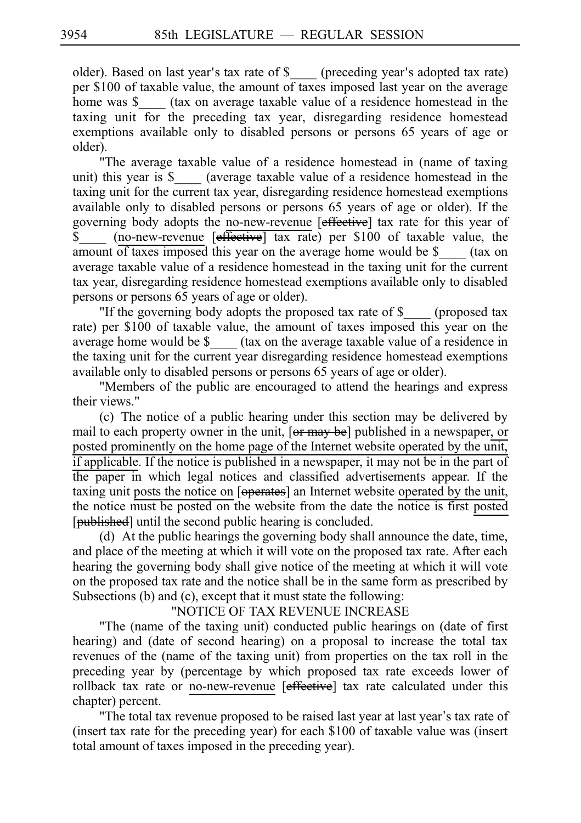older). Based on last year's tax rate of \$ \_\_\_\_ (preceding year's adopted tax rate) per \$100 of taxable value, the amount of taxes imposed last year on the average home was \$\_\_\_\_ (tax on average taxable value of a residence homestead in the taxing unit for the preceding tax year, disregarding residence homestead exemptions available only to disabled persons or persons 65 years of age or older).

"The average taxable value of a residence homestead in (name of taxing unit) this year is \$ (average taxable value of a residence homestead in the taxing unit for the current tax year, disregarding residence homestead exemptions available only to disabled persons or persons 65 years of age or older). If the governing body adopts the no-new-revenue [effective] tax rate for this year of  $\overline{\$}$  (no-new-revenue [effective] tax rate) per \$100 of taxable value, the amount of taxes imposed this year on the average home would be \$\_\_\_\_ (tax on average taxable value of a residence homestead in the taxing unit for the current tax year, disregarding residence homestead exemptions available only to disabled persons or persons 65 years of age or older).

"If the governing body adopts the proposed tax rate of \$\_\_\_\_ (proposed tax rate) per \$100 of taxable value, the amount of taxes imposed this year on the average home would be \$ (tax on the average taxable value of a residence in the taxing unit for the current year disregarding residence homestead exemptions available only to disabled persons or persons 65 years of age or older).

"Members of the public are encouraged to attend the hearings and express their views."

(c) The notice of a public hearing under this section may be delivered by mail to each property owner in the unit, [or may be] published in a newspaper, or posted prominently on the home page of the Internet website operated by the unit, if applicable. If the notice is published in a newspaper, it may not be in the part of the paper in which legal notices and classified advertisements appear. If the taxing unit posts the notice on [operates] an Internet website operated by the unit, the notice must be posted on the website from the date the notice is first posted [published] until the second public hearing is concluded.

(d) At the public hearings the governing body shall announce the date, time, and place of the meeting at which it will vote on the proposed tax rate. After each hearing the governing body shall give notice of the meeting at which it will vote on the proposed tax rate and the notice shall be in the same form as prescribed by Subsections (b) and (c), except that it must state the following:

#### "NOTICE OF TAX REVENUE INCREASE

"The (name of the taxing unit) conducted public hearings on (date of first hearing) and (date of second hearing) on a proposal to increase the total tax revenues of the (name of the taxing unit) from properties on the tax roll in the preceding year by (percentage by which proposed tax rate exceeds lower of rollback tax rate or no-new-revenue [effective] tax rate calculated under this chapter) percent.

"The total tax revenue proposed to be raised last year at last year's tax rate of (insert tax rate for the preceding year) for each \$100 of taxable value was (insert total amount of taxes imposed in the preceding year).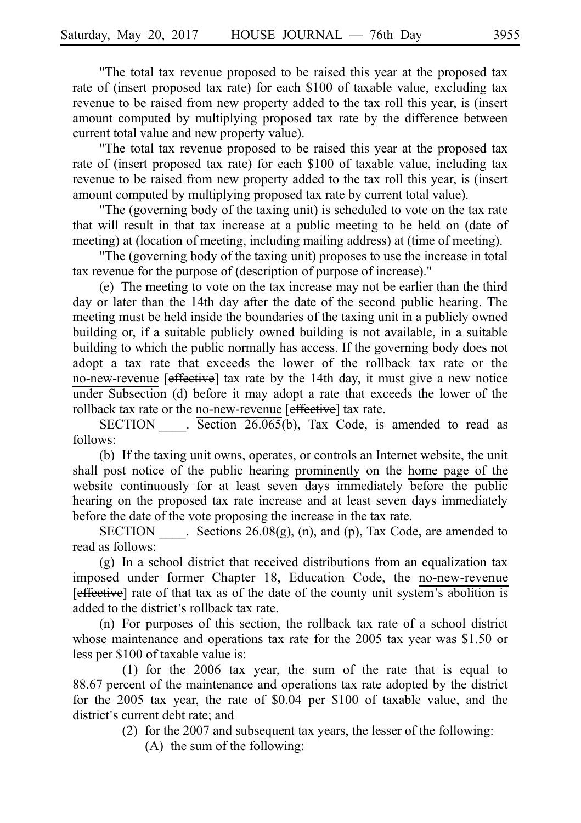"The total tax revenue proposed to be raised this year at the proposed tax rate of (insert proposed tax rate) for each \$100 of taxable value, excluding tax revenue to be raised from new property added to the tax roll this year, is (insert amount computed by multiplying proposed tax rate by the difference between current total value and new property value).

"The total tax revenue proposed to be raised this year at the proposed tax rate of (insert proposed tax rate) for each \$100 of taxable value, including tax revenue to be raised from new property added to the tax roll this year, is (insert amount computed by multiplying proposed tax rate by current total value).

"The (governing body of the taxing unit) is scheduled to vote on the tax rate that will result in that tax increase at a public meeting to be held on (date of meeting) at (location of meeting, including mailing address) at (time of meeting).

"The (governing body of the taxing unit) proposes to use the increase in total tax revenue for the purpose of (description of purpose of increase)."

(e) The meeting to vote on the tax increase may not be earlier than the third day or later than the 14th day after the date of the second public hearing. The meeting must be held inside the boundaries of the taxing unit in a publicly owned building or, if a suitable publicly owned building is not available, in a suitable building to which the public normally has access. If the governing body does not adopt a tax rate that exceeds the lower of the rollback tax rate or the no-new-revenue [effective] tax rate by the 14th day, it must give a new notice under Subsection (d) before it may adopt a rate that exceeds the lower of the rollback tax rate or the no-new-revenue [effective] tax rate.

SECTION  $\qquad$ . Section 26.065(b), Tax Code, is amended to read as follows:

(b) If the taxing unit owns, operates, or controls an Internet website, the unit shall post notice of the public hearing prominently on the home page of the website continuously for at least seven days immediately before the public hearing on the proposed tax rate increase and at least seven days immediately before the date of the vote proposing the increase in the tax rate.

SECTION Elections  $26.08(g)$ , (n), and (p), Tax Code, are amended to read as follows:

 $(g)$  In a school district that received distributions from an equalization tax imposed under former Chapter 18, Education Code, the no-new-revenue [effective] rate of that tax as of the date of the county unit system's abolition is added to the district's rollback tax rate.

 $(n)$  For purposes of this section, the rollback tax rate of a school district whose maintenance and operations tax rate for the 2005 tax year was \$1.50 or less per \$100 of taxable value is:

(1) for the  $2006$  tax year, the sum of the rate that is equal to 88.67 percent of the maintenance and operations tax rate adopted by the district for the 2005 tax year, the rate of \$0.04 per \$100 of taxable value, and the district's current debt rate; and

(2) for the 2007 and subsequent tax years, the lesser of the following:

 $(A)$  the sum of the following: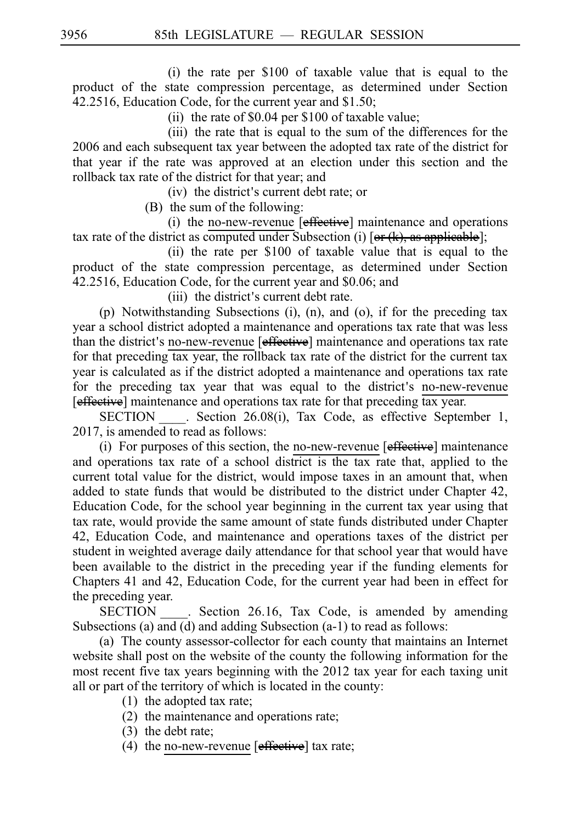(i) the rate per  $$100$  of taxable value that is equal to the product of the state compression percentage, as determined under Section 42.2516, Education Code, for the current year and \$1.50;

(ii) the rate of  $$0.04$  per  $$100$  of taxable value;

(iii) the rate that is equal to the sum of the differences for the 2006 and each subsequent tax year between the adopted tax rate of the district for that year if the rate was approved at an election under this section and the rollback tax rate of the district for that year; and

(iv) the district's current debt rate; or

 $(B)$  the sum of the following:

(i) the no-new-revenue  $[effective]$  maintenance and operations tax rate of the district as computed under Subsection (i) [ $or (k)$ , as applicable];

(ii) the rate per  $$100$  of taxable value that is equal to the product of the state compression percentage, as determined under Section 42.2516, Education Code, for the current year and \$0.06; and

(iii) the district's current debt rate.

(p) Notwithstanding Subsections (i), (n), and (o), if for the preceding tax year a school district adopted a maintenance and operations tax rate that was less than the district's no-new-revenue [effective] maintenance and operations tax rate for that preceding tax year, the rollback tax rate of the district for the current tax year is calculated as if the district adopted a maintenance and operations tax rate for the preceding tax year that was equal to the district's no-new-revenue [effective] maintenance and operations tax rate for that preceding tax year.

SECTION . Section 26.08(i), Tax Code, as effective September 1, 2017, is amended to read as follows:

(i) For purposes of this section, the no-new-revenue  $[effective]$  maintenance and operations tax rate of a school district is the tax rate that, applied to the current total value for the district, would impose taxes in an amount that, when added to state funds that would be distributed to the district under Chapter 42, Education Code, for the school year beginning in the current tax year using that tax rate, would provide the same amount of state funds distributed under Chapter 42, Education Code, and maintenance and operations taxes of the district per student in weighted average daily attendance for that school year that would have been available to the district in the preceding year if the funding elements for Chapters 41 and 42, Education Code, for the current year had been in effect for the preceding year.

SECTION Section 26.16, Tax Code, is amended by amending Subsections (a) and (d) and adding Subsection (a-1) to read as follows:

(a) The county assessor-collector for each county that maintains an Internet website shall post on the website of the county the following information for the most recent five tax years beginning with the 2012 tax year for each taxing unit all or part of the territory of which is located in the county:

- $(1)$  the adopted tax rate;
- $(2)$  the maintenance and operations rate;
- $(3)$  the debt rate;
- (4) the no-new-revenue  $[effective]$  tax rate;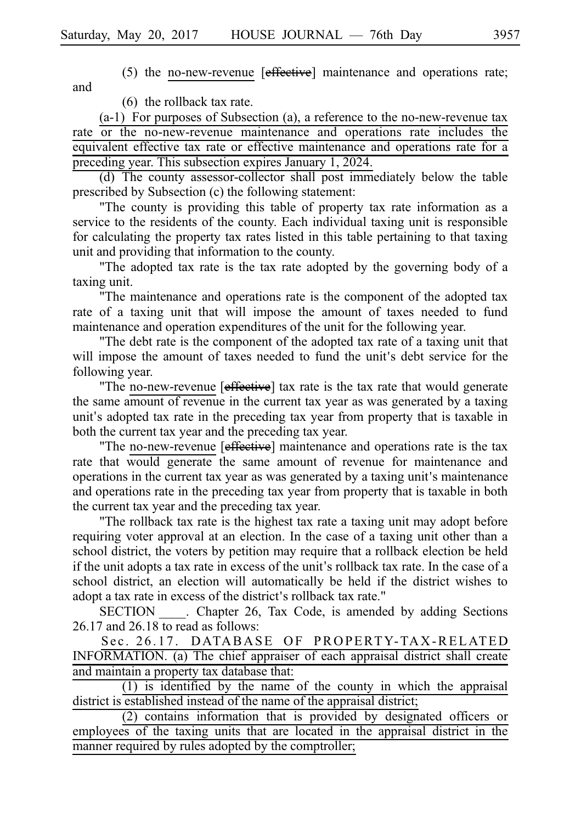and

(5) the no-new-revenue  $[effective]$  maintenance and operations rate;

 $(6)$  the rollback tax rate.

 $(a-1)$  For purposes of Subsection  $(a)$ , a reference to the no-new-revenue tax rate or the no-new-revenue maintenance and operations rate includes the equivalent effective tax rate or effective maintenance and operations rate for a preceding year. This subsection expires January 1, 2024.

(d) The county assessor-collector shall post immediately below the table prescribed by Subsection (c) the following statement:

"The county is providing this table of property tax rate information as a service to the residents of the county. Each individual taxing unit is responsible for calculating the property tax rates listed in this table pertaining to that taxing unit and providing that information to the county.

"The adopted tax rate is the tax rate adopted by the governing body of a taxing unit.

"The maintenance and operations rate is the component of the adopted tax rate of a taxing unit that will impose the amount of taxes needed to fund maintenance and operation expenditures of the unit for the following year.

"The debt rate is the component of the adopted tax rate of a taxing unit that will impose the amount of taxes needed to fund the unit's debt service for the following year.

"The no-new-revenue [effective] tax rate is the tax rate that would generate the same amount of revenue in the current tax year as was generated by a taxing unit's adopted tax rate in the preceding tax year from property that is taxable in both the current tax year and the preceding tax year.

"The no-new-revenue [effective] maintenance and operations rate is the tax rate that would generate the same amount of revenue for maintenance and operations in the current tax year as was generated by a taxing unit's maintenance and operations rate in the preceding tax year from property that is taxable in both the current tax year and the preceding tax year.

"The rollback tax rate is the highest tax rate a taxing unit may adopt before requiring voter approval at an election. In the case of a taxing unit other than a school district, the voters by petition may require that a rollback election be held if the unit adopts a tax rate in excess of the unit's rollback tax rate. In the case of a school district, an election will automatically be held if the district wishes to adopt a tax rate in excess of the district's rollback tax rate."

SECTION Chapter 26, Tax Code, is amended by adding Sections 26.17 and 26.18 to read as follows:

Sec. 26.17. DATABASE OF PROPERTY-TAX-RELATED INFORMATION. (a) The chief appraiser of each appraisal district shall create and maintain a property tax database that:

 $(1)$  is identified by the name of the county in which the appraisal district is established instead of the name of the appraisal district;

 $(2)$  contains information that is provided by designated officers or employees of the taxing units that are located in the appraisal district in the manner required by rules adopted by the comptroller;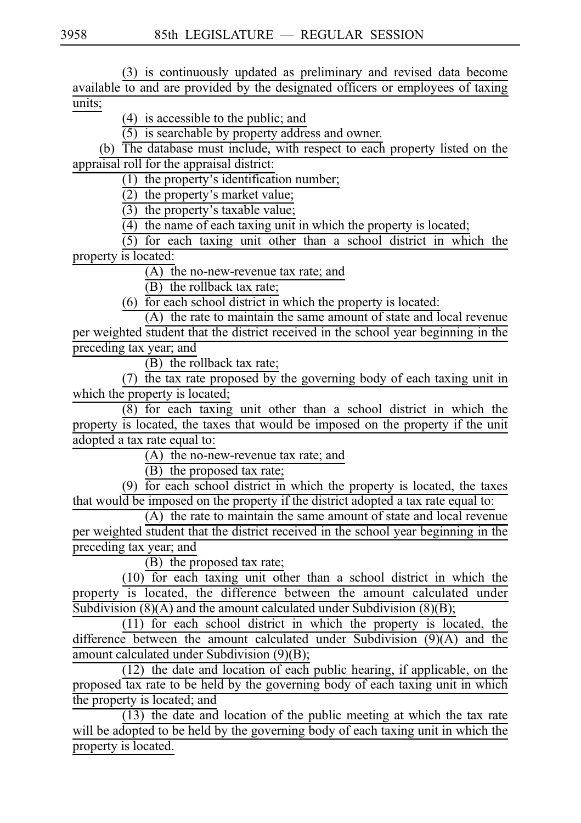(3) is continuously updated as preliminary and revised data become available to and are provided by the designated officers or employees of taxing units;

 $(4)$  is accessible to the public; and

 $(5)$  is searchable by property address and owner.

(b) The database must include, with respect to each property listed on the appraisal roll for the appraisal district:

 $(1)$  the property's identification number;

 $(2)$  the property's market value;

 $\overrightarrow{3}$  the property's taxable value;

 $(4)$  the name of each taxing unit in which the property is located;

 $(5)$  for each taxing unit other than a school district in which the property is located:

 $\overline{(A)}$  the no-new-revenue tax rate; and

 $(B)$  the rollback tax rate;

 $(6)$  for each school district in which the property is located:

(A) the rate to maintain the same amount of state and local revenue per weighted student that the district received in the school year beginning in the preceding tax year; and

 $(B)$  the rollback tax rate;

(7) the tax rate proposed by the governing body of each taxing unit in which the property is located;

 $(8)$  for each taxing unit other than a school district in which the property is located, the taxes that would be imposed on the property if the unit adopted a tax rate equal to:

 $(A)$  the no-new-revenue tax rate; and

 $(B)$  the proposed tax rate;

(9)  $\overline{for each school district in which the property is located, the taxes$ that would be imposed on the property if the district adopted a tax rate equal to:

 $(A)$  the rate to maintain the same amount of state and local revenue per weighted student that the district received in the school year beginning in the preceding tax year; and

 $(B)$  the proposed tax rate;

 $(10)$  for each taxing unit other than a school district in which the property is located, the difference between the amount calculated under Subdivision  $(8)(A)$  and the amount calculated under Subdivision  $(8)(B)$ ;

 $(11)$  for each school district in which the property is located, the difference between the amount calculated under Subdivision (9)(A) and the amount calculated under Subdivision (9)(B);

 $(12)$  the date and location of each public hearing, if applicable, on the proposed tax rate to be held by the governing body of each taxing unit in which the property is located; and

 $(13)$  the date and location of the public meeting at which the tax rate will be adopted to be held by the governing body of each taxing unit in which the property is located.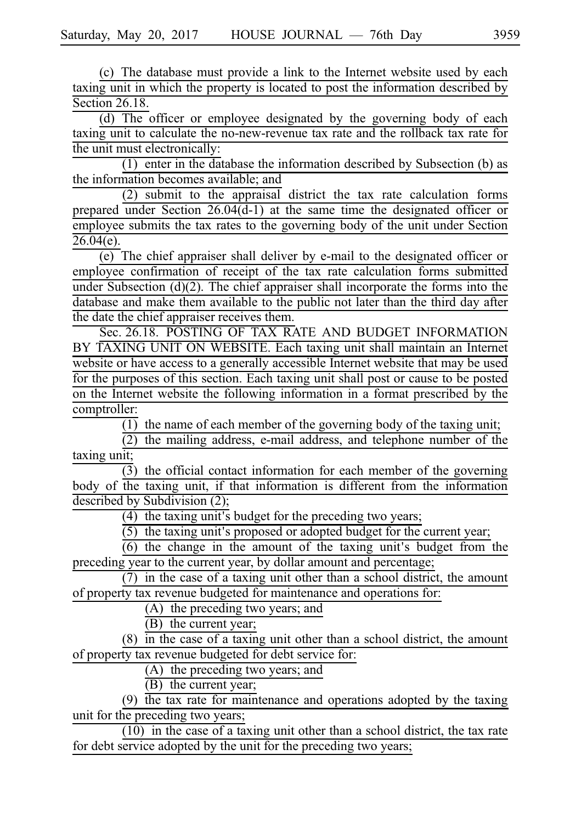(c) The database must provide a link to the Internet website used by each taxing unit in which the property is located to post the information described by Section 26.18.

 $(d)$  The officer or employee designated by the governing body of each taxing unit to calculate the no-new-revenue tax rate and the rollback tax rate for the unit must electronically:

(1) enter in the database the information described by Subsection (b) as the information becomes available; and

 $(2)$  submit to the appraisal district the tax rate calculation forms prepared under Section  $26.04(d-1)$  at the same time the designated officer or employee submits the tax rates to the governing body of the unit under Section  $26.04(e)$ .

 $\overline{(e)}$ . The chief appraiser shall deliver by e-mail to the designated officer or employee confirmation of receipt of the tax rate calculation forms submitted under Subsection (d)(2). The chief appraiser shall incorporate the forms into the database and make them available to the public not later than the third day after the date the chief appraiser receives them.

Sec. 26.18. POSTING OF TAX RATE AND BUDGET INFORMATION BY TAXING UNIT ON WEBSITE. Each taxing unit shall maintain an Internet website or have access to a generally accessible Internet website that may be used for the purposes of this section. Each taxing unit shall post or cause to be posted on the Internet website the following information in a format prescribed by the comptroller:

 $\overline{(1)}$  the name of each member of the governing body of the taxing unit;

 $(2)$  the mailing address, e-mail address, and telephone number of the taxing unit;

 $\overline{(3)}$  the official contact information for each member of the governing body of the taxing unit, if that information is different from the information described by Subdivision (2);

 $(4)$  the taxing unit's budget for the preceding two years;

 $(5)$  the taxing unit's proposed or adopted budget for the current year;

 $(6)$  the change in the amount of the taxing unit's budget from the preceding year to the current year, by dollar amount and percentage;

 $(7)$  in the case of a taxing unit other than a school district, the amount of property tax revenue budgeted for maintenance and operations for:

 $(A)$  the preceding two years; and

 $(B)$  the current year;

 $(8)$  in the case of a taxing unit other than a school district, the amount of property tax revenue budgeted for debt service for:

 $(A)$  the preceding two years; and

 $(B)$  the current year;

(9) the tax rate for maintenance and operations adopted by the taxing unit for the preceding two years;

 $\frac{1}{10}$  in the case of a taxing unit other than a school district, the tax rate for debt service adopted by the unit for the preceding two years;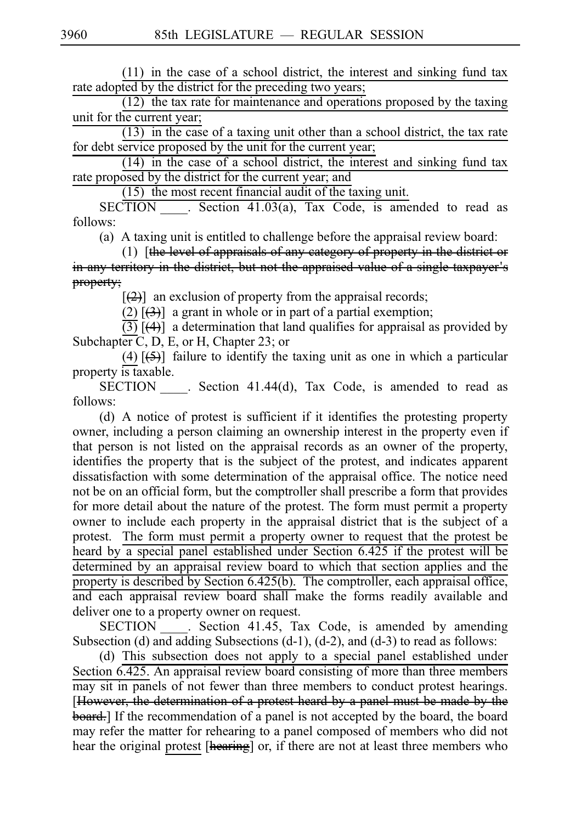$(11)$  in the case of a school district, the interest and sinking fund tax rate adopted by the district for the preceding two years;

 $(12)$  the tax rate for maintenance and operations proposed by the taxing unit for the current year;

 $(13)$  in the case of a taxing unit other than a school district, the tax rate for debt service proposed by the unit for the current year;

 $(14)$  in the case of a school district, the interest and sinking fund tax rate proposed by the district for the current year; and

 $(15)$  the most recent financial audit of the taxing unit.

 $SECTION$  . Section 41.03(a), Tax Code, is amended to read as follows:

(a) A taxing unit is entitled to challenge before the appraisal review board:

(1)  $[the level of apprais of any category of property in the distinct or$ in any territory in the district, but not the appraised value of a single taxpayer's property;

 $[2]$  an exclusion of property from the appraisal records;

(2)  $\left[\frac{3}{2}\right]$  a grant in whole or in part of a partial exemption;

 $\overline{(3)}$  [(4)] a determination that land qualifies for appraisal as provided by Subchapter C, D, E, or H, Chapter 23; or

(4)  $\overline{(5)}$  failure to identify the taxing unit as one in which a particular property is taxable.

SECTION \_\_\_\_. Section 41.44(d), Tax Code, is amended to read as follows:

(d) A notice of protest is sufficient if it identifies the protesting property owner, including a person claiming an ownership interest in the property even if that person is not listed on the appraisal records as an owner of the property, identifies the property that is the subject of the protest, and indicates apparent dissatisfaction with some determination of the appraisal office. The notice need not be on an official form, but the comptroller shall prescribe a form that provides for more detail about the nature of the protest. The form must permit a property owner to include each property in the appraisal district that is the subject of a protest. The form must permit a property owner to request that the protest be heard by a special panel established under Section 6.425 if the protest will be determined by an appraisal review board to which that section applies and the property is described by Section 6.425(b). The comptroller, each appraisal office, and each appraisal review board shall make the forms readily available and deliver one to a property owner on request.

SECTION . Section 41.45, Tax Code, is amended by amending Subsection (d) and adding Subsections (d-1), (d-2), and (d-3) to read as follows:

(d) This subsection does not apply to a special panel established under Section 6.425. An appraisal review board consisting of more than three members may sit in panels of not fewer than three members to conduct protest hearings. [However, the determination of a protest heard by a panel must be made by the board.] If the recommendation of a panel is not accepted by the board, the board may refer the matter for rehearing to a panel composed of members who did not hear the original protest [hearing] or, if there are not at least three members who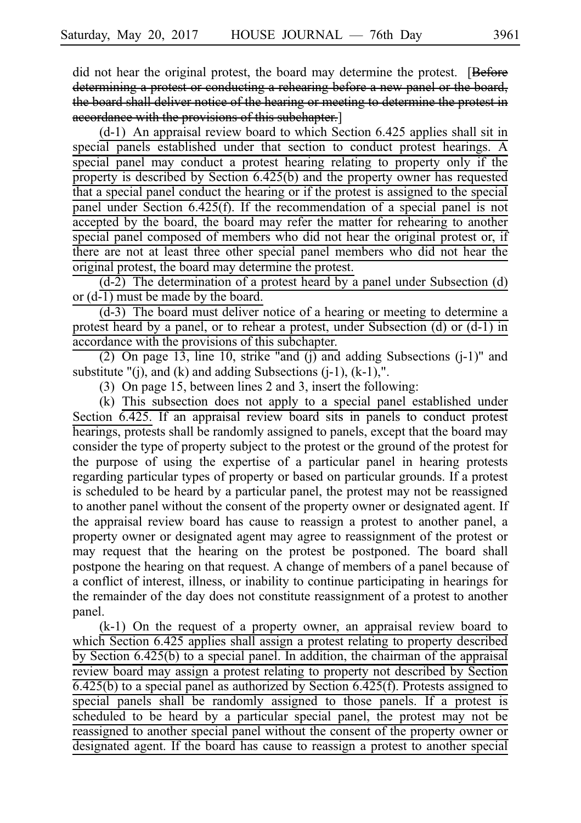did not hear the original protest, the board may determine the protest. [Before] determining a protest or conducting a rehearing before a new panel or the board, the board shall deliver notice of the hearing or meeting to determine the protest in accordance with the provisions of this subchapter.]

 $(d-1)$  An appraisal review board to which Section 6.425 applies shall sit in special panels established under that section to conduct protest hearings. A special panel may conduct a protest hearing relating to property only if the property is described by Section 6.425(b) and the property owner has requested that a special panel conduct the hearing or if the protest is assigned to the special panel under Section 6.425(f). If the recommendation of a special panel is not accepted by the board, the board may refer the matter for rehearing to another special panel composed of members who did not hear the original protest or, if there are not at least three other special panel members who did not hear the original protest, the board may determine the protest.

 $(d-2)$  The determination of a protest heard by a panel under Subsection (d) or (d-1) must be made by the board.

 $(d-3)$  The board must deliver notice of a hearing or meeting to determine a protest heard by a panel, or to rehear a protest, under Subsection (d) or (d-1) in accordance with the provisions of this subchapter.

(2) On page 13, line 10, strike "and (j) and adding Subsections (j-1)" and substitute  $"(i)$ , and  $(k)$  and adding Subsections  $(i-1)$ ,  $(k-1)$ ,".

(3) On page 15, between lines 2 and 3, insert the following:

 $(k)$  This subsection does not apply to a special panel established under Section 6.425. If an appraisal review board sits in panels to conduct protest hearings, protests shall be randomly assigned to panels, except that the board may consider the type of property subject to the protest or the ground of the protest for the purpose of using the expertise of a particular panel in hearing protests regarding particular types of property or based on particular grounds. If a protest is scheduled to be heard by a particular panel, the protest may not be reassigned to another panel without the consent of the property owner or designated agent. If the appraisal review board has cause to reassign a protest to another panel, a property owner or designated agent may agree to reassignment of the protest or may request that the hearing on the protest be postponed. The board shall postpone the hearing on that request. A change of members of a panel because of a conflict of interest, illness, or inability to continue participating in hearings for the remainder of the day does not constitute reassignment of a protest to another panel.

 $(k-1)$  On the request of a property owner, an appraisal review board to which Section 6.425 applies shall assign a protest relating to property described by Section 6.425(b) to a special panel. In addition, the chairman of the appraisal review board may assign a protest relating to property not described by Section 6.425(b) to a special panel as authorized by Section 6.425(f). Protests assigned to special panels shall be randomly assigned to those panels. If a protest is scheduled to be heard by a particular special panel, the protest may not be reassigned to another special panel without the consent of the property owner or designated agent. If the board has cause to reassign a protest to another special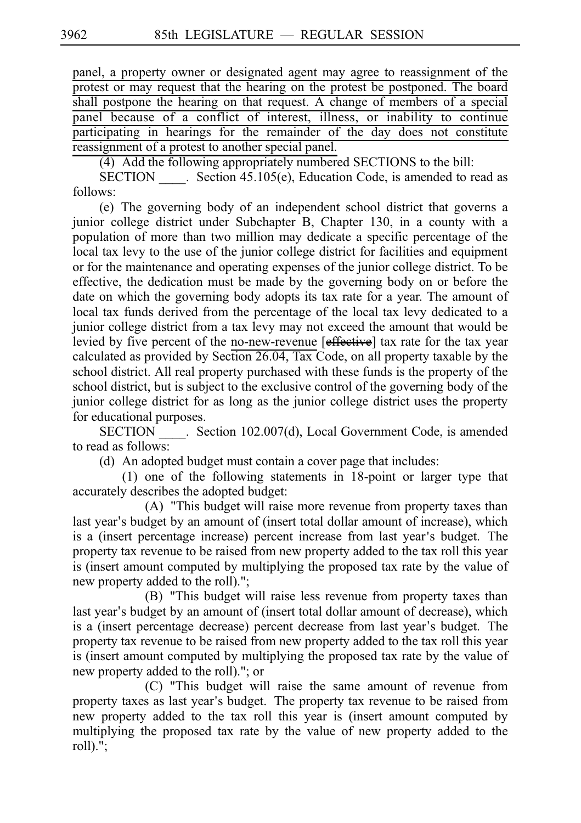panel, a property owner or designated agent may agree to reassignment of the protest or may request that the hearing on the protest be postponed. The board shall postpone the hearing on that request. A change of members of a special panel because of a conflict of interest, illness, or inability to continue participating in hearings for the remainder of the day does not constitute reassignment of a protest to another special panel.

(4) Add the following appropriately numbered SECTIONS to the bill:

SECTION Section 45.105(e), Education Code, is amended to read as follows:

(e) The governing body of an independent school district that governs a junior college district under Subchapter B, Chapter 130, in a county with a population of more than two million may dedicate a specific percentage of the local tax levy to the use of the junior college district for facilities and equipment or for the maintenance and operating expenses of the junior college district. To be effective, the dedication must be made by the governing body on or before the date on which the governing body adopts its tax rate for a year. The amount of local tax funds derived from the percentage of the local tax levy dedicated to a junior college district from a tax levy may not exceed the amount that would be levied by five percent of the no-new-revenue [effective] tax rate for the tax year calculated as provided by Section 26.04, Tax Code, on all property taxable by the school district. All real property purchased with these funds is the property of the school district, but is subject to the exclusive control of the governing body of the junior college district for as long as the junior college district uses the property for educational purposes.

SECTION Section 102.007(d), Local Government Code, is amended to read as follows:

(d) An adopted budget must contain a cover page that includes:

 $(1)$  one of the following statements in 18-point or larger type that accurately describes the adopted budget:

(A) "This budget will raise more revenue from property taxes than last year's budget by an amount of (insert total dollar amount of increase), which is a (insert percentage increase) percent increase from last year's budget. The property tax revenue to be raised from new property added to the tax roll this year is (insert amount computed by multiplying the proposed tax rate by the value of new property added to the roll).";

(B) "This budget will raise less revenue from property taxes than last year's budget by an amount of (insert total dollar amount of decrease), which is a (insert percentage decrease) percent decrease from last year's budget. The property tax revenue to be raised from new property added to the tax roll this year is (insert amount computed by multiplying the proposed tax rate by the value of new property added to the roll)."; or

(C) "This budget will raise the same amount of revenue from property taxes as last year's budget. The property tax revenue to be raised from new property added to the tax roll this year is (insert amount computed by multiplying the proposed tax rate by the value of new property added to the roll).";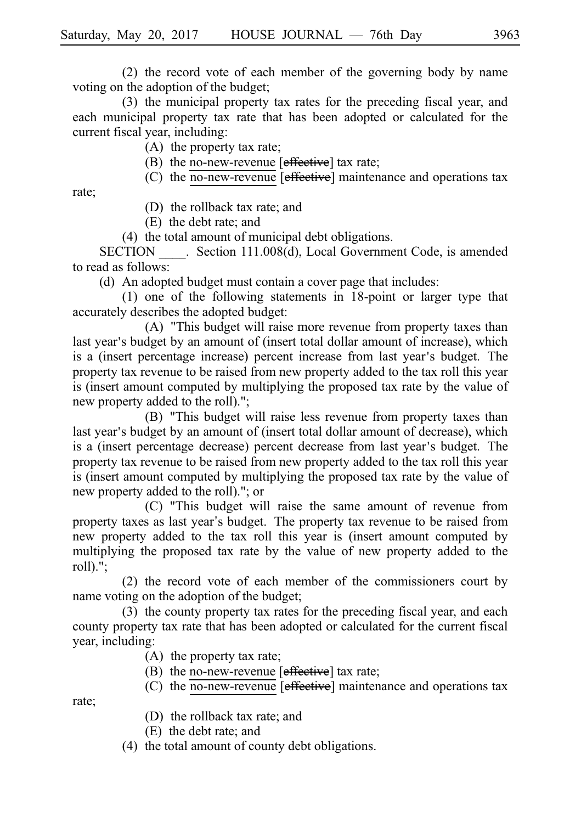$(2)$  the record vote of each member of the governing body by name voting on the adoption of the budget;

(3) the municipal property tax rates for the preceding fiscal year, and each municipal property tax rate that has been adopted or calculated for the current fiscal year, including:

 $(A)$  the property tax rate;

(B) the no-new-revenue  $[effective]$  tax rate;

(C) the no-new-revenue  $[effective]$  maintenance and operations tax

rate;

(D) the rollback tax rate; and

 $(E)$  the debt rate; and

 $(4)$  the total amount of municipal debt obligations.

SECTION Section 111.008(d), Local Government Code, is amended to read as follows:

(d) An adopted budget must contain a cover page that includes:

 $(1)$  one of the following statements in 18-point or larger type that accurately describes the adopted budget:

(A) "This budget will raise more revenue from property taxes than last year's budget by an amount of (insert total dollar amount of increase), which is a (insert percentage increase) percent increase from last year's budget. The property tax revenue to be raised from new property added to the tax roll this year is (insert amount computed by multiplying the proposed tax rate by the value of new property added to the roll).";

(B) "This budget will raise less revenue from property taxes than last year's budget by an amount of (insert total dollar amount of decrease), which is a (insert percentage decrease) percent decrease from last year's budget. The property tax revenue to be raised from new property added to the tax roll this year is (insert amount computed by multiplying the proposed tax rate by the value of new property added to the roll)."; or

(C) "This budget will raise the same amount of revenue from property taxes as last year's budget. The property tax revenue to be raised from new property added to the tax roll this year is (insert amount computed by multiplying the proposed tax rate by the value of new property added to the roll).";

 $(2)$  the record vote of each member of the commissioners court by name voting on the adoption of the budget;

 $(3)$  the county property tax rates for the preceding fiscal year, and each county property tax rate that has been adopted or calculated for the current fiscal year, including:

 $(A)$  the property tax rate;

(B) the no-new-revenue  $[effective]$  tax rate;

(C) the no-new-revenue [effective] maintenance and operations tax

rate;

- (D) the rollback tax rate; and
- (E) the debt rate; and
- (4) the total amount of county debt obligations.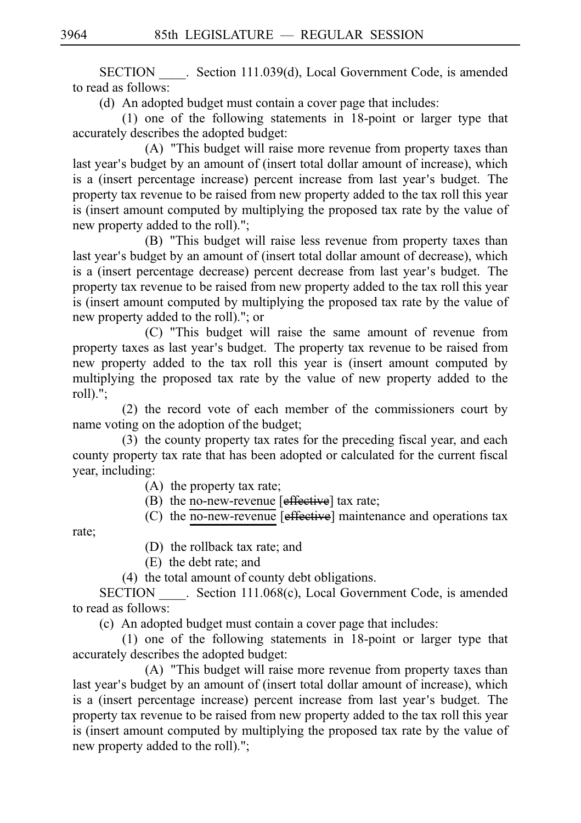SECTION Section 111.039(d), Local Government Code, is amended to read as follows:

(d) An adopted budget must contain a cover page that includes:

 $(1)$  one of the following statements in 18-point or larger type that accurately describes the adopted budget:

(A) "This budget will raise more revenue from property taxes than last year's budget by an amount of (insert total dollar amount of increase), which is a (insert percentage increase) percent increase from last year's budget. The property tax revenue to be raised from new property added to the tax roll this year is (insert amount computed by multiplying the proposed tax rate by the value of new property added to the roll).";

(B) "This budget will raise less revenue from property taxes than last year's budget by an amount of (insert total dollar amount of decrease), which is a (insert percentage decrease) percent decrease from last year's budget. The property tax revenue to be raised from new property added to the tax roll this year is (insert amount computed by multiplying the proposed tax rate by the value of new property added to the roll)."; or

(C) "This budget will raise the same amount of revenue from property taxes as last year's budget. The property tax revenue to be raised from new property added to the tax roll this year is (insert amount computed by multiplying the proposed tax rate by the value of new property added to the roll).";

 $(2)$  the record vote of each member of the commissioners court by name voting on the adoption of the budget;

 $(3)$  the county property tax rates for the preceding fiscal year, and each county property tax rate that has been adopted or calculated for the current fiscal year, including:

 $(A)$  the property tax rate;

(B) the no-new-revenue  $[effective]$  tax rate;

(C) the no-new-revenue  $[effective]$  maintenance and operations tax

rate;

- (D) the rollback tax rate; and
- $(E)$  the debt rate; and

 $(4)$  the total amount of county debt obligations.

SECTION Section 111.068(c), Local Government Code, is amended to read as follows:

(c) An adopted budget must contain a cover page that includes:

 $(1)$  one of the following statements in 18-point or larger type that accurately describes the adopted budget:

(A) "This budget will raise more revenue from property taxes than last year's budget by an amount of (insert total dollar amount of increase), which is a (insert percentage increase) percent increase from last year's budget. The property tax revenue to be raised from new property added to the tax roll this year is (insert amount computed by multiplying the proposed tax rate by the value of new property added to the roll).";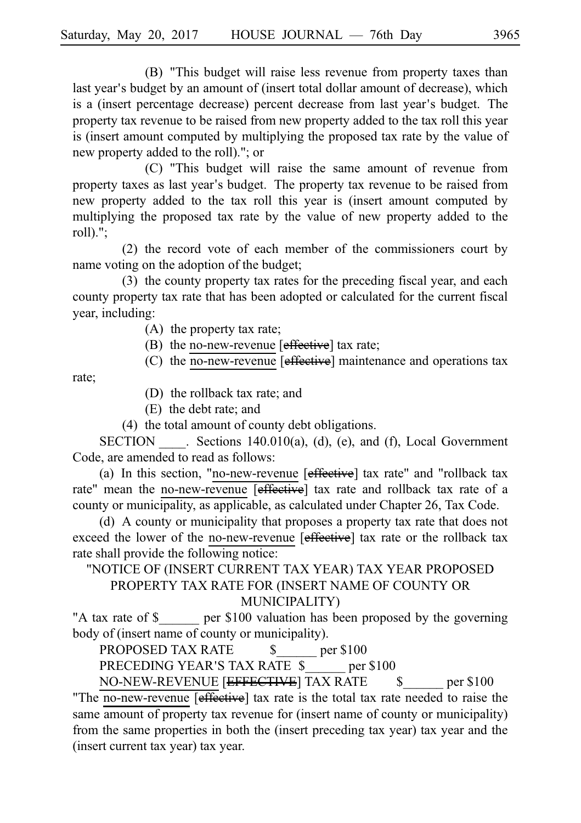(B) "This budget will raise less revenue from property taxes than last year's budget by an amount of (insert total dollar amount of decrease), which is a (insert percentage decrease) percent decrease from last year's budget. The property tax revenue to be raised from new property added to the tax roll this year is (insert amount computed by multiplying the proposed tax rate by the value of new property added to the roll)."; or

(C) "This budget will raise the same amount of revenue from property taxes as last year's budget. The property tax revenue to be raised from new property added to the tax roll this year is (insert amount computed by multiplying the proposed tax rate by the value of new property added to the roll).";

 $(2)$  the record vote of each member of the commissioners court by name voting on the adoption of the budget;

 $(3)$  the county property tax rates for the preceding fiscal year, and each county property tax rate that has been adopted or calculated for the current fiscal year, including:

 $(A)$  the property tax rate;

(B) the no-new-revenue  $[effective]$  tax rate;

(C) the no-new-revenue  $[effective]$  maintenance and operations tax

rate;

(D) the rollback tax rate; and

(E) the debt rate; and

 $(4)$  the total amount of county debt obligations.

SECTION  $\qquad$ . Sections 140.010(a), (d), (e), and (f), Local Government Code, are amended to read as follows:

(a) In this section, "no-new-revenue  $[effective]$  tax rate" and "rollback tax rate" mean the no-new-revenue [effective] tax rate and rollback tax rate of a county or municipality, as applicable, as calculated under Chapter 26, Tax Code.

(d) A county or municipality that proposes a property tax rate that does not exceed the lower of the no-new-revenue [effective] tax rate or the rollback tax rate shall provide the following notice:

# "NOTICE OF (INSERT CURRENT TAX YEAR) TAX YEAR PROPOSED PROPERTY TAX RATE FOR (INSERT NAME OF COUNTY OR MUNICIPALITY)

"A tax rate of \$\_\_\_\_\_\_ per \$100 valuation has been proposed by the governing body of (insert name of county or municipality).

PROPOSED TAX RATE  $\qquad \quad \text{S} \qquad \qquad$  per \$100

PRECEDING YEAR'S TAX RATE \$ per \$100

NO-NEW-REVENUE [EFFECTIVE] TAX RATE  $\qquad$  \$ per \$100

"The no-new-revenue [effective] tax rate is the total tax rate needed to raise the same amount of property tax revenue for (insert name of county or municipality) from the same properties in both the (insert preceding tax year) tax year and the (insert current tax year) tax year.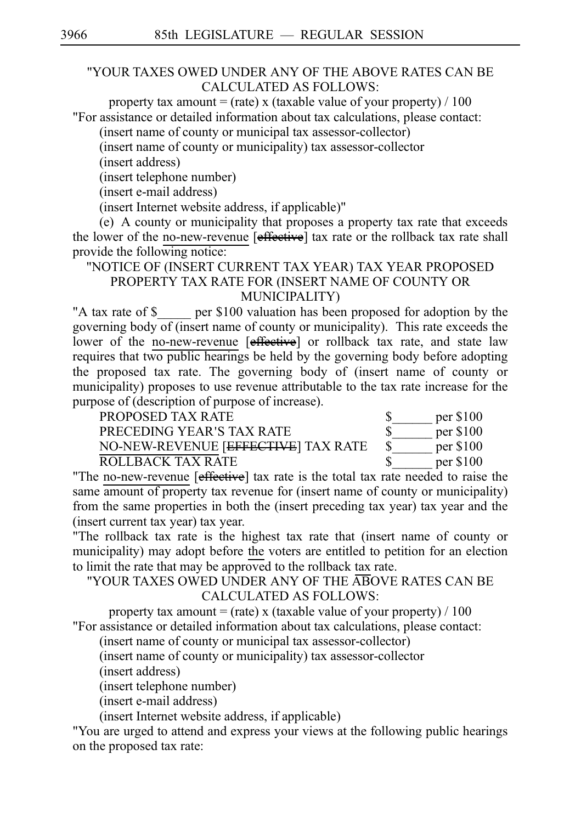## "YOUR TAXES OWED UNDER ANY OF THE ABOVE RATES CAN BE CALCULATED AS FOLLOWS:

property tax amount = (rate) x (taxable value of your property)  $/ 100$ "For assistance or detailed information about tax calculations, please contact:

(insert name of county or municipal tax assessor-collector)

(insert name of county or municipality) tax assessor-collector

(insert address)

(insert telephone number)

(insert e-mail address)

(insert Internet website address, if applicable)"

 $\alpha$ ) A county or municipality that proposes a property tax rate that exceeds the lower of the no-new-revenue [effective] tax rate or the rollback tax rate shall provide the following notice:

# "NOTICE OF (INSERT CURRENT TAX YEAR) TAX YEAR PROPOSED PROPERTY TAX RATE FOR (INSERT NAME OF COUNTY OR MUNICIPALITY)

"A tax rate of \$ \_\_\_\_ per \$100 valuation has been proposed for adoption by the governing body  $of$  (insert name of county or municipality). This rate exceeds the lower of the no-new-revenue [e<del>ffective</del>] or rollback tax rate, and state law requires that two public hearings be held by the governing body before adopting the proposed tax rate. The governing body of (insert name of county or municipality) proposes to use revenue attributable to the tax rate increase for the purpose of (description of purpose of increase).

| PROPOSED TAX RATE                   | $per$ \$100 |
|-------------------------------------|-------------|
| PRECEDING YEAR'S TAX RATE           | $per$ \$100 |
| NO-NEW-REVENUE [EFFECTIVE] TAX RATE | $per$ \$100 |
| ROLLBACK TAX RATE                   | $per$ \$100 |

"The no-new-revenue [effective] tax rate is the total tax rate needed to raise the same amount of property tax revenue for (insert name of county or municipality) from the same properties in both the (insert preceding tax year) tax year and the (insert current tax year) tax year.

"The rollback tax rate is the highest tax rate that (insert name of county or municipality) may adopt before the voters are entitled to petition for an election to limit the rate that may be approved to the rollback tax rate.

"YOUR TAXES OWED UNDER ANY OF THE ABOVE RATES CAN BE CALCULATED AS FOLLOWS:

property tax amount = (rate) x (taxable value of your property)  $/ 100$ "For assistance or detailed information about tax calculations, please contact:

(insert name of county or municipal tax assessor-collector)

(insert name of county or municipality) tax assessor-collector

(insert address)

(insert telephone number)

(insert e-mail address)

(insert Internet website address, if applicable)

"You are urged to attend and express your views at the following public hearings on the proposed tax rate: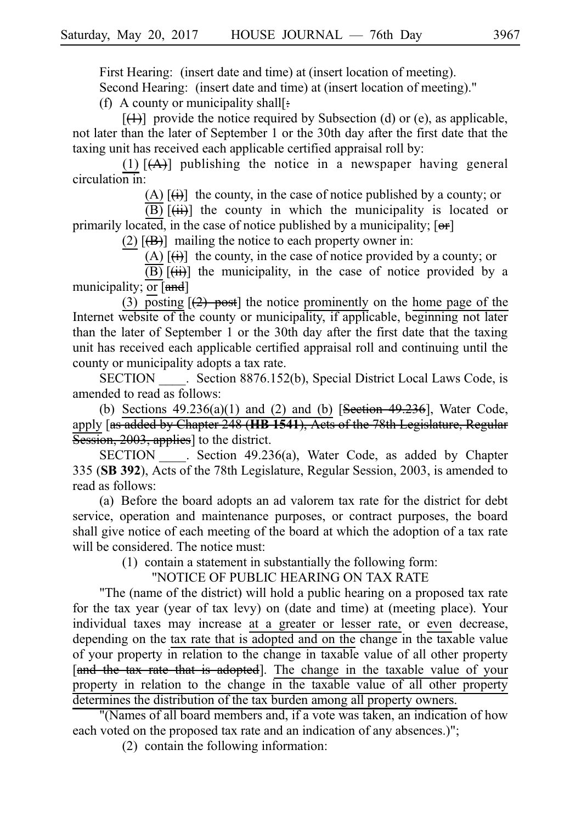First Hearing: (insert date and time) at (insert location of meeting). Second Hearing: (insert date and time) at (insert location of meeting)."

(f) A county or municipality shall[ $\pm$ ]

 $[$ ( $\downarrow$ )] provide the notice required by Subsection (d) or (e), as applicable, not later than the later of September 1 or the 30th day after the first date that the taxing unit has received each applicable certified appraisal roll by:

(1)  $[(A)]$  publishing the notice in a newspaper having general circulation in:

(A)  $[\overrightarrow{(i)}]$  the county, in the case of notice published by a county; or

 $\overline{(\text{B})}$   $\overline{(\text{iii})}$  the county in which the municipality is located or primarily located, in the case of notice published by a municipality;  $[**or**]$ 

(2)  $[\frac{1}{12}]$  mailing the notice to each property owner in:

(A)  $[\overrightarrow{(i)}]$  the county, in the case of notice provided by a county; or

 $\overline{(\text{B})}$   $\overline{(\text{iii})}$  the municipality, in the case of notice provided by a municipality;  $\overline{or}$  [and]

(3) posting  $[2]$  post] the notice prominently on the home page of the Internet website of the county or municipality, if applicable, beginning not later than the later of September 1 or the 30th day after the first date that the taxing unit has received each applicable certified appraisal roll and continuing until the county or municipality adopts a tax rate.

SECTION Section 8876.152(b), Special District Local Laws Code, is amended to read as follows:

(b) Sections  $49.236(a)(1)$  and (2) and (b) [Section  $49.236$ ], Water Code, apply [as added by Chapter 248 (**HBi1541**), Acts of the 78th Legislature, Regular Session, 2003, applies] to the district.

SECTION . Section 49.236(a), Water Code, as added by Chapter 335 (SB 392), Acts of the 78th Legislature, Regular Session, 2003, is amended to read as follows:

(a) Before the board adopts an ad valorem tax rate for the district for debt service, operation and maintenance purposes, or contract purposes, the board shall give notice of each meeting of the board at which the adoption of a tax rate will be considered. The notice must:

 $(1)$  contain a statement in substantially the following form:

"NOTICE OF PUBLIC HEARING ON TAX RATE

"The (name of the district) will hold a public hearing on a proposed tax rate for the tax year (year of tax levy) on (date and time) at (meeting place). Your individual taxes may increase at a greater or lesser rate, or even decrease, depending on the tax rate that is adopted and on the change in the taxable value of your property in relation to the change in taxable value of all other property [and the tax rate that is adopted]. The change in the taxable value of your property in relation to the change in the taxable value of all other property determines the distribution of the tax burden among all property owners.

"(Names of all board members and, if a vote was taken, an indication of how each voted on the proposed tax rate and an indication of any absences.)";

 $(2)$  contain the following information: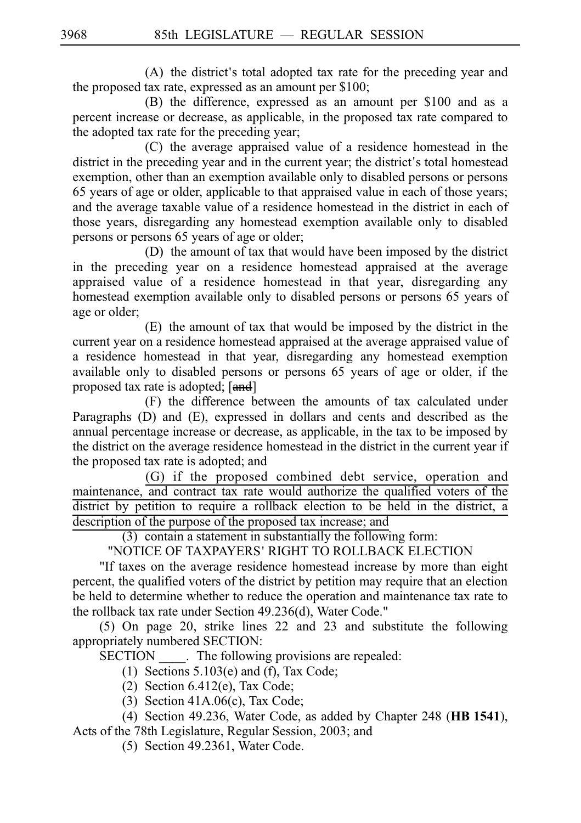$(A)$  the district's total adopted tax rate for the preceding year and the proposed tax rate, expressed as an amount per \$100;

(B) the difference, expressed as an amount per \$100 and as a percent increase or decrease, as applicable, in the proposed tax rate compared to the adopted tax rate for the preceding year;

(C) the average appraised value of a residence homestead in the district in the preceding year and in the current year; the district's total homestead exemption, other than an exemption available only to disabled persons or persons 65 years of age or older, applicable to that appraised value in each of those years; and the average taxable value of a residence homestead in the district in each of those years, disregarding any homestead exemption available only to disabled persons or persons 65 years of age or older;

(D) the amount of tax that would have been imposed by the district in the preceding year on a residence homestead appraised at the average appraised value of a residence homestead in that year, disregarding any homestead exemption available only to disabled persons or persons 65 years of age or older;

 $(E)$  the amount of tax that would be imposed by the district in the current year on a residence homestead appraised at the average appraised value of a residence homestead in that year, disregarding any homestead exemption available only to disabled persons or persons 65 years of age or older, if the proposed tax rate is adopted; [and]

(F) the difference between the amounts of tax calculated under Paragraphs (D) and (E), expressed in dollars and cents and described as the annual percentage increase or decrease, as applicable, in the tax to be imposed by the district on the average residence homestead in the district in the current year if the proposed tax rate is adopted; and

(G) if the proposed combined debt service, operation and maintenance, and contract tax rate would authorize the qualified voters of the district by petition to require a rollback election to be held in the district, a description of the purpose of the proposed tax increase; and

 $(3)$  contain a statement in substantially the following form:

"NOTICE OF TAXPAYERS 'RIGHT TO ROLLBACK ELECTION

"If taxes on the average residence homestead increase by more than eight percent, the qualified voters of the district by petition may require that an election be held to determine whether to reduce the operation and maintenance tax rate to the rollback tax rate under Section 49.236(d), Water Code."

 $(5)$  On page 20, strike lines 22 and 23 and substitute the following appropriately numbered SECTION:

SECTION Fig. The following provisions are repealed:

(1) Sections  $5.103(e)$  and (f), Tax Code;

- (2) Section 6.412(e), Tax Code;
- (3) Section  $41A.06(c)$ , Tax Code;

(4) Section 49.236, Water Code, as added by Chapter 248 (HB 1541), Acts of the 78th Legislature, Regular Session, 2003; and

 $(5)$  Section 49.2361, Water Code.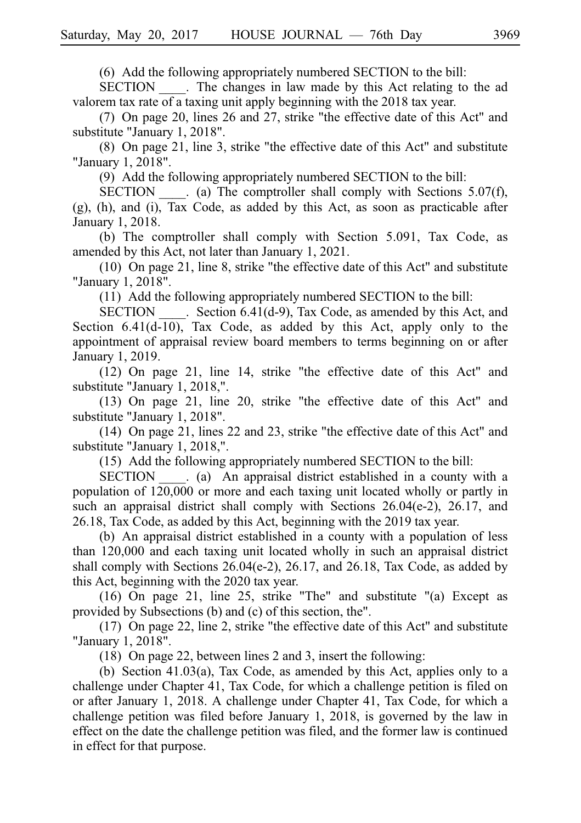$(6)$  Add the following appropriately numbered SECTION to the bill:

SECTION The changes in law made by this Act relating to the ad valorem tax rate of a taxing unit apply beginning with the 2018 tax year.

(7) On page 20, lines 26 and 27, strike "the effective date of this Act" and substitute "January 1, 2018".

 $(8)$  On page 21, line 3, strike "the effective date of this Act" and substitute "January 1, 2018".

(9) Add the following appropriately numbered SECTION to the bill:

SECTION  $\qquad$  (a) The comptroller shall comply with Sections 5.07(f),  $(g)$ , (h), and (i), Tax Code, as added by this Act, as soon as practicable after January 1, 2018.

(b) The comptroller shall comply with Section  $5.091$ , Tax Code, as amended by this Act, not later than January 1, 2021.

 $(10)$  On page 21, line 8, strike "the effective date of this Act" and substitute "January 1, 2018".

 $(11)$  Add the following appropriately numbered SECTION to the bill:

SECTION Election 6.41(d-9), Tax Code, as amended by this Act, and Section  $6.41(d-10)$ , Tax Code, as added by this Act, apply only to the appointment of appraisal review board members to terms beginning on or after January 1, 2019.

 $(12)$  On page 21, line 14, strike "the effective date of this Act" and substitute "January 1, 2018,".

 $(13)$  On page 21, line 20, strike "the effective date of this Act" and substitute "January 1, 2018".

 $(14)$  On page 21, lines 22 and 23, strike "the effective date of this Act" and substitute "January 1, 2018,".

(15) Add the following appropriately numbered SECTION to the bill:

SECTION \_\_\_\_. (a) An appraisal district established in a county with a population of 120,000 or more and each taxing unit located wholly or partly in such an appraisal district shall comply with Sections 26.04(e-2), 26.17, and 26.18, Tax Code, as added by this Act, beginning with the 2019 tax year.

(b) An appraisal district established in a county with a population of less than 120,000 and each taxing unit located wholly in such an appraisal district shall comply with Sections  $26.04(e-2)$ ,  $26.17$ , and  $26.18$ , Tax Code, as added by this Act, beginning with the 2020 tax year.

(16) On page 21, line 25, strike "The" and substitute "(a) Except as provided by Subsections (b) and (c) of this section, the".

 $(17)$  On page 22, line 2, strike "the effective date of this Act" and substitute "January 1, 2018".

(18) On page 22, between lines 2 and 3, insert the following:

(b) Section 41.03(a), Tax Code, as amended by this Act, applies only to a challenge under Chapter 41, Tax Code, for which a challenge petition is filed on or after January 1, 2018. A challenge under Chapter 41, Tax Code, for which a challenge petition was filed before January 1, 2018, is governed by the law in effect on the date the challenge petition was filed, and the former law is continued in effect for that purpose.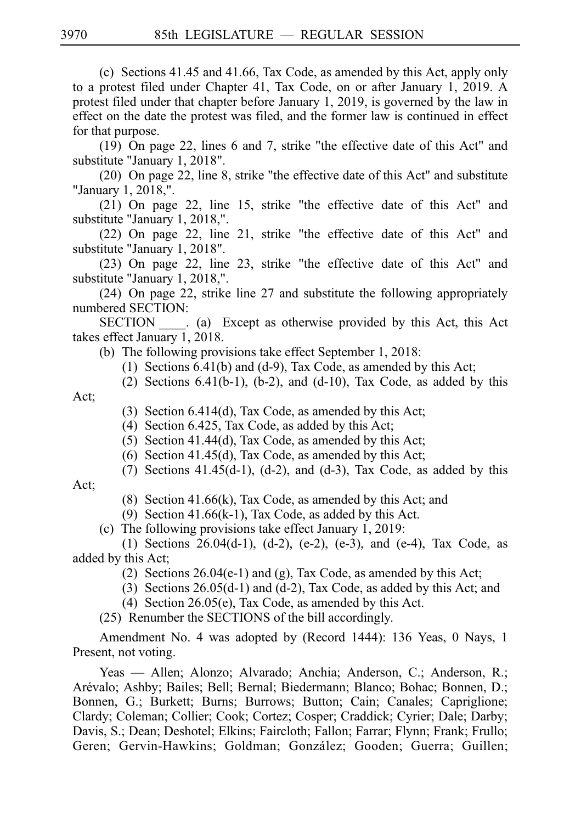(c) Sections  $41.45$  and  $41.66$ , Tax Code, as amended by this Act, apply only to a protest filed under Chapter 41, Tax Code, on or after January 1, 2019. A protest filed under that chapter before January 1, 2019, is governed by the law in effect on the date the protest was filed, and the former law is continued in effect for that purpose.

 $(19)$  On page 22, lines 6 and 7, strike "the effective date of this Act" and substitute "January 1, 2018".

 $(20)$  On page 22, line 8, strike "the effective date of this Act" and substitute "January 1, 2018,".

 $(21)$  On page 22, line 15, strike "the effective date of this Act" and substitute "January 1, 2018,".

 $(22)$  On page 22, line 21, strike "the effective date of this Act" and substitute "January 1, 2018".

 $(23)$  On page 22, line 23, strike "the effective date of this Act" and substitute "January 1, 2018,".

 $(24)$  On page 22, strike line 27 and substitute the following appropriately numbered SECTION:

SECTION \_\_\_\_. (a) Except as otherwise provided by this Act, this Act takes effect January 1, 2018.

(b) The following provisions take effect September 1, 2018:

- (1) Sections  $6.41(b)$  and (d-9), Tax Code, as amended by this Act;
- $(2)$  Sections 6.41(b-1), (b-2), and (d-10), Tax Code, as added by this

Act;

- (3) Section 6.414(d), Tax Code, as amended by this Act;
- (4) Section 6.425, Tax Code, as added by this Act;
- $(5)$  Section 41.44(d), Tax Code, as amended by this Act;
- $(6)$  Section 41.45(d), Tax Code, as amended by this Act;
- $(7)$  Sections 41.45(d-1), (d-2), and (d-3), Tax Code, as added by this

Act;

- (8) Section 41.66(k), Tax Code, as amended by this Act; and
- (9) Section 41.66(k-1), Tax Code, as added by this Act.
- (c) The following provisions take effect January 1, 2019:

(1) Sections  $26.04(d-1)$ ,  $(d-2)$ ,  $(e-2)$ ,  $(e-3)$ , and  $(e-4)$ , Tax Code, as added by this Act;

- (2) Sections  $26.04(e-1)$  and (g), Tax Code, as amended by this Act;
- (3) Sections  $26.05(d-1)$  and (d-2), Tax Code, as added by this Act; and
- (4) Section  $26.05(e)$ , Tax Code, as amended by this Act.
- $(25)$  Renumber the SECTIONS of the bill accordingly.

Amendment No. 4 was adopted by (Record 1444): 136 Yeas, 0 Nays, 1 Present, not voting.

Yeas — Allen; Alonzo; Alvarado; Anchia; Anderson, C.; Anderson, R.; Are´valo; Ashby; Bailes; Bell; Bernal; Biedermann; Blanco; Bohac; Bonnen, D.; Bonnen, G.; Burkett; Burns; Burrows; Button; Cain; Canales; Capriglione; Clardy; Coleman; Collier; Cook; Cortez; Cosper; Craddick; Cyrier; Dale; Darby; Davis, S.; Dean; Deshotel; Elkins; Faircloth; Fallon; Farrar; Flynn; Frank; Frullo; Geren; Gervin-Hawkins; Goldman; González; Gooden; Guerra; Guillen;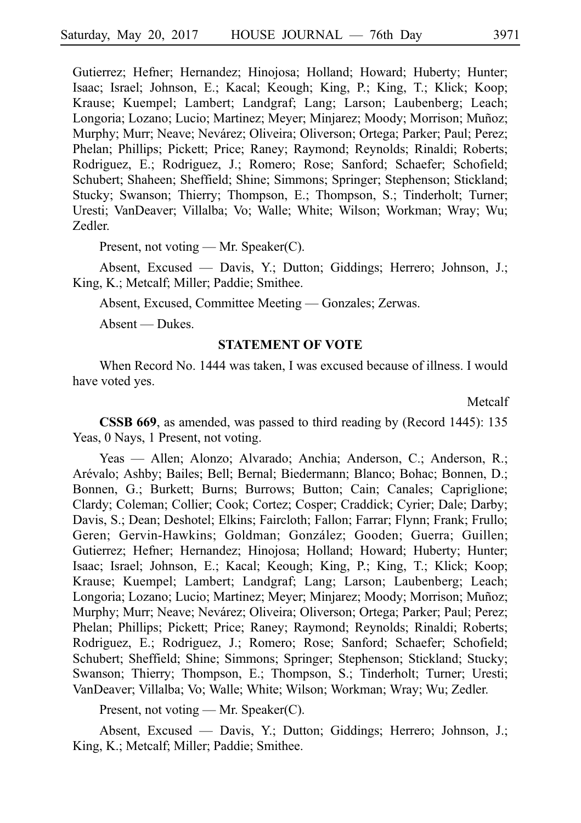Gutierrez; Hefner; Hernandez; Hinojosa; Holland; Howard; Huberty; Hunter; Isaac; Israel; Johnson, E.; Kacal; Keough; King, P.; King, T.; Klick; Koop; Krause; Kuempel; Lambert; Landgraf; Lang; Larson; Laubenberg; Leach; Longoria; Lozano; Lucio; Martinez; Meyer; Minjarez; Moody; Morrison; Muñoz; Murphy; Murr; Neave; Nevárez; Oliveira; Oliverson; Ortega; Parker; Paul; Perez; Phelan; Phillips; Pickett; Price; Raney; Raymond; Reynolds; Rinaldi; Roberts; Rodriguez, E.; Rodriguez, J.; Romero; Rose; Sanford; Schaefer; Schofield; Schubert; Shaheen; Sheffield; Shine; Simmons; Springer; Stephenson; Stickland; Stucky; Swanson; Thierry; Thompson, E.; Thompson, S.; Tinderholt; Turner; Uresti; VanDeaver; Villalba; Vo; Walle; White; Wilson; Workman; Wray; Wu; Zedler.

Present, not voting — Mr. Speaker(C).

Absent, Excused — Davis, Y.; Dutton; Giddings; Herrero; Johnson, J.; King, K.; Metcalf; Miller; Paddie; Smithee.

Absent, Excused, Committee Meeting — Gonzales; Zerwas.

Absent — Dukes.

#### **STATEMENT OF VOTE**

When Record No. 1444 was taken, I was excused because of illness. I would have voted yes.

Metcalf

**CSSB 669**, as amended, was passed to third reading by (Record 1445): 135 Yeas, 0 Nays, 1 Present, not voting.

Yeas — Allen; Alonzo; Alvarado; Anchia; Anderson, C.; Anderson, R.; Are´valo; Ashby; Bailes; Bell; Bernal; Biedermann; Blanco; Bohac; Bonnen, D.; Bonnen, G.; Burkett; Burns; Burrows; Button; Cain; Canales; Capriglione; Clardy; Coleman; Collier; Cook; Cortez; Cosper; Craddick; Cyrier; Dale; Darby; Davis, S.; Dean; Deshotel; Elkins; Faircloth; Fallon; Farrar; Flynn; Frank; Frullo; Geren; Gervin-Hawkins; Goldman; González; Gooden; Guerra; Guillen; Gutierrez; Hefner; Hernandez; Hinojosa; Holland; Howard; Huberty; Hunter; Isaac; Israel; Johnson, E.; Kacal; Keough; King, P.; King, T.; Klick; Koop; Krause; Kuempel; Lambert; Landgraf; Lang; Larson; Laubenberg; Leach; Longoria; Lozano; Lucio; Martinez; Meyer; Minjarez; Moody; Morrison; Muñoz; Murphy; Murr; Neave; Nevárez; Oliveira; Oliverson; Ortega; Parker; Paul; Perez; Phelan; Phillips; Pickett; Price; Raney; Raymond; Reynolds; Rinaldi; Roberts; Rodriguez, E.; Rodriguez, J.; Romero; Rose; Sanford; Schaefer; Schofield; Schubert; Sheffield; Shine; Simmons; Springer; Stephenson; Stickland; Stucky; Swanson; Thierry; Thompson, E.; Thompson, S.; Tinderholt; Turner; Uresti; VanDeaver; Villalba; Vo; Walle; White; Wilson; Workman; Wray; Wu; Zedler.

Present, not voting — Mr. Speaker(C).

Absent, Excused — Davis, Y.; Dutton; Giddings; Herrero; Johnson, J.; King, K.; Metcalf; Miller; Paddie; Smithee.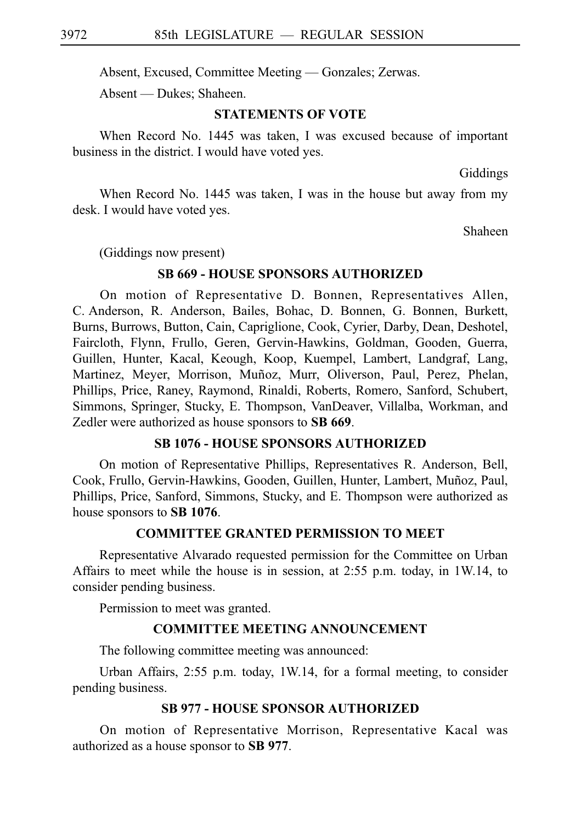Absent, Excused, Committee Meeting — Gonzales; Zerwas.

Absent — Dukes; Shaheen.

#### **STATEMENTS OF VOTE**

When Record No. 1445 was taken, I was excused because of important business in the district. I would have voted yes.

Giddings

When Record No. 1445 was taken, I was in the house but away from my desk. I would have voted yes.

Shaheen

(Giddings now present)

## **SB 669 - HOUSE SPONSORS AUTHORIZED**

On motion of Representative D. Bonnen, Representatives Allen, C. Anderson, R. Anderson, Bailes, Bohac, D. Bonnen, G. Bonnen, Burkett, Burns, Burrows, Button, Cain, Capriglione, Cook, Cyrier, Darby, Dean, Deshotel, Faircloth, Flynn, Frullo, Geren, Gervin-Hawkins, Goldman, Gooden, Guerra, Guillen, Hunter, Kacal, Keough, Koop, Kuempel, Lambert, Landgraf, Lang, Martinez, Meyer, Morrison, Muñoz, Murr, Oliverson, Paul, Perez, Phelan, Phillips, Price, Raney, Raymond, Rinaldi, Roberts, Romero, Sanford, Schubert, Simmons, Springer, Stucky, E. Thompson, VanDeaver, Villalba, Workman, and Zedler were authorized as house sponsors to **SB 669**.

#### **SB 1076 - HOUSE SPONSORS AUTHORIZED**

On motion of Representative Phillips, Representatives R. Anderson, Bell, Cook, Frullo, Gervin-Hawkins, Gooden, Guillen, Hunter, Lambert, Muñoz, Paul, Phillips, Price, Sanford, Simmons, Stucky, and E. Thompson were authorized as house sponsors to **SBi1076**.

#### **COMMITTEE GRANTED PERMISSION TO MEET**

Representative Alvarado requested permission for the Committee on Urban Affairs to meet while the house is in session, at 2:55 p.m. today, in 1W.14, to consider pending business.

Permission to meet was granted.

#### **COMMITTEE MEETING ANNOUNCEMENT**

The following committee meeting was announced:

Urban Affairs, 2:55 p.m. today, 1W.14, for a formal meeting, to consider pending business.

#### **SB 977 - HOUSE SPONSOR AUTHORIZED**

On motion of Representative Morrison, Representative Kacal was authorized as a house sponsor to **SB 977**.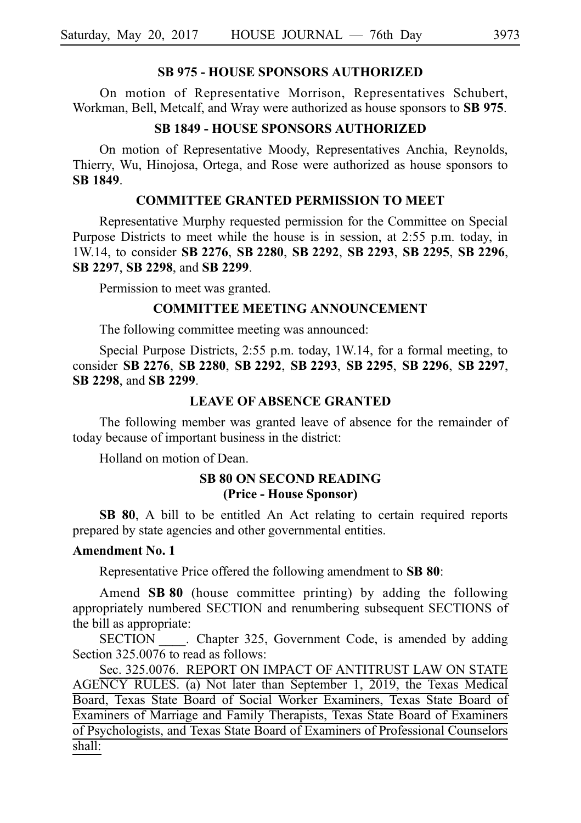#### **SB 975 - HOUSE SPONSORS AUTHORIZED**

On motion of Representative Morrison, Representatives Schubert, Workman, Bell, Metcalf, and Wray were authorized as house sponsors to **SB 975**.

# **SB 1849 - HOUSE SPONSORS AUTHORIZED**

On motion of Representative Moody, Representatives Anchia, Reynolds, Thierry, Wu, Hinojosa, Ortega, and Rose were authorized as house sponsors to **SBi1849**.

### **COMMITTEE GRANTED PERMISSION TO MEET**

Representative Murphy requested permission for the Committee on Special Purpose Districts to meet while the house is in session, at 2:55 p.m. today, in 1W.14, to consider **SBi2276**, **SBi2280**, **SBi2292**, **SBi2293**, **SBi2295**, **SBi2296**, **SBi2297**, **SBi2298**, and **SBi2299**.

Permission to meet was granted.

#### **COMMITTEE MEETING ANNOUNCEMENT**

The following committee meeting was announced:

Special Purpose Districts, 2:55 p.m. today, 1W.14, for a formal meeting, to consider **SBi2276**, **SBi2280**, **SBi2292**, **SBi2293**, **SBi2295**, **SBi2296**, **SBi2297**, **SBi2298**, and **SBi2299**.

#### **LEAVE OF ABSENCE GRANTED**

The following member was granted leave of absence for the remainder of today because of important business in the district:

Holland on motion of Dean.

## **SB 80 ON SECOND READING (Price - House Sponsor)**

**SB 80**, A bill to be entitled An Act relating to certain required reports prepared by state agencies and other governmental entities.

### **Amendment No. 1**

Representative Price offered the following amendment to **SB 80**:

Amend **SB 80** (house committee printing) by adding the following appropriately numbered SECTION and renumbering subsequent SECTIONS of the bill as appropriate:

SECTION Chapter 325, Government Code, is amended by adding Section 325,0076 to read as follows:

Sec. 325.0076. REPORT ON IMPACT OF ANTITRUST LAW ON STATE AGENCY RULES. (a) Not later than September 1, 2019, the Texas Medical Board, Texas State Board of Social Worker Examiners, Texas State Board of Examiners of Marriage and Family Therapists, Texas State Board of Examiners of Psychologists, and Texas State Board of Examiners of Professional Counselors shall: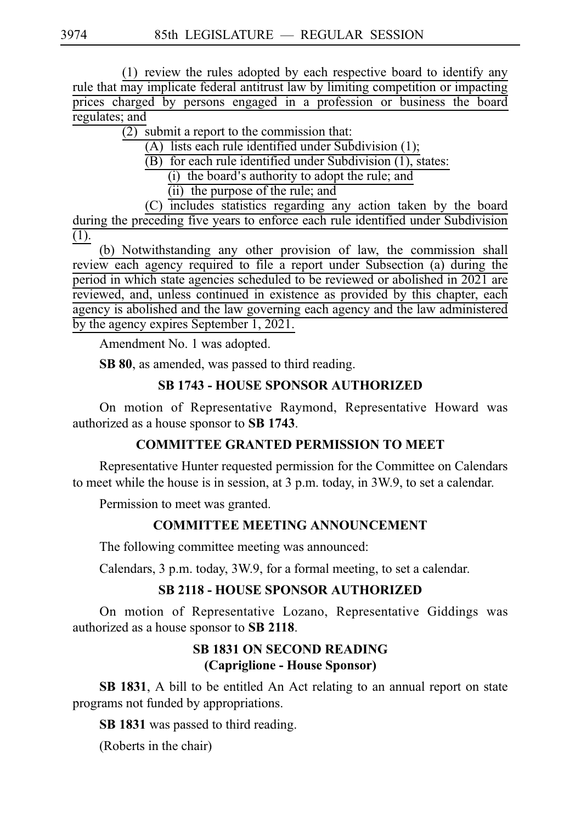$(1)$  review the rules adopted by each respective board to identify any rule that may implicate federal antitrust law by limiting competition or impacting prices charged by persons engaged in a profession or business the board regulates; and

 $\overline{(2)}$  submit a report to the commission that:

(A) lists each rule identified under Subdivision  $(1)$ ;

 $(B)$  for each rule identified under Subdivision  $(1)$ , states:

 $(i)$  the board's authority to adopt the rule; and

 $(ii)$  the purpose of the rule; and

(C) includes statistics regarding any action taken by the board during the preceding five years to enforce each rule identified under Subdivision (1).

(b) Notwithstanding any other provision of law, the commission shall review each agency required to file a report under Subsection (a) during the period in which state agencies scheduled to be reviewed or abolished in 2021 are reviewed, and, unless continued in existence as provided by this chapter, each agency is abolished and the law governing each agency and the law administered by the agency expires September 1, 2021.

Amendment No. 1 was adopted.

**SB 80**, as amended, was passed to third reading.

# **SB 1743 - HOUSE SPONSOR AUTHORIZED**

On motion of Representative Raymond, Representative Howard was authorized as a house sponsor to **SBi1743**.

# **COMMITTEE GRANTED PERMISSION TO MEET**

Representative Hunter requested permission for the Committee on Calendars to meet while the house is in session, at 3 p.m. today, in 3W.9, to set a calendar.

Permission to meet was granted.

# **COMMITTEE MEETING ANNOUNCEMENT**

The following committee meeting was announced:

Calendars, 3 p.m. today, 3W.9, for a formal meeting, to set a calendar.

# **SB 2118 - HOUSE SPONSOR AUTHORIZED**

On motion of Representative Lozano, Representative Giddings was authorized as a house sponsor to SB 2118.

# **SB 1831 ON SECOND READING (Capriglione - House Sponsor)**

**SB 1831**, A bill to be entitled An Act relating to an annual report on state programs not funded by appropriations.

**SB 1831** was passed to third reading.

(Roberts in the chair)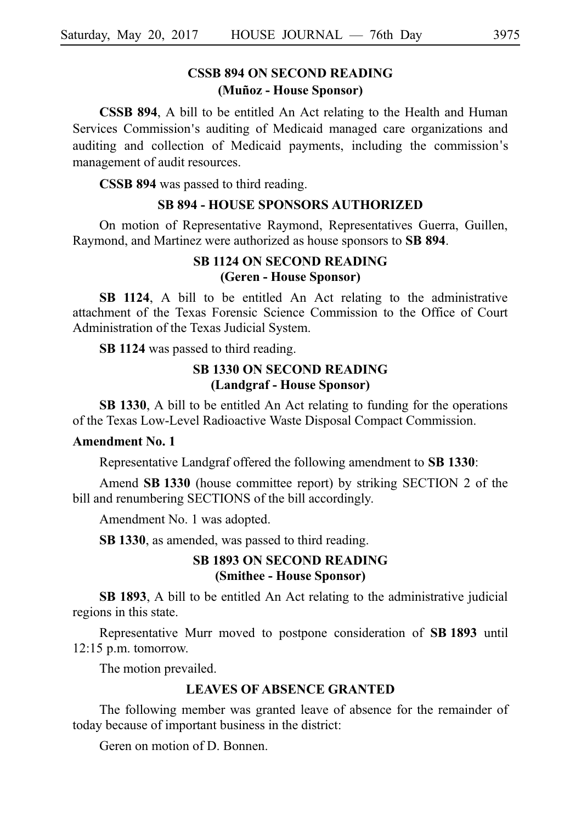# **CSSB 894 ON SECOND READING (Mun˜ oz - House Sponsor)**

**CSSB 894**, A bill to be entitled An Act relating to the Health and Human Services Commission's auditing of Medicaid managed care organizations and auditing and collection of Medicaid payments, including the commission s' management of audit resources.

**CSSB 894** was passed to third reading.

#### **SB 894 - HOUSE SPONSORS AUTHORIZED**

On motion of Representative Raymond, Representatives Guerra, Guillen, Raymond, and Martinez were authorized as house sponsors to SB 894.

## **SB 1124 ON SECOND READING (Geren - House Sponsor)**

**SB 1124**, A bill to be entitled An Act relating to the administrative attachment of the Texas Forensic Science Commission to the Office of Court Administration of the Texas Judicial System.

**SBi1124** was passed to third reading.

### **SB 1330 ON SECOND READING (Landgraf - House Sponsor)**

**SB 1330**, A bill to be entitled An Act relating to funding for the operations of the Texas Low-Level Radioactive Waste Disposal Compact Commission.

#### **Amendment No. 1**

Representative Landgraf offered the following amendment to **SB 1330**:

Amend **SB 1330** (house committee report) by striking SECTION 2 of the bill and renumbering SECTIONS of the bill accordingly.

Amendment No. 1 was adopted.

**SB 1330**, as amended, was passed to third reading.

## **SB 1893 ON SECOND READING (Smithee - House Sponsor)**

**SB 1893**, A bill to be entitled An Act relating to the administrative judicial regions in this state.

Representative Murr moved to postpone consideration of SB 1893 until  $12:15$  p.m. tomorrow.

The motion prevailed.

#### **LEAVES OF ABSENCE GRANTED**

The following member was granted leave of absence for the remainder of today because of important business in the district:

Geren on motion of D. Bonnen.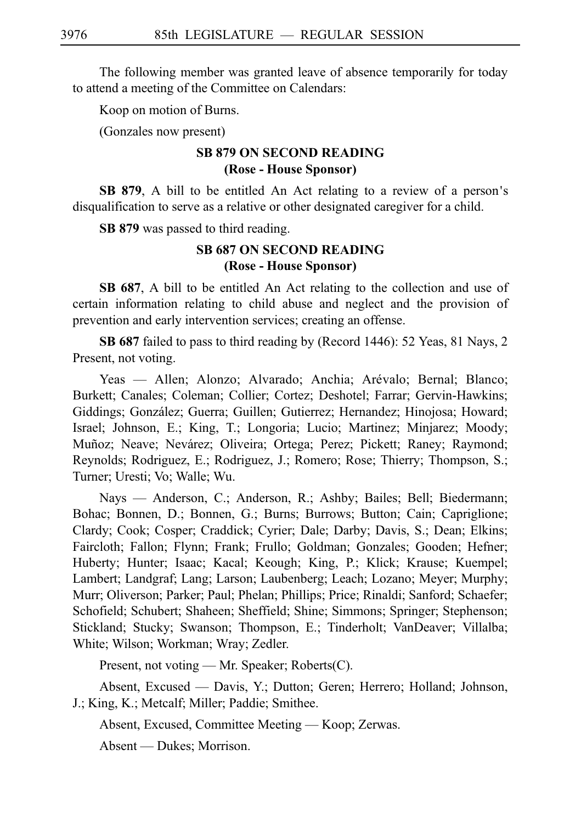The following member was granted leave of absence temporarily for today to attend a meeting of the Committee on Calendars:

Koop on motion of Burns.

(Gonzales now present)

## **SB 879 ON SECOND READING (Rose - House Sponsor)**

**SB 879.** A bill to be entitled An Act relating to a review of a person's disqualification to serve as a relative or other designated caregiver for a child.

**SB 879** was passed to third reading.

## **SB 687 ON SECOND READING (Rose - House Sponsor)**

**SB 687**, A bill to be entitled An Act relating to the collection and use of certain information relating to child abuse and neglect and the provision of prevention and early intervention services; creating an offense.

**SBi687** failed to pass to third reading by (Record 1446): 52 Yeas, 81 Nays, 2 Present, not voting.

Yeas — Allen; Alonzo; Alvarado; Anchia; Arévalo; Bernal; Blanco; Burkett; Canales; Coleman; Collier; Cortez; Deshotel; Farrar; Gervin-Hawkins; Giddings; González; Guerra; Guillen; Gutierrez; Hernandez; Hinojosa; Howard; Israel; Johnson, E.; King, T.; Longoria; Lucio; Martinez; Minjarez; Moody; Muñoz; Neave; Nevárez; Oliveira; Ortega; Perez; Pickett; Raney; Raymond; Reynolds; Rodriguez, E.; Rodriguez, J.; Romero; Rose; Thierry; Thompson, S.; Turner; Uresti; Vo; Walle; Wu.

Nays — Anderson, C.; Anderson, R.; Ashby; Bailes; Bell; Biedermann; Bohac; Bonnen, D.; Bonnen, G.; Burns; Burrows; Button; Cain; Capriglione; Clardy; Cook; Cosper; Craddick; Cyrier; Dale; Darby; Davis, S.; Dean; Elkins; Faircloth; Fallon; Flynn; Frank; Frullo; Goldman; Gonzales; Gooden; Hefner; Huberty; Hunter; Isaac; Kacal; Keough; King, P.; Klick; Krause; Kuempel; Lambert; Landgraf; Lang; Larson; Laubenberg; Leach; Lozano; Meyer; Murphy; Murr; Oliverson; Parker; Paul; Phelan; Phillips; Price; Rinaldi; Sanford; Schaefer; Schofield; Schubert; Shaheen; Sheffield; Shine; Simmons; Springer; Stephenson; Stickland; Stucky; Swanson; Thompson, E.; Tinderholt; VanDeaver; Villalba; White; Wilson; Workman; Wray; Zedler.

Present, not voting — Mr. Speaker; Roberts(C).

Absent, Excused — Davis, Y.; Dutton; Geren; Herrero; Holland; Johnson, J.; King, K.; Metcalf; Miller; Paddie; Smithee.

Absent, Excused, Committee Meeting — Koop; Zerwas.

Absent — Dukes; Morrison.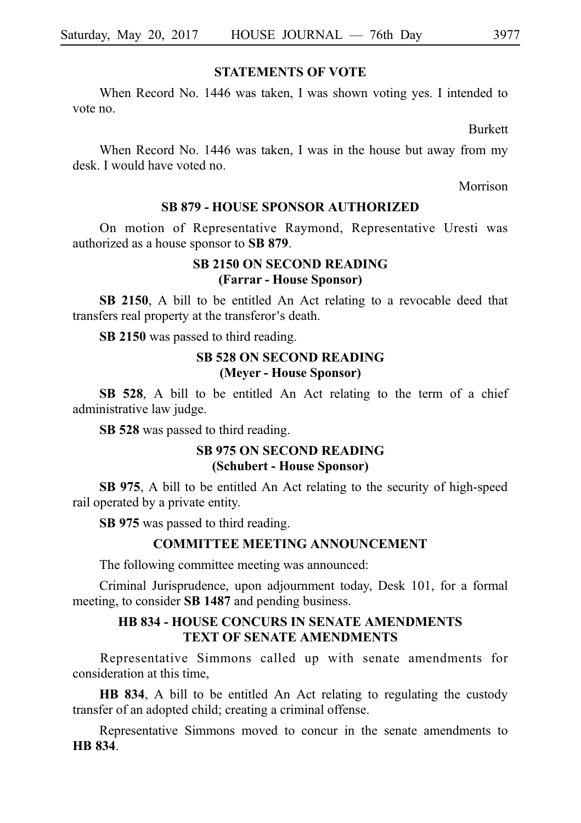#### **STATEMENTS OF VOTE**

When Record No. 1446 was taken, I was shown voting yes. I intended to vote no.

Burkett

When Record No. 1446 was taken, I was in the house but away from my desk. I would have voted no.

Morrison

### **SB 879 - HOUSE SPONSOR AUTHORIZED**

On motion of Representative Raymond, Representative Uresti was authorized as a house sponsor to **SB 879**.

### **SB 2150 ON SECOND READING (Farrar - House Sponsor)**

**SB 2150**, A bill to be entitled An Act relating to a revocable deed that transfers real property at the transferor's death.

**SB 2150** was passed to third reading.

## **SB 528 ON SECOND READING (Meyer - House Sponsor)**

**SB 528**, A bill to be entitled An Act relating to the term of a chief administrative law judge.

**SB 528** was passed to third reading.

### **SB 975 ON SECOND READING (Schubert - House Sponsor)**

**SB 975**, A bill to be entitled An Act relating to the security of high-speed rail operated by a private entity.

**SB 975** was passed to third reading.

### **COMMITTEE MEETING ANNOUNCEMENT**

The following committee meeting was announced:

Criminal Jurisprudence, upon adjournment today, Desk 101, for a formal meeting, to consider **SB 1487** and pending business.

### **HB 834 - HOUSE CONCURS IN SENATE AMENDMENTS TEXT OF SENATE AMENDMENTS**

Representative Simmons called up with senate amendments for consideration at this time,

**HB 834**, A bill to be entitled An Act relating to regulating the custody transfer of an adopted child; creating a criminal offense.

Representative Simmons moved to concur in the senate amendments to **HB** 834.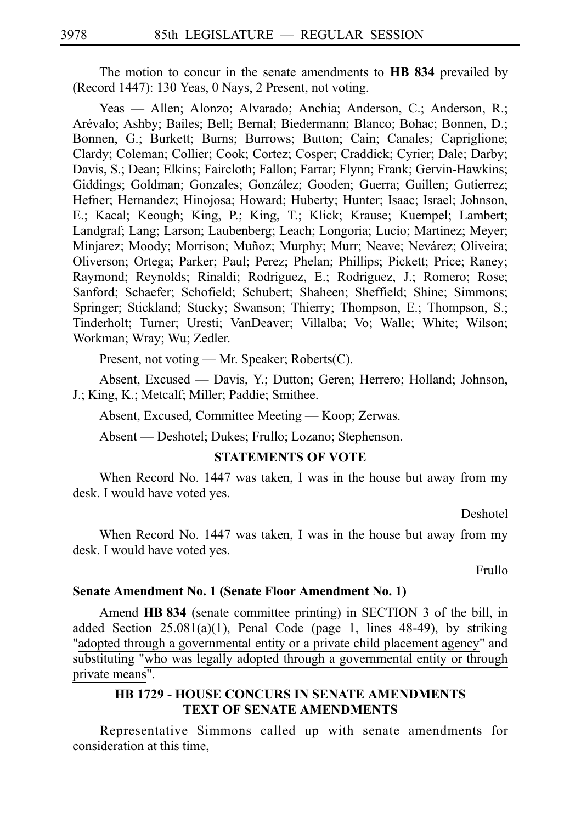The motion to concur in the senate amendments to **HB 834** prevailed by (Record 1447): 130 Yeas, 0 Nays, 2 Present, not voting.

Yeas — Allen; Alonzo; Alvarado; Anchia; Anderson, C.; Anderson, R.; Arévalo; Ashby; Bailes; Bell; Bernal; Biedermann; Blanco; Bohac; Bonnen, D.; Bonnen, G.; Burkett; Burns; Burrows; Button; Cain; Canales; Capriglione; Clardy; Coleman; Collier; Cook; Cortez; Cosper; Craddick; Cyrier; Dale; Darby; Davis, S.; Dean; Elkins; Faircloth; Fallon; Farrar; Flynn; Frank; Gervin-Hawkins; Giddings; Goldman; Gonzales; González; Gooden; Guerra; Guillen; Gutierrez; Hefner; Hernandez; Hinojosa; Howard; Huberty; Hunter; Isaac; Israel; Johnson, E.; Kacal; Keough; King, P.; King, T.; Klick; Krause; Kuempel; Lambert; Landgraf; Lang; Larson; Laubenberg; Leach; Longoria; Lucio; Martinez; Meyer; Minjarez; Moody; Morrison; Muñoz; Murphy; Murr; Neave; Nevárez; Oliveira; Oliverson; Ortega; Parker; Paul; Perez; Phelan; Phillips; Pickett; Price; Raney; Raymond; Reynolds; Rinaldi; Rodriguez, E.; Rodriguez, J.; Romero; Rose; Sanford; Schaefer; Schofield; Schubert; Shaheen; Sheffield; Shine; Simmons; Springer; Stickland; Stucky; Swanson; Thierry; Thompson, E.; Thompson, S.; Tinderholt; Turner; Uresti; VanDeaver; Villalba; Vo; Walle; White; Wilson; Workman; Wray; Wu; Zedler.

Present, not voting — Mr. Speaker; Roberts(C).

Absent, Excused — Davis, Y.; Dutton; Geren; Herrero; Holland; Johnson, J.; King, K.; Metcalf; Miller; Paddie; Smithee.

Absent, Excused, Committee Meeting — Koop; Zerwas.

Absent — Deshotel; Dukes; Frullo; Lozano; Stephenson.

#### **STATEMENTS OF VOTE**

When Record No. 1447 was taken, I was in the house but away from my desk. I would have voted yes.

Deshotel

When Record No. 1447 was taken, I was in the house but away from my desk. I would have voted yes.

Frullo

#### **Senate Amendment No. 1 (Senate Floor Amendment No. 1)**

Amend **HB 834** (senate committee printing) in SECTION 3 of the bill, in added Section 25.081(a)(1), Penal Code (page 1, lines 48-49), by striking "adopted through a governmental entity or a private child placement agency" and substituting "who was legally adopted through a governmental entity or through private means".

### **HB 1729 - HOUSE CONCURS IN SENATE AMENDMENTS TEXT OF SENATE AMENDMENTS**

Representative Simmons called up with senate amendments for consideration at this time,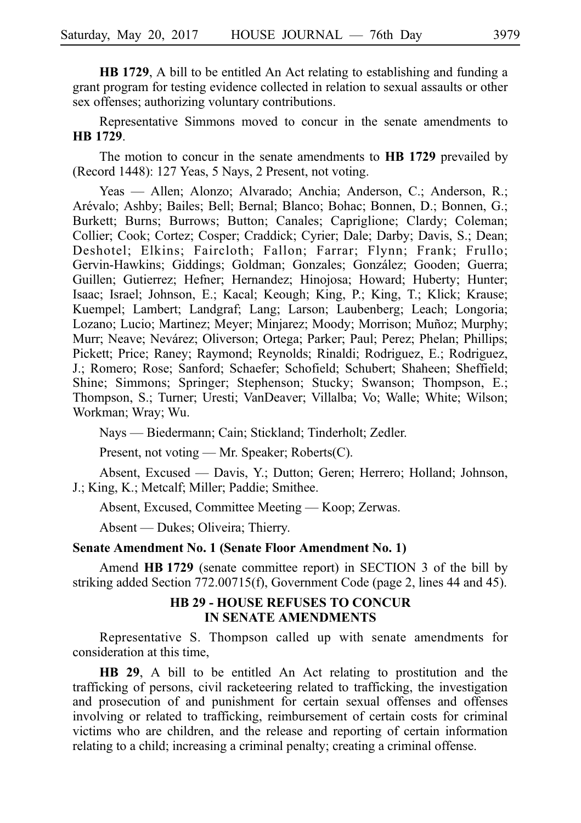**HB 1729**, A bill to be entitled An Act relating to establishing and funding a grant program for testing evidence collected in relation to sexual assaults or other sex offenses; authorizing voluntary contributions.

Representative Simmons moved to concur in the senate amendments to **HBi1729**.

The motion to concur in the senate amendments to **HB 1729** prevailed by (Record 1448): 127 Yeas, 5 Nays, 2 Present, not voting.

Yeas — Allen; Alonzo; Alvarado; Anchia; Anderson, C.; Anderson, R.; Arévalo; Ashby; Bailes; Bell; Bernal; Blanco; Bohac; Bonnen, D.; Bonnen, G.; Burkett; Burns; Burrows; Button; Canales; Capriglione; Clardy; Coleman; Collier; Cook; Cortez; Cosper; Craddick; Cyrier; Dale; Darby; Davis, S.; Dean; Deshotel; Elkins; Faircloth; Fallon; Farrar; Flynn; Frank; Frullo; Gervin-Hawkins; Giddings; Goldman; Gonzales; González; Gooden; Guerra; Guillen; Gutierrez; Hefner; Hernandez; Hinojosa; Howard; Huberty; Hunter; Isaac; Israel; Johnson, E.; Kacal; Keough; King, P.; King, T.; Klick; Krause; Kuempel; Lambert; Landgraf; Lang; Larson; Laubenberg; Leach; Longoria; Lozano; Lucio; Martinez; Meyer; Minjarez; Moody; Morrison; Muñoz; Murphy; Murr; Neave; Nevárez; Oliverson; Ortega; Parker; Paul; Perez; Phelan; Phillips; Pickett; Price; Raney; Raymond; Reynolds; Rinaldi; Rodriguez, E.; Rodriguez, J.; Romero; Rose; Sanford; Schaefer; Schofield; Schubert; Shaheen; Sheffield; Shine; Simmons; Springer; Stephenson; Stucky; Swanson; Thompson, E.; Thompson, S.; Turner; Uresti; VanDeaver; Villalba; Vo; Walle; White; Wilson; Workman; Wray; Wu.

Nays — Biedermann; Cain; Stickland; Tinderholt; Zedler.

Present, not voting — Mr. Speaker; Roberts(C).

Absent, Excused — Davis, Y.; Dutton; Geren; Herrero; Holland; Johnson, J.; King, K.; Metcalf; Miller; Paddie; Smithee.

Absent, Excused, Committee Meeting — Koop; Zerwas.

Absent — Dukes; Oliveira; Thierry.

### **Senate Amendment No. 1 (Senate Floor Amendment No. 1)**

Amend **HB 1729** (senate committee report) in SECTION 3 of the bill by striking added Section 772.00715(f), Government Code (page 2, lines 44 and 45).

### **HB 29 - HOUSE REFUSES TO CONCUR IN SENATE AMENDMENTS**

Representative S. Thompson called up with senate amendments for consideration at this time,

**HB 29**, A bill to be entitled An Act relating to prostitution and the trafficking of persons, civil racketeering related to trafficking, the investigation and prosecution of and punishment for certain sexual offenses and offenses involving or related to trafficking, reimbursement of certain costs for criminal victims who are children, and the release and reporting of certain information relating to a child; increasing a criminal penalty; creating a criminal offense.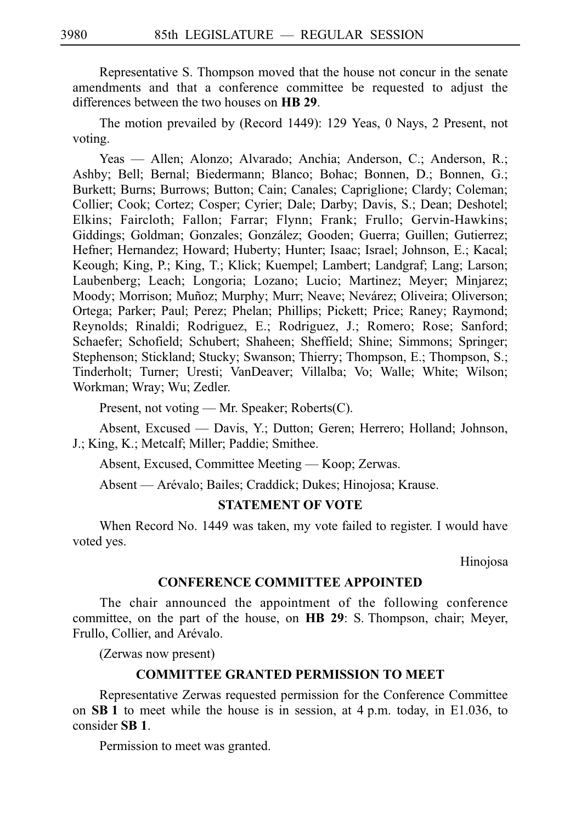Representative S. Thompson moved that the house not concur in the senate amendments and that a conference committee be requested to adjust the differences between the two houses on **HB 29**.

The motion prevailed by (Record 1449): 129 Yeas, 0 Nays, 2 Present, not voting.

Yeas — Allen; Alonzo; Alvarado; Anchia; Anderson, C.; Anderson, R.; Ashby; Bell; Bernal; Biedermann; Blanco; Bohac; Bonnen, D.; Bonnen, G.; Burkett; Burns; Burrows; Button; Cain; Canales; Capriglione; Clardy; Coleman; Collier; Cook; Cortez; Cosper; Cyrier; Dale; Darby; Davis, S.; Dean; Deshotel; Elkins; Faircloth; Fallon; Farrar; Flynn; Frank; Frullo; Gervin-Hawkins; Giddings; Goldman; Gonzales; González; Gooden; Guerra; Guillen; Gutierrez; Hefner; Hernandez; Howard; Huberty; Hunter; Isaac; Israel; Johnson, E.; Kacal; Keough; King, P.; King, T.; Klick; Kuempel; Lambert; Landgraf; Lang; Larson; Laubenberg; Leach; Longoria; Lozano; Lucio; Martinez; Meyer; Minjarez; Moody; Morrison; Muñoz; Murphy; Murr; Neave; Nevárez; Oliveira; Oliverson; Ortega; Parker; Paul; Perez; Phelan; Phillips; Pickett; Price; Raney; Raymond; Reynolds; Rinaldi; Rodriguez, E.; Rodriguez, J.; Romero; Rose; Sanford; Schaefer; Schofield; Schubert; Shaheen; Sheffield; Shine; Simmons; Springer; Stephenson; Stickland; Stucky; Swanson; Thierry; Thompson, E.; Thompson, S.; Tinderholt; Turner; Uresti; VanDeaver; Villalba; Vo; Walle; White; Wilson; Workman; Wray; Wu; Zedler.

Present, not voting — Mr. Speaker; Roberts(C).

Absent, Excused — Davis, Y.; Dutton; Geren; Herrero; Holland; Johnson, J.; King, K.; Metcalf; Miller; Paddie; Smithee.

Absent, Excused, Committee Meeting — Koop; Zerwas.

Absent — Arévalo; Bailes; Craddick; Dukes; Hinojosa; Krause.

#### **STATEMENT OF VOTE**

When Record No. 1449 was taken, my vote failed to register. I would have voted yes.

Hinojosa

#### **CONFERENCE COMMITTEE APPOINTED**

The chair announced the appointment of the following conference committee, on the part of the house, on **HB 29**: S. Thompson, chair; Meyer, Frullo, Collier, and Arévalo.

(Zerwas now present)

### **COMMITTEE GRANTED PERMISSION TO MEET**

Representative Zerwas requested permission for the Conference Committee on **SB 1** to meet while the house is in session, at  $4$  p.m. today, in E1.036, to consider **SBi1**.

Permission to meet was granted.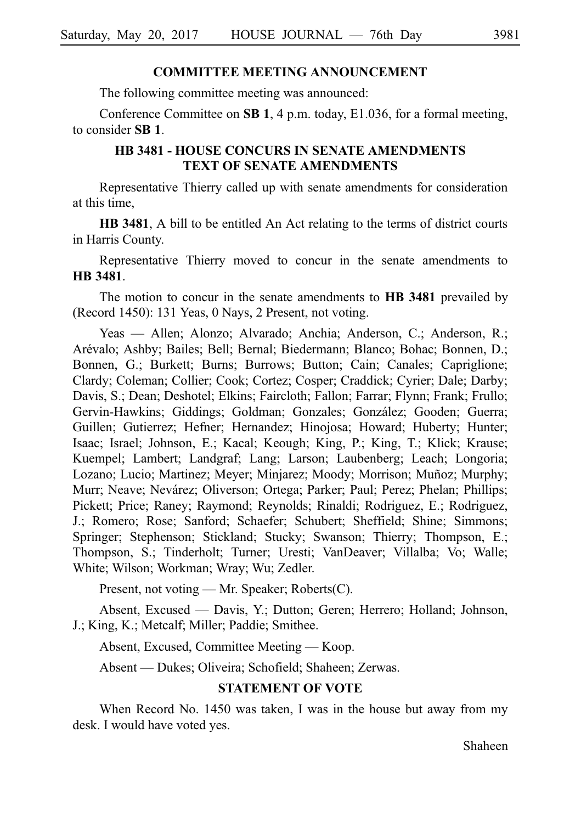#### **COMMITTEE MEETING ANNOUNCEMENT**

The following committee meeting was announced:

Conference Committee on **SB 1**, 4 p.m. today, E1.036, for a formal meeting, to consider **SBi1**.

## **HB 3481 - HOUSE CONCURS IN SENATE AMENDMENTS TEXT OF SENATE AMENDMENTS**

Representative Thierry called up with senate amendments for consideration at this time,

**HB 3481**, A bill to be entitled An Act relating to the terms of district courts in Harris County.

Representative Thierry moved to concur in the senate amendments to **HB** 3481.

The motion to concur in the senate amendments to **HB 3481** prevailed by (Record 1450): 131 Yeas, 0 Nays, 2 Present, not voting.

Yeas — Allen; Alonzo; Alvarado; Anchia; Anderson, C.; Anderson, R.; Are´valo; Ashby; Bailes; Bell; Bernal; Biedermann; Blanco; Bohac; Bonnen, D.; Bonnen, G.; Burkett; Burns; Burrows; Button; Cain; Canales; Capriglione; Clardy; Coleman; Collier; Cook; Cortez; Cosper; Craddick; Cyrier; Dale; Darby; Davis, S.; Dean; Deshotel; Elkins; Faircloth; Fallon; Farrar; Flynn; Frank; Frullo; Gervin-Hawkins; Giddings; Goldman; Gonzales; González; Gooden; Guerra; Guillen; Gutierrez; Hefner; Hernandez; Hinojosa; Howard; Huberty; Hunter; Isaac; Israel; Johnson, E.; Kacal; Keough; King, P.; King, T.; Klick; Krause; Kuempel; Lambert; Landgraf; Lang; Larson; Laubenberg; Leach; Longoria; Lozano; Lucio; Martinez; Meyer; Minjarez; Moody; Morrison; Muñoz; Murphy; Murr; Neave; Nevárez; Oliverson; Ortega; Parker; Paul; Perez; Phelan; Phillips; Pickett; Price; Raney; Raymond; Reynolds; Rinaldi; Rodriguez, E.; Rodriguez, J.; Romero; Rose; Sanford; Schaefer; Schubert; Sheffield; Shine; Simmons; Springer; Stephenson; Stickland; Stucky; Swanson; Thierry; Thompson, E.; Thompson, S.; Tinderholt; Turner; Uresti; VanDeaver; Villalba; Vo; Walle; White; Wilson; Workman; Wray; Wu; Zedler.

Present, not voting — Mr. Speaker; Roberts(C).

Absent, Excused — Davis, Y.; Dutton; Geren; Herrero; Holland; Johnson, J.; King, K.; Metcalf; Miller; Paddie; Smithee.

Absent, Excused, Committee Meeting — Koop.

Absent — Dukes; Oliveira; Schofield; Shaheen; Zerwas.

### **STATEMENT OF VOTE**

When Record No. 1450 was taken, I was in the house but away from my desk. I would have voted yes.

Shaheen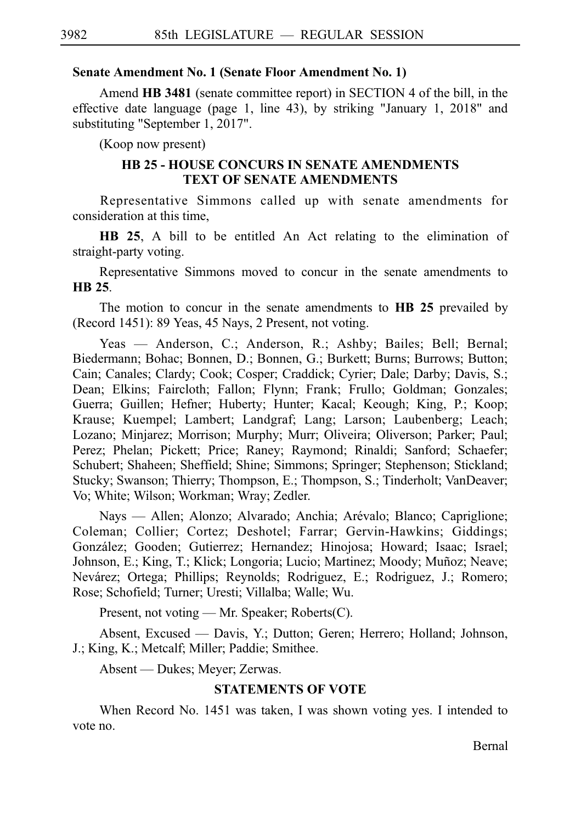#### **Senate Amendment No. 1 (Senate Floor Amendment No. 1)**

Amend **HB 3481** (senate committee report) in SECTION 4 of the bill, in the effective date language (page 1, line 43), by striking "January 1, 2018" and substituting "September 1, 2017".

(Koop now present)

### **HB 25 - HOUSE CONCURS IN SENATE AMENDMENTS TEXT OF SENATE AMENDMENTS**

Representative Simmons called up with senate amendments for consideration at this time,

**HB 25**, A bill to be entitled An Act relating to the elimination of straight-party voting.

Representative Simmons moved to concur in the senate amendments to **HBi25**.

The motion to concur in the senate amendments to **HB 25** prevailed by (Record 1451): 89 Yeas, 45 Nays, 2 Present, not voting.

Yeas — Anderson, C.; Anderson, R.; Ashby; Bailes; Bell; Bernal; Biedermann; Bohac; Bonnen, D.; Bonnen, G.; Burkett; Burns; Burrows; Button; Cain; Canales; Clardy; Cook; Cosper; Craddick; Cyrier; Dale; Darby; Davis, S.; Dean; Elkins; Faircloth; Fallon; Flynn; Frank; Frullo; Goldman; Gonzales; Guerra; Guillen; Hefner; Huberty; Hunter; Kacal; Keough; King, P.; Koop; Krause; Kuempel; Lambert; Landgraf; Lang; Larson; Laubenberg; Leach; Lozano; Minjarez; Morrison; Murphy; Murr; Oliveira; Oliverson; Parker; Paul; Perez; Phelan; Pickett; Price; Raney; Raymond; Rinaldi; Sanford; Schaefer; Schubert; Shaheen; Sheffield; Shine; Simmons; Springer; Stephenson; Stickland; Stucky; Swanson; Thierry; Thompson, E.; Thompson, S.; Tinderholt; VanDeaver; Vo; White; Wilson; Workman; Wray; Zedler.

Nays — Allen; Alonzo; Alvarado; Anchia; Arévalo; Blanco; Capriglione; Coleman; Collier; Cortez; Deshotel; Farrar; Gervin-Hawkins; Giddings; González; Gooden; Gutierrez; Hernandez; Hinojosa; Howard; Isaac; Israel; Johnson, E.; King, T.; Klick; Longoria; Lucio; Martinez; Moody; Muñoz; Neave; Nevárez; Ortega; Phillips; Reynolds; Rodriguez, E.; Rodriguez, J.; Romero; Rose; Schofield; Turner; Uresti; Villalba; Walle; Wu.

Present, not voting — Mr. Speaker; Roberts(C).

Absent, Excused — Davis, Y.; Dutton; Geren; Herrero; Holland; Johnson, J.; King, K.; Metcalf; Miller; Paddie; Smithee.

Absent — Dukes; Meyer; Zerwas.

## **STATEMENTS OF VOTE**

When Record No. 1451 was taken, I was shown voting yes. I intended to vote no.

Bernal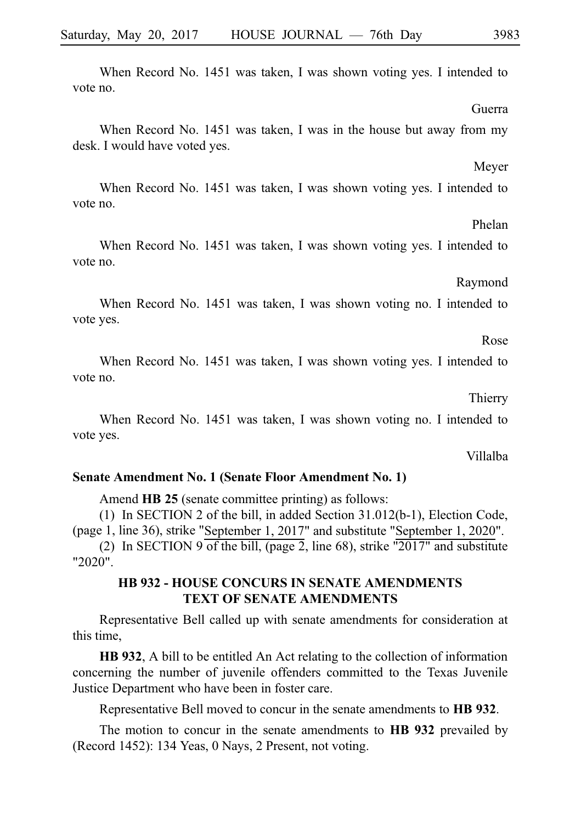When Record No. 1451 was taken, I was shown voting yes. I intended to vote no.

When Record No. 1451 was taken, I was in the house but away from my desk. I would have voted yes.

When Record No. 1451 was taken, I was shown voting yes. I intended to vote no.

When Record No. 1451 was taken, I was shown voting yes. I intended to vote no.

When Record No. 1451 was taken, I was shown voting no. I intended to vote yes.

When Record No. 1451 was taken, I was shown voting yes. I intended to vote no.

When Record No. 1451 was taken, I was shown voting no. I intended to vote yes.

**Senate Amendment No. 1 (Senate Floor Amendment No. 1)**

Amend **HB 25** (senate committee printing) as follows:

(1) In SECTION 2 of the bill, in added Section  $31.012(b-1)$ , Election Code, (page 1, line 36), strike "September 1, 2017" and substitute "September 1, 2020".

(2) In SECTION 9 of the bill, (page 2, line 68), strike "2017" and substitute "2020".

## **HB 932 - HOUSE CONCURS IN SENATE AMENDMENTS TEXT OF SENATE AMENDMENTS**

Representative Bell called up with senate amendments for consideration at this time,

**HB 932**, A bill to be entitled An Act relating to the collection of information concerning the number of juvenile offenders committed to the Texas Juvenile Justice Department who have been in foster care.

Representative Bell moved to concur in the senate amendments to **HBi932**.

The motion to concur in the senate amendments to **HB 932** prevailed by (Record 1452): 134 Yeas, 0 Nays, 2 Present, not voting.

Phelan

Raymond

Guerra

Meyer

Thierry

Villalba

Rose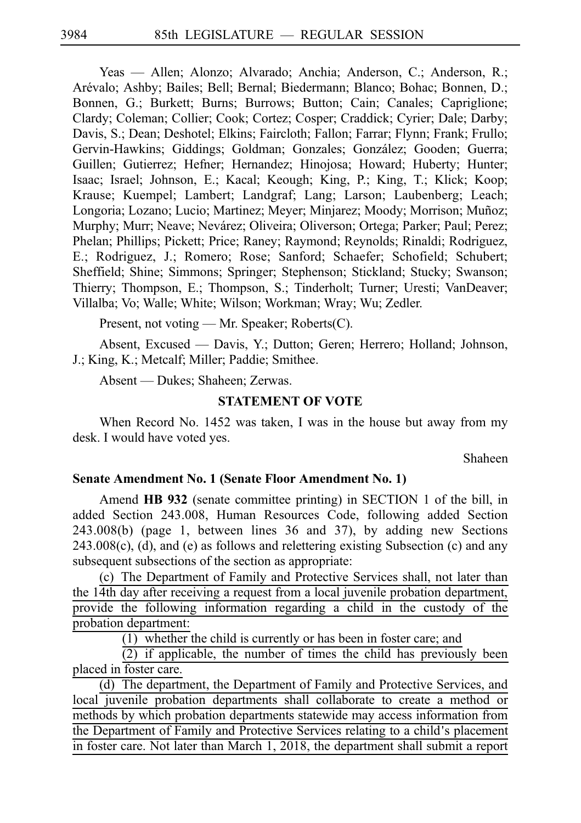Yeas — Allen; Alonzo; Alvarado; Anchia; Anderson, C.; Anderson, R.; Arévalo; Ashby; Bailes; Bell; Bernal; Biedermann; Blanco; Bohac; Bonnen, D.; Bonnen, G.; Burkett; Burns; Burrows; Button; Cain; Canales; Capriglione; Clardy; Coleman; Collier; Cook; Cortez; Cosper; Craddick; Cyrier; Dale; Darby; Davis, S.; Dean; Deshotel; Elkins; Faircloth; Fallon; Farrar; Flynn; Frank; Frullo; Gervin-Hawkins; Giddings; Goldman; Gonzales; González; Gooden; Guerra; Guillen; Gutierrez; Hefner; Hernandez; Hinojosa; Howard; Huberty; Hunter; Isaac; Israel; Johnson, E.; Kacal; Keough; King, P.; King, T.; Klick; Koop; Krause; Kuempel; Lambert; Landgraf; Lang; Larson; Laubenberg; Leach; Longoria; Lozano; Lucio; Martinez; Meyer; Minjarez; Moody; Morrison; Muñoz; Murphy; Murr; Neave; Nevárez; Oliveira; Oliverson; Ortega; Parker; Paul; Perez; Phelan; Phillips; Pickett; Price; Raney; Raymond; Reynolds; Rinaldi; Rodriguez, E.; Rodriguez, J.; Romero; Rose; Sanford; Schaefer; Schofield; Schubert; Sheffield; Shine; Simmons; Springer; Stephenson; Stickland; Stucky; Swanson; Thierry; Thompson, E.; Thompson, S.; Tinderholt; Turner; Uresti; VanDeaver; Villalba; Vo; Walle; White; Wilson; Workman; Wray; Wu; Zedler.

Present, not voting — Mr. Speaker; Roberts(C).

Absent, Excused — Davis, Y.; Dutton; Geren; Herrero; Holland; Johnson, J.; King, K.; Metcalf; Miller; Paddie; Smithee.

Absent — Dukes; Shaheen; Zerwas.

#### **STATEMENT OF VOTE**

When Record No. 1452 was taken, I was in the house but away from my desk. I would have voted yes.

Shaheen

#### **Senate Amendment No. 1 (Senate Floor Amendment No. 1)**

Amend **HB 932** (senate committee printing) in SECTION 1 of the bill, in added Section 243.008, Human Resources Code, following added Section 243.008(b) (page 1, between lines 36 and 37), by adding new Sections 243.008(c), (d), and (e) as follows and relettering existing Subsection (c) and any subsequent subsections of the section as appropriate:

(c) The Department of Family and Protective Services shall, not later than the 14th day after receiving a request from a local juvenile probation department, provide the following information regarding a child in the custody of the probation department:

 $(1)$  whether the child is currently or has been in foster care; and

 $(2)$  if applicable, the number of times the child has previously been placed in foster care.

(d) The department, the Department of Family and Protective Services, and local juvenile probation departments shall collaborate to create a method or methods by which probation departments statewide may access information from the Department of Family and Protective Services relating to a child's placement in foster care. Not later than March 1, 2018, the department shall submit a report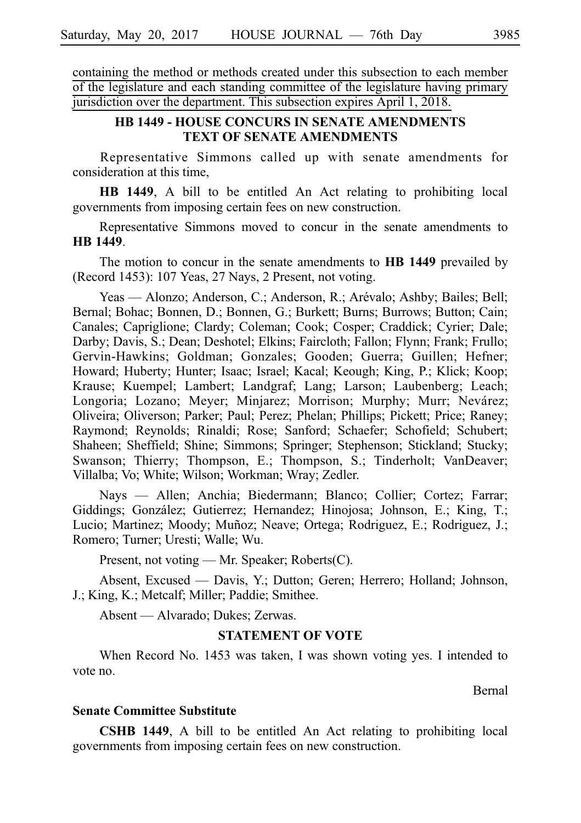containing the method or methods created under this subsection to each member of the legislature and each standing committee of the legislature having primary jurisdiction over the department. This subsection expires April 1, 2018.

## **HB 1449 - HOUSE CONCURS IN SENATE AMENDMENTS TEXT OF SENATE AMENDMENTS**

Representative Simmons called up with senate amendments for consideration at this time,

**HB 1449**, A bill to be entitled An Act relating to prohibiting local governments from imposing certain fees on new construction.

Representative Simmons moved to concur in the senate amendments to **HBi1449**.

The motion to concur in the senate amendments to **HB 1449** prevailed by (Record 1453): 107 Yeas, 27 Nays, 2 Present, not voting.

Yeas — Alonzo; Anderson, C.; Anderson, R.; Arévalo; Ashby; Bailes; Bell; Bernal; Bohac; Bonnen, D.; Bonnen, G.; Burkett; Burns; Burrows; Button; Cain; Canales; Capriglione; Clardy; Coleman; Cook; Cosper; Craddick; Cyrier; Dale; Darby; Davis, S.; Dean; Deshotel; Elkins; Faircloth; Fallon; Flynn; Frank; Frullo; Gervin-Hawkins; Goldman; Gonzales; Gooden; Guerra; Guillen; Hefner; Howard; Huberty; Hunter; Isaac; Israel; Kacal; Keough; King, P.; Klick; Koop; Krause; Kuempel; Lambert; Landgraf; Lang; Larson; Laubenberg; Leach; Longoria; Lozano; Meyer; Minjarez; Morrison; Murphy; Murr; Nevárez; Oliveira; Oliverson; Parker; Paul; Perez; Phelan; Phillips; Pickett; Price; Raney; Raymond; Reynolds; Rinaldi; Rose; Sanford; Schaefer; Schofield; Schubert; Shaheen; Sheffield; Shine; Simmons; Springer; Stephenson; Stickland; Stucky; Swanson; Thierry; Thompson, E.; Thompson, S.; Tinderholt; VanDeaver; Villalba; Vo; White; Wilson; Workman; Wray; Zedler.

Nays — Allen; Anchia; Biedermann; Blanco; Collier; Cortez; Farrar; Giddings; González; Gutierrez; Hernandez; Hinojosa; Johnson, E.; King, T.; Lucio; Martinez; Moody; Muñoz; Neave; Ortega; Rodriguez, E.; Rodriguez, J.; Romero; Turner; Uresti; Walle; Wu.

Present, not voting — Mr. Speaker; Roberts(C).

Absent, Excused — Davis, Y.; Dutton; Geren; Herrero; Holland; Johnson, J.; King, K.; Metcalf; Miller; Paddie; Smithee.

Absent — Alvarado; Dukes; Zerwas.

## **STATEMENT OF VOTE**

When Record No. 1453 was taken, I was shown voting yes. I intended to vote no.

Bernal

#### **Senate Committee Substitute**

**CSHB 1449**, A bill to be entitled An Act relating to prohibiting local governments from imposing certain fees on new construction.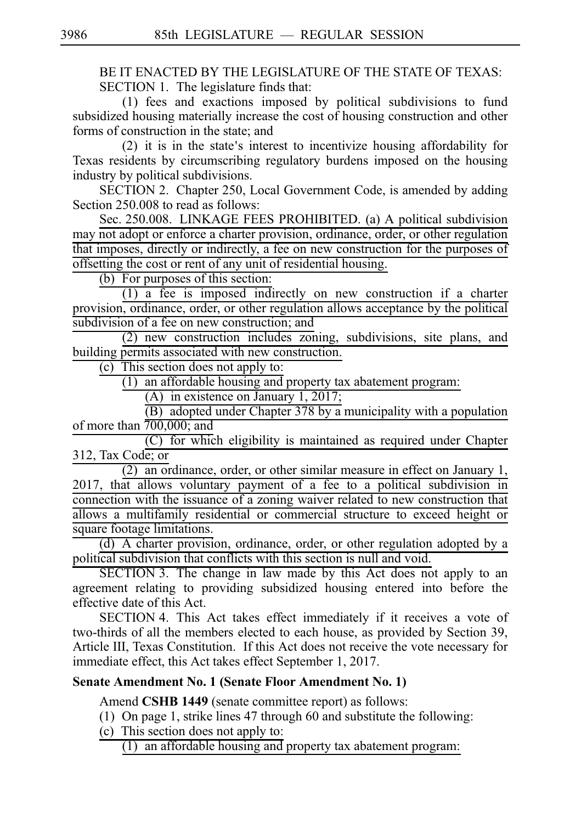BE IT ENACTED BY THE LEGISLATURE OF THE STATE OF TEXAS: SECTION 1. The legislature finds that:

 $(1)$  fees and exactions imposed by political subdivisions to fund subsidized housing materially increase the cost of housing construction and other forms of construction in the state; and

 $(2)$  it is in the state's interest to incentivize housing affordability for Texas residents by circumscribing regulatory burdens imposed on the housing industry by political subdivisions.

SECTION 2. Chapter 250, Local Government Code, is amended by adding Section 250.008 to read as follows:

Sec. 250.008. LINKAGE FEES PROHIBITED. (a) A political subdivision may not adopt or enforce a charter provision, ordinance, order, or other regulation that imposes, directly or indirectly, a fee on new construction for the purposes of offsetting the cost or rent of any unit of residential housing.

 $(b)$  For purposes of this section:

 $(1)$  a fee is imposed indirectly on new construction if a charter provision, ordinance, order, or other regulation allows acceptance by the political subdivision of a fee on new construction; and

 $(2)$  new construction includes zoning, subdivisions, site plans, and building permits associated with new construction.

 $(c)$  This section does not apply to:

 $(1)$  an affordable housing and property tax abatement program:

(A) in existence on January 1, 2017;

 $\overline{(B)}$  adopted under Chapter 378 by a municipality with a population of more than  $\overline{700,000}$ ; and

 $(C)$  for which eligibility is maintained as required under Chapter 312, Tax Code; or

 $(2)$  an ordinance, order, or other similar measure in effect on January 1,  $2017$ , that allows voluntary payment of a fee to a political subdivision in connection with the issuance of a zoning waiver related to new construction that allows a multifamily residential or commercial structure to exceed height or square footage limitations.

 $(d)$  A charter provision, ordinance, order, or other regulation adopted by a political subdivision that conflicts with this section is null and void.

SECTION 3. The change in law made by this Act does not apply to an agreement relating to providing subsidized housing entered into before the effective date of this Act.

SECTION 4. This Act takes effect immediately if it receives a vote of two-thirds of all the members elected to each house, as provided by Section 39, Article III, Texas Constitution. If this Act does not receive the vote necessary for immediate effect, this Act takes effect September 1, 2017.

### **Senate Amendment No. 1 (Senate Floor Amendment No. 1)**

Amend **CSHB 1449** (senate committee report) as follows:

- (1) On page 1, strike lines 47 through 60 and substitute the following:
- $(c)$  This section does not apply to:

 $(1)$  an affordable housing and property tax abatement program: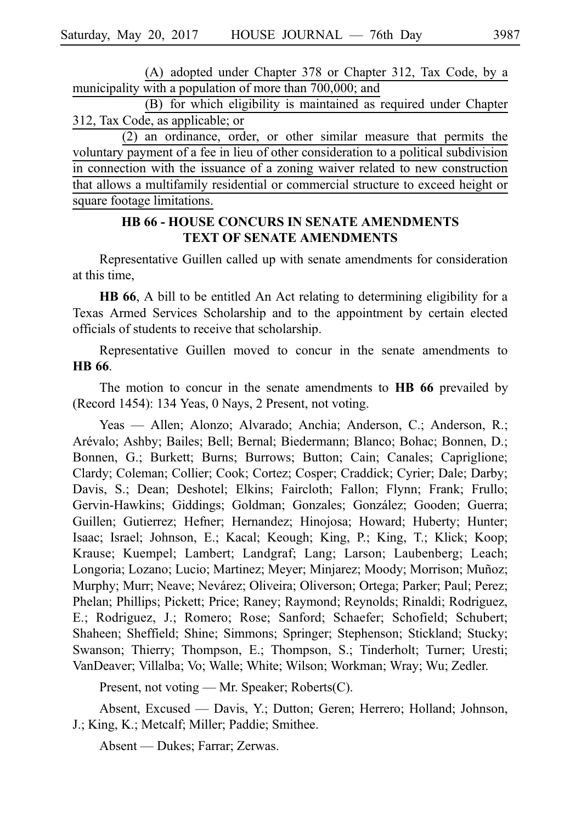(A) adopted under Chapter 378 or Chapter 312, Tax Code, by a municipality with a population of more than 700,000; and

(B) for which eligibility is maintained as required under Chapter 312, Tax Code, as applicable; or

 $(2)$  an ordinance, order, or other similar measure that permits the voluntary payment of a fee in lieu of other consideration to a political subdivision in connection with the issuance of a zoning waiver related to new construction that allows a multifamily residential or commercial structure to exceed height or square footage limitations.

## **HB 66 - HOUSE CONCURS IN SENATE AMENDMENTS TEXT OF SENATE AMENDMENTS**

Representative Guillen called up with senate amendments for consideration at this time,

**HB 66**, A bill to be entitled An Act relating to determining eligibility for a Texas Armed Services Scholarship and to the appointment by certain elected officials of students to receive that scholarship.

Representative Guillen moved to concur in the senate amendments to **HB** 66.

The motion to concur in the senate amendments to **HB 66** prevailed by (Record 1454): 134 Yeas, 0 Nays, 2 Present, not voting.

Yeas — Allen; Alonzo; Alvarado; Anchia; Anderson, C.; Anderson, R.; Are´valo; Ashby; Bailes; Bell; Bernal; Biedermann; Blanco; Bohac; Bonnen, D.; Bonnen, G.; Burkett; Burns; Burrows; Button; Cain; Canales; Capriglione; Clardy; Coleman; Collier; Cook; Cortez; Cosper; Craddick; Cyrier; Dale; Darby; Davis, S.; Dean; Deshotel; Elkins; Faircloth; Fallon; Flynn; Frank; Frullo; Gervin-Hawkins; Giddings; Goldman; Gonzales; González; Gooden; Guerra; Guillen; Gutierrez; Hefner; Hernandez; Hinojosa; Howard; Huberty; Hunter; Isaac; Israel; Johnson, E.; Kacal; Keough; King, P.; King, T.; Klick; Koop; Krause; Kuempel; Lambert; Landgraf; Lang; Larson; Laubenberg; Leach; Longoria; Lozano; Lucio; Martinez; Meyer; Minjarez; Moody; Morrison; Muñoz; Murphy; Murr; Neave; Nevárez; Oliveira; Oliverson; Ortega; Parker; Paul; Perez; Phelan; Phillips; Pickett; Price; Raney; Raymond; Reynolds; Rinaldi; Rodriguez, E.; Rodriguez, J.; Romero; Rose; Sanford; Schaefer; Schofield; Schubert; Shaheen; Sheffield; Shine; Simmons; Springer; Stephenson; Stickland; Stucky; Swanson; Thierry; Thompson, E.; Thompson, S.; Tinderholt; Turner; Uresti; VanDeaver; Villalba; Vo; Walle; White; Wilson; Workman; Wray; Wu; Zedler.

Present, not voting — Mr. Speaker; Roberts(C).

Absent, Excused — Davis, Y.; Dutton; Geren; Herrero; Holland; Johnson, J.; King, K.; Metcalf; Miller; Paddie; Smithee.

Absent — Dukes; Farrar; Zerwas.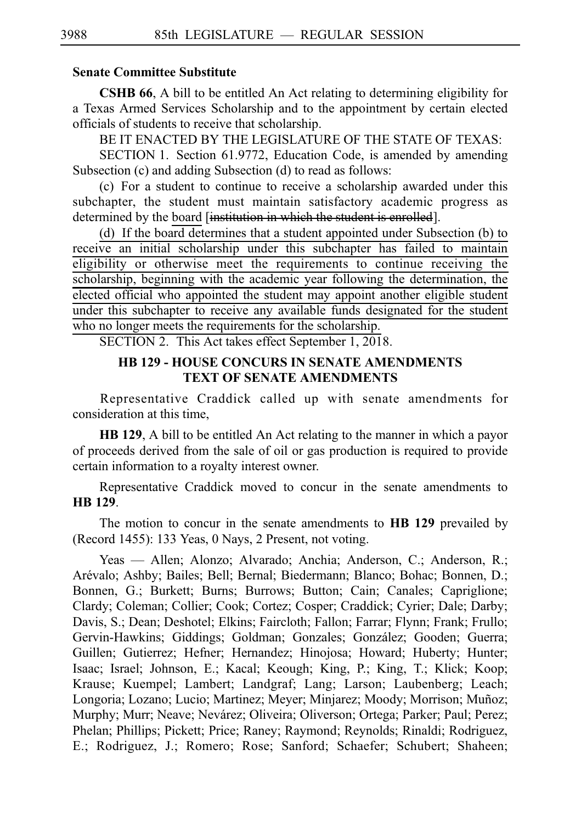### **Senate Committee Substitute**

**CSHB 66**, A bill to be entitled An Act relating to determining eligibility for a Texas Armed Services Scholarship and to the appointment by certain elected officials of students to receive that scholarship.

BE IT ENACTED BY THE LEGISLATURE OF THE STATE OF TEXAS:

SECTION 1. Section 61.9772, Education Code, is amended by amending Subsection (c) and adding Subsection (d) to read as follows:

(c) For a student to continue to receive a scholarship awarded under this subchapter, the student must maintain satisfactory academic progress as determined by the board [institution in which the student is enrolled].

(d) If the board determines that a student appointed under Subsection (b) to receive an initial scholarship under this subchapter has failed to maintain eligibility or otherwise meet the requirements to continue receiving the scholarship, beginning with the academic year following the determination, the elected official who appointed the student may appoint another eligible student under this subchapter to receive any available funds designated for the student who no longer meets the requirements for the scholarship.

SECTION 2. This Act takes effect September 1, 2018.

## **HB 129 - HOUSE CONCURS IN SENATE AMENDMENTS TEXT OF SENATE AMENDMENTS**

Representative Craddick called up with senate amendments for consideration at this time,

**HB 129**, A bill to be entitled An Act relating to the manner in which a payor of proceeds derived from the sale of oil or gas production is required to provide certain information to a royalty interest owner.

Representative Craddick moved to concur in the senate amendments to **HBi129**.

The motion to concur in the senate amendments to **HB 129** prevailed by (Record 1455): 133 Yeas, 0 Nays, 2 Present, not voting.

Yeas — Allen; Alonzo; Alvarado; Anchia; Anderson, C.; Anderson, R.; Arévalo; Ashby; Bailes; Bell; Bernal; Biedermann; Blanco; Bohac; Bonnen, D.; Bonnen, G.; Burkett; Burns; Burrows; Button; Cain; Canales; Capriglione; Clardy; Coleman; Collier; Cook; Cortez; Cosper; Craddick; Cyrier; Dale; Darby; Davis, S.; Dean; Deshotel; Elkins; Faircloth; Fallon; Farrar; Flynn; Frank; Frullo; Gervin-Hawkins; Giddings; Goldman; Gonzales; González; Gooden; Guerra; Guillen; Gutierrez; Hefner; Hernandez; Hinojosa; Howard; Huberty; Hunter; Isaac; Israel; Johnson, E.; Kacal; Keough; King, P.; King, T.; Klick; Koop; Krause; Kuempel; Lambert; Landgraf; Lang; Larson; Laubenberg; Leach; Longoria; Lozano; Lucio; Martinez; Meyer; Minjarez; Moody; Morrison; Muñoz; Murphy; Murr; Neave; Nevárez; Oliveira; Oliverson; Ortega; Parker; Paul; Perez; Phelan; Phillips; Pickett; Price; Raney; Raymond; Reynolds; Rinaldi; Rodriguez, E.; Rodriguez, J.; Romero; Rose; Sanford; Schaefer; Schubert; Shaheen;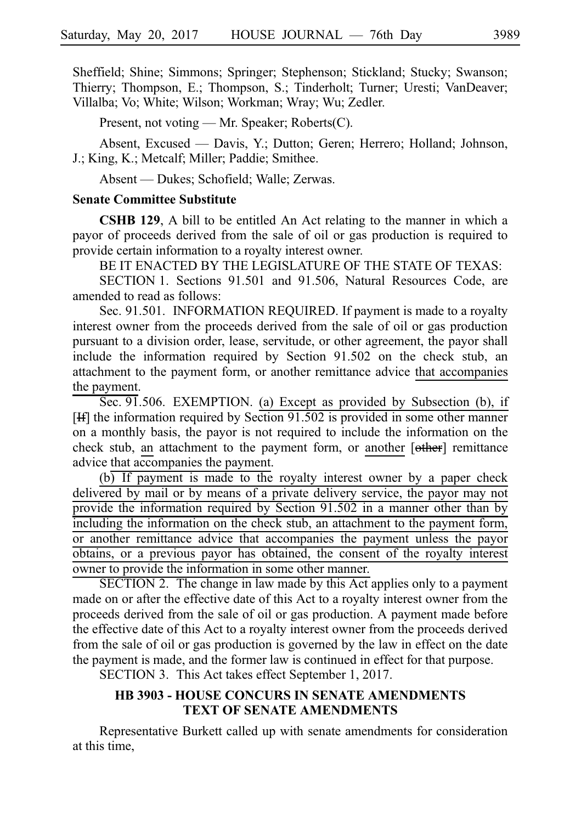Sheffield; Shine; Simmons; Springer; Stephenson; Stickland; Stucky; Swanson; Thierry; Thompson, E.; Thompson, S.; Tinderholt; Turner; Uresti; VanDeaver; Villalba; Vo; White; Wilson; Workman; Wray; Wu; Zedler.

Present, not voting — Mr. Speaker; Roberts(C).

Absent, Excused — Davis, Y.; Dutton; Geren; Herrero; Holland; Johnson, J.; King, K.; Metcalf; Miller; Paddie; Smithee.

Absent — Dukes; Schofield; Walle; Zerwas.

#### **Senate Committee Substitute**

**CSHB 129**, A bill to be entitled An Act relating to the manner in which a payor of proceeds derived from the sale of oil or gas production is required to provide certain information to a royalty interest owner.

BE IT ENACTED BY THE LEGISLATURE OF THE STATE OF TEXAS:

SECTION 1. Sections 91.501 and 91.506, Natural Resources Code, are amended to read as follows:

Sec. 91.501. INFORMATION REQUIRED. If payment is made to a royalty interest owner from the proceeds derived from the sale of oil or gas production pursuant to a division order, lease, servitude, or other agreement, the payor shall include the information required by Section 91.502 on the check stub, an attachment to the payment form, or another remittance advice that accompanies the payment.

Sec. 91.506. EXEMPTION. (a) Except as provided by Subsection (b), if [If] the information required by Section 91.502 is provided in some other manner on a monthly basis, the payor is not required to include the information on the check stub, an attachment to the payment form, or another [other] remittance advice that accompanies the payment.

 $(b)$  If payment is made to the royalty interest owner by a paper check delivered by mail or by means of a private delivery service, the payor may not provide the information required by Section 91.502 in a manner other than by including the information on the check stub, an attachment to the payment form, or another remittance advice that accompanies the payment unless the payor obtains, or a previous payor has obtained, the consent of the royalty interest owner to provide the information in some other manner.

SECTION 2. The change in law made by this Act applies only to a payment made on or after the effective date of this Act to a royalty interest owner from the proceeds derived from the sale of oil or gas production. A payment made before the effective date of this Act to a royalty interest owner from the proceeds derived from the sale of oil or gas production is governed by the law in effect on the date the payment is made, and the former law is continued in effect for that purpose.

SECTION 3. This Act takes effect September 1, 2017.

### **HB 3903 - HOUSE CONCURS IN SENATE AMENDMENTS TEXT OF SENATE AMENDMENTS**

Representative Burkett called up with senate amendments for consideration at this time,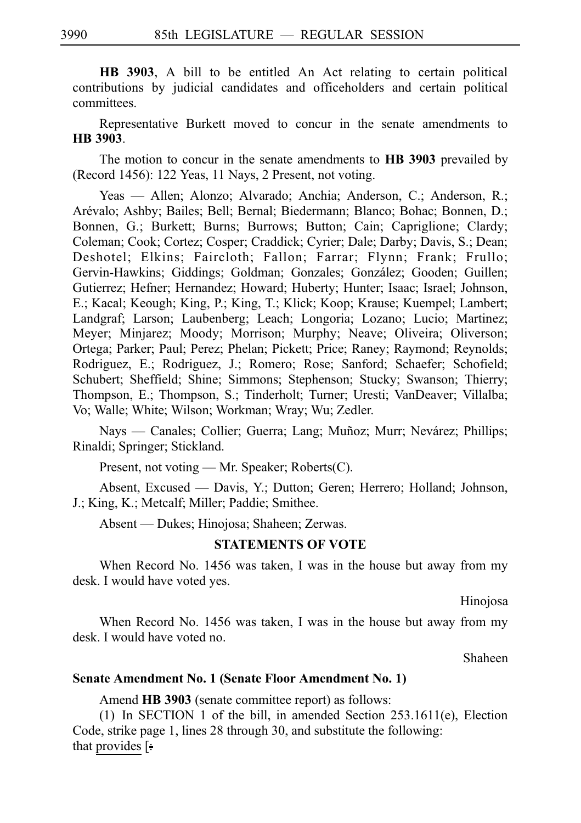**HB 3903**, A bill to be entitled An Act relating to certain political contributions by judicial candidates and officeholders and certain political committees.

Representative Burkett moved to concur in the senate amendments to **HBi3903**.

The motion to concur in the senate amendments to **HB 3903** prevailed by (Record 1456): 122 Yeas, 11 Nays, 2 Present, not voting.

Yeas — Allen; Alonzo; Alvarado; Anchia; Anderson, C.; Anderson, R.; Are´valo; Ashby; Bailes; Bell; Bernal; Biedermann; Blanco; Bohac; Bonnen, D.; Bonnen, G.; Burkett; Burns; Burrows; Button; Cain; Capriglione; Clardy; Coleman; Cook; Cortez; Cosper; Craddick; Cyrier; Dale; Darby; Davis, S.; Dean; Deshotel; Elkins; Faircloth; Fallon; Farrar; Flynn; Frank; Frullo; Gervin-Hawkins; Giddings; Goldman; Gonzales; González; Gooden; Guillen; Gutierrez; Hefner; Hernandez; Howard; Huberty; Hunter; Isaac; Israel; Johnson, E.; Kacal; Keough; King, P.; King, T.; Klick; Koop; Krause; Kuempel; Lambert; Landgraf; Larson; Laubenberg; Leach; Longoria; Lozano; Lucio; Martinez; Meyer; Minjarez; Moody; Morrison; Murphy; Neave; Oliveira; Oliverson; Ortega; Parker; Paul; Perez; Phelan; Pickett; Price; Raney; Raymond; Reynolds; Rodriguez, E.; Rodriguez, J.; Romero; Rose; Sanford; Schaefer; Schofield; Schubert; Sheffield; Shine; Simmons; Stephenson; Stucky; Swanson; Thierry; Thompson, E.; Thompson, S.; Tinderholt; Turner; Uresti; VanDeaver; Villalba; Vo; Walle; White; Wilson; Workman; Wray; Wu; Zedler.

Nays — Canales; Collier; Guerra; Lang; Muñoz; Murr; Nevárez; Phillips; Rinaldi; Springer; Stickland.

Present, not voting — Mr. Speaker; Roberts(C).

Absent, Excused — Davis, Y.; Dutton; Geren; Herrero; Holland; Johnson, J.; King, K.; Metcalf; Miller; Paddie; Smithee.

Absent — Dukes; Hinojosa; Shaheen; Zerwas.

### **STATEMENTS OF VOTE**

When Record No. 1456 was taken, I was in the house but away from my desk. I would have voted yes.

Hinojosa

When Record No. 1456 was taken, I was in the house but away from my desk. I would have voted no.

Shaheen

#### **Senate Amendment No. 1 (Senate Floor Amendment No. 1)**

Amend **HB 3903** (senate committee report) as follows:

(1) In SECTION 1 of the bill, in amended Section  $253.1611(e)$ , Election Code, strike page 1, lines 28 through 30, and substitute the following: that provides [ $\div$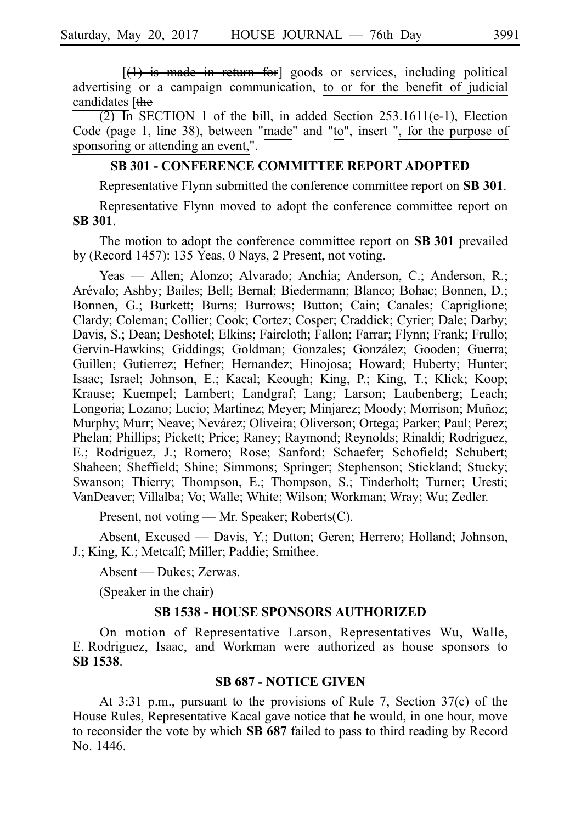$[(1)$  is made in return for goods or services, including political advertising or a campaign communication, to or for the benefit of judicial candidates [the

 $(2)$  In SECTION 1 of the bill, in added Section 253.1611(e-1), Election Code (page 1, line 38), between "made" and "to", insert ", for the purpose of sponsoring or attending an event,".

#### **SB 301 - CONFERENCE COMMITTEE REPORT ADOPTED**

Representative Flynn submitted the conference committee report on **SB 301**.

Representative Flynn moved to adopt the conference committee report on **SBi301**.

The motion to adopt the conference committee report on **SB 301** prevailed by (Record 1457): 135 Yeas, 0 Nays, 2 Present, not voting.

Yeas — Allen; Alonzo; Alvarado; Anchia; Anderson, C.; Anderson, R.; Are´valo; Ashby; Bailes; Bell; Bernal; Biedermann; Blanco; Bohac; Bonnen, D.; Bonnen, G.; Burkett; Burns; Burrows; Button; Cain; Canales; Capriglione; Clardy; Coleman; Collier; Cook; Cortez; Cosper; Craddick; Cyrier; Dale; Darby; Davis, S.; Dean; Deshotel; Elkins; Faircloth; Fallon; Farrar; Flynn; Frank; Frullo; Gervin-Hawkins; Giddings; Goldman; Gonzales; González; Gooden; Guerra; Guillen; Gutierrez; Hefner; Hernandez; Hinojosa; Howard; Huberty; Hunter; Isaac; Israel; Johnson, E.; Kacal; Keough; King, P.; King, T.; Klick; Koop; Krause; Kuempel; Lambert; Landgraf; Lang; Larson; Laubenberg; Leach; Longoria; Lozano; Lucio; Martinez; Meyer; Minjarez; Moody; Morrison; Muñoz; Murphy; Murr; Neave; Nevárez; Oliveira; Oliverson; Ortega; Parker; Paul; Perez; Phelan; Phillips; Pickett; Price; Raney; Raymond; Reynolds; Rinaldi; Rodriguez, E.; Rodriguez, J.; Romero; Rose; Sanford; Schaefer; Schofield; Schubert; Shaheen; Sheffield; Shine; Simmons; Springer; Stephenson; Stickland; Stucky; Swanson; Thierry; Thompson, E.; Thompson, S.; Tinderholt; Turner; Uresti; VanDeaver; Villalba; Vo; Walle; White; Wilson; Workman; Wray; Wu; Zedler.

Present, not voting — Mr. Speaker; Roberts(C).

Absent, Excused — Davis, Y.; Dutton; Geren; Herrero; Holland; Johnson, J.; King, K.; Metcalf; Miller; Paddie; Smithee.

Absent — Dukes; Zerwas.

(Speaker in the chair)

#### **SB 1538 - HOUSE SPONSORS AUTHORIZED**

On motion of Representative Larson, Representatives Wu, Walle, E. Rodriguez, Isaac, and Workman were authorized as house sponsors to **SBi1538**.

#### **SB 687 - NOTICE GIVEN**

At 3:31 p.m., pursuant to the provisions of Rule 7, Section 37(c) of the House Rules, Representative Kacal gave notice that he would, in one hour, move to reconsider the vote by which **SB 687** failed to pass to third reading by Record No. 1446.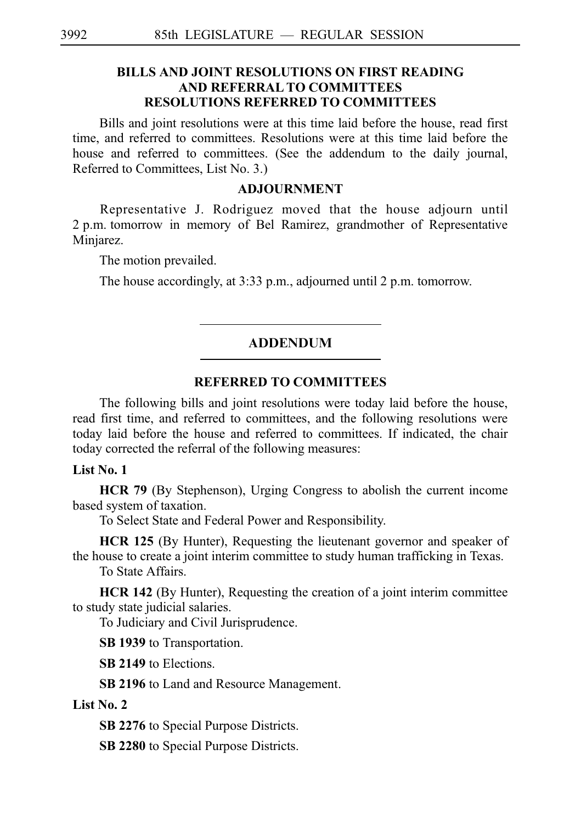### **BILLS AND JOINT RESOLUTIONS ON FIRST READING AND REFERRAL TO COMMITTEES RESOLUTIONS REFERRED TO COMMITTEES**

Bills and joint resolutions were at this time laid before the house, read first time, and referred to committees. Resolutions were at this time laid before the house and referred to committees. (See the addendum to the daily journal, Referred to Committees, List No. 3.)

#### **ADJOURNMENT**

Representative J. Rodriguez moved that the house adjourn until 2 p.m. tomorrow in memory of Bel Ramirez, grandmother of Representative Minjarez.

The motion prevailed.

The house accordingly, at 3:33 p.m., adjourned until 2 p.m. tomorrow.

### ADDENDUM

### **REFERRED TO COMMITTEES**

The following bills and joint resolutions were today laid before the house, read first time, and referred to committees, and the following resolutions were today laid before the house and referred to committees. If indicated, the chair today corrected the referral of the following measures:

#### **List No. 1**

**HCR 79** (By Stephenson), Urging Congress to abolish the current income based system of taxation.

To Select State and Federal Power and Responsibility.

**HCR 125** (By Hunter), Requesting the lieutenant governor and speaker of the house to create a joint interim committee to study human trafficking in Texas.

To State Affairs.

**HCR 142** (By Hunter), Requesting the creation of a joint interim committee to study state judicial salaries.

To Judiciary and Civil Jurisprudence.

**SB 1939** to Transportation.

**SB 2149** to Elections.

**SB 2196** to Land and Resource Management.

#### **List No. 2**

**SB 2276** to Special Purpose Districts.

**SB 2280** to Special Purpose Districts.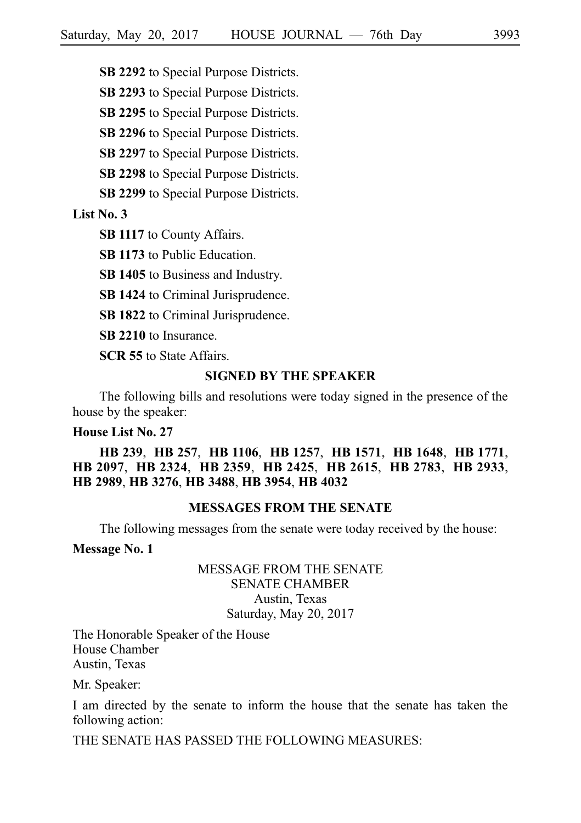**SB 2292** to Special Purpose Districts.

**SB 2293** to Special Purpose Districts.

**SB 2295** to Special Purpose Districts.

**SB 2296** to Special Purpose Districts.

**SB 2297** to Special Purpose Districts.

**SB 2298** to Special Purpose Districts.

**SB 2299** to Special Purpose Districts.

**List No. 3**

**SB 1117** to County Affairs.

**SB 1173** to Public Education.

**SB 1405** to Business and Industry.

**SB 1424** to Criminal Jurisprudence.

**SB 1822** to Criminal Jurisprudence.

**SB 2210** to Insurance.

**SCR 55** to State Affairs.

### **SIGNED BY THE SPEAKER**

The following bills and resolutions were today signed in the presence of the house by the speaker:

#### **House List No. 27**

**HB**i**239**, **HB**i**257**, **HB**i**1106**, **HB**i**1257**, **HB**i**1571**, **HB**i**1648**, **HB**i**1771**, **HB**i**2097**, **HB**i**2324**, **HB**i**2359**, **HB**i**2425**, **HB**i**2615**, **HB**i**2783**, **HB**i**2933**, **HB**i**2989**, **HB**i**3276**, **HB**i**3488**, **HB**i**3954**, **HB**i**4032**

#### **MESSAGES FROM THE SENATE**

The following messages from the senate were today received by the house:

**Message No. 1**

### MESSAGE FROM THE SENATE SENATE CHAMBER Austin, Texas Saturday, May 20, 2017

The Honorable Speaker of the House House Chamber Austin, Texas

Mr. Speaker:

I am directed by the senate to inform the house that the senate has taken the following action:

THE SENATE HAS PASSED THE FOLLOWING MEASURES: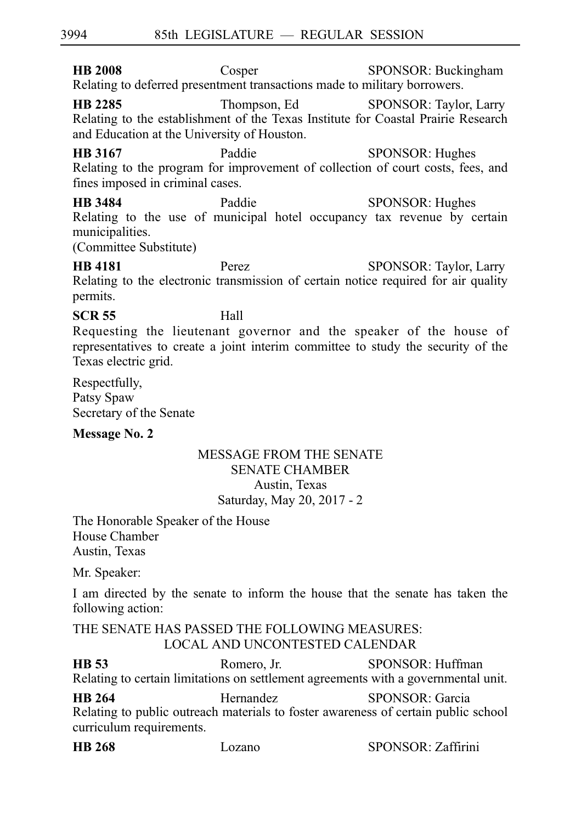**HB 2008** Cosper SPONSOR: Buckingham Relating to deferred presentment transactions made to military borrowers.

**HB 2285** Thompson, Ed SPONSOR: Taylor, Larry Relating to the establishment of the Texas Institute for Coastal Prairie Research and Education at the University of Houston.

**HB 3167** Paddie SPONSOR: Hughes Relating to the program for improvement of collection of court costs, fees, and fines imposed in criminal cases.

**HB 3484** Paddie SPONSOR: Hughes Relating to the use of municipal hotel occupancy tax revenue by certain municipalities.

(Committee Substitute)

**HB 4181** Perez SPONSOR: Taylor, Larry Relating to the electronic transmission of certain notice required for air quality permits.

# **SCR 55** Hall

Requesting the lieutenant governor and the speaker of the house of representatives to create a joint interim committee to study the security of the Texas electric grid.

Respectfully, Patsy Spaw Secretary of the Senate

### **Message No. 2**

## MESSAGE FROM THE SENATE SENATE CHAMBER Austin, Texas Saturday, May 20, 2017 - 2

The Honorable Speaker of the House House Chamber Austin, Texas

Mr. Speaker:

I am directed by the senate to inform the house that the senate has taken the following action:

THE SENATE HAS PASSED THE FOLLOWING MEASURES: LOCAL AND UNCONTESTED CALENDAR

**HB 53** Romero, Jr. SPONSOR: Huffman Relating to certain limitations on settlement agreements with a governmental unit.

**HB 264** Hernandez SPONSOR: Garcia Relating to public outreach materials to foster awareness of certain public school curriculum requirements.

| <b>HB</b> 268 | Lozano | SPONSOR: Zaffirini |
|---------------|--------|--------------------|
|---------------|--------|--------------------|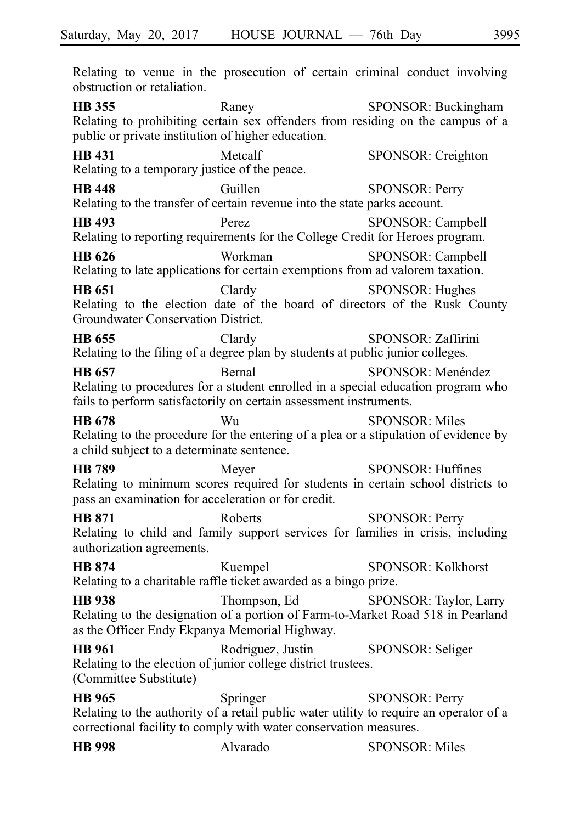Relating to venue in the prosecution of certain criminal conduct involving obstruction or retaliation. **HB 355** Raney Raney SPONSOR: Buckingham Relating to prohibiting certain sex offenders from residing on the campus of a public or private institution of higher education. **HB 431** Metcalf SPONSOR: Creighton Relating to a temporary justice of the peace. **HB 448** Guillen SPONSOR: Perry Relating to the transfer of certain revenue into the state parks account. **HB 493** Perez SPONSOR: Campbell Relating to reporting requirements for the College Credit for Heroes program. **HB 626** Workman SPONSOR: Campbell Relating to late applications for certain exemptions from ad valorem taxation. **HB 651** Clardy SPONSOR: Hughes Relating to the election date of the board of directors of the Rusk County Groundwater Conservation District. **HB 655** Clardy SPONSOR: Zaffirini Relating to the filing of a degree plan by students at public junior colleges. **HB 657** Bernal SPONSOR: Menéndez Relating to procedures for a student enrolled in a special education program who fails to perform satisfactorily on certain assessment instruments. **HB 678** Wu SPONSOR: Miles Relating to the procedure for the entering of a plea or a stipulation of evidence by a child subject to a determinate sentence. **HB 789** Meyer SPONSOR: Huffines Relating to minimum scores required for students in certain school districts to pass an examination for acceleration or for credit. **HB 871** Roberts SPONSOR: Perry Relating to child and family support services for families in crisis, including authorization agreements. **HB 874** Kuempel SPONSOR: Kolkhorst Relating to a charitable raffle ticket awarded as a bingo prize. **HB 938** Thompson, Ed SPONSOR: Taylor, Larry Relating to the designation of a portion of Farm-to-Market Road 518 in Pearland as the Officer Endy Ekpanya Memorial Highway. **HB 961** Rodriguez, Justin SPONSOR: Seliger Relating to the election of junior college district trustees. (Committee Substitute)

**HB 965** Springer SPONSOR: Perry Relating to the authority of a retail public water utility to require an operator of a correctional facility to comply with water conservation measures.

| <b>HB</b> 998 | Alvarado | <b>SPONSOR: Miles</b> |
|---------------|----------|-----------------------|
|---------------|----------|-----------------------|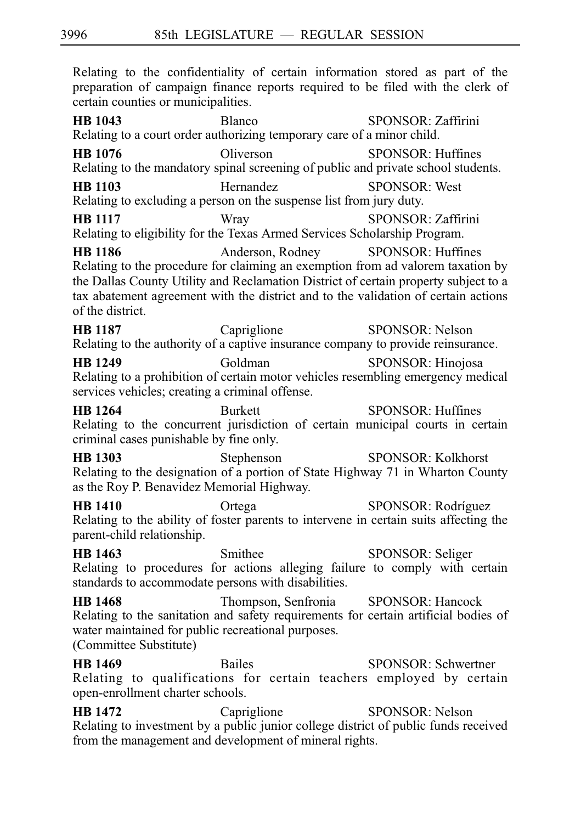Relating to the confidentiality of certain information stored as part of the preparation of campaign finance reports required to be filed with the clerk of certain counties or municipalities. **HB 1043** Blanco SPONSOR: Zaffirini Relating to a court order authorizing temporary care of a minor child. **HB 1076** Oliverson SPONSOR: Huffines Relating to the mandatory spinal screening of public and private school students. **HB 1103** Hernandez SPONSOR: West Relating to excluding a person on the suspense list from jury duty. **HB 1117** Wray SPONSOR: Zaffirini Relating to eligibility for the Texas Armed Services Scholarship Program. **HB 1186** Anderson, Rodney SPONSOR: Huffines Relating to the procedure for claiming an exemption from ad valorem taxation by the Dallas County Utility and Reclamation District of certain property subject to a tax abatement agreement with the district and to the validation of certain actions of the district. **HB 1187** Capriglione SPONSOR: Nelson Relating to the authority of a captive insurance company to provide reinsurance. **HB 1249** Goldman SPONSOR: Hinojosa Relating to a prohibition of certain motor vehicles resembling emergency medical services vehicles; creating a criminal offense. 3996 85th LEGISLATURE — REGULAR SESSION

**HB 1264** Burkett SPONSOR: Huffines Relating to the concurrent jurisdiction of certain municipal courts in certain criminal cases punishable by fine only.

**HB 1303** Stephenson SPONSOR: Kolkhorst Relating to the designation of a portion of State Highway 71 in Wharton County as the Roy P. Benavidez Memorial Highway.

**HB 1410** Ortega SPONSOR: Rodríguez Relating to the ability of foster parents to intervene in certain suits affecting the parent-child relationship.

**HB 1463** Smithee SPONSOR: Seliger Relating to procedures for actions alleging failure to comply with certain standards to accommodate persons with disabilities.

**HB 1468** Thompson, Senfronia SPONSOR: Hancock Relating to the sanitation and safety requirements for certain artificial bodies of water maintained for public recreational purposes.

(Committee Substitute)

**HB 1469** Bailes SPONSOR: Schwertner Relating to qualifications for certain teachers employed by certain open-enrollment charter schools.

**HB 1472** Capriglione SPONSOR: Nelson Relating to investment by a public junior college district of public funds received from the management and development of mineral rights.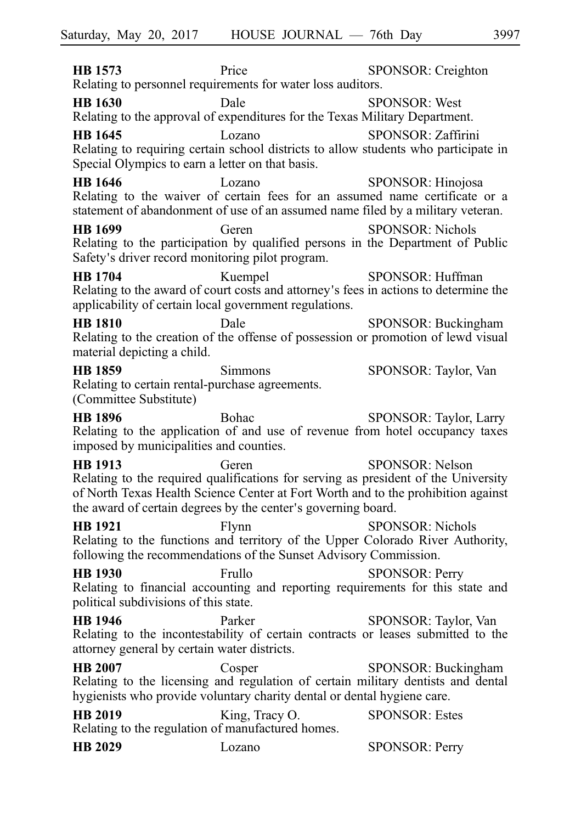**HB 1573** Price SPONSOR: Creighton Relating to personnel requirements for water loss auditors. **HB 1630** Dale SPONSOR: West Relating to the approval of expenditures for the Texas Military Department. **HB 1645** Lozano SPONSOR: Zaffirini Relating to requiring certain school districts to allow students who participate in Special Olympics to earn a letter on that basis. **HB 1646** Lozano SPONSOR: Hinojosa Relating to the waiver of certain fees for an assumed name certificate or a statement of abandonment of use of an assumed name filed by a military veteran. **HB 1699** Geren SPONSOR: Nichols Relating to the participation by qualified persons in the Department of Public Safety's driver record monitoring pilot program. **HB 1704** Kuempel SPONSOR: Huffman Relating to the award of court costs and attorney s fees in actions to determine the ' applicability of certain local government regulations. **HB 1810** Dale SPONSOR: Buckingham Relating to the creation of the offense of possession or promotion of lewd visual material depicting a child. **HB 1859** Simmons SPONSOR: Taylor, Van Relating to certain rental-purchase agreements. (Committee Substitute) **HB 1896** Bohac SPONSOR: Taylor, Larry Relating to the application of and use of revenue from hotel occupancy taxes imposed by municipalities and counties. **HB 1913** Geren SPONSOR: Nelson Relating to the required qualifications for serving as president of the University of North Texas Health Science Center at Fort Worth and to the prohibition against the award of certain degrees by the center's governing board. **HB 1921** Flynn SPONSOR: Nichols Relating to the functions and territory of the Upper Colorado River Authority, following the recommendations of the Sunset Advisory Commission. **HB 1930** Frullo SPONSOR: Perry Relating to financial accounting and reporting requirements for this state and political subdivisions of this state. **HB 1946** Parker SPONSOR: Taylor, Van Relating to the incontestability of certain contracts or leases submitted to the attorney general by certain water districts. **HB 2007** Cosper SPONSOR: Buckingham Relating to the licensing and regulation of certain military dentists and dental hygienists who provide voluntary charity dental or dental hygiene care. **HB 2019** King, Tracy O. SPONSOR: Estes Relating to the regulation of manufactured homes. **HB 2029** Lozano SPONSOR: Perry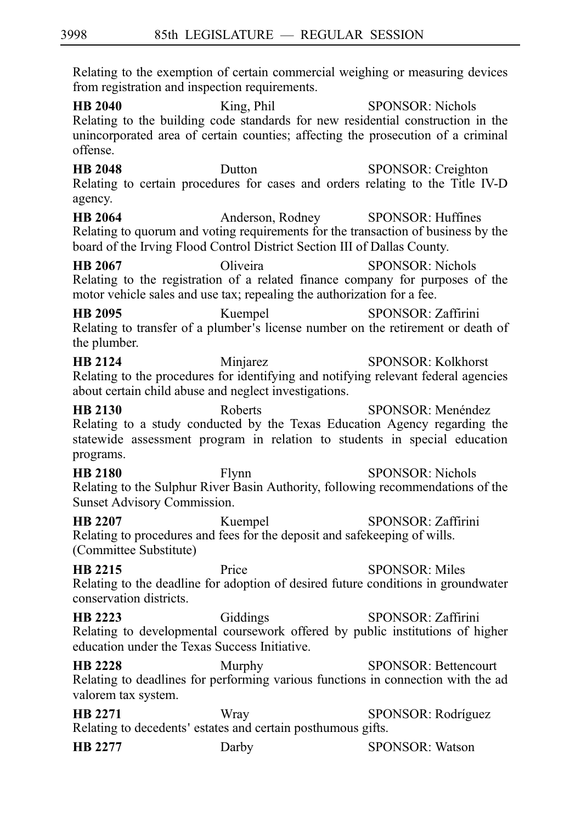Relating to the exemption of certain commercial weighing or measuring devices from registration and inspection requirements.

**HB 2040** King, Phil SPONSOR: Nichols Relating to the building code standards for new residential construction in the unincorporated area of certain counties; affecting the prosecution of a criminal offense.

**HB 2048** Dutton SPONSOR: Creighton Relating to certain procedures for cases and orders relating to the Title IV-D agency.

**HB 2064** Anderson, Rodney SPONSOR: Huffines Relating to quorum and voting requirements for the transaction of business by the board of the Irving Flood Control District Section III of Dallas County.

**HB 2067** Oliveira SPONSOR: Nichols Relating to the registration of a related finance company for purposes of the motor vehicle sales and use tax; repealing the authorization for a fee.

**HB 2095** Kuempel SPONSOR: Zaffirini Relating to transfer of a plumber's license number on the retirement or death of the plumber.

**HB 2124** Minjarez SPONSOR: Kolkhorst Relating to the procedures for identifying and notifying relevant federal agencies about certain child abuse and neglect investigations.

**HB 2130** Roberts SPONSOR: Menéndez Relating to a study conducted by the Texas Education Agency regarding the statewide assessment program in relation to students in special education programs.

**HB 2180** Flynn SPONSOR: Nichols Relating to the Sulphur River Basin Authority, following recommendations of the Sunset Advisory Commission.

**HB 2207** Kuempel SPONSOR: Zaffirini Relating to procedures and fees for the deposit and safekeeping of wills. (Committee Substitute)

**HB 2215** Price SPONSOR: Miles Relating to the deadline for adoption of desired future conditions in groundwater conservation districts.

**HB 2223** Giddings SPONSOR: Zaffirini Relating to developmental coursework offered by public institutions of higher education under the Texas Success Initiative.

**HB 2228** Murphy SPONSOR: Bettencourt Relating to deadlines for performing various functions in connection with the ad valorem tax system.

**HB 2271** Wray SPONSOR: Rodríguez Relating to decedents' estates and certain posthumous gifts.

**HB 2277** Darby Darby SPONSOR: Watson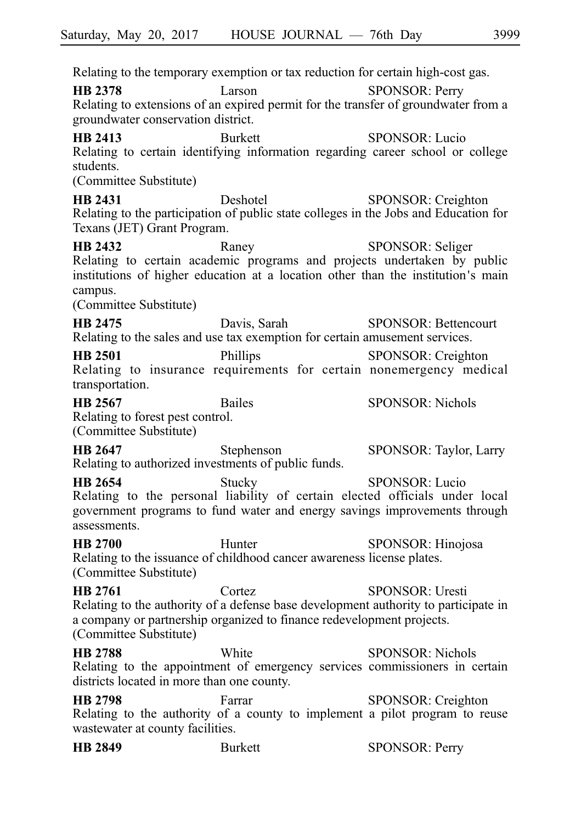Relating to the temporary exemption or tax reduction for certain high-cost gas. **HB 2378** Larson **Larson** SPONSOR: Perry Relating to extensions of an expired permit for the transfer of groundwater from a groundwater conservation district. **HB 2413** Burkett SPONSOR: Lucio Relating to certain identifying information regarding career school or college students. (Committee Substitute) **HB 2431** Deshotel SPONSOR: Creighton Relating to the participation of public state colleges in the Jobs and Education for Texans (JET) Grant Program. **HB 2432** Raney SPONSOR: Seliger Relating to certain academic programs and projects undertaken by public institutions of higher education at a location other than the institution's main campus. (Committee Substitute) **HB 2475** Davis, Sarah SPONSOR: Bettencourt Relating to the sales and use tax exemption for certain amusement services. **HB 2501** Phillips SPONSOR: Creighton Relating to insurance requirements for certain nonemergency medical transportation. **HB 2567** Bailes SPONSOR: Nichols Relating to forest pest control. (Committee Substitute) **HB 2647** Stephenson SPONSOR: Taylor, Larry Relating to authorized investments of public funds. **HB 2654** Stucky SPONSOR: Lucio Relating to the personal liability of certain elected officials under local government programs to fund water and energy savings improvements through assessments. **HB 2700** Hunter SPONSOR: Hinojosa Relating to the issuance of childhood cancer awareness license plates. (Committee Substitute) **HB 2761** Cortez SPONSOR: Uresti Relating to the authority of a defense base development authority to participate in a company or partnership organized to finance redevelopment projects. (Committee Substitute) **HB 2788** White SPONSOR: Nichols Relating to the appointment of emergency services commissioners in certain districts located in more than one county. **HB 2798** Farrar SPONSOR: Creighton Relating to the authority of a county to implement a pilot program to reuse wastewater at county facilities.

| <b>HB</b> 2849<br>Burkett | <b>SPONSOR: Perry</b> |
|---------------------------|-----------------------|
|---------------------------|-----------------------|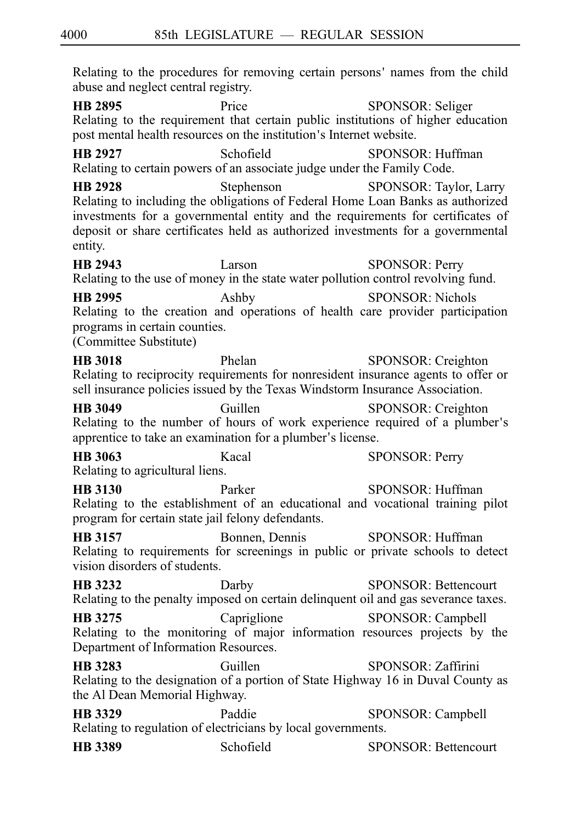Relating to the procedures for removing certain persons' names from the child abuse and neglect central registry.

**HB 2895** Price SPONSOR: Seliger Relating to the requirement that certain public institutions of higher education post mental health resources on the institution's Internet website.

**HB 2927** Schofield SPONSOR: Huffman Relating to certain powers of an associate judge under the Family Code.

**HB 2928** Stephenson SPONSOR: Taylor, Larry Relating to including the obligations of Federal Home Loan Banks as authorized investments for a governmental entity and the requirements for certificates of deposit or share certificates held as authorized investments for a governmental entity.

**HB 2943** Larson **Larson** SPONSOR: Perry Relating to the use of money in the state water pollution control revolving fund.

**HB 2995** Ashby SPONSOR: Nichols Relating to the creation and operations of health care provider participation programs in certain counties.

(Committee Substitute)

**HB 3018** Phelan SPONSOR: Creighton Relating to reciprocity requirements for nonresident insurance agents to offer or sell insurance policies issued by the Texas Windstorm Insurance Association.

**HB 3049** Guillen SPONSOR: Creighton Relating to the number of hours of work experience required of a plumber s' apprentice to take an examination for a plumber's license.

**HB 3063** Kacal SPONSOR: Perry Relating to agricultural liens.

**HB 3130** Parker SPONSOR: Huffman Relating to the establishment of an educational and vocational training pilot program for certain state jail felony defendants.

**HB 3157** Bonnen, Dennis SPONSOR: Huffman Relating to requirements for screenings in public or private schools to detect vision disorders of students.

**HB 3232** Darby SPONSOR: Bettencourt Relating to the penalty imposed on certain delinquent oil and gas severance taxes.

**HB 3275** Capriglione SPONSOR: Campbell Relating to the monitoring of major information resources projects by the Department of Information Resources.

**HB 3283** Guillen SPONSOR: Zaffirini Relating to the designation of a portion of State Highway 16 in Duval County as the Al Dean Memorial Highway.

**HB 3329** Paddie SPONSOR: Campbell Relating to regulation of electricians by local governments.

**HB 3389** Schofield SPONSOR: Bettencourt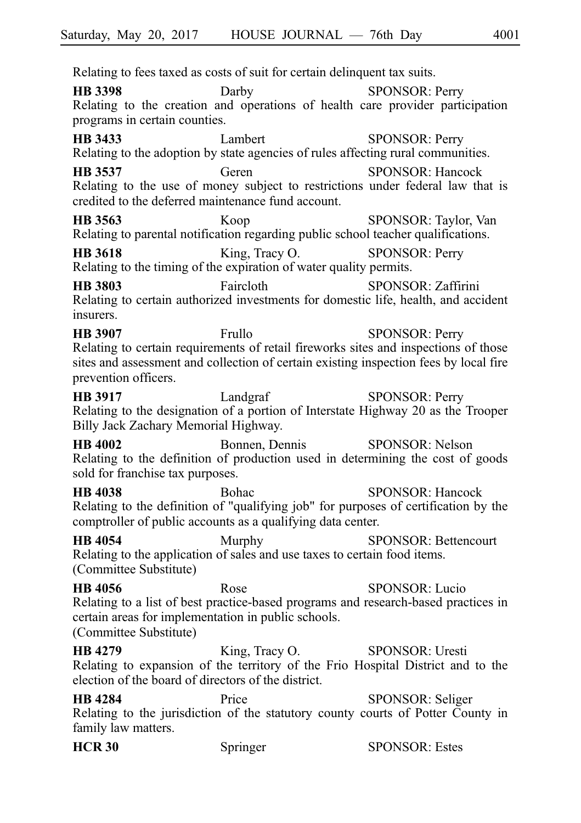Relating to fees taxed as costs of suit for certain delinquent tax suits. **HB 3398** Darby SPONSOR: Perry Relating to the creation and operations of health care provider participation programs in certain counties. **HB 3433** Lambert SPONSOR: Perry Relating to the adoption by state agencies of rules affecting rural communities. **HB 3537** Geren SPONSOR: Hancock Relating to the use of money subject to restrictions under federal law that is credited to the deferred maintenance fund account. **HB 3563** Koop SPONSOR: Taylor, Van Relating to parental notification regarding public school teacher qualifications. **HB 3618** King, Tracy O. SPONSOR: Perry Relating to the timing of the expiration of water quality permits. **HB 3803** Faircloth SPONSOR: Zaffirini Relating to certain authorized investments for domestic life, health, and accident insurers. **HB 3907** Frullo SPONSOR: Perry Relating to certain requirements of retail fireworks sites and inspections of those sites and assessment and collection of certain existing inspection fees by local fire prevention officers. **HB 3917** Landgraf SPONSOR: Perry Relating to the designation of a portion of Interstate Highway 20 as the Trooper Billy Jack Zachary Memorial Highway. **HB 4002** Bonnen, Dennis SPONSOR: Nelson Relating to the definition of production used in determining the cost of goods sold for franchise tax purposes. **HB 4038** Bohac SPONSOR: Hancock Relating to the definition of "qualifying job" for purposes of certification by the comptroller of public accounts as a qualifying data center. **HB 4054** Murphy SPONSOR: Bettencourt Relating to the application of sales and use taxes to certain food items. (Committee Substitute) **HB 4056** Rose SPONSOR: Lucio Relating to a list of best practice-based programs and research-based practices in certain areas for implementation in public schools. (Committee Substitute) **HB 4279** King, Tracy O. SPONSOR: Uresti Relating to expansion of the territory of the Frio Hospital District and to the election of the board of directors of the district.

**HB 4284** Price SPONSOR: Seliger Relating to the jurisdiction of the statutory county courts of Potter County in family law matters.

| <b>HCR 30</b> | Springer | <b>SPONSOR: Estes</b> |
|---------------|----------|-----------------------|
|---------------|----------|-----------------------|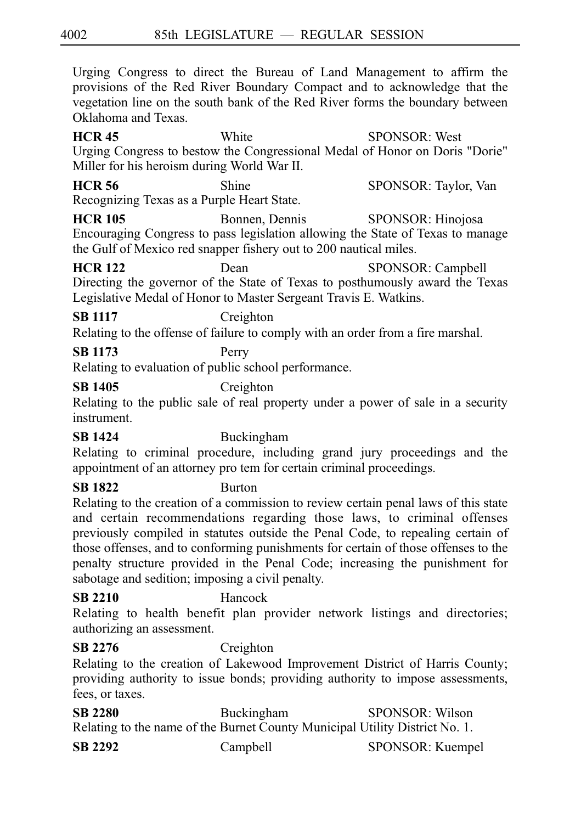Urging Congress to direct the Bureau of Land Management to affirm the provisions of the Red River Boundary Compact and to acknowledge that the vegetation line on the south bank of the Red River forms the boundary between Oklahoma and Texas.

**HCR 45** White SPONSOR: West Urging Congress to bestow the Congressional Medal of Honor on Doris "Dorie" Miller for his heroism during World War II.

**HCR 56** Shine SPONSOR: Taylor, Van Recognizing Texas as a Purple Heart State.

**HCR 105** Bonnen, Dennis SPONSOR: Hinojosa Encouraging Congress to pass legislation allowing the State of Texas to manage the Gulf of Mexico red snapper fishery out to 200 nautical miles.

**HCR 122** Dean SPONSOR: Campbell Directing the governor of the State of Texas to posthumously award the Texas Legislative Medal of Honor to Master Sergeant Travis E. Watkins.

# **SB 1117** Creighton

Relating to the offense of failure to comply with an order from a fire marshal.

## **SB 1173** Perry

Relating to evaluation of public school performance.

## **SB 1405** Creighton

Relating to the public sale of real property under a power of sale in a security instrument.

## **SB 1424** Buckingham

Relating to criminal procedure, including grand jury proceedings and the appointment of an attorney pro tem for certain criminal proceedings.

# **SB 1822** Burton

Relating to the creation of a commission to review certain penal laws of this state and certain recommendations regarding those laws, to criminal offenses previously compiled in statutes outside the Penal Code, to repealing certain of those offenses, and to conforming punishments for certain of those offenses to the penalty structure provided in the Penal Code; increasing the punishment for sabotage and sedition; imposing a civil penalty.

## **SB 2210** Hancock

Relating to health benefit plan provider network listings and directories; authorizing an assessment.

# **SB 2276** Creighton

Relating to the creation of Lakewood Improvement District of Harris County; providing authority to issue bonds; providing authority to impose assessments, fees, or taxes.

| <b>SB 2280</b> | Buckingham | <b>SPONSOR: Wilson</b>                                                      |
|----------------|------------|-----------------------------------------------------------------------------|
|                |            | Relating to the name of the Burnet County Municipal Utility District No. 1. |
| <b>SB 2292</b> | Campbell   | SPONSOR: Kuempel                                                            |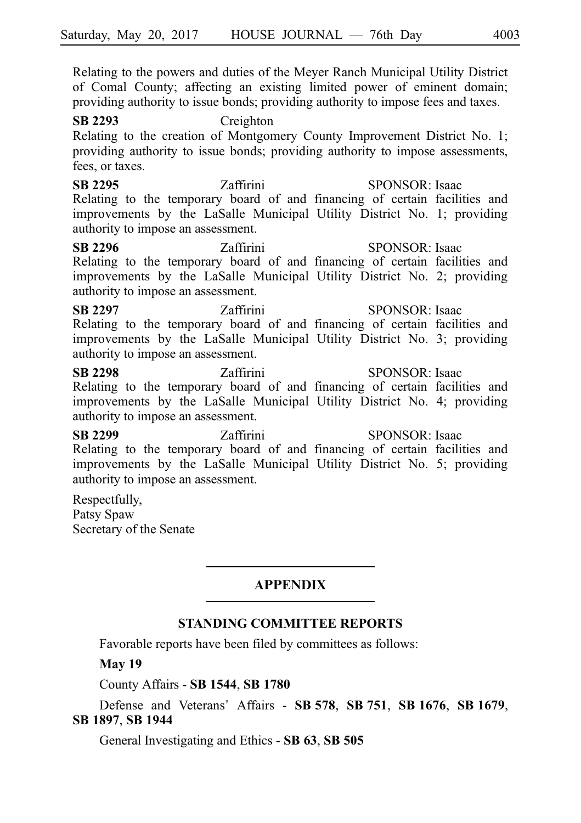Relating to the powers and duties of the Meyer Ranch Municipal Utility District of Comal County; affecting an existing limited power of eminent domain; providing authority to issue bonds; providing authority to impose fees and taxes.

**SB 2293** Creighton Relating to the creation of Montgomery County Improvement District No. 1; providing authority to issue bonds; providing authority to impose assessments, fees, or taxes.

**SB 2295** Zaffirini SPONSOR: Isaac Relating to the temporary board of and financing of certain facilities and improvements by the LaSalle Municipal Utility District No. 1; providing authority to impose an assessment.

**SB 2296** Zaffirini SPONSOR: Isaac Relating to the temporary board of and financing of certain facilities and improvements by the LaSalle Municipal Utility District No. 2; providing authority to impose an assessment.

**SB 2297** Zaffirini SPONSOR: Isaac Relating to the temporary board of and financing of certain facilities and improvements by the LaSalle Municipal Utility District No. 3; providing authority to impose an assessment.

**SB 2298** Zaffirini SPONSOR: Isaac Relating to the temporary board of and financing of certain facilities and improvements by the LaSalle Municipal Utility District No. 4; providing authority to impose an assessment.

**SB 2299** Zaffirini SPONSOR: Isaac Relating to the temporary board of and financing of certain facilities and improvements by the LaSalle Municipal Utility District No. 5; providing authority to impose an assessment.

Respectfully, Patsy Spaw Secretary of the Senate

## **APPENDIX**

### **STANDING COMMITTEE REPORTS**

Favorable reports have been filed by committees as follows:

#### **May 19**

County Affairs - **SB**i**1544**, **SB**i**1780**

Defense and Veterans ' Affairs - **SB**i**578**, **SB**i**751**, **SB**i**1676**, **SB**i**1679**, **SB**i**1897**, **SB**i**1944**

General Investigating and Ethics - **SB**i**63**, **SB**i**505**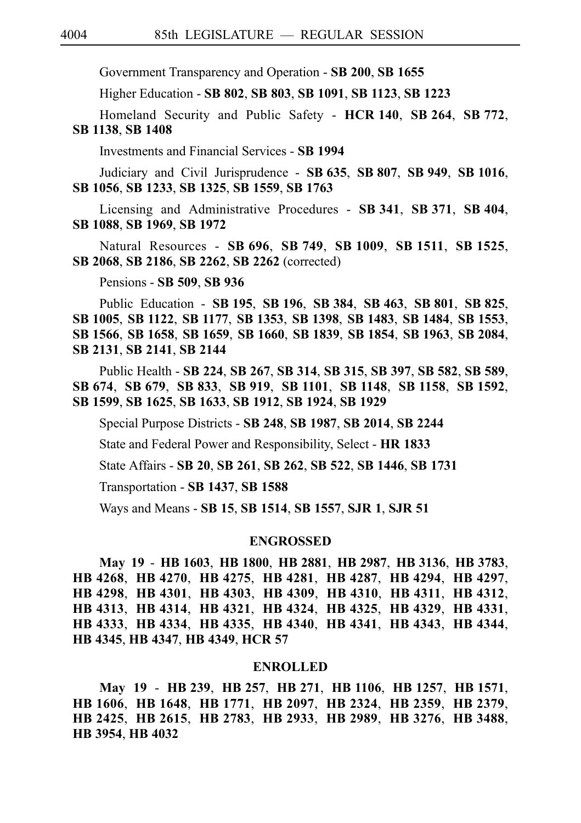Government Transparency and Operation - **SB**i**200**, **SB**i**1655**

Higher Education - **SB**i**802**, **SB**i**803**, **SB**i**1091**, **SB**i**1123**, **SB**i**1223**

Homeland Security and Public Safety - **HCR**i**140**, **SB**i**264**, **SB**i**772**, **SB**i**1138**, **SB**i**1408**

Investments and Financial Services - **SB**i**1994**

Judiciary and Civil Jurisprudence - **SB**i**635**, **SB**i**807**, **SB**i**949**, **SB**i**1016**, **SB**i**1056**, **SB**i**1233**, **SB**i**1325**, **SB**i**1559**, **SB**i**1763**

Licensing and Administrative Procedures - **SB**i**341**, **SB**i**371**, **SB**i**404**, **SB**i**1088**, **SB**i**1969**, **SB**i**1972**

Natural Resources - **SB**i**696**, **SB**i**749**, **SB**i**1009**, **SB**i**1511**, **SB**i**1525**, **SB**i**2068**, **SB**i**2186**, **SB**i**2262**, **SB**i**2262** (corrected)

Pensions - **SB**i**509**, **SB**i**936**

Public Education - **SB**i**195**, **SB**i**196**, **SB**i**384**, **SB**i**463**, **SB**i**801**, **SB**i**825**, **SB**i**1005**, **SB**i**1122**, **SB**i**1177**, **SB**i**1353**, **SB**i**1398**, **SB**i**1483**, **SB**i**1484**, **SB**i**1553**, **SB**i**1566**, **SB**i**1658**, **SB**i**1659**, **SB**i**1660**, **SB**i**1839**, **SB**i**1854**, **SB**i**1963**, **SB**i**2084**, **SB**i**2131**, **SB**i**2141**, **SB**i**2144**

Public Health - **SB**i**224**, **SB**i**267**, **SB**i**314**, **SB**i**315**, **SB**i**397**, **SB**i**582**, **SB**i**589**, **SB**i**674**, **SB**i**679**, **SB**i**833**, **SB**i**919**, **SB**i**1101**, **SB**i**1148**, **SB**i**1158**, **SB**i**1592**, **SB**i**1599**, **SB**i**1625**, **SB**i**1633**, **SB**i**1912**, **SB**i**1924**, **SB**i**1929**

Special Purpose Districts - **SB**i**248**, **SB**i**1987**, **SB**i**2014**, **SB**i**2244**

State and Federal Power and Responsibility, Select - **HR**i**1833**

State Affairs - **SB**i**20**, **SB**i**261**, **SB**i**262**, **SB**i**522**, **SB**i**1446**, **SB**i**1731**

Transportation - **SB**i**1437**, **SB**i**1588**

Ways and Means - **SB**i**15**, **SB**i**1514**, **SB**i**1557**, **SJR**i**1**, **SJR**i**51**

#### **ENGROSSED**

**May 19** - **HB**i**1603**, **HB**i**1800**, **HB**i**2881**, **HB**i**2987**, **HB**i**3136**, **HB**i**3783**, **HB**i**4268**, **HB**i**4270**, **HB**i**4275**, **HB**i**4281**, **HB**i**4287**, **HB**i**4294**, **HB**i**4297**, **HB**i**4298**, **HB**i**4301**, **HB**i**4303**, **HB**i**4309**, **HB**i**4310**, **HB**i**4311**, **HB**i**4312**, **HB**i**4313**, **HB**i**4314**, **HB**i**4321**, **HB**i**4324**, **HB**i**4325**, **HB**i**4329**, **HB**i**4331**, **HB**i**4333**, **HB**i**4334**, **HB**i**4335**, **HB**i**4340**, **HB**i**4341**, **HB**i**4343**, **HB**i**4344**, **HB**i**4345**, **HB**i**4347**, **HB**i**4349**, **HCR**i**57**

#### **ENROLLED**

**May 19** - **HB**i**239**, **HB**i**257**, **HB**i**271**, **HB**i**1106**, **HB**i**1257**, **HB**i**1571**, **HB**i**1606**, **HB**i**1648**, **HB**i**1771**, **HB**i**2097**, **HB**i**2324**, **HB**i**2359**, **HB**i**2379**, **HB**i**2425**, **HB**i**2615**, **HB**i**2783**, **HB**i**2933**, **HB**i**2989**, **HB**i**3276**, **HB**i**3488**, **HB**i**3954**, **HB**i**4032**